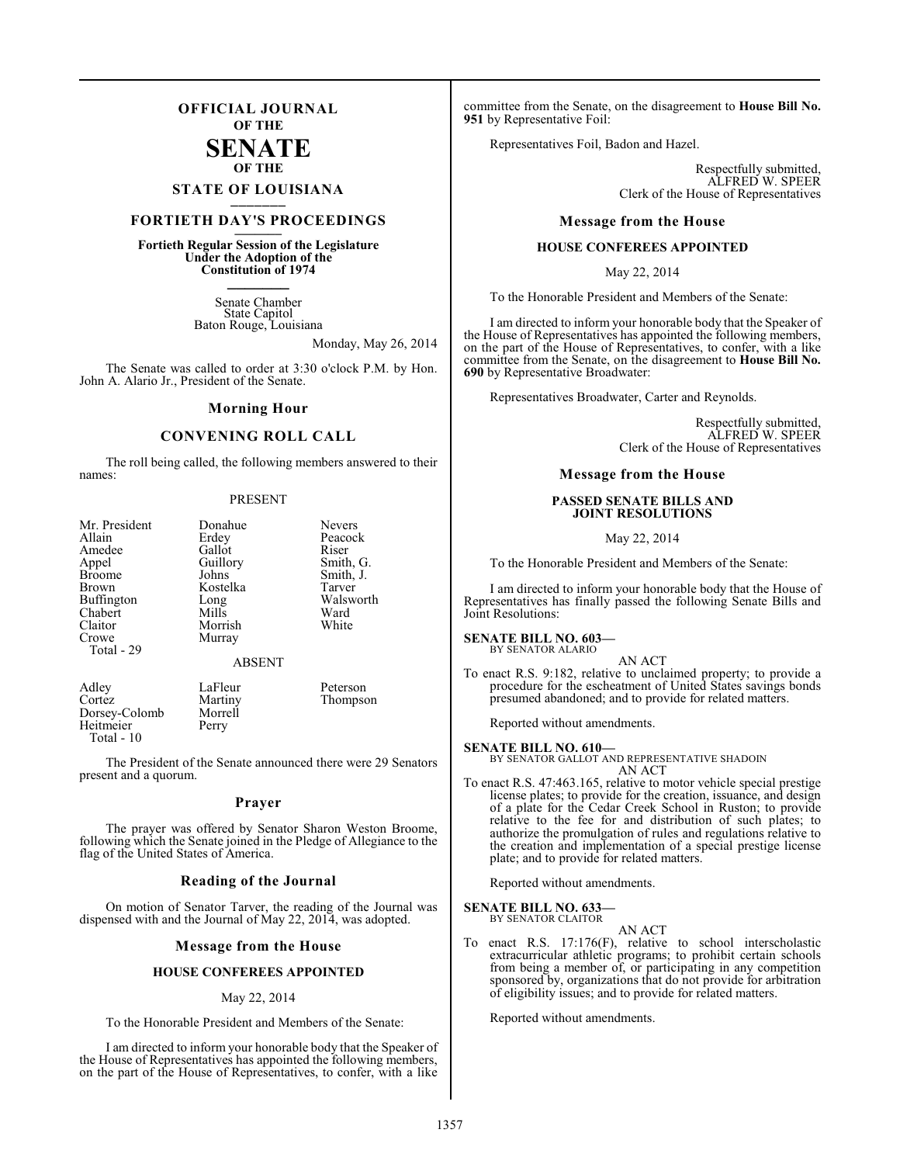## **OFFICIAL JOURNAL OF THE**

## **SENATE OF THE**

## **STATE OF LOUISIANA \_\_\_\_\_\_\_**

## **FORTIETH DAY'S PROCEEDINGS \_\_\_\_\_\_\_**

**Fortieth Regular Session of the Legislature Under the Adoption of the Constitution of 1974 \_\_\_\_\_\_\_**

> Senate Chamber State Capitol Baton Rouge, Louisiana

> > Monday, May 26, 2014

The Senate was called to order at 3:30 o'clock P.M. by Hon. John A. Alario Jr., President of the Senate.

## **Morning Hour**

## **CONVENING ROLL CALL**

The roll being called, the following members answered to their names:

### PRESENT

| Mr. President<br>Allain<br>Amedee<br>Appel<br><b>Broome</b><br>Brown<br>Buffington<br>Chabert<br>Claitor<br>Crowe<br>Total - 29 | Donahue<br>Erdey<br>Gallot<br>Guillory<br>Johns<br>Kostelka<br>Long<br>Mills<br>Morrish<br>Murray | <b>Nevers</b><br>Peacock<br>Riser<br>Smith, G.<br>Smith, J.<br>Tarver<br>Walsworth<br>Ward<br>White |
|---------------------------------------------------------------------------------------------------------------------------------|---------------------------------------------------------------------------------------------------|-----------------------------------------------------------------------------------------------------|
|                                                                                                                                 | <b>ABSENT</b>                                                                                     |                                                                                                     |
| Adley<br>Cortez<br>Dorsey-Colomb                                                                                                | LaFleur<br>Martiny<br>Morrell                                                                     | Peterson<br>Thompson                                                                                |

The President of the Senate announced there were 29 Senators present and a quorum.

Dorsey-Colomb Morre<br>
Heitmeier Perry

Heitmeier Total - 10

## **Prayer**

The prayer was offered by Senator Sharon Weston Broome, following which the Senate joined in the Pledge of Allegiance to the flag of the United States of America.

## **Reading of the Journal**

On motion of Senator Tarver, the reading of the Journal was dispensed with and the Journal of May 22, 2014, was adopted.

## **Message from the House**

## **HOUSE CONFEREES APPOINTED**

## May 22, 2014

To the Honorable President and Members of the Senate:

I am directed to inform your honorable body that the Speaker of the House of Representatives has appointed the following members, on the part of the House of Representatives, to confer, with a like

committee from the Senate, on the disagreement to **House Bill No. 951** by Representative Foil:

Representatives Foil, Badon and Hazel.

Respectfully submitted, ALFRED W. SPEER Clerk of the House of Representatives

## **Message from the House**

## **HOUSE CONFEREES APPOINTED**

May 22, 2014

To the Honorable President and Members of the Senate:

I am directed to inform your honorable body that the Speaker of the House of Representatives has appointed the following members, on the part of the House of Representatives, to confer, with a like committee from the Senate, on the disagreement to **House Bill No. 690** by Representative Broadwater:

Representatives Broadwater, Carter and Reynolds.

Respectfully submitted, ALFRED W. SPEER Clerk of the House of Representatives

## **Message from the House**

## **PASSED SENATE BILLS AND JOINT RESOLUTIONS**

May 22, 2014

To the Honorable President and Members of the Senate:

I am directed to inform your honorable body that the House of Representatives has finally passed the following Senate Bills and Joint Resolutions:

## **SENATE BILL NO. 603—** BY SENATOR ALARIO

AN ACT

To enact R.S. 9:182, relative to unclaimed property; to provide a procedure for the escheatment of United States savings bonds presumed abandoned; and to provide for related matters.

Reported without amendments.

## **SENATE BILL NO. 610—**

BY SENATOR GALLOT AND REPRESENTATIVE SHADOIN AN ACT

To enact R.S. 47:463.165, relative to motor vehicle special prestige license plates; to provide for the creation, issuance, and design of a plate for the Cedar Creek School in Ruston; to provide relative to the fee for and distribution of such plates; to authorize the promulgation of rules and regulations relative to the creation and implementation of a special prestige license plate; and to provide for related matters.

Reported without amendments.

#### **SENATE BILL NO. 633—** BY SENATOR CLAITOR

- AN ACT
- To enact R.S. 17:176(F), relative to school interscholastic extracurricular athletic programs; to prohibit certain schools from being a member of, or participating in any competition sponsored by, organizations that do not provide for arbitration of eligibility issues; and to provide for related matters.

Reported without amendments.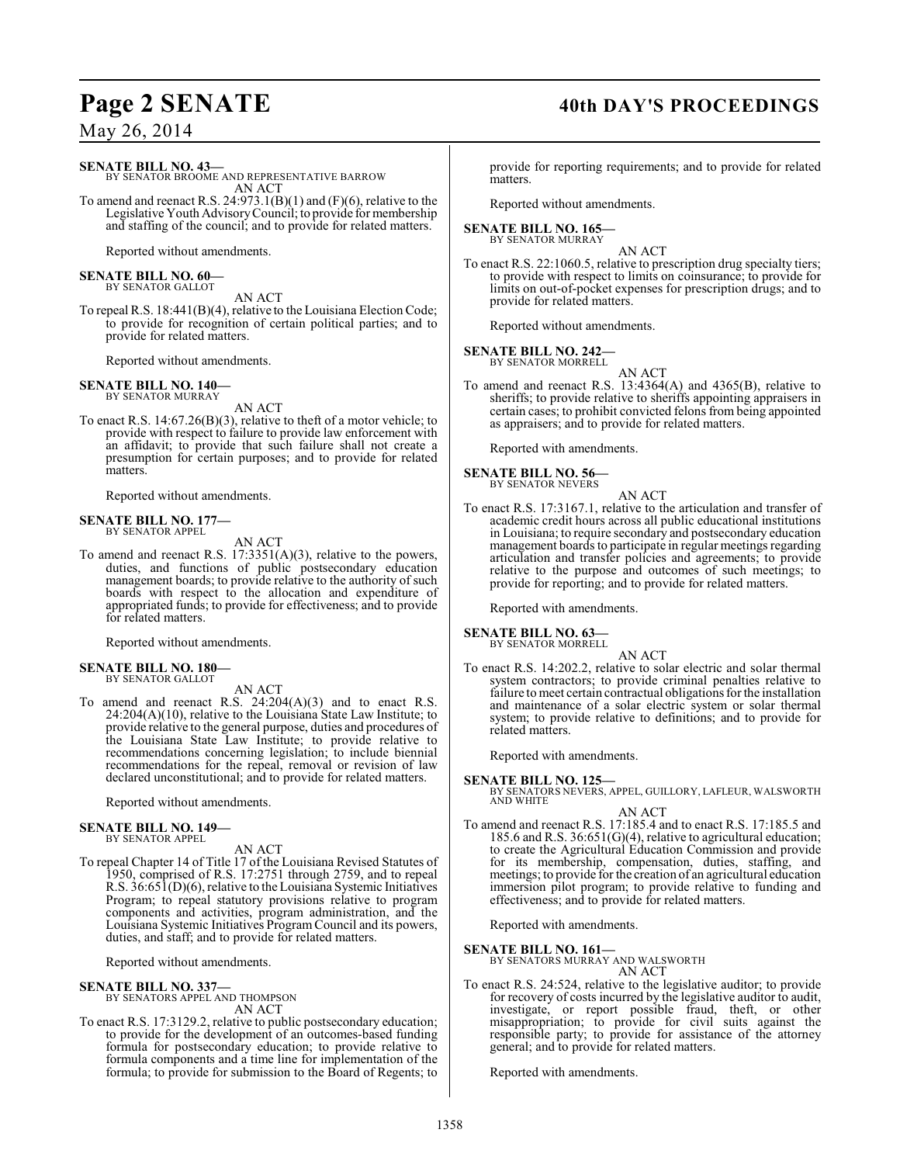## **Page 2 SENATE 40th DAY'S PROCEEDINGS**

May 26, 2014

**SENATE BILL NO. 43—**

BY SENATOR BROOME AND REPRESENTATIVE BARROW AN ACT

To amend and reenact R.S. 24:973.1(B)(1) and (F)(6), relative to the Legislative Youth AdvisoryCouncil; to provide for membership and staffing of the council; and to provide for related matters.

Reported without amendments.

#### **SENATE BILL NO. 60—** BY SENATOR GALLOT

AN ACT

To repeal R.S. 18:441(B)(4), relative to the Louisiana Election Code; to provide for recognition of certain political parties; and to provide for related matters.

Reported without amendments.

**SENATE BILL NO. 140—** BY SENATOR MURRAY

AN ACT

To enact R.S. 14:67.26(B)(3), relative to theft of a motor vehicle; to provide with respect to failure to provide law enforcement with an affidavit; to provide that such failure shall not create a presumption for certain purposes; and to provide for related matters.

Reported without amendments.

#### **SENATE BILL NO. 177—** BY SENATOR APPEL

AN ACT

To amend and reenact R.S. 17:3351(A)(3), relative to the powers, duties, and functions of public postsecondary education management boards; to provide relative to the authority of such boards with respect to the allocation and expenditure of appropriated funds; to provide for effectiveness; and to provide for related matters.

Reported without amendments.

#### **SENATE BILL NO. 180—** BY SENATOR GALLOT

AN ACT

To amend and reenact R.S.  $24:204(A)(3)$  and to enact R.S. 24:204(A)(10), relative to the Louisiana State Law Institute; to provide relative to the general purpose, duties and procedures of the Louisiana State Law Institute; to provide relative to recommendations concerning legislation; to include biennial recommendations for the repeal, removal or revision of law declared unconstitutional; and to provide for related matters.

Reported without amendments.

#### **SENATE BILL NO. 149—** BY SENATOR APPEL

AN ACT

To repeal Chapter 14 of Title 17 of the Louisiana Revised Statutes of 1950, comprised of R.S. 17:2751 through 2759, and to repeal R.S. 36:651(D)(6), relative to the Louisiana Systemic Initiatives Program; to repeal statutory provisions relative to program components and activities, program administration, and the Louisiana Systemic Initiatives Program Council and its powers, duties, and staff; and to provide for related matters.

Reported without amendments.

**SENATE BILL NO. 337—** BY SENATORS APPEL AND THOMPSON

AN ACT

To enact R.S. 17:3129.2, relative to public postsecondary education; to provide for the development of an outcomes-based funding formula for postsecondary education; to provide relative to formula components and a time line for implementation of the formula; to provide for submission to the Board of Regents; to

provide for reporting requirements; and to provide for related matters.

Reported without amendments.

#### **SENATE BILL NO. 165—** BY SENATOR MURRAY

AN ACT

To enact R.S. 22:1060.5, relative to prescription drug specialty tiers; to provide with respect to limits on coinsurance; to provide for limits on out-of-pocket expenses for prescription drugs; and to provide for related matters.

Reported without amendments.

## **SENATE BILL NO. 242—**

BY SENATOR MORRELL

AN ACT To amend and reenact R.S. 13:4364(A) and 4365(B), relative to sheriffs; to provide relative to sheriffs appointing appraisers in certain cases; to prohibit convicted felons from being appointed as appraisers; and to provide for related matters.

Reported with amendments.

#### **SENATE BILL NO. 56—** BY SENATOR NEVERS

- AN ACT
- To enact R.S. 17:3167.1, relative to the articulation and transfer of academic credit hours across all public educational institutions in Louisiana; to require secondary and postsecondary education management boards to participate in regular meetings regarding articulation and transfer policies and agreements; to provide relative to the purpose and outcomes of such meetings; to provide for reporting; and to provide for related matters.

Reported with amendments.

**SENATE BILL NO. 63—**

BY SENATOR MORRELL AN ACT

To enact R.S. 14:202.2, relative to solar electric and solar thermal system contractors; to provide criminal penalties relative to failure to meet certain contractual obligations for the installation and maintenance of a solar electric system or solar thermal system; to provide relative to definitions; and to provide for related matters.

Reported with amendments.

## **SENATE BILL NO. 125—**

BY SENATORS NEVERS, APPEL, GUILLORY, LAFLEUR, WALSWORTH AND WHITE

AN ACT To amend and reenact R.S. 17:185.4 and to enact R.S. 17:185.5 and 185.6 and R.S. 36:651(G)(4), relative to agricultural education; to create the Agricultural Education Commission and provide for its membership, compensation, duties, staffing, and meetings; to provide for the creation of an agricultural education immersion pilot program; to provide relative to funding and effectiveness; and to provide for related matters.

Reported with amendments.

## **SENATE BILL NO. 161—**

BY SENATORS MURRAY AND WALSWORTH

AN ACT To enact R.S. 24:524, relative to the legislative auditor; to provide for recovery of costs incurred by the legislative auditor to audit, investigate, or report possible fraud, theft, or other misappropriation; to provide for civil suits against the responsible party; to provide for assistance of the attorney general; and to provide for related matters.

Reported with amendments.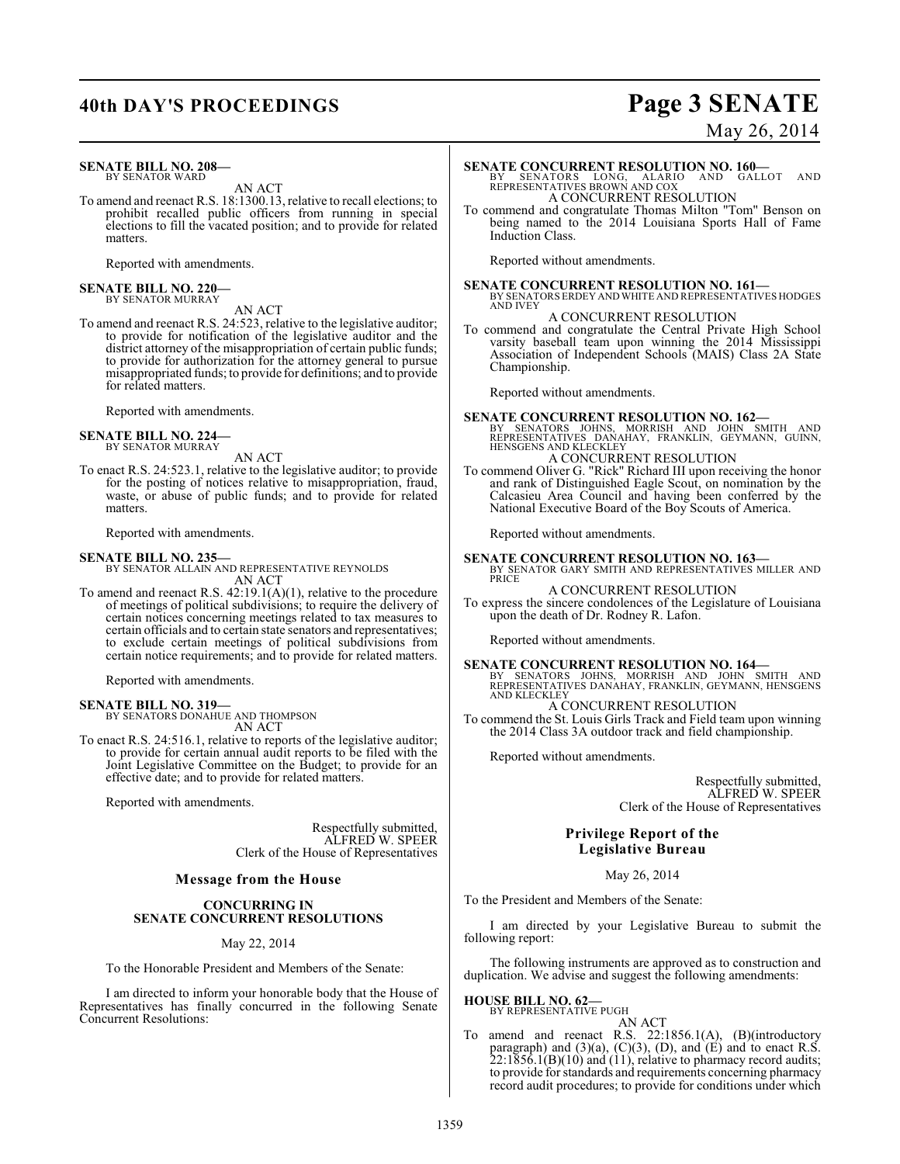## **40th DAY'S PROCEEDINGS Page 3 SENATE**

#### **SENATE BILL NO. 208—** BY SENATOR WARD

AN ACT

To amend and reenact R.S. 18:1300.13, relative to recall elections; to prohibit recalled public officers from running in special elections to fill the vacated position; and to provide for related matters.

Reported with amendments.

#### **SENATE BILL NO. 220—** BY SENATOR MURRAY

AN ACT To amend and reenact R.S. 24:523, relative to the legislative auditor; to provide for notification of the legislative auditor and the district attorney of the misappropriation of certain public funds; to provide for authorization for the attorney general to pursue misappropriated funds; to provide for definitions; and to provide for related matters.

Reported with amendments.

## **SENATE BILL NO. 224—** BY SENATOR MURRAY

AN ACT

To enact R.S. 24:523.1, relative to the legislative auditor; to provide for the posting of notices relative to misappropriation, fraud, waste, or abuse of public funds; and to provide for related matters.

Reported with amendments.

## **SENATE BILL NO. 235—**

BY SENATOR ALLAIN AND REPRESENTATIVE REYNOLDS AN ACT

To amend and reenact R.S. 42:19.1(A)(1), relative to the procedure of meetings of political subdivisions; to require the delivery of certain notices concerning meetings related to tax measures to certain officials and to certain state senators and representatives; to exclude certain meetings of political subdivisions from certain notice requirements; and to provide for related matters.

Reported with amendments.

## **SENATE BILL NO. 319—**

BY SENATORS DONAHUE AND THOMPSON AN ACT

To enact R.S. 24:516.1, relative to reports of the legislative auditor; to provide for certain annual audit reports to be filed with the Joint Legislative Committee on the Budget; to provide for an effective date; and to provide for related matters.

Reported with amendments.

Respectfully submitted, ALFRED W. SPEER Clerk of the House of Representatives

## **Message from the House**

## **CONCURRING IN SENATE CONCURRENT RESOLUTIONS**

May 22, 2014

To the Honorable President and Members of the Senate:

I am directed to inform your honorable body that the House of Representatives has finally concurred in the following Senate Concurrent Resolutions:

# May 26, 2014

**SENATE CONCURRENT RESOLUTION NO. 160—**<br>BY SENATORS LONG, ALARIO AND GALLOT AND<br>REPRESENTATIVES BROWN AND COX

A CONCURRENT RESOLUTION

To commend and congratulate Thomas Milton "Tom" Benson on being named to the 2014 Louisiana Sports Hall of Fame Induction Class.

Reported without amendments.

**SENATE CONCURRENT RESOLUTION NO. 161—** BY SENATORS ERDEY AND WHITE AND REPRESENTATIVES HODGES AND IVEY

A CONCURRENT RESOLUTION

To commend and congratulate the Central Private High School varsity baseball team upon winning the 2014 Mississippi Association of Independent Schools (MAIS) Class 2A State Championship.

Reported without amendments.

**SENATE CONCURRENT RESOLUTION NO. 162—**<br>
BY SENATORS JOHNS, MORRISH AND JOHN SMITH AND<br>
REPRESENTATIVES DANAHAY, FRANKLIN, GEYMANN, GUINN,<br>HENSGENS AND KLECKLEY A CONCURRENT RESOLUTION

To commend Oliver G. "Rick" Richard III upon receiving the honor and rank of Distinguished Eagle Scout, on nomination by the Calcasieu Area Council and having been conferred by the National Executive Board of the Boy Scouts of America.

Reported without amendments.

**SENATE CONCURRENT RESOLUTION NO. 163—** BY SENATOR GARY SMITH AND REPRESENTATIVES MILLER AND PRICE

### A CONCURRENT RESOLUTION

To express the sincere condolences of the Legislature of Louisiana upon the death of Dr. Rodney R. Lafon.

Reported without amendments.

**SENATE CONCURRENT RESOLUTION NO. 164—**<br>BY SENATORS JOHNS, MORRISH AND JOHN SMITH AND<br>REPRESENTATIVES DANAHAY, FRANKLIN, GEYMANN, HENSGENS

AND KLECKLEY A CONCURRENT RESOLUTION

To commend the St. Louis Girls Track and Field team upon winning the 2014 Class 3A outdoor track and field championship.

Reported without amendments.

Respectfully submitted, ALFRED W. SPEER Clerk of the House of Representatives

## **Privilege Report of the Legislative Bureau**

May 26, 2014

To the President and Members of the Senate:

I am directed by your Legislative Bureau to submit the following report:

The following instruments are approved as to construction and duplication. We advise and suggest the following amendments:

**HOUSE BILL NO. 62—** BY REPRESENTATIVE PUGH

AN ACT

To amend and reenact R.S. 22:1856.1(A), (B)(introductory paragraph) and  $(3)(a)$ ,  $(C)(3)$ ,  $(D)$ , and  $(E)$  and to enact R.S.  $22:1856.1(B)(10)$  and  $(11)$ , relative to pharmacy record audits; to provide for standards and requirements concerning pharmacy record audit procedures; to provide for conditions under which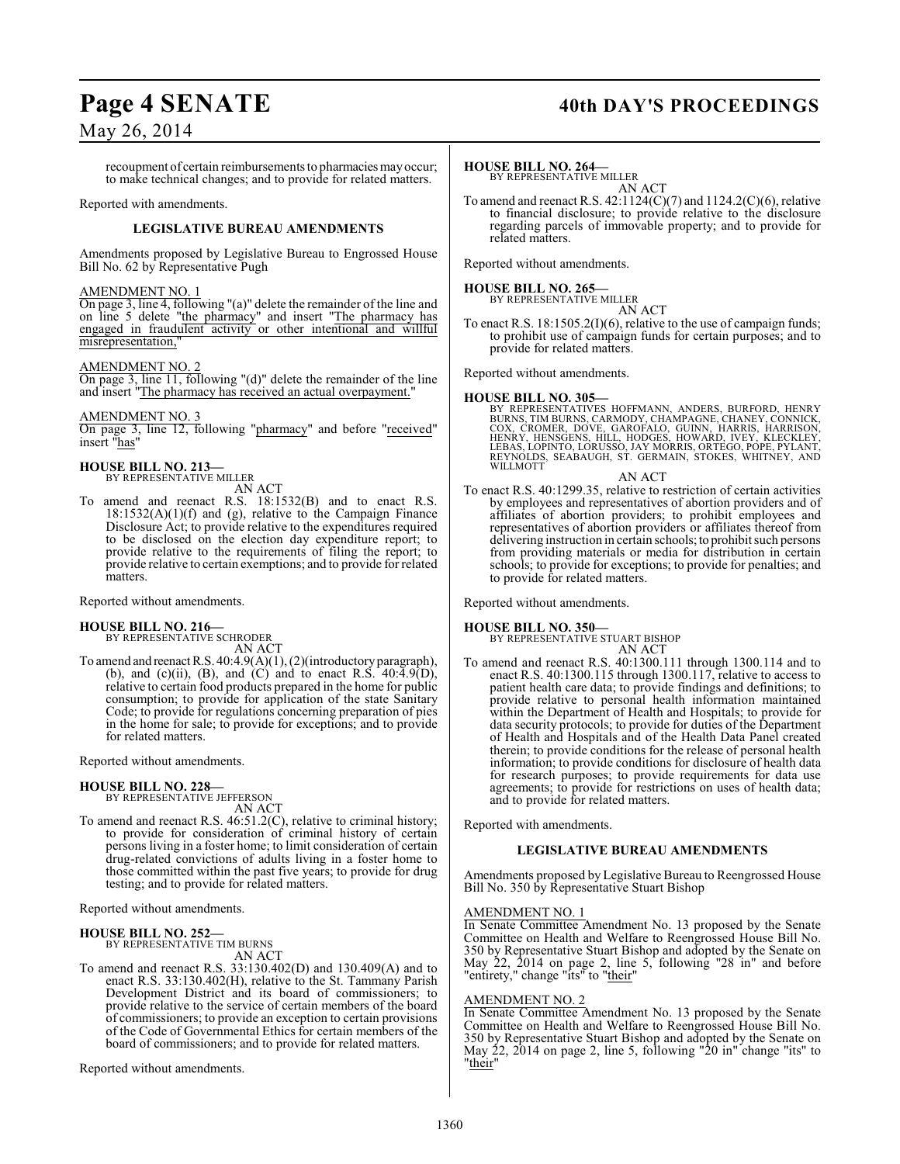## Page 4 SENATE 40th DAY'S PROCEEDINGS

## May 26, 2014

recoupment of certain reimbursements to pharmacies may occur; to make technical changes; and to provide for related matters.

Reported with amendments.

## **LEGISLATIVE BUREAU AMENDMENTS**

Amendments proposed by Legislative Bureau to Engrossed House Bill No. 62 by Representative Pugh

## AMENDMENT NO. 1

On page 3, line 4, following "(a)" delete the remainder of the line and on line 5 delete "the pharmacy" and insert "The pharmacy has engaged in fraudulent activity or other intentional and willful misrepresentation,

## AMENDMENT NO. 2

On page 3, line 11, following "(d)" delete the remainder of the line and insert "The pharmacy has received an actual overpayment."

## AMENDMENT NO. 3

On page 3, line 12, following "pharmacy" and before "received" insert "has"

## **HOUSE BILL NO. 213—** BY REPRESENTATIVE MILLER

AN ACT

To amend and reenact R.S. 18:1532(B) and to enact R.S.  $18:1532(A)(1)(f)$  and (g), relative to the Campaign Finance Disclosure Act; to provide relative to the expenditures required to be disclosed on the election day expenditure report; to provide relative to the requirements of filing the report; to provide relative to certain exemptions; and to provide for related matters.

Reported without amendments.

## **HOUSE BILL NO. 216—** BY REPRESENTATIVE SCHRODER

AN ACT

To amend and reenact R.S. 40:4.9(A)(1), (2)(introductory paragraph), (b), and (c)(ii), (B), and (C) and to enact R.S.  $40:4.9(D)$ , relative to certain food products prepared in the home for public consumption; to provide for application of the state Sanitary Code; to provide for regulations concerning preparation of pies in the home for sale; to provide for exceptions; and to provide for related matters.

Reported without amendments.

## **HOUSE BILL NO. 228—**

BY REPRESENTATIVE JEFFERSON AN ACT

To amend and reenact R.S. 46:51.2(C), relative to criminal history; to provide for consideration of criminal history of certain persons living in a foster home; to limit consideration of certain drug-related convictions of adults living in a foster home to those committed within the past five years; to provide for drug testing; and to provide for related matters.

Reported without amendments.

## **HOUSE BILL NO. 252—**

BY REPRESENTATIVE TIM BURNS AN ACT

To amend and reenact R.S. 33:130.402(D) and 130.409(A) and to enact R.S. 33:130.402(H), relative to the St. Tammany Parish Development District and its board of commissioners; to provide relative to the service of certain members of the board of commissioners; to provide an exception to certain provisions of the Code of Governmental Ethics for certain members of the board of commissioners; and to provide for related matters.

Reported without amendments.

## **HOUSE BILL NO. 264—**

BY REPRESENTATIVE MILLER AN ACT

To amend and reenact R.S.  $42:1124(C)(7)$  and  $1124.2(C)(6)$ , relative to financial disclosure; to provide relative to the disclosure regarding parcels of immovable property; and to provide for related matters.

Reported without amendments.

## **HOUSE BILL NO. 265—**

BY REPRESENTATIVE MILLER AN ACT

To enact R.S. 18:1505.2(I)(6), relative to the use of campaign funds; to prohibit use of campaign funds for certain purposes; and to provide for related matters.

Reported without amendments.

## **HOUSE BILL NO. 305—**

BY REPRESENTATIVES HOFFMANN, ANDERS, BURFORD, HENRY<br>BURNS, TIMBURNS, CARMODY, CHAMPAGNE, CHANEY, CONNICK,<br>COX, CROMER, DOVE, GAROFALO, GUINN, HARRIS, HARRISON,<br>HENRY, HENSGENS, HILL, HODGES, HOWARD, IVEY, KLECKLEY,<br>LEBAS, REYNOLDS, SEABAUGH, ST. GERMAIN, STOKES, WHITNEY, AND WILLMOTT

### AN ACT

To enact R.S. 40:1299.35, relative to restriction of certain activities by employees and representatives of abortion providers and of affiliates of abortion providers; to prohibit employees and representatives of abortion providers or affiliates thereof from delivering instruction in certain schools; to prohibit such persons from providing materials or media for distribution in certain schools; to provide for exceptions; to provide for penalties; and to provide for related matters.

Reported without amendments.

## **HOUSE BILL NO. 350—**

BY REPRESENTATIVE STUART BISHOP AN ACT

To amend and reenact R.S. 40:1300.111 through 1300.114 and to enact R.S. 40:1300.115 through 1300.117, relative to access to patient health care data; to provide findings and definitions; to provide relative to personal health information maintained within the Department of Health and Hospitals; to provide for data security protocols; to provide for duties of the Department of Health and Hospitals and of the Health Data Panel created therein; to provide conditions for the release of personal health information; to provide conditions for disclosure of health data for research purposes; to provide requirements for data use agreements; to provide for restrictions on uses of health data; and to provide for related matters.

Reported with amendments.

## **LEGISLATIVE BUREAU AMENDMENTS**

Amendments proposed by Legislative Bureau to Reengrossed House Bill No. 350 by Representative Stuart Bishop

## AMENDMENT NO. 1

In Senate Committee Amendment No. 13 proposed by the Senate Committee on Health and Welfare to Reengrossed House Bill No. 350 by Representative Stuart Bishop and adopted by the Senate on May 22, 2014 on page 2, line 5, following "28 in" and before "entirety," change "its" to "their"

## AMENDMENT NO. 2

In Senate Committee Amendment No. 13 proposed by the Senate Committee on Health and Welfare to Reengrossed House Bill No. 350 by Representative Stuart Bishop and adopted by the Senate on May 22, 2014 on page 2, line 5, following "20 in" change "its" to "their"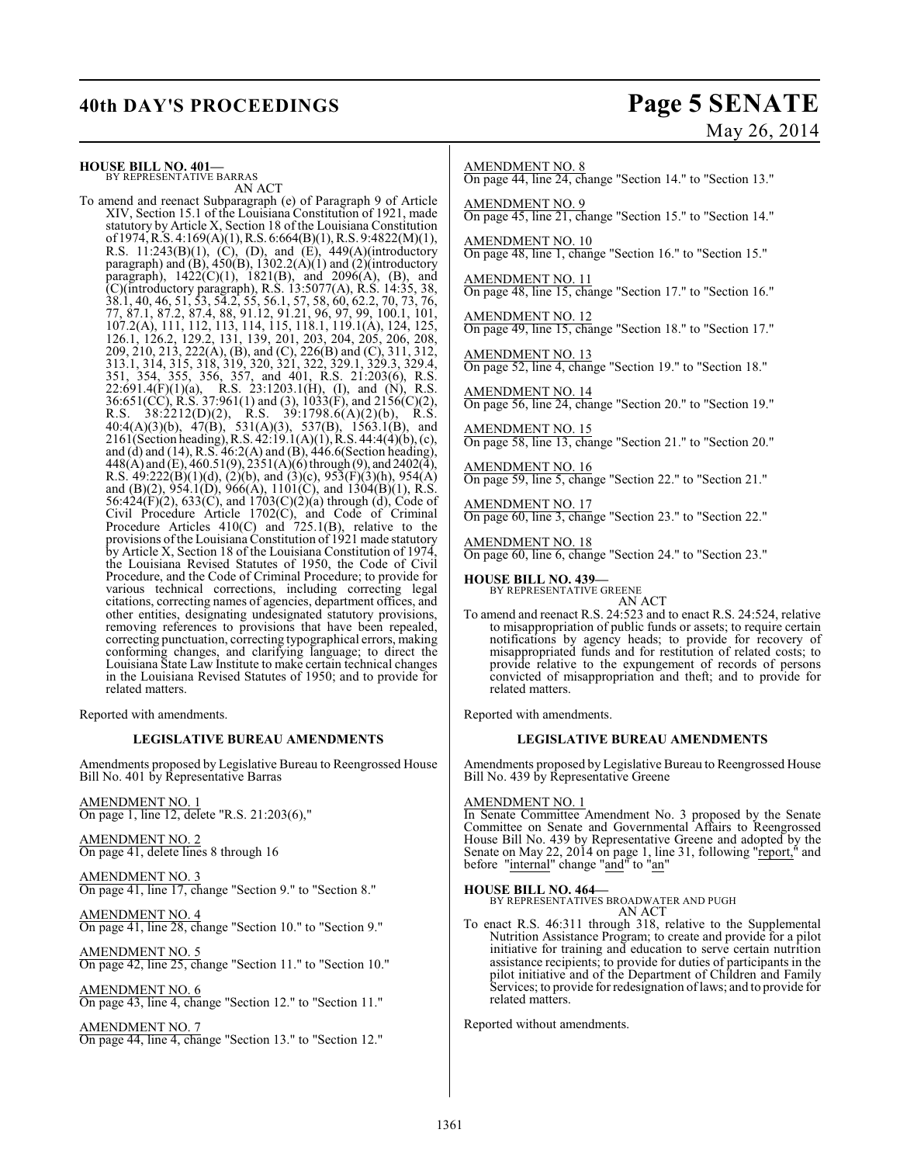## **40th DAY'S PROCEEDINGS Page 5 SENATE**

**HOUSE BILL NO. 401—** BY REPRESENTATIVE BARRAS

AN ACT

To amend and reenact Subparagraph (e) of Paragraph 9 of Article XIV, Section 15.1 of the Louisiana Constitution of 1921, made statutory by Article X, Section 18 of the Louisiana Constitution of 1974, R.S. 4:169(A)(1), R.S. 6:664(B)(1), R.S. 9:4822(M)(1), R.S. 11:243(B)(1), (C), (D), and (E), 449(A)(introductory paragraph) and  $(B)$ , 450 $(B)$ , 1302.2 $(A)(1)$  and  $(2)($ introductory paragraph), 1422(C)(1), 1821(B), and 2096(A), (B), and (C)(introductory paragraph), R.S. 13:5077(A), R.S. 14:35, 38, 38.1, 40, 46, 51, 53, 54.2, 55, 56.1, 57, 58, 60, 62.2, 70, 73, 76, 77, 87.1, 87.2, 87.4, 88, 91.12, 91.21, 96, 97, 99, 100.1, 101, 107.2(A), 111, 112, 113, 114, 115, 118.1, 119.1(A), 124, 125, 126.1, 126.2, 129.2, 131, 139, 201, 203, 204, 205, 206, 208, 209, 210, 213, 222(A), (B), and (C), 226(B) and (C), 311, 312, 313.1, 314, 315, 318, 319, 320, 321, 322, 329.1, 329.3, 329.4, 351, 354, 355, 356, 357, and 401, R.S. 21:203(6), R.S. 22:691.4(F)(1)(a), R.S. 23:1203.1(H), (I), and (N), R.S. 36:651(CC), R.S. 37:961(1) and (3), 1033(F), and 2156(C)(2), R.S. 38:2212(D)(2), R.S. 39:1798.6(A)(2)(b), R.S. 40:4(A)(3)(b), 47(B), 531(A)(3), 537(B), 1563.1(B), and 2161(Section heading), R.S. 42:19.1(A)(1), R.S. 44:4(4)(b), (c), and (d) and (14), R.S. 46:2(A) and (B), 446.6(Section heading), 448(A) and (E), 460.51(9), 2351(A)(6) through (9), and 2402(4), R.S. 49:222(B)(1)(d), (2)(b), and (3)(c), 953(F)(3)(h), 954(A) and (B)(2), 954.1(D), 966(A), 1101(C), and 1304(B)(1), R.S. 56:424(F)(2), 633(C), and 1703(C)(2)(a) through (d), Code of Civil Procedure Article 1702(C), and Code of Criminal Procedure Articles 410(C) and 725.1(B), relative to the provisions ofthe Louisiana Constitution of 1921 made statutory by Article X, Section 18 of the Louisiana Constitution of 1974, the Louisiana Revised Statutes of 1950, the Code of Civil Procedure, and the Code of Criminal Procedure; to provide for various technical corrections, including correcting legal citations, correcting names of agencies, department offices, and other entities, designating undesignated statutory provisions, removing references to provisions that have been repealed, correcting punctuation, correcting typographical errors, making conforming changes, and clarifying language; to direct the Louisiana State Law Institute to make certain technical changes in the Louisiana Revised Statutes of 1950; and to provide for related matters.

Reported with amendments.

## **LEGISLATIVE BUREAU AMENDMENTS**

Amendments proposed by Legislative Bureau to Reengrossed House Bill No. 401 by Representative Barras

AMENDMENT NO. 1 On page 1, line 12, delete "R.S. 21:203(6),"

AMENDMENT NO. 2 On page 41, delete lines 8 through 16

AMENDMENT NO. 3 On page 41, line 17, change "Section 9." to "Section 8."

AMENDMENT NO. 4 On page 41, line 28, change "Section 10." to "Section 9."

AMENDMENT NO. 5 On page 42, line 25, change "Section 11." to "Section 10."

AMENDMENT NO. 6 On page 43, line 4, change "Section 12." to "Section 11."

AMENDMENT NO. 7 On page 44, line 4, change "Section 13." to "Section 12."

# May 26, 2014

AMENDMENT NO. 8

On page 44, line 24, change "Section 14." to "Section 13."

AMENDMENT NO. 9 On page 45, line 21, change "Section 15." to "Section 14."

AMENDMENT NO. 10 On page 48, line 1, change "Section 16." to "Section 15."

AMENDMENT NO. 11 On page 48, line 15, change "Section 17." to "Section 16."

AMENDMENT NO. 12 On page 49, line 15, change "Section 18." to "Section 17."

AMENDMENT NO. 13 On page 52, line 4, change "Section 19." to "Section 18."

AMENDMENT NO. 14 On page 56, line 24, change "Section 20." to "Section 19."

AMENDMENT NO. 15 On page 58, line 13, change "Section 21." to "Section 20."

AMENDMENT NO. 16 On page 59, line 5, change "Section 22." to "Section 21."

AMENDMENT NO. 17 On page 60, line 3, change "Section 23." to "Section 22."

AMENDMENT NO. 18 On page 60, line 6, change "Section 24." to "Section 23."

**HOUSE BILL NO. 439—** BY REPRESENTATIVE GREENE

AN ACT To amend and reenact R.S. 24:523 and to enact R.S. 24:524, relative to misappropriation of public funds or assets; to require certain notifications by agency heads; to provide for recovery of misappropriated funds and for restitution of related costs; to provide relative to the expungement of records of persons convicted of misappropriation and theft; and to provide for related matters.

Reported with amendments.

## **LEGISLATIVE BUREAU AMENDMENTS**

Amendments proposed by Legislative Bureau to Reengrossed House Bill No. 439 by Representative Greene

## AMENDMENT NO. 1

In Senate Committee Amendment No. 3 proposed by the Senate Committee on Senate and Governmental Affairs to Reengrossed House Bill No. 439 by Representative Greene and adopted by the Senate on May 22, 2014 on page 1, line 31, following "report," and before "internal" change "and" to "an"

**HOUSE BILL NO. 464—** BY REPRESENTATIVES BROADWATER AND PUGH AN ACT

To enact R.S. 46:311 through 318, relative to the Supplemental Nutrition Assistance Program; to create and provide for a pilot initiative for training and education to serve certain nutrition assistance recipients; to provide for duties of participants in the pilot initiative and of the Department of Children and Family Services; to provide for redesignation of laws; and to provide for related matters.

Reported without amendments.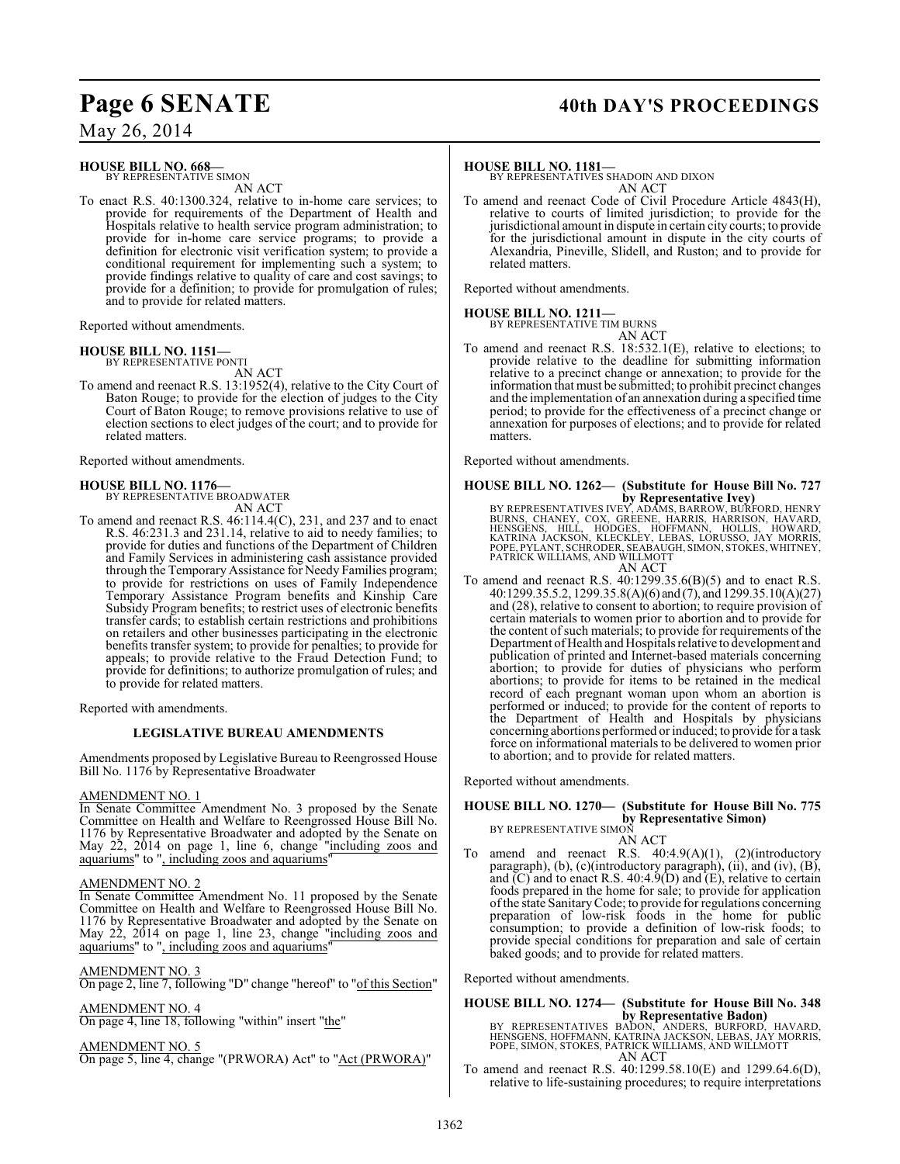## Page 6 SENATE 40th DAY'S PROCEEDINGS

May 26, 2014

#### **HOUSE BILL NO. 668—** BY REPRESENTATIVE SIMON

AN ACT

To enact R.S. 40:1300.324, relative to in-home care services; to provide for requirements of the Department of Health and Hospitals relative to health service program administration; to provide for in-home care service programs; to provide a definition for electronic visit verification system; to provide a conditional requirement for implementing such a system; to provide findings relative to quality of care and cost savings; to provide for a definition; to provide for promulgation of rules; and to provide for related matters.

Reported without amendments.

## **HOUSE BILL NO. 1151—**

BY REPRESENTATIVE PONTI

AN ACT To amend and reenact R.S. 13:1952(4), relative to the City Court of Baton Rouge; to provide for the election of judges to the City Court of Baton Rouge; to remove provisions relative to use of election sections to elect judges of the court; and to provide for related matters.

Reported without amendments.

## **HOUSE BILL NO. 1176—** BY REPRESENTATIVE BROADWATER

AN ACT

To amend and reenact R.S. 46:114.4(C), 231, and 237 and to enact R.S. 46:231.3 and 231.14, relative to aid to needy families; to provide for duties and functions of the Department of Children and Family Services in administering cash assistance provided through the Temporary Assistance for Needy Families program; to provide for restrictions on uses of Family Independence Temporary Assistance Program benefits and Kinship Care Subsidy Program benefits; to restrict uses of electronic benefits transfer cards; to establish certain restrictions and prohibitions on retailers and other businesses participating in the electronic benefits transfer system; to provide for penalties; to provide for appeals; to provide relative to the Fraud Detection Fund; to provide for definitions; to authorize promulgation of rules; and to provide for related matters.

Reported with amendments.

## **LEGISLATIVE BUREAU AMENDMENTS**

Amendments proposed by Legislative Bureau to Reengrossed House Bill No. 1176 by Representative Broadwater

## AMENDMENT NO. 1

In Senate Committee Amendment No. 3 proposed by the Senate Committee on Health and Welfare to Reengrossed House Bill No. 1176 by Representative Broadwater and adopted by the Senate on May 22, 2014 on page 1, line 6, change "including zoos and aquariums" to ", including zoos and aquariums"

## AMENDMENT NO. 2

In Senate Committee Amendment No. 11 proposed by the Senate Committee on Health and Welfare to Reengrossed House Bill No. 1176 by Representative Broadwater and adopted by the Senate on May 22, 2014 on page 1, line 23, change "including zoos and aquariums" to ", including zoos and aquariums"

AMENDMENT NO. 3

On page 2, line 7, following "D" change "hereof" to "of this Section"

AMENDMENT NO. 4

On page 4, line 18, following "within" insert "the"

## AMENDMENT NO. 5

On page 5, line 4, change "(PRWORA) Act" to "Act (PRWORA)"

## **HOUSE BILL NO. 1181—**

BY REPRESENTATIVES SHADOIN AND DIXON AN ACT

To amend and reenact Code of Civil Procedure Article 4843(H), relative to courts of limited jurisdiction; to provide for the jurisdictional amount in dispute in certain city courts; to provide for the jurisdictional amount in dispute in the city courts of Alexandria, Pineville, Slidell, and Ruston; and to provide for related matters.

Reported without amendments.

## **HOUSE BILL NO. 1211—**

BY REPRESENTATIVE TIM BURNS AN ACT

To amend and reenact R.S. 18:532.1(E), relative to elections; to provide relative to the deadline for submitting information relative to a precinct change or annexation; to provide for the information that must be submitted; to prohibit precinct changes and the implementation of an annexation during a specified time period; to provide for the effectiveness of a precinct change or annexation for purposes of elections; and to provide for related matters.

Reported without amendments.

## **HOUSE BILL NO. 1262— (Substitute for House Bill No. 727**

by Representative Ivey)<br>BY REPRESENTATIVES IVEY, ADAMS, BARROW, BURFORD, HENRY<br>BURNS, CHANEY, COX, GRÈENE, HARRIS, HARRISON, HAVARD,<br>HENSGENS, HILL, HODGES, HOFFMANN, HOLLIS, HOWARD,<br>KATRINA JACKSON, KLECKLEY, LEBAS, LORUS

- AN ACT
- To amend and reenact R.S. 40:1299.35.6(B)(5) and to enact R.S. 40:1299.35.5.2, 1299.35.8(A)(6) and (7), and 1299.35.10(A)(27) and (28), relative to consent to abortion; to require provision of certain materials to women prior to abortion and to provide for the content of such materials; to provide for requirements of the Department of Health and Hospitalsrelative to development and publication of printed and Internet-based materials concerning abortion; to provide for duties of physicians who perform abortions; to provide for items to be retained in the medical record of each pregnant woman upon whom an abortion is performed or induced; to provide for the content of reports to the Department of Health and Hospitals by physicians concerning abortions performed or induced; to provide for a task force on informational materials to be delivered to women prior to abortion; and to provide for related matters.

Reported without amendments.

#### **HOUSE BILL NO. 1270— (Substitute for House Bill No. 775 by Representative Simon)** BY REPRESENTATIVE SIMON

AN ACT

To amend and reenact R.S. 40:4.9(A)(1), (2)(introductory paragraph), (b), (c)(introductory paragraph), (ii), and (iv), (B), and (C) and to enact R.S. 40:4.9(D) and (E), relative to certain foods prepared in the home for sale; to provide for application of the state Sanitary Code; to provide for regulations concerning preparation of low-risk foods in the home for public consumption; to provide a definition of low-risk foods; to provide special conditions for preparation and sale of certain baked goods; and to provide for related matters.

Reported without amendments.

## **HOUSE BILL NO. 1274— (Substitute for House Bill No. 348 by Representative Badon)**

BY REPRESENTATIVES BADON, ANDERS, BURFORD, HAVARD, HENSGENS, HOFFMANN, KATRINA JACKSON, LEBAS, JAY MORRIS, POPE, SIMON, STOKES, PATRICK WILLIAMS, AND WILLMOTT AN ACT

To amend and reenact R.S. 40:1299.58.10(E) and 1299.64.6(D), relative to life-sustaining procedures; to require interpretations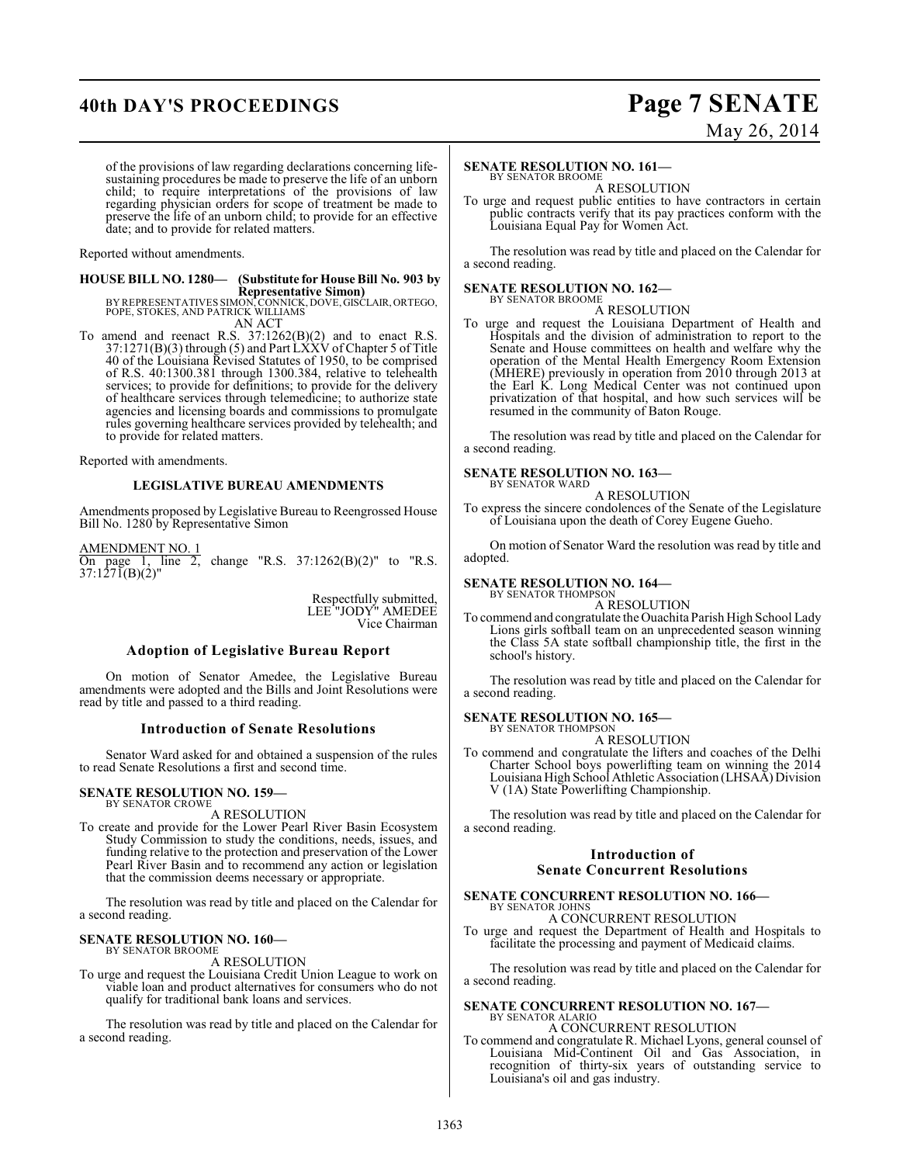## **40th DAY'S PROCEEDINGS Page 7 SENATE**

# May 26, 2014

of the provisions of law regarding declarations concerning lifesustaining procedures be made to preserve the life of an unborn child; to require interpretations of the provisions of law regarding physician orders for scope of treatment be made to preserve the life of an unborn child; to provide for an effective date; and to provide for related matters.

Reported without amendments.

## **HOUSE BILL NO. 1280— (Substitute for House Bill No. 903 by Representative Simon)**

BY REPRESENTATIVES SIMON, CONNICK, DOVE, GISCLAIR, ORTEGO, POPE, STOKES, AND PATRICK WILLIAMS AN ACT

To amend and reenact R.S. 37:1262(B)(2) and to enact R.S. 37:1271(B)(3) through (5) and Part LXXV of Chapter 5 of Title 40 of the Louisiana Revised Statutes of 1950, to be comprised of R.S. 40:1300.381 through 1300.384, relative to telehealth services; to provide for definitions; to provide for the delivery of healthcare services through telemedicine; to authorize state agencies and licensing boards and commissions to promulgate rules governing healthcare services provided by telehealth; and to provide for related matters.

Reported with amendments.

## **LEGISLATIVE BUREAU AMENDMENTS**

Amendments proposed by Legislative Bureau to Reengrossed House Bill No. 1280 by Representative Simon

AMENDMENT NO. 1 On page 1, line 2, change "R.S. 37:1262(B)(2)" to "R.S. 37:1271(B)(2)"

> Respectfully submitted, LEE "JODY" AMEDEE Vice Chairman

## **Adoption of Legislative Bureau Report**

On motion of Senator Amedee, the Legislative Bureau amendments were adopted and the Bills and Joint Resolutions were read by title and passed to a third reading.

## **Introduction of Senate Resolutions**

Senator Ward asked for and obtained a suspension of the rules to read Senate Resolutions a first and second time.

#### **SENATE RESOLUTION NO. 159—** BY SENATOR CROWE

A RESOLUTION

To create and provide for the Lower Pearl River Basin Ecosystem Study Commission to study the conditions, needs, issues, and funding relative to the protection and preservation of the Lower Pearl River Basin and to recommend any action or legislation that the commission deems necessary or appropriate.

The resolution was read by title and placed on the Calendar for a second reading.

#### **SENATE RESOLUTION NO. 160—** BY SENATOR BROOME

A RESOLUTION

To urge and request the Louisiana Credit Union League to work on viable loan and product alternatives for consumers who do not qualify for traditional bank loans and services.

The resolution was read by title and placed on the Calendar for a second reading.

## **SENATE RESOLUTION NO. 161—**

BY SENATOR BROOME A RESOLUTION

To urge and request public entities to have contractors in certain public contracts verify that its pay practices conform with the Louisiana Equal Pay for Women Act.

The resolution was read by title and placed on the Calendar for a second reading.

## **SENATE RESOLUTION NO. 162—**

BY SENATOR BROOME A RESOLUTION

To urge and request the Louisiana Department of Health and Hospitals and the division of administration to report to the Senate and House committees on health and welfare why the operation of the Mental Health Emergency Room Extension (MHERE) previously in operation from 2010 through 2013 at the Earl K. Long Medical Center was not continued upon privatization of that hospital, and how such services will be resumed in the community of Baton Rouge.

The resolution was read by title and placed on the Calendar for a second reading.

#### **SENATE RESOLUTION NO. 163—** BY SENATOR WARD

A RESOLUTION

To express the sincere condolences of the Senate of the Legislature of Louisiana upon the death of Corey Eugene Gueho.

On motion of Senator Ward the resolution was read by title and adopted.

## **SENATE RESOLUTION NO. 164—** BY SENATOR THOMPSON

A RESOLUTION

To commend and congratulate the Ouachita Parish High School Lady Lions girls softball team on an unprecedented season winning the Class 5A state softball championship title, the first in the school's history.

The resolution was read by title and placed on the Calendar for a second reading.

#### **SENATE RESOLUTION NO. 165—** BY SENATOR THOMPSON

A RESOLUTION

To commend and congratulate the lifters and coaches of the Delhi Charter School boys powerlifting team on winning the 2014 Louisiana High School Athletic Association (LHSAA) Division V (1A) State Powerlifting Championship.

The resolution was read by title and placed on the Calendar for a second reading.

## **Introduction of Senate Concurrent Resolutions**

### **SENATE CONCURRENT RESOLUTION NO. 166—** BY SENATOR JOHNS

A CONCURRENT RESOLUTION

To urge and request the Department of Health and Hospitals to facilitate the processing and payment of Medicaid claims.

The resolution was read by title and placed on the Calendar for a second reading.

#### **SENATE CONCURRENT RESOLUTION NO. 167—** BY SENATOR ALARIO

A CONCURRENT RESOLUTION

To commend and congratulate R. Michael Lyons, general counsel of Louisiana Mid-Continent Oil and Gas Association, in recognition of thirty-six years of outstanding service to Louisiana's oil and gas industry.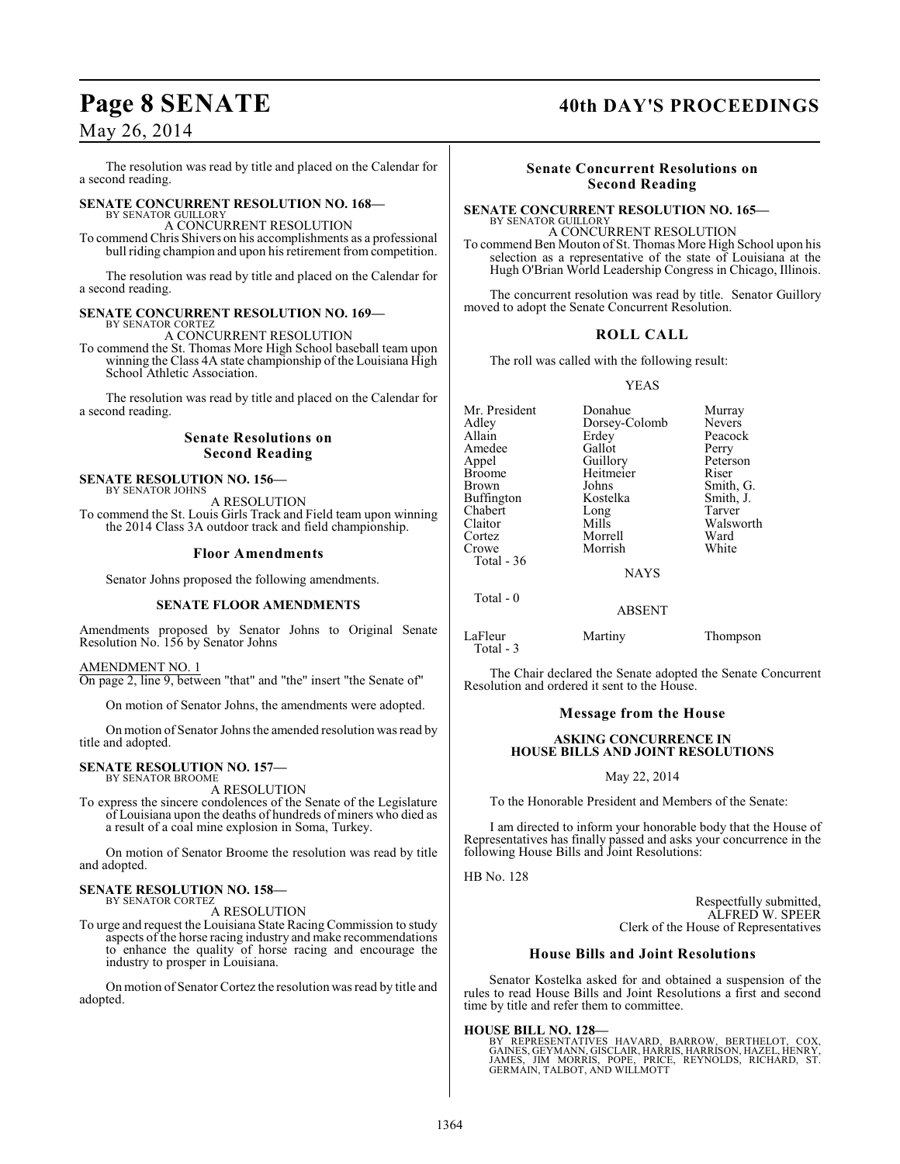## May 26, 2014

The resolution was read by title and placed on the Calendar for a second reading.

#### **SENATE CONCURRENT RESOLUTION NO. 168—** BY SENATOR GUILLORY

## A CONCURRENT RESOLUTION

To commend Chris Shivers on his accomplishments as a professional bull riding champion and upon his retirement from competition.

The resolution was read by title and placed on the Calendar for a second reading.

## **SENATE CONCURRENT RESOLUTION NO. 169—**

BY SENATOR CORTEZ A CONCURRENT RESOLUTION

To commend the St. Thomas More High School baseball team upon winning the Class 4A state championship of the Louisiana High School Athletic Association.

The resolution was read by title and placed on the Calendar for a second reading.

## **Senate Resolutions on Second Reading**

#### **SENATE RESOLUTION NO. 156—** BY SENATOR JOHNS

A RESOLUTION To commend the St. Louis Girls Track and Field team upon winning the 2014 Class 3A outdoor track and field championship.

## **Floor Amendments**

Senator Johns proposed the following amendments.

## **SENATE FLOOR AMENDMENTS**

Amendments proposed by Senator Johns to Original Senate Resolution No. 156 by Senator Johns

## AMENDMENT NO. 1

On page 2, line 9, between "that" and "the" insert "the Senate of"

On motion of Senator Johns, the amendments were adopted.

On motion of Senator Johns the amended resolution was read by title and adopted.

#### **SENATE RESOLUTION NO. 157—** BY SENATOR BROOME

A RESOLUTION

To express the sincere condolences of the Senate of the Legislature of Louisiana upon the deaths of hundreds of miners who died as a result of a coal mine explosion in Soma, Turkey.

On motion of Senator Broome the resolution was read by title and adopted.

#### **SENATE RESOLUTION NO. 158—** BY SENATOR CORTEZ

A RESOLUTION

To urge and request the Louisiana State Racing Commission to study aspects of the horse racing industry and make recommendations to enhance the quality of horse racing and encourage the industry to prosper in Louisiana.

On motion of Senator Cortez the resolution wasread by title and adopted.

## Page 8 SENATE 40th DAY'S PROCEEDINGS

## **Senate Concurrent Resolutions on Second Reading**

#### **SENATE CONCURRENT RESOLUTION NO. 165—** BY SENATOR GUILLORY

A CONCURRENT RESOLUTION To commend Ben Mouton of St. Thomas More High School upon his selection as a representative of the state of Louisiana at the Hugh O'Brian World Leadership Congress in Chicago, Illinois.

The concurrent resolution was read by title. Senator Guillory moved to adopt the Senate Concurrent Resolution.

## **ROLL CALL**

The roll was called with the following result:

YEAS

Mr. President Donahue Murray<br>Adley Dorsev-Colomb Nevers Adley Dorsey-Colomb Nevers Appel Guillory Peterson Broome Heitmeier<br>Brown Johns Buffington Kostelka Smith,<br>
Chabert Long Tarver Chabert Long<br>Claitor Mills Cortez Morrell Ward

Total - 36

Erdey Peaco<br>Gallot Perry Amedee Gallot Perry Johns Smith, G.<br>Kostelka Smith, J. Claitor Mills Walsworth

NAYS

ABSENT

Morrish

Total - 0

LaFleur Martiny Thompson Total - 3

The Chair declared the Senate adopted the Senate Concurrent Resolution and ordered it sent to the House.

## **Message from the House**

## **ASKING CONCURRENCE IN HOUSE BILLS AND JOINT RESOLUTIONS**

May 22, 2014

To the Honorable President and Members of the Senate:

I am directed to inform your honorable body that the House of Representatives has finally passed and asks your concurrence in the following House Bills and Joint Resolutions:

HB No. 128

Respectfully submitted, ALFRED W. SPEER Clerk of the House of Representatives

## **House Bills and Joint Resolutions**

Senator Kostelka asked for and obtained a suspension of the rules to read House Bills and Joint Resolutions a first and second time by title and refer them to committee.

**HOUSE BILL NO. 128—**<br>BY REPRESENTATIVES HAVARD, BARROW, BERTHELOT, COX,<br>GAINES, GEYMANN, GISCLAIR, HARRIS, HARRISON, HAZEL, HENRY,<br>JAMES, JIM MORRIS, POPE, PRICE, REYNOLDS, RICHARD, ST. GERMAIN, TALBOT, AND WILLMOTT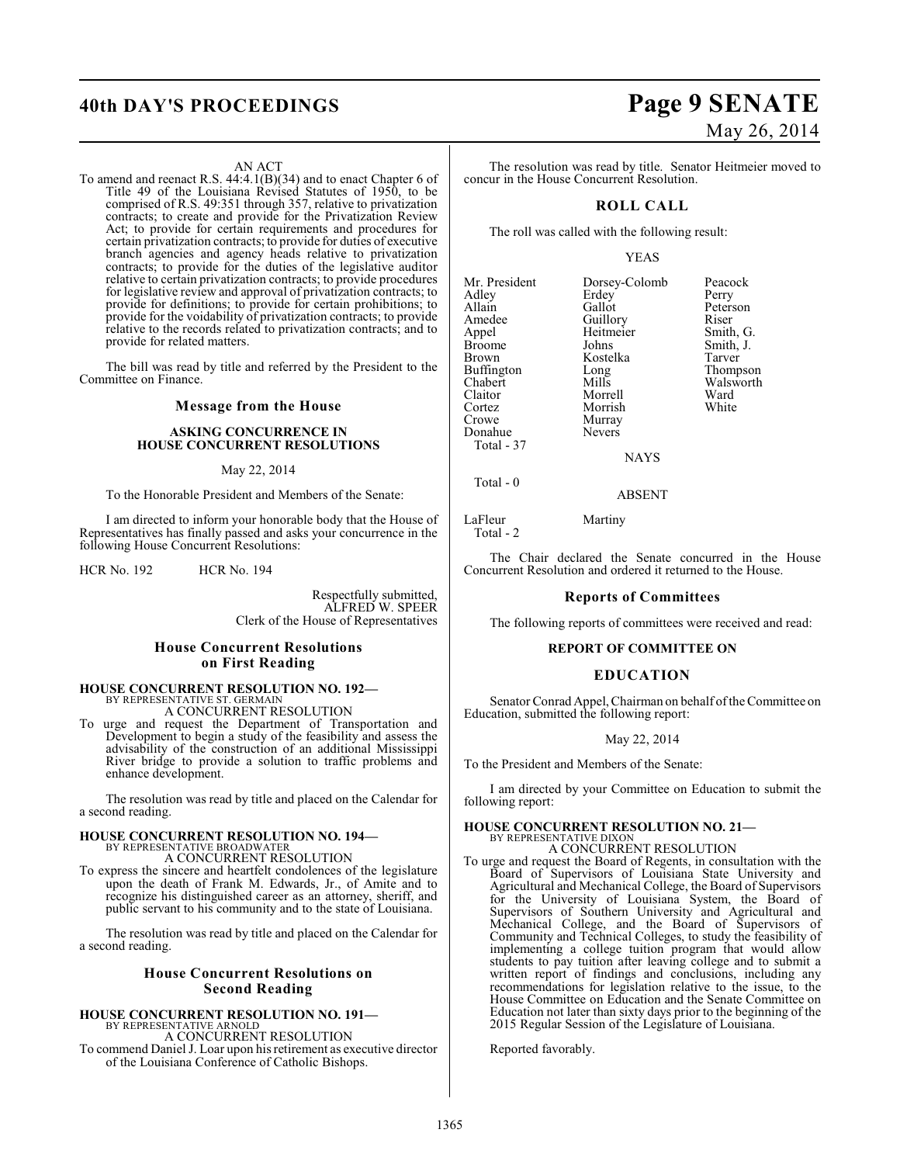## **40th DAY'S PROCEEDINGS Page 9 SENATE**

## AN ACT

To amend and reenact R.S. 44:4.1(B)(34) and to enact Chapter 6 of Title 49 of the Louisiana Revised Statutes of 1950, to be comprised of R.S. 49:351 through 357, relative to privatization contracts; to create and provide for the Privatization Review Act; to provide for certain requirements and procedures for certain privatization contracts; to provide for duties of executive branch agencies and agency heads relative to privatization contracts; to provide for the duties of the legislative auditor relative to certain privatization contracts; to provide procedures for legislative review and approval of privatization contracts; to provide for definitions; to provide for certain prohibitions; to provide for the voidability of privatization contracts; to provide relative to the records related to privatization contracts; and to provide for related matters.

The bill was read by title and referred by the President to the Committee on Finance.

## **Message from the House**

## **ASKING CONCURRENCE IN HOUSE CONCURRENT RESOLUTIONS**

## May 22, 2014

To the Honorable President and Members of the Senate:

I am directed to inform your honorable body that the House of Representatives has finally passed and asks your concurrence in the following House Concurrent Resolutions:

HCR No. 192 HCR No. 194

Respectfully submitted, ALFRED W. SPEER Clerk of the House of Representatives

## **House Concurrent Resolutions on First Reading**

## **HOUSE CONCURRENT RESOLUTION NO. 192—** BY REPRESENTATIVE ST. GERMAIN A CONCURRENT RESOLUTION

To urge and request the Department of Transportation and Development to begin a study of the feasibility and assess the advisability of the construction of an additional Mississippi River bridge to provide a solution to traffic problems and enhance development.

The resolution was read by title and placed on the Calendar for a second reading.

# **HOUSE CONCURRENT RESOLUTION NO. 194—** BY REPRESENTATIVE BROADWATER A CONCURRENT RESOLUTION

To express the sincere and heartfelt condolences of the legislature upon the death of Frank M. Edwards, Jr., of Amite and to recognize his distinguished career as an attorney, sheriff, and public servant to his community and to the state of Louisiana.

The resolution was read by title and placed on the Calendar for a second reading.

## **House Concurrent Resolutions on Second Reading**

## **HOUSE CONCURRENT RESOLUTION NO. 191—**

BY REPRESENTATIVE ARNOLD A CONCURRENT RESOLUTION To commend Daniel J. Loar upon hisretirement as executive director of the Louisiana Conference of Catholic Bishops.

# May 26, 2014

The resolution was read by title. Senator Heitmeier moved to concur in the House Concurrent Resolution.

## **ROLL CALL**

The roll was called with the following result:

## YEAS

| Mr. President<br>Adley<br>Allain<br>Amedee<br>Appel<br>Broome<br>Brown<br>Buffington<br>Chabert<br>Claitor<br>Cortez<br>Crowe<br>Donahue<br>Total - 37 | Dorsey-Colomb<br>Erdey<br>Gallot<br>Guillory<br>Heitmeier<br>Johns<br>Kostelka<br>Long<br>Mills<br>Morrell<br>Morrish<br>Murray<br><b>Nevers</b> | Peacock<br>Perry<br>Peterson<br>Riser<br>Smith, G.<br>Smith, J.<br>Tarver<br>Thompson<br>Walsworth<br>Ward<br>White |
|--------------------------------------------------------------------------------------------------------------------------------------------------------|--------------------------------------------------------------------------------------------------------------------------------------------------|---------------------------------------------------------------------------------------------------------------------|
|                                                                                                                                                        | <b>NAYS</b>                                                                                                                                      |                                                                                                                     |
|                                                                                                                                                        |                                                                                                                                                  |                                                                                                                     |

Total - 0

LaFleur Martiny Total - 2

The Chair declared the Senate concurred in the House Concurrent Resolution and ordered it returned to the House.

ABSENT

## **Reports of Committees**

The following reports of committees were received and read:

## **REPORT OF COMMITTEE ON**

## **EDUCATION**

Senator Conrad Appel, Chairman on behalf of the Committee on Education, submitted the following report:

## May 22, 2014

To the President and Members of the Senate:

I am directed by your Committee on Education to submit the following report:

## **HOUSE CONCURRENT RESOLUTION NO. 21—**

BY REPRESENTATIVE DIXON A CONCURRENT RESOLUTION

To urge and request the Board of Regents, in consultation with the Board of Supervisors of Louisiana State University and Agricultural and Mechanical College, the Board of Supervisors for the University of Louisiana System, the Board of Supervisors of Southern University and Agricultural and Mechanical College, and the Board of Supervisors of Community and Technical Colleges, to study the feasibility of implementing a college tuition program that would allow students to pay tuition after leaving college and to submit a written report of findings and conclusions, including any recommendations for legislation relative to the issue, to the House Committee on Education and the Senate Committee on Education not later than sixty days prior to the beginning of the 2015 Regular Session of the Legislature of Louisiana.

Reported favorably.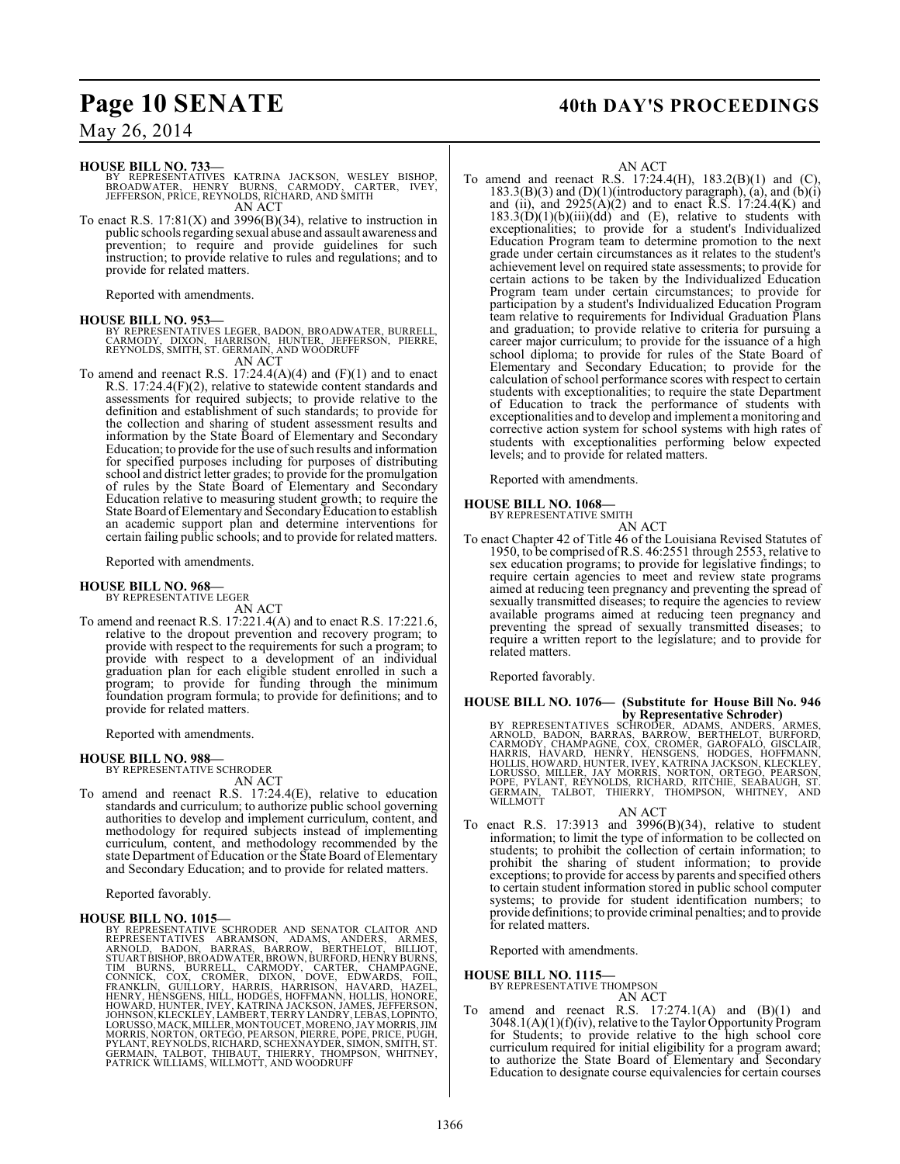## Page 10 SENATE 40th DAY'S PROCEEDINGS

## May 26, 2014

## **HOUSE BILL NO. 733—**

BY REPRESENTATIVES KATRINA JACKSON, WESLEY BISHOP,<br>BROADWATER, HENRY BURNS, CARMODY, CARTER, IVEY,<br>JEFFERSON,PRICE,REYNOLDS,RICHARD,ANDSMITH AN ACT

To enact R.S.  $17:81(X)$  and  $3996(B)(34)$ , relative to instruction in public schools regarding sexual abuse and assault awareness and prevention; to require and provide guidelines for such instruction; to provide relative to rules and regulations; and to provide for related matters.

Reported with amendments.

### **HOUSE BILL NO. 953—**

BY REPRESENTATIVES LEGER, BADON, BROADWATER, BURRELL,<br>CARMODY, DIXON, HARRISON, HUNTER, JEFFERSON, PIERRE,<br>REYNOLDS, SMITH, ST. GERMAIN, AND WOODRUFF

## AN ACT

To amend and reenact R.S.  $17:24.4(A)(4)$  and  $(F)(1)$  and to enact R.S. 17:24.4(F)(2), relative to statewide content standards and assessments for required subjects; to provide relative to the definition and establishment of such standards; to provide for the collection and sharing of student assessment results and information by the State Board of Elementary and Secondary Education; to provide for the use of such results and information for specified purposes including for purposes of distributing school and district letter grades; to provide for the promulgation of rules by the State Board of Elementary and Secondary Education relative to measuring student growth; to require the State Board of Elementary and Secondary Education to establish an academic support plan and determine interventions for certain failing public schools; and to provide for related matters.

Reported with amendments.

#### **HOUSE BILL NO. 968—** BY REPRESENTATIVE LEGER

AN ACT

To amend and reenact R.S. 17:221.4(A) and to enact R.S. 17:221.6, relative to the dropout prevention and recovery program; to provide with respect to the requirements for such a program; to provide with respect to a development of an individual graduation plan for each eligible student enrolled in such a program; to provide for funding through the minimum foundation program formula; to provide for definitions; and to provide for related matters.

Reported with amendments.

## **HOUSE BILL NO. 988—**

BY REPRESENTATIVE SCHRODER

AN ACT To amend and reenact R.S. 17:24.4(E), relative to education standards and curriculum; to authorize public school governing authorities to develop and implement curriculum, content, and methodology for required subjects instead of implementing curriculum, content, and methodology recommended by the

Reported favorably.

HOUSE BILL NO. 1015—<br>BY REPRESENTATIVE SCHRODER AND SENATOR CLAITOR AND<br>REPRESENTATIVES CHRODER AND SENATOR CLAITOR ARMES,<br>ARNOLD, BADON, BARRAS, BARROW, BERTHELOT, BILLIOT,<br>STUART BISHOP, BROADWATER, BROWN, BURFORD, HENRY

state Department of Education or the State Board of Elementary and Secondary Education; and to provide for related matters.

## AN ACT

To amend and reenact R.S. 17:24.4(H), 183.2(B)(1) and (C), 183.3(B)(3) and (D)(1)(introductory paragraph), (a), and (b)(i) and (ii), and  $2925(A)(2)$  and to enact R.S. 17:24.4(K) and  $183.3(\hat{D})(1)(b)(iii)(dd)$  and (E), relative to students with exceptionalities; to provide for a student's Individualized Education Program team to determine promotion to the next grade under certain circumstances as it relates to the student's achievement level on required state assessments; to provide for certain actions to be taken by the Individualized Education Program team under certain circumstances; to provide for participation by a student's Individualized Education Program team relative to requirements for Individual Graduation Plans and graduation; to provide relative to criteria for pursuing a career major curriculum; to provide for the issuance of a high school diploma; to provide for rules of the State Board of Elementary and Secondary Education; to provide for the calculation ofschool performance scores with respect to certain students with exceptionalities; to require the state Department of Education to track the performance of students with exceptionalities and to develop and implement a monitoring and corrective action system for school systems with high rates of students with exceptionalities performing below expected levels; and to provide for related matters.

Reported with amendments.

### **HOUSE BILL NO. 1068—**

BY REPRESENTATIVE SMITH AN ACT

To enact Chapter 42 of Title 46 of the Louisiana Revised Statutes of 1950, to be comprised ofR.S. 46:2551 through 2553, relative to sex education programs; to provide for legislative findings; to require certain agencies to meet and review state programs aimed at reducing teen pregnancy and preventing the spread of sexually transmitted diseases; to require the agencies to review available programs aimed at reducing teen pregnancy and preventing the spread of sexually transmitted diseases; to require a written report to the legislature; and to provide for related matters.

Reported favorably.

# **HOUSE BILL NO. 1076— (Substitute for House Bill No. 946 by Representative Schroder)**<br>BY REPRESENTATIVES SCHRODER, ADAMS, ANDERS, ARMES,<br>ARNOLD, BADON, BARRAS, BARROW, BERTHELOT, BURFORD,<br>CARMODY, CHAMPAGNE, COX, CROMER, GAROFALO, GISCLAIR,<br>HARRIS, HAVARD, HENRY, HENSGENS, HODG

AN ACT To enact R.S. 17:3913 and 3996(B)(34), relative to student information; to limit the type of information to be collected on students; to prohibit the collection of certain information; to prohibit the sharing of student information; to provide exceptions; to provide for access by parents and specified others to certain student information stored in public school computer systems; to provide for student identification numbers; to provide definitions; to provide criminal penalties; and to provide

Reported with amendments.

**HOUSE BILL NO. 1115—**

for related matters.

BY REPRESENTATIVE THOMPSON

AN ACT

To amend and reenact R.S. 17:274.1(A) and (B)(1) and 3048.1(A)(1)(f)(iv), relative to the Taylor Opportunity Program for Students; to provide relative to the high school core curriculum required for initial eligibility for a program award; to authorize the State Board of Elementary and Secondary Education to designate course equivalencies for certain courses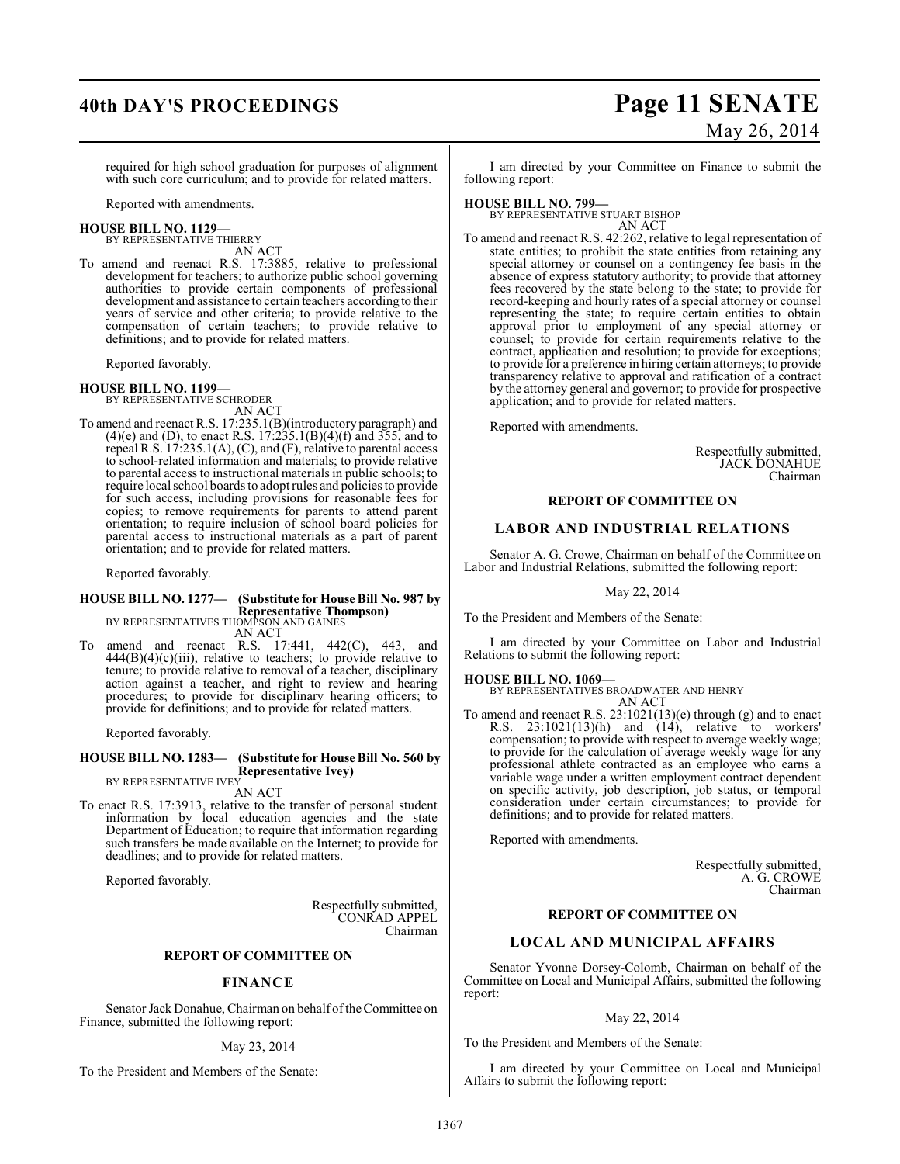## **40th DAY'S PROCEEDINGS Page 11 SENATE**

# May 26, 2014

required for high school graduation for purposes of alignment with such core curriculum; and to provide for related matters.

Reported with amendments.

#### **HOUSE BILL NO. 1129—** BY REPRESENTATIVE THIERRY

AN ACT To amend and reenact R.S. 17:3885, relative to professional development for teachers; to authorize public school governing authorities to provide certain components of professional development and assistance to certain teachers according to their years of service and other criteria; to provide relative to the compensation of certain teachers; to provide relative to definitions; and to provide for related matters.

Reported favorably.

**HOUSE BILL NO. 1199—** BY REPRESENTATIVE SCHRODER AN ACT

To amend and reenact R.S. 17:235.1(B)(introductory paragraph) and  $(4)$ (e) and (D), to enact R.S. 17:235.1(B)(4)(f) and 355, and to repeal R.S. 17:235.1(A), (C), and (F), relative to parental access to school-related information and materials; to provide relative to parental access to instructional materials in public schools; to require local school boards to adopt rules and policies to provide for such access, including provisions for reasonable fees for copies; to remove requirements for parents to attend parent orientation; to require inclusion of school board policies for parental access to instructional materials as a part of parent orientation; and to provide for related matters.

Reported favorably.

## **HOUSE BILL NO. 1277— (Substitute for House Bill No. 987 by Representative Thompson)**

BY REPRESENTATIVES THOMPSON AND GAINES AN ACT

To amend and reenact R.S. 17:441, 442(C), 443, and  $444(B)(4)(c)(iii)$ , relative to teachers; to provide relative to tenure; to provide relative to removal of a teacher, disciplinary action against a teacher, and right to review and hearing procedures; to provide for disciplinary hearing officers; to provide for definitions; and to provide for related matters.

Reported favorably.

#### **HOUSE BILL NO. 1283— (Substitute for House Bill No. 560 by Representative Ivey)** BY REPRESENTATIVE IVEY

AN ACT

To enact R.S. 17:3913, relative to the transfer of personal student information by local education agencies and the state Department of Education; to require that information regarding such transfers be made available on the Internet; to provide for deadlines; and to provide for related matters.

Reported favorably.

Respectfully submitted, CONRAD APPEL Chairman

## **REPORT OF COMMITTEE ON**

## **FINANCE**

Senator Jack Donahue, Chairman on behalf of the Committee on Finance, submitted the following report:

## May 23, 2014

To the President and Members of the Senate:

I am directed by your Committee on Finance to submit the following report:

**HOUSE BILL NO. 799—** BY REPRESENTATIVE STUART BISHOP

AN ACT To amend and reenact R.S. 42:262, relative to legal representation of state entities; to prohibit the state entities from retaining any special attorney or counsel on a contingency fee basis in the absence of express statutory authority; to provide that attorney fees recovered by the state belong to the state; to provide for record-keeping and hourly rates of a special attorney or counsel representing the state; to require certain entities to obtain approval prior to employment of any special attorney or counsel; to provide for certain requirements relative to the contract, application and resolution; to provide for exceptions; to provide for a preference in hiring certain attorneys; to provide transparency relative to approval and ratification of a contract by the attorney general and governor; to provide for prospective application; and to provide for related matters.

Reported with amendments.

Respectfully submitted, JACK DONAHUE Chairman

## **REPORT OF COMMITTEE ON**

## **LABOR AND INDUSTRIAL RELATIONS**

Senator A. G. Crowe, Chairman on behalf of the Committee on Labor and Industrial Relations, submitted the following report:

May 22, 2014

To the President and Members of the Senate:

I am directed by your Committee on Labor and Industrial Relations to submit the following report:

### **HOUSE BILL NO. 1069—**

BY REPRESENTATIVES BROADWATER AND HENRY AN ACT

To amend and reenact R.S. 23:1021(13)(e) through (g) and to enact R.S. 23:1021(13)(h) and (14), relative to workers' compensation; to provide with respect to average weekly wage; to provide for the calculation of average weekly wage for any professional athlete contracted as an employee who earns a variable wage under a written employment contract dependent on specific activity, job description, job status, or temporal consideration under certain circumstances; to provide for definitions; and to provide for related matters.

Reported with amendments.

Respectfully submitted, A. G. CROWE Chairman

## **REPORT OF COMMITTEE ON**

## **LOCAL AND MUNICIPAL AFFAIRS**

Senator Yvonne Dorsey-Colomb, Chairman on behalf of the Committee on Local and Municipal Affairs, submitted the following report:

## May 22, 2014

To the President and Members of the Senate:

I am directed by your Committee on Local and Municipal Affairs to submit the following report: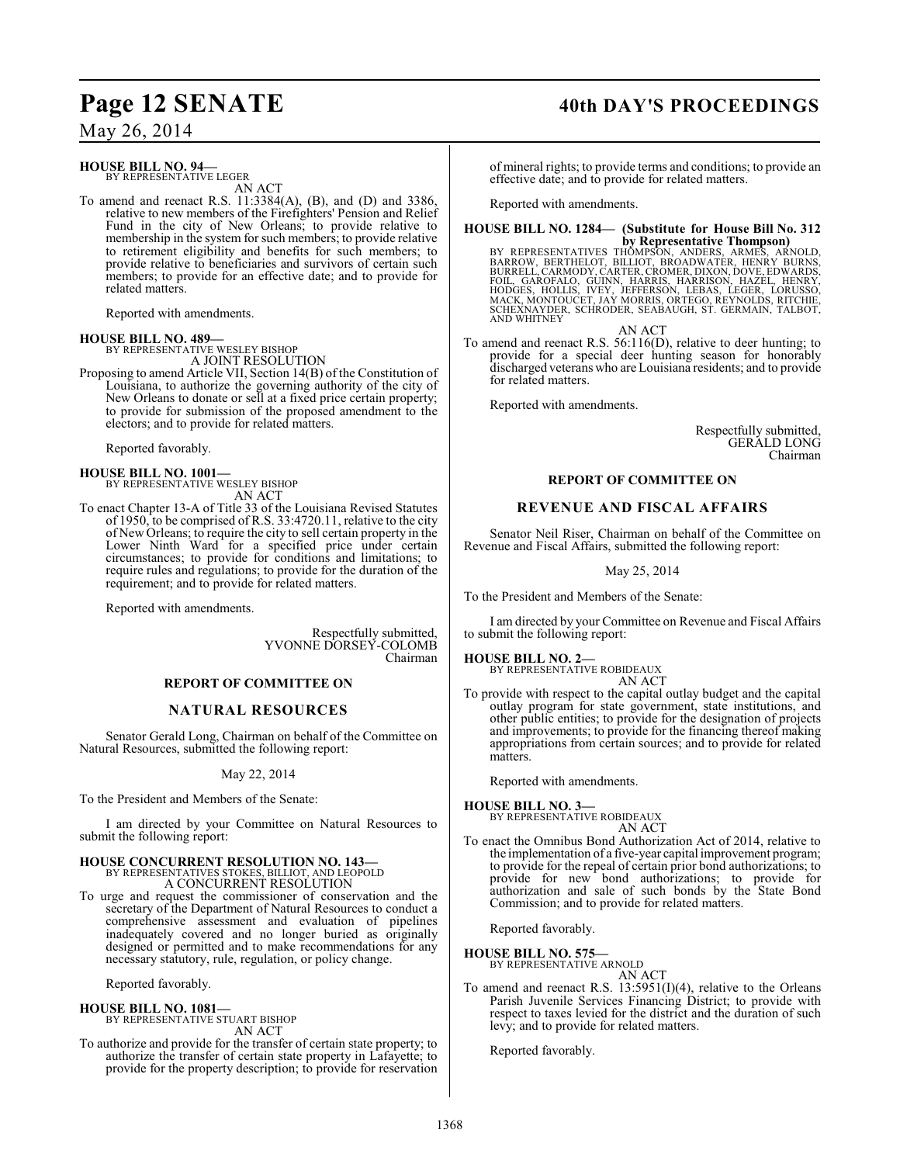## Page 12 SENATE 40th DAY'S PROCEEDINGS

May 26, 2014

## **HOUSE BILL NO. 94—**

BY REPRESENTATIVE LEGER AN ACT

To amend and reenact R.S. 11:3384(A), (B), and (D) and 3386, relative to new members of the Firefighters' Pension and Relief Fund in the city of New Orleans; to provide relative to membership in the system for such members; to provide relative to retirement eligibility and benefits for such members; to provide relative to beneficiaries and survivors of certain such members; to provide for an effective date; and to provide for related matters.

Reported with amendments.

## **HOUSE BILL NO. 489—**

BY REPRESENTATIVE WESLEY BISHOP A JOINT RESOLUTION

Proposing to amend Article VII, Section 14(B) of the Constitution of Louisiana, to authorize the governing authority of the city of New Orleans to donate or sell at a fixed price certain property; to provide for submission of the proposed amendment to the electors; and to provide for related matters.

Reported favorably.

**HOUSE BILL NO. 1001—** BY REPRESENTATIVE WESLEY BISHOP AN ACT

To enact Chapter 13-A of Title 33 of the Louisiana Revised Statutes of 1950, to be comprised of R.S. 33:4720.11, relative to the city of New Orleans; to require the city to sell certain property in the Lower Ninth Ward for a specified price under certain circumstances; to provide for conditions and limitations; to require rules and regulations; to provide for the duration of the requirement; and to provide for related matters.

Reported with amendments.

Respectfully submitted, YVONNE DORSEY-COLOMB Chairman

## **REPORT OF COMMITTEE ON**

## **NATURAL RESOURCES**

Senator Gerald Long, Chairman on behalf of the Committee on Natural Resources, submitted the following report:

May 22, 2014

To the President and Members of the Senate:

I am directed by your Committee on Natural Resources to submit the following report:

#### **HOUSE CONCURRENT RESOLUTION NO. 143—** BY REPRESENTATIVES STOKES, BILLIOT, AND LEOPOLD A CONCURRENT RESOLUTION

To urge and request the commissioner of conservation and the secretary of the Department of Natural Resources to conduct a comprehensive assessment and evaluation of pipelines inadequately covered and no longer buried as originally designed or permitted and to make recommendations for any necessary statutory, rule, regulation, or policy change.

Reported favorably.

#### **HOUSE BILL NO. 1081—** BY REPRESENTATIVE STUART BISHOP AN ACT

To authorize and provide for the transfer of certain state property; to authorize the transfer of certain state property in Lafayette; to provide for the property description; to provide for reservation

of mineral rights; to provide terms and conditions; to provide an effective date; and to provide for related matters.

Reported with amendments.

## **HOUSE BILL NO. 1284— (Substitute for House Bill No. 312**

by Representative Thompson)<br>BARROW, BERTHELOT, BILLIOT, BROADWATER, ARMOLD, BARROW, BERTHELOT, BILLIOT, BROADWATER, HENRY BURNS,<br>BURRELL, CARMODY, CARTER, CROMER, DIXON, DOVE, EDWARDS,<br>FOIL, GAROFALO, GUINN, HARRIS, HARRIS SCHEXNAYDER, SCHRODER, SEABAUGH, ST. GERMAIN, TALBOT, AND WHITNEY

AN ACT To amend and reenact R.S. 56:116(D), relative to deer hunting; to provide for a special deer hunting season for honorably discharged veterans who are Louisiana residents; and to provide for related matters.

Reported with amendments.

Respectfully submitted, GERALD LONG Chairman

## **REPORT OF COMMITTEE ON**

## **REVENUE AND FISCAL AFFAIRS**

Senator Neil Riser, Chairman on behalf of the Committee on Revenue and Fiscal Affairs, submitted the following report:

May 25, 2014

To the President and Members of the Senate:

I am directed by your Committee on Revenue and Fiscal Affairs to submit the following report:

**HOUSE BILL NO. 2—** BY REPRESENTATIVE ROBIDEAUX AN ACT

To provide with respect to the capital outlay budget and the capital outlay program for state government, state institutions, and other public entities; to provide for the designation of projects and improvements; to provide for the financing thereof making appropriations from certain sources; and to provide for related matters.

Reported with amendments.

**HOUSE BILL NO. 3—**

BY REPRESENTATIVE ROBIDEAUX AN ACT

To enact the Omnibus Bond Authorization Act of 2014, relative to the implementation of a five-year capital improvement program; to provide for the repeal of certain prior bond authorizations; to provide for new bond authorizations; to provide for authorization and sale of such bonds by the State Bond Commission; and to provide for related matters.

Reported favorably.

## **HOUSE BILL NO. 575—** BY REPRESENTATIVE ARNOLD

AN ACT

To amend and reenact R.S. 13:5951(I)(4), relative to the Orleans Parish Juvenile Services Financing District; to provide with respect to taxes levied for the district and the duration of such levy; and to provide for related matters.

Reported favorably.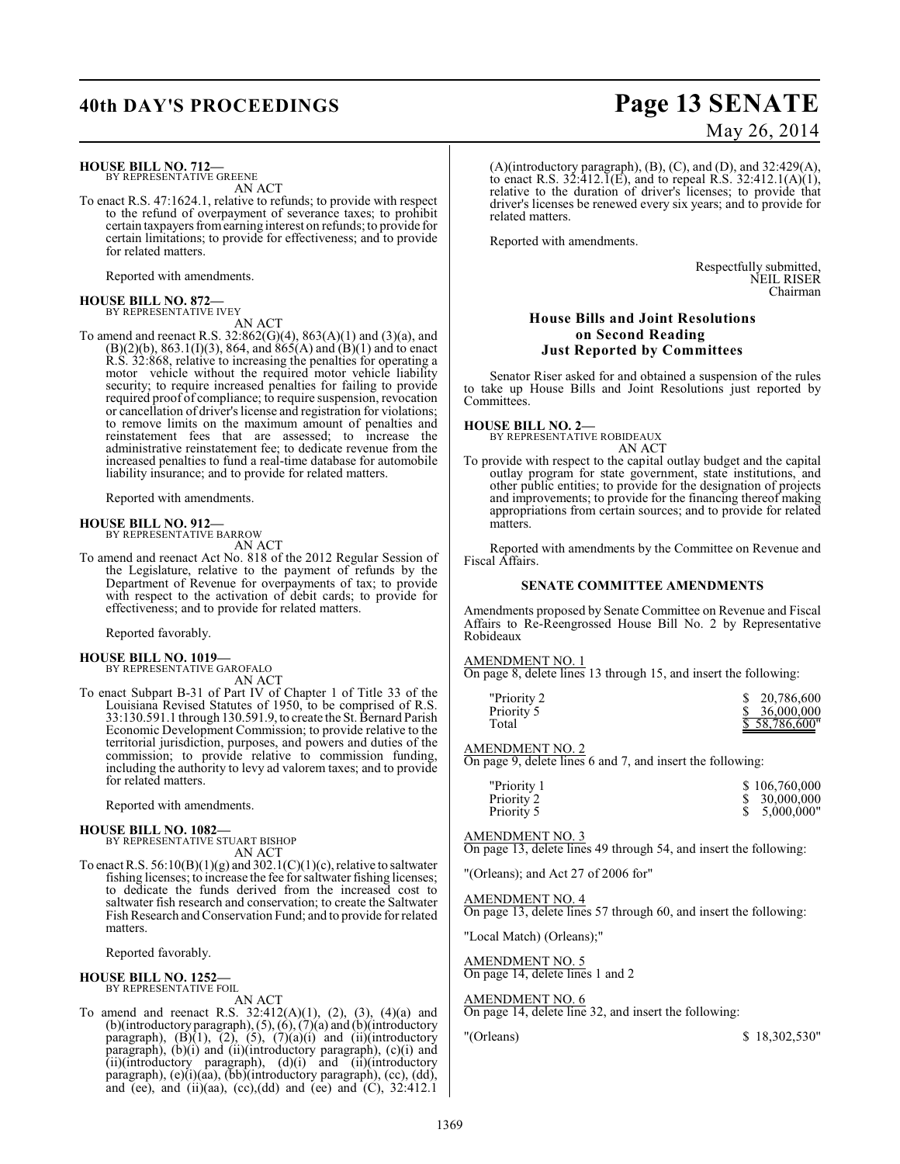## **HOUSE BILL NO. 712—**

BY REPRESENTATIVE GREENE AN ACT

To enact R.S. 47:1624.1, relative to refunds; to provide with respect to the refund of overpayment of severance taxes; to prohibit certain taxpayers from earning interest on refunds; to provide for certain limitations; to provide for effectiveness; and to provide for related matters.

Reported with amendments.

## **HOUSE BILL NO. 872—**<br>BY REPRESENTATIVE IVEY

AN ACT

To amend and reenact R.S.  $32:862(G)(4)$ ,  $863(A)(1)$  and  $(3)(a)$ , and  $(B)(2)(b)$ , 863.1(I)(3), 864, and 865(A) and  $(B)(1)$  and to enact R.S. 32:868, relative to increasing the penalties for operating a motor vehicle without the required motor vehicle liability security; to require increased penalties for failing to provide required proof of compliance; to require suspension, revocation or cancellation of driver's license and registration for violations; to remove limits on the maximum amount of penalties and reinstatement fees that are assessed; to increase the administrative reinstatement fee; to dedicate revenue from the increased penalties to fund a real-time database for automobile liability insurance; and to provide for related matters.

Reported with amendments.

#### **HOUSE BILL NO. 912—** BY REPRESENTATIVE BARROW

AN ACT

To amend and reenact Act No. 818 of the 2012 Regular Session of the Legislature, relative to the payment of refunds by the Department of Revenue for overpayments of tax; to provide with respect to the activation of debit cards; to provide for effectiveness; and to provide for related matters.

Reported favorably.

### **HOUSE BILL NO. 1019—**

BY REPRESENTATIVE GAROFALO

AN ACT

To enact Subpart B-31 of Part IV of Chapter 1 of Title 33 of the Louisiana Revised Statutes of 1950, to be comprised of R.S. 33:130.591.1 through 130.591.9, to create the St. Bernard Parish Economic Development Commission; to provide relative to the territorial jurisdiction, purposes, and powers and duties of the commission; to provide relative to commission funding, including the authority to levy ad valorem taxes; and to provide for related matters.

Reported with amendments.

## **HOUSE BILL NO. 1082—**

BY REPRESENTATIVE STUART BISHOP AN ACT

To enact R.S.  $56:10(B)(1)(g)$  and  $302.1(C)(1)(c)$ , relative to saltwater fishing licenses; to increase the fee for saltwater fishing licenses; to dedicate the funds derived from the increased cost to saltwater fish research and conservation; to create the Saltwater Fish Research andConservation Fund; and to provide for related matters.

Reported favorably.

#### **HOUSE BILL NO. 1252—** BY REPRESENTATIVE FOIL

AN ACT

To amend and reenact R.S.  $32:412(A)(1)$ ,  $(2)$ ,  $(3)$ ,  $(4)(a)$  and (b)(introductory paragraph), (5), (6), (7)(a) and (b)(introductory paragraph),  $(B)(1)$ ,  $(2)$ ,  $(5)$ ,  $(7)(a)(i)$  and  $(ii)(introductory)$ paragraph), (b)(i) and (ii)(introductory paragraph), (c)(i) and (ii)(introductory paragraph), (d)(i) and (ii)(introductory paragraph), (e)(i)(aa), (bb)(introductory paragraph), (cc), (dd), and (ee), and (ii)(aa), (cc),(dd) and (ee) and (C),  $32:412.1$ 

## **40th DAY'S PROCEEDINGS Page 13 SENATE** May 26, 2014

(A)(introductory paragraph), (B), (C), and (D), and 32:429(A), to enact R.S.  $32:412.\overline{1}(E)$ , and to repeal R.S.  $32:412.1(A)(1)$ , relative to the duration of driver's licenses; to provide that driver's licenses be renewed every six years; and to provide for related matters.

Reported with amendments.

Respectfully submitted, NEIL RISER Chairman

## **House Bills and Joint Resolutions on Second Reading Just Reported by Committees**

Senator Riser asked for and obtained a suspension of the rules to take up House Bills and Joint Resolutions just reported by Committees.

## **HOUSE BILL NO. 2—** BY REPRESENTATIVE ROBIDEAUX

AN ACT

To provide with respect to the capital outlay budget and the capital outlay program for state government, state institutions, and other public entities; to provide for the designation of projects and improvements; to provide for the financing thereof making appropriations from certain sources; and to provide for related matters.

Reported with amendments by the Committee on Revenue and Fiscal Affairs.

### **SENATE COMMITTEE AMENDMENTS**

Amendments proposed by Senate Committee on Revenue and Fiscal Affairs to Re-Reengrossed House Bill No. 2 by Representative Robideaux

AMENDMENT NO. 1

On page 8, delete lines 13 through 15, and insert the following:

| "Priority 2 | \$ 20,786,600 |  |
|-------------|---------------|--|
| Priority 5  | \$36,000,000  |  |
| Total       | \$58,786,600" |  |

## AMENDMENT NO. 2

On page 9, delete lines 6 and 7, and insert the following:

| "Priority 1 | \$106,760,000 |
|-------------|---------------|
| Priority 2  | \$30,000,000  |
| Priority 5  | 5.000.000"    |

### AMENDMENT NO. 3

On page 13, delete lines 49 through 54, and insert the following:

"(Orleans); and Act 27 of 2006 for"

### AMENDMENT NO. 4

On page 13, delete lines 57 through 60, and insert the following:

"Local Match) (Orleans);"

AMENDMENT NO. 5 On page 14, delete lines 1 and 2

## AMENDMENT NO. 6

On page 14, delete line 32, and insert the following:

"(Orleans) \$ 18,302,530"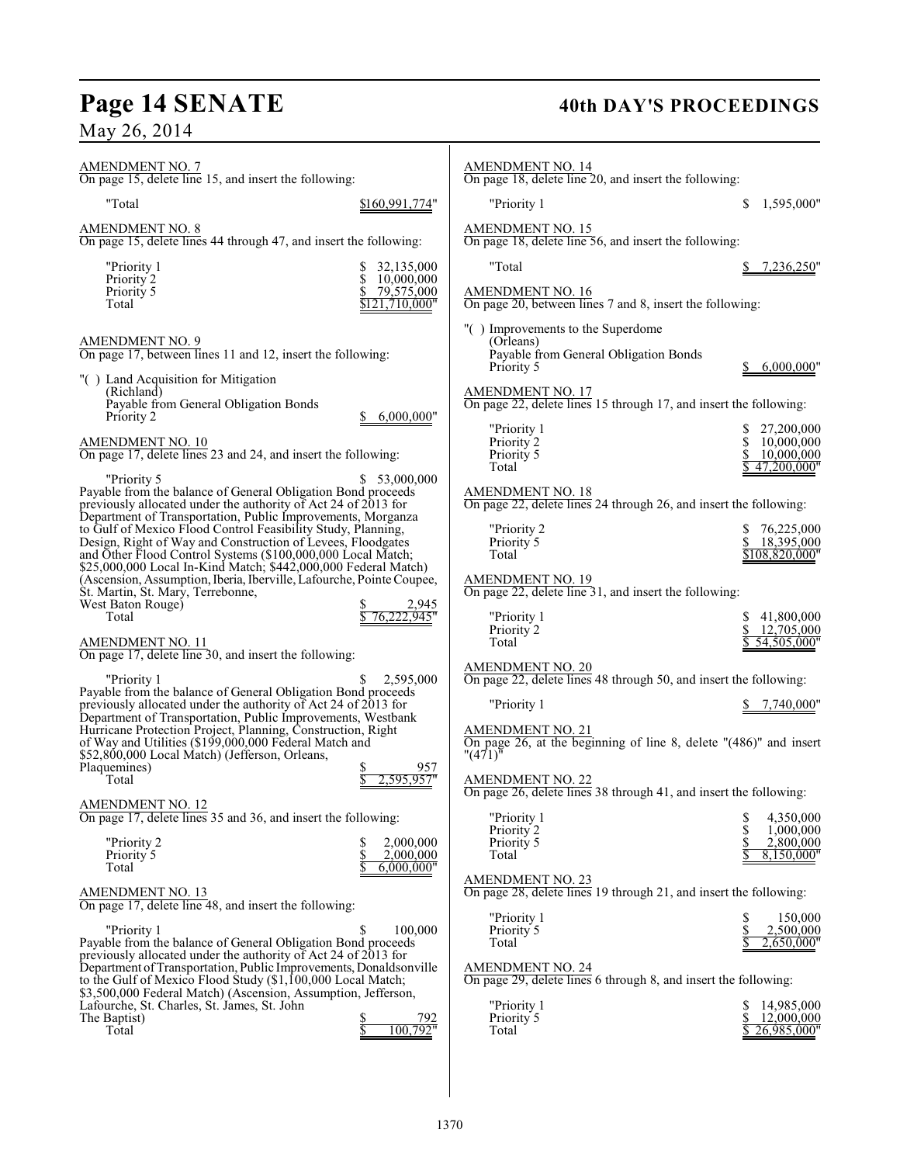## **Page 14 SENATE 40th DAY'S PROCEEDINGS**

May 26, 2014

| <b>AMENDMENT NO. 7</b><br>On page 15, delete line 15, and insert the following:                                                                                                                                                                                                                                                                                                                     | AMENDMENT NO. 14<br>On page 18, delete line 20, and insert the following:                                                                                                                                                            |
|-----------------------------------------------------------------------------------------------------------------------------------------------------------------------------------------------------------------------------------------------------------------------------------------------------------------------------------------------------------------------------------------------------|--------------------------------------------------------------------------------------------------------------------------------------------------------------------------------------------------------------------------------------|
| "Total<br>\$160,991,774"                                                                                                                                                                                                                                                                                                                                                                            | 1,595,000"<br>"Priority 1<br>\$                                                                                                                                                                                                      |
| <b>AMENDMENT NO. 8</b><br>On page 15, delete lines 44 through 47, and insert the following:                                                                                                                                                                                                                                                                                                         | <b>AMENDMENT NO. 15</b><br>On page 18, delete line 56, and insert the following:                                                                                                                                                     |
| 32,135,000<br>"Priority 1<br>10,000,000<br>Priority <sub>2</sub><br>Priority 5<br>79,575,000<br>\$121,710,000"<br>Total                                                                                                                                                                                                                                                                             | "Total<br><u>7,236,250</u> "<br><b>AMENDMENT NO. 16</b><br>On page 20, between lines 7 and 8, insert the following:                                                                                                                  |
| <b>AMENDMENT NO. 9</b><br>On page 17, between lines 11 and 12, insert the following:                                                                                                                                                                                                                                                                                                                | "() Improvements to the Superdome<br>(Orleans)<br>Payable from General Obligation Bonds<br>6,000,000"<br>Priority 5                                                                                                                  |
| "() Land Acquisition for Mitigation<br>(Richland)<br>Payable from General Obligation Bonds<br>Priority 2<br>6,000,000"                                                                                                                                                                                                                                                                              | <b>AMENDMENT NO. 17</b><br>On page 22, delete lines 15 through 17, and insert the following:                                                                                                                                         |
| AMENDMENT NO. 10<br>On page 17, delete lines 23 and 24, and insert the following:                                                                                                                                                                                                                                                                                                                   | "Priority 1<br>27,200,000<br>Priority 2<br>10,000,000<br>Priority 5<br>10,000,000<br>Total<br>47,200,000"                                                                                                                            |
| \$ 53,000,000<br>"Priority 5<br>Payable from the balance of General Obligation Bond proceeds<br>previously allocated under the authority of Act 24 of 2013 for<br>Department of Transportation, Public Improvements, Morganza                                                                                                                                                                       | <b>AMENDMENT NO. 18</b><br>On page 22, delete lines 24 through 26, and insert the following:                                                                                                                                         |
| to Gulf of Mexico Flood Control Feasibility Study, Planning,<br>Design, Right of Way and Construction of Levees, Floodgates<br>and Other Flood Control Systems (\$100,000,000 Local Match;<br>\$25,000,000 Local In-Kind Match; \$442,000,000 Federal Match)                                                                                                                                        | 76,225,000<br>"Priority 2<br>18,395,000<br>Priority 5<br>Total<br>\$108,820,000"                                                                                                                                                     |
| (Ascension, Assumption, Iberia, Iberville, Lafourche, Pointe Coupée,<br>Št. Martin, St. Mary, Terrebonne,<br>West Baton Rouge)<br>2,945<br>76.222.945"<br>Total                                                                                                                                                                                                                                     | <b>AMENDMENT NO. 19</b><br>On page 22, delete line 31, and insert the following:<br>41,800,000<br>"Priority 1                                                                                                                        |
| <b>AMENDMENT NO. 11</b><br>On page 17, delete line 30, and insert the following:                                                                                                                                                                                                                                                                                                                    | 12,705,000<br>Priority 2<br>Total<br>54,505,000"                                                                                                                                                                                     |
| 2,595,000<br>"Priority 1<br>Payable from the balance of General Obligation Bond proceeds<br>previously allocated under the authority of Act 24 of 2013 for<br>Department of Transportation, Public Improvements, Westbank<br>Hurricane Protection Project, Planning, Construction, Right<br>of Way and Utilities (\$199,000,000 Federal Match and<br>\$52,800,000 Local Match) (Jefferson, Orleans, | <b>AMENDMENT NO. 20</b><br>On page 22, delete lines 48 through 50, and insert the following:<br>"Priority 1<br>7,740,000"<br><b>AMENDMENT NO. 21</b><br>On page 26, at the beginning of line 8, delete "(486)" and insert<br>"(471)" |
| Plaquemines)<br>957<br>Total<br>2.595.957"<br><b>AMENDMENT NO. 12</b>                                                                                                                                                                                                                                                                                                                               | AMENDMENT NO. 22<br>On page 26, delete lines 38 through 41, and insert the following:                                                                                                                                                |
| On page 17, delete lines 35 and 36, and insert the following:<br>2,000,000<br>"Priority 2<br>\$<br>Priority 5<br>2,000,000<br>6,000,000"<br>Total                                                                                                                                                                                                                                                   | "Priority 1<br>\$<br>4,350,000<br>Priority 2<br>1.000.000<br>Priority 5<br>2,800,000<br>8,150,000"<br>Total                                                                                                                          |
| <b>AMENDMENT NO. 13</b><br>On page 17, delete line $48$ , and insert the following:                                                                                                                                                                                                                                                                                                                 | <b>AMENDMENT NO. 23</b><br>On page 28, delete lines 19 through 21, and insert the following:                                                                                                                                         |
| 100,000<br>"Priority 1<br>Payable from the balance of General Obligation Bond proceeds<br>previously allocated under the authority of Act 24 of 2013 for<br>Department of Transportation, Public Improvements, Donaldsonville<br>to the Gulf of Mexico Flood Study (\$1,100,000 Local Match;                                                                                                        | "Priority 1<br>150,000<br>Priority 5<br>2,500,000<br>2,650,000"<br>Total<br><b>AMENDMENT NO. 24</b><br>On page 29, delete lines 6 through 8, and insert the following:                                                               |
| \$3,500,000 Federal Match) (Ascension, Assumption, Jefferson,<br>Lafourche, St. Charles, St. James, St. John<br>The Baptist)<br>792<br>100,792"<br>Total                                                                                                                                                                                                                                            | "Priority 1<br>14,985,000<br>Priority 5<br>12,000,000<br>26,985,000"<br>Total                                                                                                                                                        |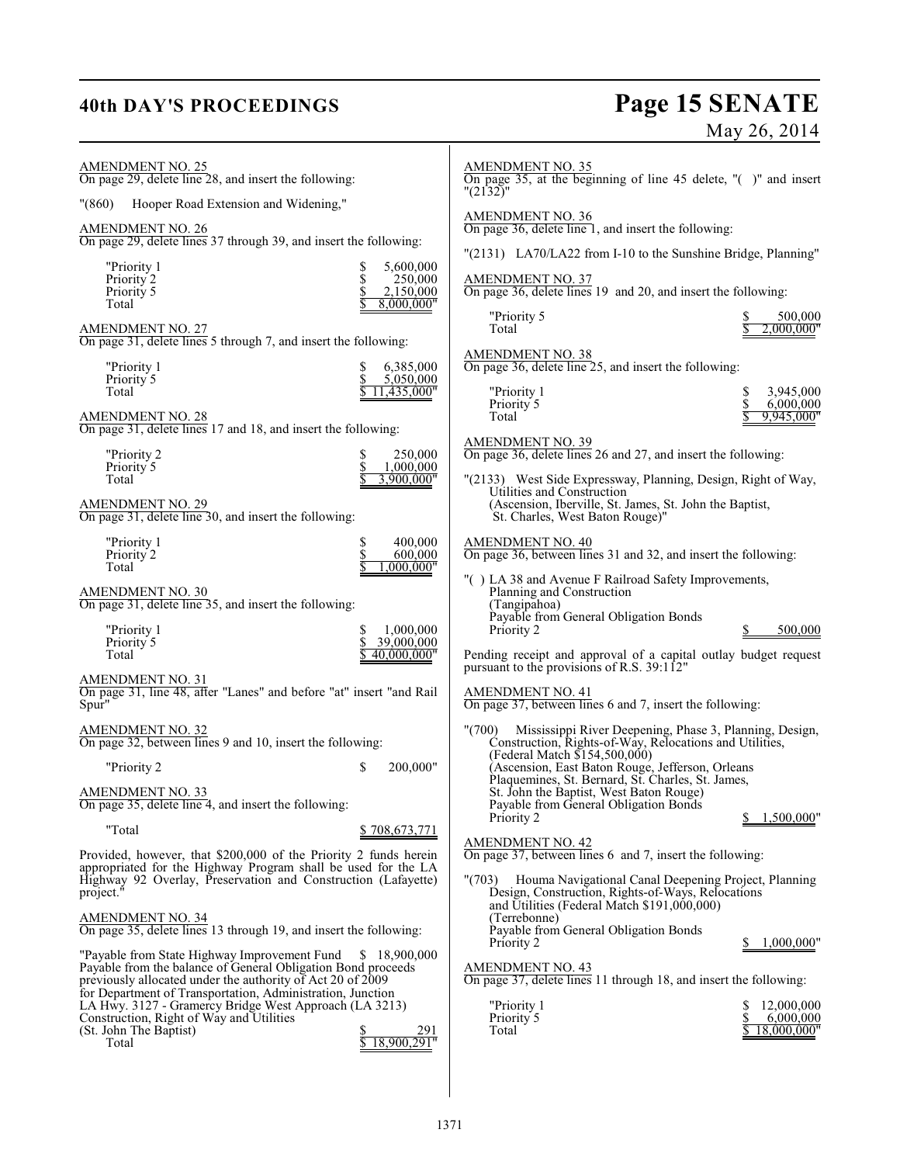## **40th DAY'S PROCEEDINGS Page 15 SENATE** May 26, 2014

| $\frac{\text{AMENDMENT NO. 25}}{\text{On page 29}}$ , delete line 28, and insert the following:                                   | <b>AMENDMENT NO. 35</b><br>On page 35, at the beginning of line 45 delete, "()" and insert<br>"(2132)"                                                          |
|-----------------------------------------------------------------------------------------------------------------------------------|-----------------------------------------------------------------------------------------------------------------------------------------------------------------|
| Hooper Road Extension and Widening,"<br>"(860)                                                                                    | <b>AMENDMENT NO. 36</b>                                                                                                                                         |
| AMENDMENT NO. 26<br>On page 29, delete lines 37 through 39, and insert the following:                                             | On page 36, delete line 1, and insert the following:                                                                                                            |
| "Priority 1<br>5,600,000<br>\$                                                                                                    | "(2131) LA70/LA22 from I-10 to the Sunshine Bridge, Planning"                                                                                                   |
| 250,000<br>Priority 2<br>Priority 5<br>2,150,000<br>Total<br>8,000,000"                                                           | <b>AMENDMENT NO. 37</b><br>On page 36, delete lines 19 and 20, and insert the following:                                                                        |
| AMENDMENT NO. 27<br>On page 31, delete lines 5 through 7, and insert the following:                                               | "Priority 5<br>500,000<br>Total<br>.000.000"                                                                                                                    |
| "Priority 1<br>6,385,000<br>Priority 5<br>5,050,000                                                                               | <b>AMENDMENT NO. 38</b><br>On page 36, delete line 25, and insert the following:                                                                                |
| 11,435,000"<br>Total                                                                                                              | 3,945,000<br>"Priority 1<br>\$<br>\$<br>Priority 5<br>6,000,000                                                                                                 |
| AMENDMENT NO. 28<br>On page 31, delete lines 17 and 18, and insert the following:                                                 | Total<br>9,945,000"                                                                                                                                             |
| 250,000<br>"Priority 2<br>S<br>Priority <sup>5</sup><br>\$<br>1,000,000                                                           | <b>AMENDMENT NO. 39</b><br>On page 36, delete lines 26 and 27, and insert the following:                                                                        |
| Total<br>3,900,000"                                                                                                               | "(2133) West Side Expressway, Planning, Design, Right of Way,<br>Utilities and Construction                                                                     |
| AMENDMENT NO. 29<br>On page 31, delete line 30, and insert the following:                                                         | (Ascension, Iberville, St. James, St. John the Baptist,<br>St. Charles, West Baton Rouge)"                                                                      |
| "Priority 1<br>\$<br>400,000<br>\$<br>Priority 2<br>600,000                                                                       | <b>AMENDMENT NO. 40</b><br>On page 36, between lines 31 and 32, and insert the following:                                                                       |
| Total<br>000.000"<br>AMENDMENT NO. 30                                                                                             | "() LA 38 and Avenue F Railroad Safety Improvements,<br>Planning and Construction                                                                               |
| On page 31, delete line 35, and insert the following:                                                                             | (Tangipahoa)<br>Payable from General Obligation Bonds                                                                                                           |
| "Priority 1<br>1,000,000<br>S<br>39,000,000<br>Priority 5                                                                         | Priority 2<br>500,000                                                                                                                                           |
| Total<br>40,000,000"<br>AMENDMENT NO. 31                                                                                          | Pending receipt and approval of a capital outlay budget request<br>pursuant to the provisions of R.S. 39:112"                                                   |
| On page 31, line 48, after "Lanes" and before "at" insert "and Rail<br>Spur"                                                      | <b>AMENDMENT NO. 41</b><br>On page 37, between lines 6 and 7, insert the following:                                                                             |
| $\frac{\text{AMENDMENT NO. 32}}{\text{On page 32, between lines 9 and 10, insert the following:}}$                                | "(700)<br>Mississippi River Deepening, Phase 3, Planning, Design,<br>Construction, Rights-of-Way, Relocations and Utilities,                                    |
| \$<br>200,000"<br>"Priority 2                                                                                                     | (Federal Match \$154,500,000)<br>(Ascension, East Baton Rouge, Jefferson, Orleans                                                                               |
| AMENDMENT NO. 33<br>On page 35, delete line 4, and insert the following:                                                          | Plaquemines, St. Bernard, St. Charles, St. James,<br>St. John the Baptist, West Baton Rouge)<br>Payable from General Obligation Bonds                           |
| "Total<br>\$708,673,771                                                                                                           | Priority 2<br>\$<br>1,500,000"                                                                                                                                  |
| Provided, however, that \$200,000 of the Priority 2 funds herein<br>appropriated for the Highway Program shall be used for the LA | <b>AMENDMENT NO. 42</b><br>On page 37, between lines 6 and 7, insert the following:                                                                             |
| Highway 92 Overlay, Preservation and Construction (Lafayette)<br>project."                                                        | "(703) Houma Navigational Canal Deepening Project, Planning<br>Design, Construction, Rights-of-Ways, Relocations<br>and Utilities (Federal Match \$191,000,000) |
| AMENDMENT NO. 34<br>On page 35, delete lines 13 through 19, and insert the following:                                             | (Terrebonne)<br>Payable from General Obligation Bonds                                                                                                           |
| "Payable from State Highway Improvement Fund<br>\$18,900,000<br>Payable from the balance of General Obligation Bond proceeds      | 1,000,000"<br>Priority 2<br><b>AMENDMENT NO. 43</b>                                                                                                             |
| previously allocated under the authority of Act 20 of 2009<br>for Department of Transportation, Administration, Junction          | On page 37, delete lines 11 through 18, and insert the following:                                                                                               |
| LA Hwy. 3127 - Gramercy Bridge West Approach (LA 3213)<br>Construction, Right of Way and Utilities                                | "Priority 1<br>12,000,000<br>Priority 5<br>\$<br>6,000,000                                                                                                      |
| (St. John The Baptist)<br>291<br>18,900,291"<br>Total                                                                             | 18,000,000"<br>Total                                                                                                                                            |
|                                                                                                                                   |                                                                                                                                                                 |
|                                                                                                                                   |                                                                                                                                                                 |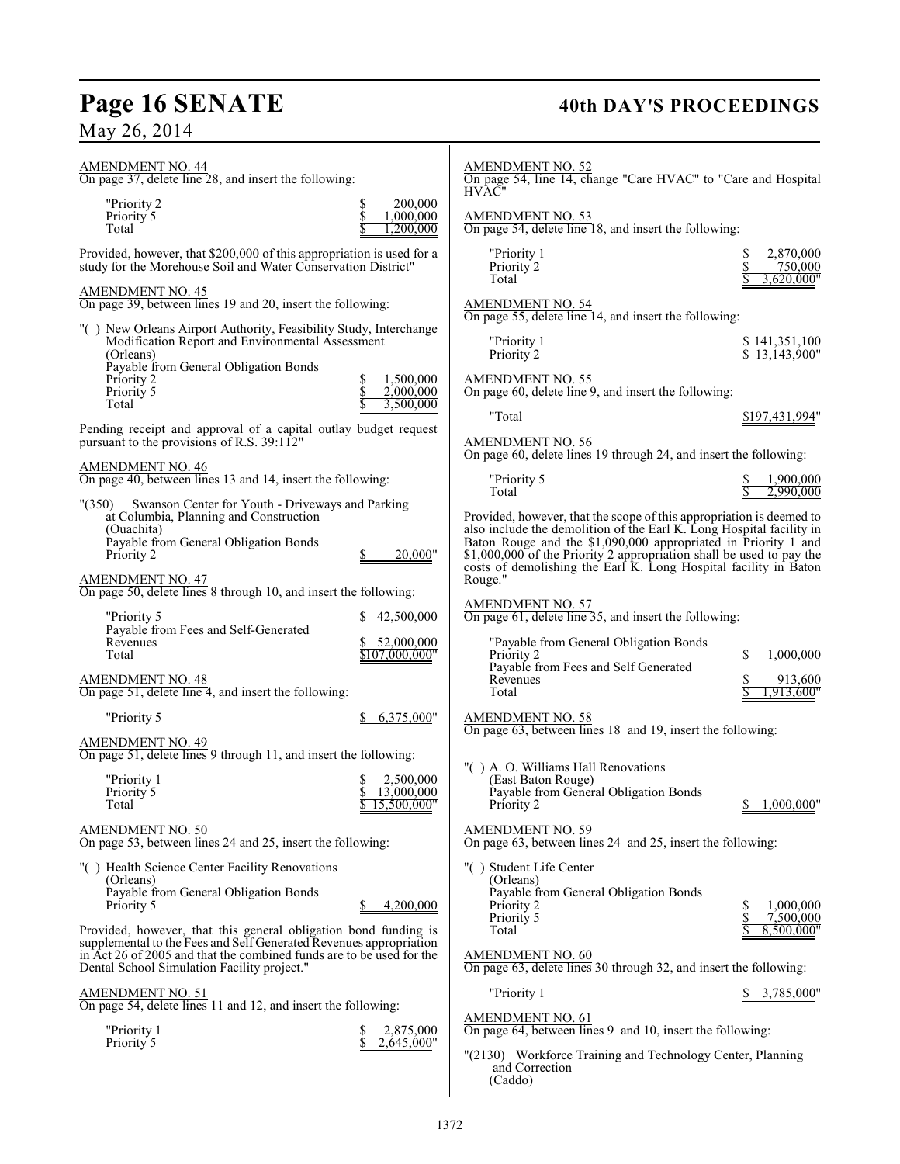# **Page 16 SENATE**<br>May 26, 2014

## **40th DAY'S PROCEEDINGS**

| <b>AMENDMENT NO. 44</b><br>On page 37, delete line 28, and insert the following:                                                                                                                                                                            |                                            | <b>AMENDMENT NO. 52</b><br>On page 54, line 14, change "Care HVAC" to "Care and Hospital<br><b>HVAC"</b>                                                                                                                                                                                                                                                              |                                                  |
|-------------------------------------------------------------------------------------------------------------------------------------------------------------------------------------------------------------------------------------------------------------|--------------------------------------------|-----------------------------------------------------------------------------------------------------------------------------------------------------------------------------------------------------------------------------------------------------------------------------------------------------------------------------------------------------------------------|--------------------------------------------------|
| "Priority 2<br>Priority 5<br>Total                                                                                                                                                                                                                          | 200,000<br>1,000,000<br>1.200.000          | <b>AMENDMENT NO. 53</b><br>On page 54, delete line 18, and insert the following:                                                                                                                                                                                                                                                                                      |                                                  |
| Provided, however, that \$200,000 of this appropriation is used for a<br>study for the Morehouse Soil and Water Conservation District"                                                                                                                      |                                            | "Priority 1<br>Priority 2<br>Total                                                                                                                                                                                                                                                                                                                                    | 2,870,000<br>S<br>750,000<br>3.620.000"          |
| <b>AMENDMENT NO. 45</b><br>On page 39, between lines 19 and 20, insert the following:                                                                                                                                                                       |                                            | <b>AMENDMENT NO. 54</b><br>On page 55, delete line 14, and insert the following:                                                                                                                                                                                                                                                                                      |                                                  |
| "() New Orleans Airport Authority, Feasibility Study, Interchange<br>Modification Report and Environmental Assessment<br>(Orleans)                                                                                                                          |                                            | "Priority 1<br>Priority 2                                                                                                                                                                                                                                                                                                                                             | \$141,351,100<br>\$13,143,900"                   |
| Payable from General Obligation Bonds<br>Priority 2<br>Priority 5<br>Total                                                                                                                                                                                  | 1,500,000<br>2,000,000<br>3,500,000        | <b>AMENDMENT NO. 55</b><br>On page 60, delete line 9, and insert the following:                                                                                                                                                                                                                                                                                       |                                                  |
| Pending receipt and approval of a capital outlay budget request<br>pursuant to the provisions of R.S. 39:112"                                                                                                                                               |                                            | "Total<br><b>AMENDMENT NO. 56</b>                                                                                                                                                                                                                                                                                                                                     | \$197,431,994"                                   |
| <b>AMENDMENT NO. 46</b><br>On page 40, between lines 13 and 14, insert the following:                                                                                                                                                                       |                                            | On page 60, delete lines 19 through 24, and insert the following:<br>"Priority 5<br>Total                                                                                                                                                                                                                                                                             | 1.900.000<br>2,990,000                           |
| Swanson Center for Youth - Driveways and Parking<br>"(350)<br>at Columbia, Planning and Construction<br>(Ouachita)<br>Payable from General Obligation Bonds<br>Priority 2<br><b>AMENDMENT NO. 47</b>                                                        | 20,000"                                    | Provided, however, that the scope of this appropriation is deemed to<br>also include the demolition of the Earl K. Long Hospital facility in<br>Baton Rouge and the \$1,090,000 appropriated in Priority 1 and<br>\$1,000,000 of the Priority 2 appropriation shall be used to pay the<br>costs of demolishing the Earl K. Long Hospital facility in Baton<br>Rouge." |                                                  |
| On page 50, delete lines 8 through 10, and insert the following:                                                                                                                                                                                            |                                            | <b>AMENDMENT NO. 57</b>                                                                                                                                                                                                                                                                                                                                               |                                                  |
| "Priority 5<br>Payable from Fees and Self-Generated<br>Revenues<br>Total                                                                                                                                                                                    | 42,500,000<br>52,000,000<br>\$107.000.000" | On page 61, delete line 35, and insert the following:<br>"Payable from General Obligation Bonds<br>Priority 2<br>Payable from Fees and Self Generated                                                                                                                                                                                                                 | S<br>1,000,000                                   |
| <b>AMENDMENT NO. 48</b><br>On page 51, delete line 4, and insert the following:                                                                                                                                                                             |                                            | Revenues<br>Total                                                                                                                                                                                                                                                                                                                                                     | 913,600<br>1,913,600"                            |
| "Priority 5                                                                                                                                                                                                                                                 | 6,375,000"                                 | <b>AMENDMENT NO. 58</b><br>On page 63, between lines 18 and 19, insert the following:                                                                                                                                                                                                                                                                                 |                                                  |
| <b>AMENDMENT NO. 49</b><br>On page 51, delete lines 9 through 11, and insert the following:<br>"Priority 1<br>Priority 5<br>Total<br><b>AMENDMENT NO. 50</b>                                                                                                | 2,500,000<br>13,000,000<br>15.500.000"     | "() A. O. Williams Hall Renovations<br>(East Baton Rouge)<br>Payable from General Obligation Bonds<br>Priority 2<br><b>AMENDMENT NO. 59</b>                                                                                                                                                                                                                           | 1,000,000"<br>\$                                 |
| On page 53, between lines 24 and 25, insert the following:                                                                                                                                                                                                  |                                            | On page 63, between lines 24 and 25, insert the following:                                                                                                                                                                                                                                                                                                            |                                                  |
| "() Health Science Center Facility Renovations<br>(Orleans)<br>Payable from General Obligation Bonds<br>Priority 5<br>Provided, however, that this general obligation bond funding is<br>supplemental to the Fees and Self Generated Revenues appropriation | 4.200.000                                  | "() Student Life Center<br>(Orleans)<br>Payable from General Obligation Bonds<br>Priority 2<br>Priority 5<br>Total                                                                                                                                                                                                                                                    | 1.000.000<br>\$<br>\$<br>7,500,000<br>8,500,000" |
| in Act 26 of 2005 and that the combined funds are to be used for the<br>Dental School Simulation Facility project."                                                                                                                                         |                                            | <b>AMENDMENT NO. 60</b><br>On page 63, delete lines 30 through 32, and insert the following:                                                                                                                                                                                                                                                                          |                                                  |
| <b>AMENDMENT NO. 51</b><br>On page 54, delete lines 11 and 12, and insert the following:                                                                                                                                                                    |                                            | "Priority 1                                                                                                                                                                                                                                                                                                                                                           | 3,785,000"                                       |
| "Priority 1<br>Priority 5                                                                                                                                                                                                                                   | 2,875,000<br>S<br>\$<br>2,645,000"         | AMENDMENT NO. 61<br>On page 64, between lines 9 and 10, insert the following:<br>"(2130) Workforce Training and Technology Center, Planning<br>and Correction<br>(Caddo)                                                                                                                                                                                              |                                                  |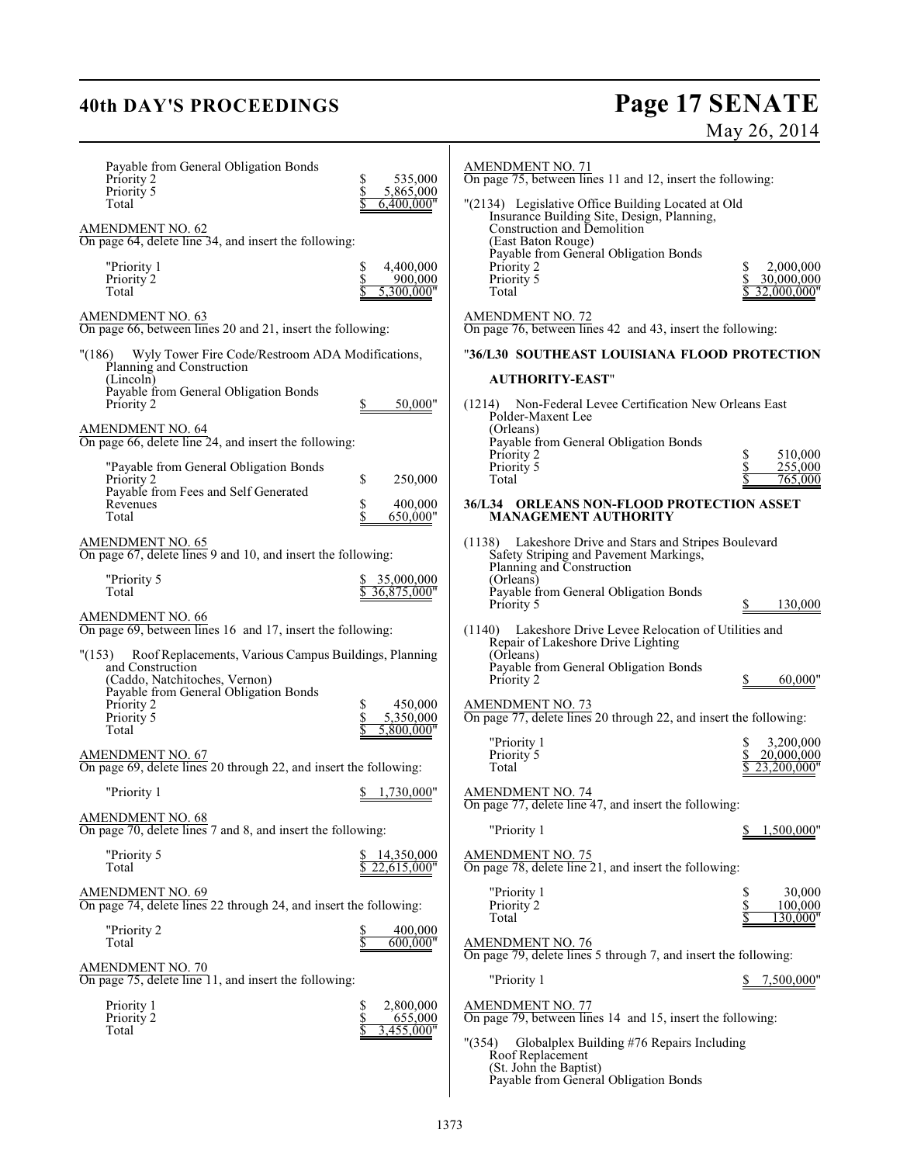## **40th DAY'S PROCEEDINGS Page 17 SENATE** May 26, 2014

| Payable from General Obligation Bonds<br>Priority 2<br>Priority 5<br>Total<br>AMENDMENT NO. 62<br>On page 64, delete line 34, and insert the following:<br>"Priority 1<br>Priority 2<br>Total | 535,000<br>5,865,000<br>6,400,000"<br>4,400,000<br>\$<br>900,000<br>5,300,000" | <b>AMENDMENT NO. 71</b><br>On page 75, between lines 11 and 12, insert the following:<br>"(2134) Legislative Office Building Located at Old<br>Insurance Building Site, Design, Planning,<br>Construction and Demolition<br>(East Baton Rouge)<br>Payable from General Obligation Bonds<br>Priority 2<br>Priority 5<br>Total | 2,000,000<br>\$<br>30,000,000<br>32.000.000" |
|-----------------------------------------------------------------------------------------------------------------------------------------------------------------------------------------------|--------------------------------------------------------------------------------|------------------------------------------------------------------------------------------------------------------------------------------------------------------------------------------------------------------------------------------------------------------------------------------------------------------------------|----------------------------------------------|
| <b>AMENDMENT NO. 63</b><br>On page 66, between lines 20 and 21, insert the following:                                                                                                         |                                                                                | AMENDMENT NO. 72<br>On page 76, between lines 42 and 43, insert the following:                                                                                                                                                                                                                                               |                                              |
| Wyly Tower Fire Code/Restroom ADA Modifications,<br>"(186)<br>Planning and Construction<br>(Lincoln)                                                                                          |                                                                                | "36/L30 SOUTHEAST LOUISIANA FLOOD PROTECTION<br><b>AUTHORITY-EAST"</b>                                                                                                                                                                                                                                                       |                                              |
| Payable from General Obligation Bonds<br>Priority 2                                                                                                                                           | 50,000"                                                                        | (1214) Non-Federal Levee Certification New Orleans East<br>Polder-Maxent Lee<br>(Orleans)                                                                                                                                                                                                                                    |                                              |
| AMENDMENT NO. 64<br>On page 66, delete line 24, and insert the following:<br>"Payable from General Obligation Bonds                                                                           |                                                                                | Payable from General Obligation Bonds<br>Priority 2<br>Priority 5                                                                                                                                                                                                                                                            | 510,000<br>\$<br>\$<br>255,000               |
| Priority 2<br>Payable from Fees and Self Generated                                                                                                                                            | \$<br>250,000                                                                  | Total                                                                                                                                                                                                                                                                                                                        | 765.000                                      |
| Revenues<br>Total                                                                                                                                                                             | 400,000<br>S<br>650,000"                                                       | 36/L34 ORLEANS NON-FLOOD PROTECTION ASSET<br><b>MANAGEMENT AUTHORITY</b>                                                                                                                                                                                                                                                     |                                              |
| <b>AMENDMENT NO. 65</b><br>On page 67, delete lines 9 and 10, and insert the following:                                                                                                       |                                                                                | Lakeshore Drive and Stars and Stripes Boulevard<br>(1138)<br>Safety Striping and Pavement Markings,<br>Planning and Construction                                                                                                                                                                                             |                                              |
| "Priority 5<br>Total                                                                                                                                                                          | 35,000,000<br>36,875,000"                                                      | (Orleans)<br>Payable from General Obligation Bonds<br>Priority 5                                                                                                                                                                                                                                                             | 130,000                                      |
| <b>AMENDMENT NO. 66</b><br>On page 69, between lines 16 and 17, insert the following:                                                                                                         |                                                                                | Lakeshore Drive Levee Relocation of Utilities and<br>(1140)                                                                                                                                                                                                                                                                  |                                              |
| Roof Replacements, Various Campus Buildings, Planning<br>"(153)<br>and Construction<br>(Caddo, Natchitoches, Vernon)<br>Payable from General Obligation Bonds<br>Priority 2                   | 450,000                                                                        | Repair of Lakeshore Drive Lighting<br>(Orleans)<br>Payable from General Obligation Bonds<br>Priority 2<br><b>AMENDMENT NO. 73</b>                                                                                                                                                                                            | 60,000"                                      |
| Priority 5<br>Total                                                                                                                                                                           | 5,350,000<br>5,800,000"                                                        | On page 77, delete lines 20 through 22, and insert the following:<br>"Priority 1                                                                                                                                                                                                                                             | 3,200,000                                    |
| <b>AMENDMENT NO. 67</b><br>On page 69, delete lines 20 through 22, and insert the following:                                                                                                  |                                                                                | Priority 5<br>Total                                                                                                                                                                                                                                                                                                          | \$<br>20,000,000<br>23.200.000"              |
| "Priority 1                                                                                                                                                                                   | 1.730.000"<br>S.                                                               | <b>AMENDMENT NO. 74</b><br>On page 77, delete line 47, and insert the following:                                                                                                                                                                                                                                             |                                              |
| <b>AMENDMENT NO. 68</b><br>On page 70, delete lines 7 and 8, and insert the following:                                                                                                        |                                                                                | "Priority 1                                                                                                                                                                                                                                                                                                                  | 1,500,000"                                   |
| "Priority 5<br>Total                                                                                                                                                                          | 14,350,000<br>22,615,000"                                                      | <b>AMENDMENT NO. 75</b><br>On page 78, delete line 21, and insert the following:                                                                                                                                                                                                                                             |                                              |
| <b>AMENDMENT NO. 69</b><br>On page 74, delete lines 22 through 24, and insert the following:                                                                                                  |                                                                                | "Priority 1<br>Priority 2<br>Total                                                                                                                                                                                                                                                                                           | \$<br>30,000<br>\$<br>100,000<br>130,000"    |
| "Priority 2<br>Total                                                                                                                                                                          | 400,000<br>600,000"                                                            | <b>AMENDMENT NO. 76</b><br>On page 79, delete lines 5 through 7, and insert the following:                                                                                                                                                                                                                                   |                                              |
| <b>AMENDMENT NO. 70</b><br>On page 75, delete line 11, and insert the following:                                                                                                              |                                                                                | "Priority 1                                                                                                                                                                                                                                                                                                                  | 7,500,000"                                   |
| Priority 1<br>Priority 2<br>Total                                                                                                                                                             | \$<br>2,800,000<br>\$<br>655,000<br>3,455,000"                                 | <b>AMENDMENT NO. 77</b><br>On page 79, between lines 14 and 15, insert the following:<br>Globalplex Building #76 Repairs Including<br>" (354)<br>Roof Replacement<br>(St. John the Baptist)                                                                                                                                  |                                              |
|                                                                                                                                                                                               |                                                                                | Payable from General Obligation Bonds                                                                                                                                                                                                                                                                                        |                                              |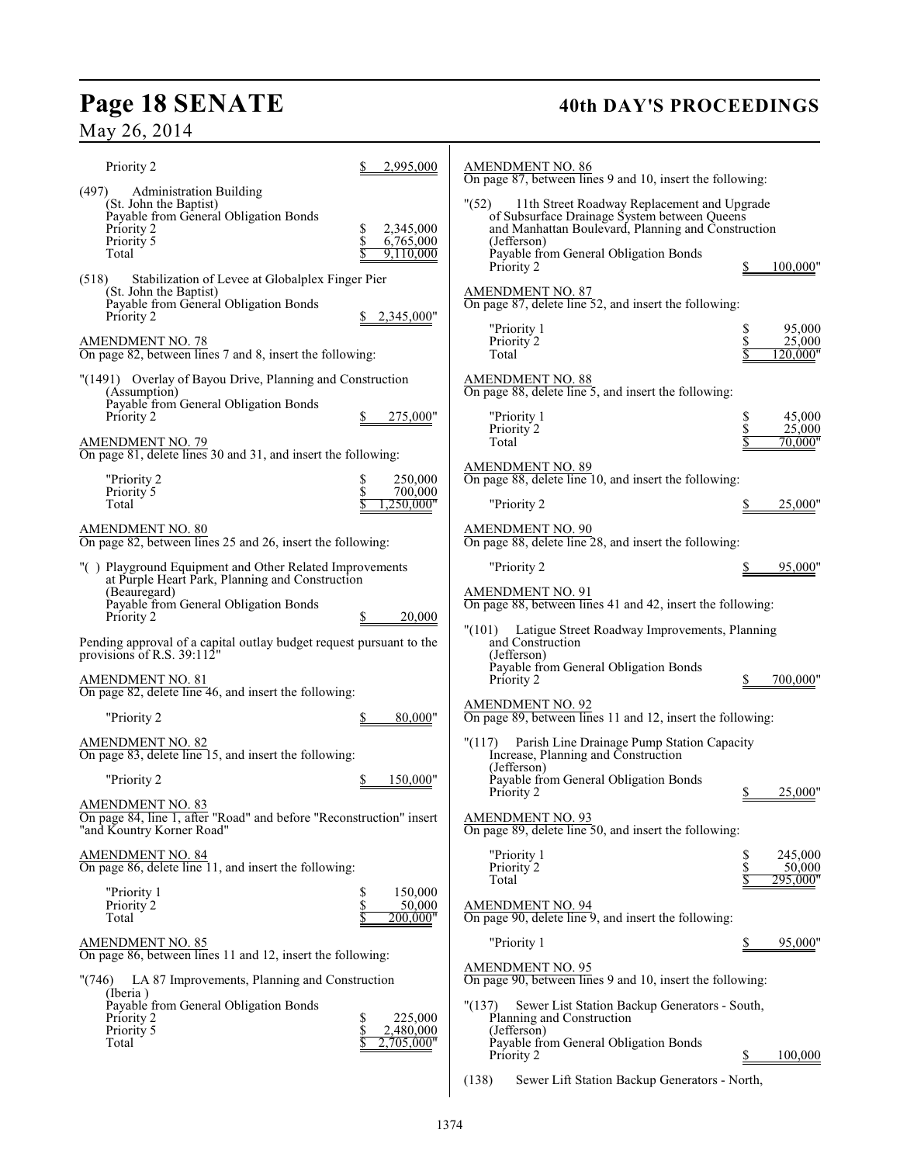# Page 18 SENATE 40th DAY'S PROCEEDINGS

## May 26, 2014

| Priority 2                                                                                                                                                                        | 2,995,000                                      | <b>AMENDMENT NO. 86</b><br>On page 87, between lines 9 and 10, insert the following:                                                                                                                                |                                          |  |
|-----------------------------------------------------------------------------------------------------------------------------------------------------------------------------------|------------------------------------------------|---------------------------------------------------------------------------------------------------------------------------------------------------------------------------------------------------------------------|------------------------------------------|--|
| (497)<br><b>Administration Building</b><br>(St. John the Baptist)<br>Payable from General Obligation Bonds<br>Priority 2<br>Priority 5<br>Total                                   | 2,345,000<br>6,765,000<br>9,110,000            | " (52)<br>11th Street Roadway Replacement and Upgrade<br>of Subsurface Drainage System between Queens<br>and Manhattan Boulevard, Planning and Construction<br>(Jefferson)<br>Payable from General Obligation Bonds |                                          |  |
| (518)<br>Stabilization of Levee at Globalplex Finger Pier<br>(St. John the Baptist)<br>Payable from General Obligation Bonds<br>Priority 2                                        | 2,345,000"                                     | Priority 2<br><b>AMENDMENT NO. 87</b><br>On page 87, delete line 52, and insert the following:                                                                                                                      | 100,000"                                 |  |
| $\frac{\text{AMENDMENT NO. 78}}{\text{On page 82, between lines 7 and 8, insert the following:}}$                                                                                 |                                                | "Priority 1<br>Priority 2<br>Total                                                                                                                                                                                  | 95,000<br>25,000<br>20,000"              |  |
| "(1491) Overlay of Bayou Drive, Planning and Construction<br>(Assumption)<br>Payable from General Obligation Bonds<br>Priority 2                                                  | 275,000"                                       | <b>AMENDMENT NO. 88</b><br>On page 88, delete line 5, and insert the following:<br>"Priority 1                                                                                                                      | 45,000                                   |  |
| <b>AMENDMENT NO. 79</b><br>On page 81, delete lines 30 and 31, and insert the following:                                                                                          |                                                | Priority 2<br>Total                                                                                                                                                                                                 | 25,000<br>70.000"                        |  |
| "Priority 2<br>Priority 5                                                                                                                                                         | 250,000<br>700,000                             | <b>AMENDMENT NO. 89</b><br>On page 88, delete line 10, and insert the following:                                                                                                                                    |                                          |  |
| Total                                                                                                                                                                             | 250.000"                                       | "Priority 2                                                                                                                                                                                                         | 25,000"                                  |  |
| AMENDMENT NO. 80<br>On page 82, between lines 25 and 26, insert the following:                                                                                                    |                                                | AMENDMENT NO. 90<br>On page 88, delete line 28, and insert the following:                                                                                                                                           |                                          |  |
| "() Playground Equipment and Other Related Improvements<br>at Purple Heart Park, Planning and Construction<br>(Beauregard)<br>Payable from General Obligation Bonds<br>Priority 2 | 20,000                                         | "Priority 2<br><b>AMENDMENT NO. 91</b><br>On page 88, between lines 41 and 42, insert the following:                                                                                                                | 95,000"                                  |  |
| Pending approval of a capital outlay budget request pursuant to the<br>provisions of R.S. 39:112"                                                                                 |                                                | "(101)<br>Latigue Street Roadway Improvements, Planning<br>and Construction<br>(Jefferson)                                                                                                                          |                                          |  |
| AMENDMENT NO. 81<br>On page 82, delete line 46, and insert the following:                                                                                                         |                                                | Payable from General Obligation Bonds<br>Priority 2                                                                                                                                                                 | 700.000"                                 |  |
| "Priority 2                                                                                                                                                                       | 80,000"                                        | <b>AMENDMENT NO. 92</b><br>On page 89, between lines 11 and 12, insert the following:                                                                                                                               |                                          |  |
| AMENDMENT NO. 82<br>On page 83, delete line 15, and insert the following:                                                                                                         |                                                | Parish Line Drainage Pump Station Capacity<br>"(117)<br>Increase, Planning and Construction<br>(Jefferson)                                                                                                          |                                          |  |
| "Priority 2                                                                                                                                                                       | 150,000"                                       | Payable from General Obligation Bonds<br>Priority 2                                                                                                                                                                 | 25,000"<br>\$                            |  |
| <b>AMENDMENT NO. 83</b><br>On page 84, line 1, after "Road" and before "Reconstruction" insert<br>"and Kountry Korner Road"                                                       |                                                | <b>AMENDMENT NO. 93</b><br>On page 89, delete line 50, and insert the following:                                                                                                                                    |                                          |  |
| AMENDMENT NO. 84<br>On page 86, delete line 11, and insert the following:                                                                                                         |                                                | "Priority 1<br>Priority 2<br>Total                                                                                                                                                                                  | S<br>245,000<br>\$<br>50,000<br>295.000" |  |
| "Priority 1<br>Priority 2<br>Total                                                                                                                                                | \$<br>\$<br>150,000<br>50,000<br>S<br>200.000" | <b>AMENDMENT NO. 94</b><br>On page 90, delete line 9, and insert the following:                                                                                                                                     |                                          |  |
| AMENDMENT NO. 85                                                                                                                                                                  |                                                | "Priority 1                                                                                                                                                                                                         | 95,000"                                  |  |
| On page 86, between lines 11 and 12, insert the following:<br>"(746) LA 87 Improvements, Planning and Construction                                                                |                                                | <b>AMENDMENT NO. 95</b><br>On page 90, between lines 9 and 10, insert the following:                                                                                                                                |                                          |  |
| (Iberia)<br>Payable from General Obligation Bonds<br>Priority 2<br>Priority 5<br>Total                                                                                            | 225,000<br>S<br>\$<br>2,480,000<br>2,705,000"  | "(137)<br>Sewer List Station Backup Generators - South,<br>Planning and Construction<br>(Jefferson)<br>Payable from General Obligation Bonds                                                                        |                                          |  |
|                                                                                                                                                                                   |                                                | Priority 2                                                                                                                                                                                                          | 100,000<br>P                             |  |

(138) Sewer Lift Station Backup Generators - North,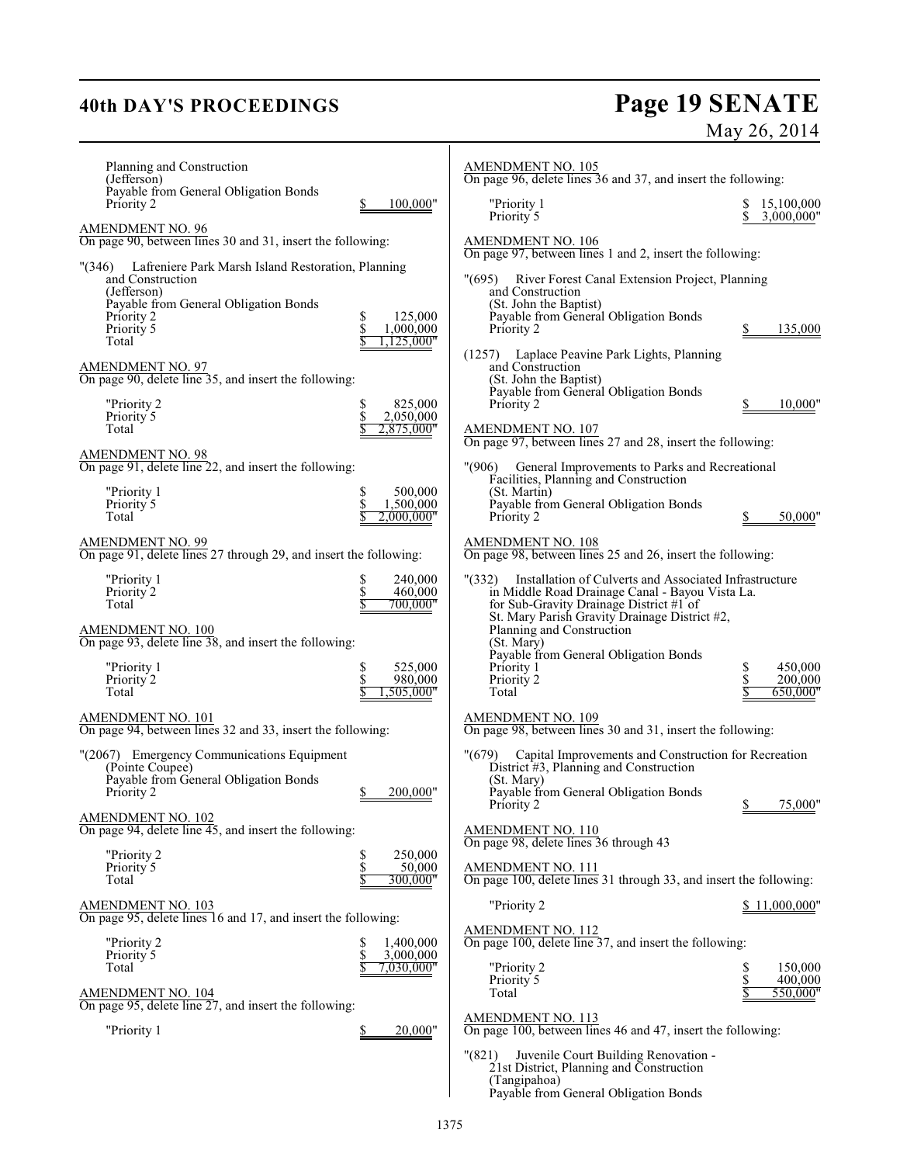## **40th DAY'S PROCEEDINGS Page 19 SENATE** May 26, 2014

| Planning and Construction<br>(Jefferson)                                                                                                                                                       |                                                       | <b>AMENDMENT NO. 105</b><br>On page 96, delete lines 36 and 37, and insert the following:                                                                                                                                                               |                                           |
|------------------------------------------------------------------------------------------------------------------------------------------------------------------------------------------------|-------------------------------------------------------|---------------------------------------------------------------------------------------------------------------------------------------------------------------------------------------------------------------------------------------------------------|-------------------------------------------|
| Payable from General Obligation Bonds<br>Priority 2                                                                                                                                            | 100,000"                                              | "Priority 1<br>Priority 5                                                                                                                                                                                                                               | 15,100,000<br>\$<br>3,000,000"            |
| AMENDMENT NO. 96<br>On page 90, between lines 30 and 31, insert the following:                                                                                                                 |                                                       | <b>AMENDMENT NO. 106</b><br>On page 97, between lines 1 and 2, insert the following:                                                                                                                                                                    |                                           |
| Lafreniere Park Marsh Island Restoration, Planning<br>$^{\prime\prime}$ (346)<br>and Construction<br>(Jefferson)<br>Payable from General Obligation Bonds<br>Priority 2<br>Priority 5<br>Total | \$<br>125,000<br>\$<br>1.000.000<br>125.000"          | "(695) River Forest Canal Extension Project, Planning<br>and Construction<br>(St. John the Baptist)<br>Payable from General Obligation Bonds<br>Priority 2                                                                                              | 135,000                                   |
| <b>AMENDMENT NO. 97</b><br>On page 90, delete line 35, and insert the following:                                                                                                               |                                                       | (1257) Laplace Peavine Park Lights, Planning<br>and Construction<br>(St. John the Baptist)                                                                                                                                                              |                                           |
| "Priority 2<br>Priority 5<br>Total                                                                                                                                                             | \$<br>825,000<br>\$<br>2,050,000<br>2,875,000"        | Payable from General Obligation Bonds<br>Priority 2<br><b>AMENDMENT NO. 107</b>                                                                                                                                                                         | 10,000"                                   |
| <b>AMENDMENT NO. 98</b><br>On page 91, delete line 22, and insert the following:                                                                                                               |                                                       | On page 97, between lines 27 and 28, insert the following:<br>General Improvements to Parks and Recreational<br>"(906)                                                                                                                                  |                                           |
| "Priority 1<br>Priority 5<br>Total                                                                                                                                                             | 500,000<br>S<br>\$<br>1,500,000<br>2.000.000"         | Facilities, Planning and Construction<br>(St. Martin)<br>Payable from General Obligation Bonds<br>Priority 2                                                                                                                                            | 50,000"                                   |
| <b>AMENDMENT NO. 99</b><br>On page 91, delete lines 27 through 29, and insert the following:                                                                                                   |                                                       | <b>AMENDMENT NO. 108</b><br>On page 98, between lines 25 and 26, insert the following:                                                                                                                                                                  |                                           |
| "Priority 1<br>Priority 2<br>Total<br>AMENDMENT NO. 100<br>On page 93, delete line 38, and insert the following:                                                                               | \$<br>240,000<br>$\frac{S}{S}$<br>460,000<br>700,000" | "(332) Installation of Culverts and Associated Infrastructure<br>in Middle Road Drainage Canal - Bayou Vista La.<br>for Sub-Gravity Drainage District #1 of<br>St. Mary Parish Gravity Drainage District #2,<br>Planning and Construction<br>(St. Mary) |                                           |
| "Priority 1<br>Priority <sup>2</sup><br>Total                                                                                                                                                  | \$<br>525,000<br>\$<br>980,000<br>.505.000"           | Payable from General Obligation Bonds<br>Priority 1<br>Priority 2<br>Total                                                                                                                                                                              | 450,000<br>S<br>\$<br>200,000<br>650,000" |
| AMENDMENT NO. 101<br>On page 94, between lines 32 and 33, insert the following:                                                                                                                |                                                       | <b>AMENDMENT NO. 109</b><br>On page 98, between lines 30 and 31, insert the following:                                                                                                                                                                  |                                           |
| "(2067) Emergency Communications Equipment<br>(Pointe Coupee)<br>Payable from General Obligation Bonds<br>Priority 2                                                                           | 200,000"<br>\$                                        | "(679)<br>Capital Improvements and Construction for Recreation<br>District #3, Planning and Construction<br>(St. Mary)<br>Payable from General Obligation Bonds<br>Priority 2                                                                           | 75,000"                                   |
| AMENDMENT NO. 102<br>On page 94, delete line 45, and insert the following:                                                                                                                     |                                                       | <b>AMENDMENT NO. 110</b><br>On page 98, delete lines 36 through 43                                                                                                                                                                                      |                                           |
| "Priority 2<br>Priority 5<br>Total                                                                                                                                                             | \$<br>250,000<br>s<br>S<br>50,000<br>300,000"         | <b>AMENDMENT NO. 111</b><br>On page 100, delete lines 31 through 33, and insert the following:                                                                                                                                                          |                                           |
| AMENDMENT NO. 103<br>On page 95, delete lines 16 and 17, and insert the following:                                                                                                             |                                                       | "Priority 2                                                                                                                                                                                                                                             | \$11,000,000"                             |
| "Priority 2<br>Priority 5<br>Total                                                                                                                                                             | 1,400,000<br>\$<br>\$<br>3,000,000<br>7.030.000"      | $\frac{\text{AMENDMENT NO. 112}}{\text{On page 100, delete line 37, and insert the following:}}$<br>"Priority 2                                                                                                                                         | \$<br>150,000                             |
| AMENDMENT NO. 104<br>On page 95, delete line 27, and insert the following:                                                                                                                     |                                                       | Priority 5<br>Total                                                                                                                                                                                                                                     | \$<br>400,000<br>550,000"                 |
| "Priority 1                                                                                                                                                                                    | 20,000"                                               | <b>AMENDMENT NO. 113</b><br>On page 100, between lines 46 and 47, insert the following:                                                                                                                                                                 |                                           |
|                                                                                                                                                                                                |                                                       | Juvenile Court Building Renovation -<br>$^{\prime\prime} (821)$<br>21st District, Planning and Construction<br>(Tangipahoa)<br>Payable from General Obligation Bonds                                                                                    |                                           |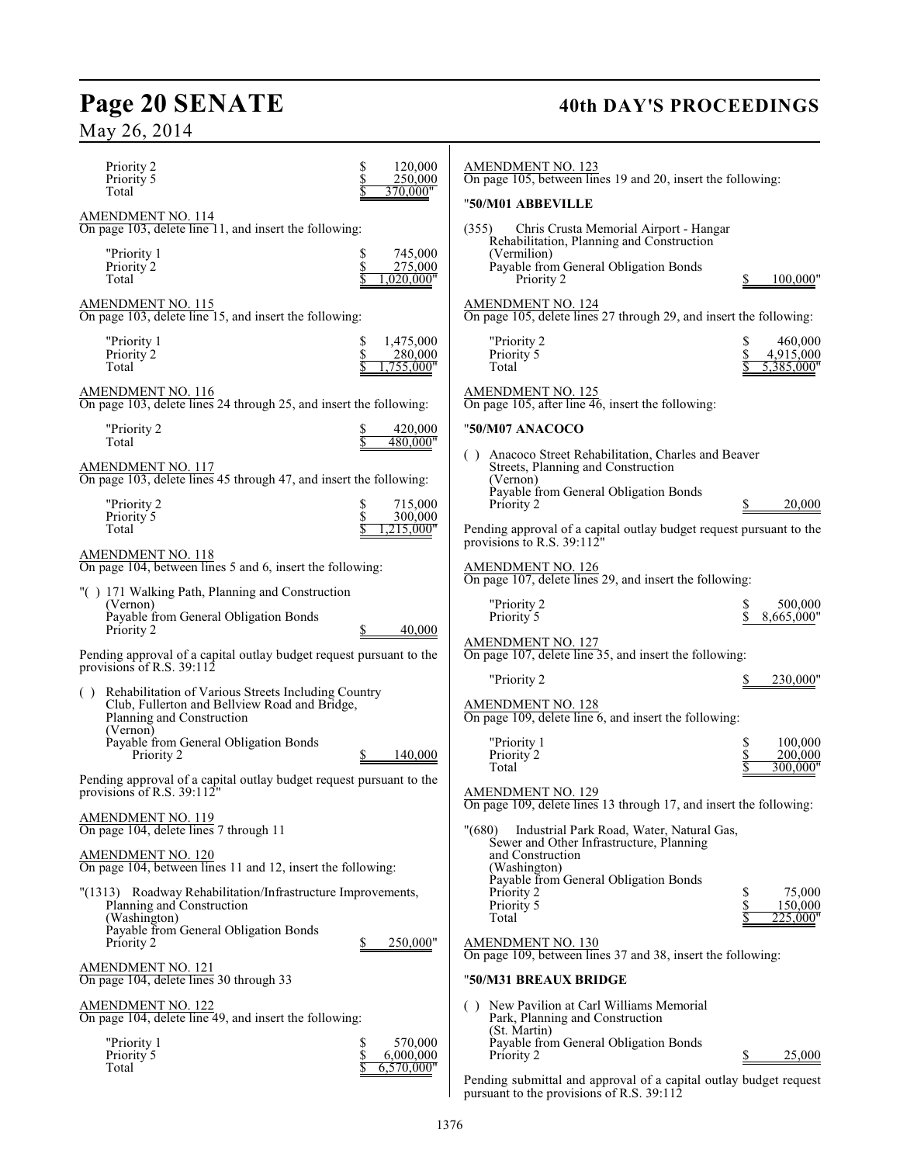## May 26, 2014

#### Priority 2  $\begin{array}{cc} \text{8} & \text{120,000} \\ \text{Priority } 5 & \text{8} & \text{250,000} \end{array}$ Priority 5<br>Total 370,000" AMENDMENT NO. 114 On page 103, delete line 11, and insert the following: "Priority 1  $$745,000$ <br>Priority 2  $$745,000$ Priority<sup>2</sup>  $1,020,000$ " AMENDMENT NO. 115 On page 103, delete line 15, and insert the following: "Priority 1  $$ 1,475,000$ <br>Priority 2  $$ 280,000$ Priority 2<br>Total  $1,755,000'$ AMENDMENT NO. 116 On page 103, delete lines 24 through 25, and insert the following: "Priority 2  $\frac{$}{5}$  420,000"<br>Total  $\frac{$}{5}$  480,000" 480,000" AMENDMENT NO. 117 On page 103, delete lines 45 through 47, and insert the following: "Priority 2 \$ 715,000 Priority 5<br>Total 1,215,000 AMENDMENT NO. 118 On page 104, between lines 5 and 6, insert the following: "( ) 171 Walking Path, Planning and Construction (Vernon) Payable from General Obligation Bonds Priority 2  $\qquad \qquad \frac{\$}{10000}$ Pending approval of a capital outlay budget request pursuant to the provisions of R.S. 39:112 Rehabilitation of Various Streets Including Country Club, Fullerton and Bellview Road and Bridge, Planning and Construction (Vernon) Payable from General Obligation Bonds Priority 2 \$ 140,000 Pending approval of a capital outlay budget request pursuant to the provisions of R.S. 39:112" AMENDMENT NO. 119 On page 104, delete lines 7 through 11 AMENDMENT NO. 120 On page 104, between lines 11 and 12, insert the following: "(1313) Roadway Rehabilitation/Infrastructure Improvements, Planning and Construction (Washington) Payable from General Obligation Bonds Priority 2 \$ 250,000" AMENDMENT NO. 121 On page 104, delete lines 30 through 33 AMENDMENT NO. 122 On page 104, delete line 49, and insert the following: "Priority 1  $\qquad \qquad \begin{array}{cc} \text{S} & 570,000 \\ \text{Priority } 5 & 6,000,000 \end{array}$ Priority 5  $\frac{$6,000,000}{\$6,570,000}$  $6,570,000$ " AMENDMENT NO. 123 On page 105, between lines 19 and 20, insert the following: "**50/M01 ABBEVILLE** (355) Chris Crusta Memorial Airport - Hangar Rehabilitation, Planning and Construction (Vermilion) Payable from General Obligation Bonds Priority 2 \$ 100,000" AMENDMENT NO. 124 On page 105, delete lines 27 through 29, and insert the following: Priority 2  $\begin{array}{cc} \text{S} & 460,000 \\ \text{Priority 5} & \text{S} & 4.915,000 \end{array}$ Priority 5<br>Total 5,385,000' AMENDMENT NO. 125 On page 105, after line 46, insert the following: "**50/M07 ANACOCO** ( ) Anacoco Street Rehabilitation, Charles and Beaver Streets, Planning and Construction (Vernon) Payable from General Obligation Bonds Priority 2  $\qquad \qquad \frac{\$}{20,000}$ Pending approval of a capital outlay budget request pursuant to the provisions to R.S. 39:112" AMENDMENT NO. 126 On page 107, delete lines 29, and insert the following: "Priority 2 <br>Priority 5 <br>S 8,665,000"  $8,665,000"$ AMENDMENT NO. 127 On page 107, delete line 35, and insert the following: "Priority 2 \$ 230,000" AMENDMENT NO. 128 On page 109, delete line 6, and insert the following: "Priority 1  $\begin{array}{ccccc} 100,000 & 5 & 100,000 \\ 8 & 200,000 & 5 & 200,000 \end{array}$ Priority 2<br>Total 300,000' AMENDMENT NO. 129 On page 109, delete lines 13 through 17, and insert the following: "(680) Industrial Park Road, Water, Natural Gas, Sewer and Other Infrastructure, Planning and Construction (Washington) Payable from General Obligation Bonds Priority 2  $\begin{array}{cc} 8 & 75,000 \\ \text{Priority 5} & \text{S} & 150,000 \end{array}$ Priority 5  $\frac{\$}{\$}$  150,000<br>Total  $\frac{\$}{\$}$  225,000 Total  $\frac{1}{2}$  225,000" AMENDMENT NO. 130 On page 109, between lines 37 and 38, insert the following: "**50/M31 BREAUX BRIDGE** ( ) New Pavilion at Carl Williams Memorial Park, Planning and Construction (St. Martin) Payable from General Obligation Bonds Priority 2 5,000

Page 20 SENATE 40th DAY'S PROCEEDINGS

Pending submittal and approval of a capital outlay budget request pursuant to the provisions of R.S. 39:112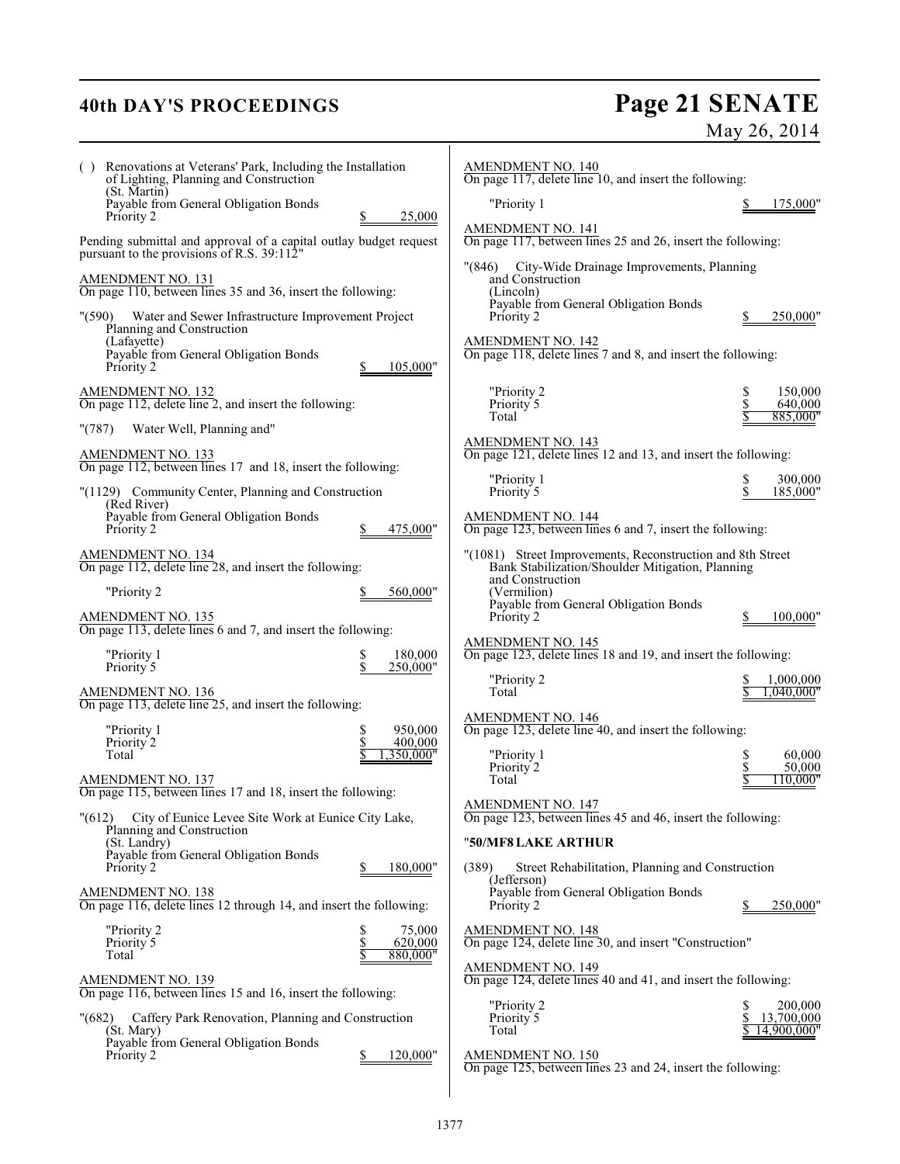## **40th DAY'S PROCEEDINGS Page 21 SENATE** May 26, 2014

| () Renovations at Veterans' Park, Including the Installation<br>of Lighting, Planning and Construction<br>(St. Martin)                  | <b>AMENDMENT NO. 140</b><br>On page 117, delete line 10, and insert the following:                                                 |                                            |
|-----------------------------------------------------------------------------------------------------------------------------------------|------------------------------------------------------------------------------------------------------------------------------------|--------------------------------------------|
| Payable from General Obligation Bonds                                                                                                   | "Priority 1                                                                                                                        | 175,000"                                   |
| 25,000<br>Priority 2<br>Pending submittal and approval of a capital outlay budget request<br>pursuant to the provisions of R.S. 39:112" | <b>AMENDMENT NO. 141</b><br>On page 117, between lines 25 and 26, insert the following:                                            |                                            |
| AMENDMENT NO. 131                                                                                                                       | City-Wide Drainage Improvements, Planning<br>"(846)<br>and Construction                                                            |                                            |
| On page 110, between lines 35 and 36, insert the following:                                                                             | (Lincoln)<br>Payable from General Obligation Bonds                                                                                 |                                            |
| "(590) Water and Sewer Infrastructure Improvement Project<br>Planning and Construction                                                  | Priority 2                                                                                                                         | 250,000"                                   |
| (Lafayette)<br>Payable from General Obligation Bonds<br>Priority 2<br>105,000"                                                          | <b>AMENDMENT NO. 142</b><br>On page 118, delete lines 7 and 8, and insert the following:                                           |                                            |
| <b>AMENDMENT NO. 132</b><br>On page 112, delete line 2, and insert the following:                                                       | "Priority 2<br>Priority 5                                                                                                          | 150,000<br>\$<br>\$<br>640,000             |
| Water Well, Planning and"<br>"(787)                                                                                                     | Total                                                                                                                              | 885,000"                                   |
| <b>AMENDMENT NO. 133</b><br>On page 112, between lines 17 and 18, insert the following:                                                 | <b>AMENDMENT NO. 143</b><br>On page 121, delete lines 12 and 13, and insert the following:                                         |                                            |
| "(1129) Community Center, Planning and Construction                                                                                     | "Priority 1<br>Priority 5                                                                                                          | 300,000<br>s<br>S<br>185,000"              |
| (Red River)<br>Payable from General Obligation Bonds<br>Priority 2<br>475,000"                                                          | <b>AMENDMENT NO. 144</b><br>On page 123, between lines 6 and 7, insert the following:                                              |                                            |
| <b>AMENDMENT NO. 134</b><br>On page 112, delete line 28, and insert the following:                                                      | "(1081) Street Improvements, Reconstruction and 8th Street<br>Bank Stabilization/Shoulder Mitigation, Planning<br>and Construction |                                            |
| "Priority 2<br>560,000"                                                                                                                 | (Vermilion)<br>Payable from General Obligation Bonds                                                                               |                                            |
| <b>AMENDMENT NO. 135</b><br>On page 113, delete lines 6 and 7, and insert the following:                                                | Priority 2                                                                                                                         | 100,000"                                   |
| "Priority 1<br>180,000<br>\$                                                                                                            | <b>AMENDMENT NO. 145</b><br>On page 123, delete lines 18 and 19, and insert the following:                                         |                                            |
| \$<br>Priority 5<br>250,000"                                                                                                            | "Priority 2                                                                                                                        | 1,000,000                                  |
| <b>AMENDMENT NO. 136</b><br>On page 113, delete line 25, and insert the following:                                                      | Total                                                                                                                              | 1.040.000"                                 |
| \$<br>950,000<br>"Priority 1<br>\$<br>Priority 2<br>400,000                                                                             | <b>AMENDMENT NO. 146</b><br>On page 123, delete line 40, and insert the following:                                                 |                                            |
| Total<br>,350,000"                                                                                                                      | "Priority 1<br>Priority 2                                                                                                          | 60,000<br>\$<br>\$<br>50,000               |
| <b>AMENDMENT NO. 137</b><br>On page 115, between lines 17 and 18, insert the following:                                                 | Total                                                                                                                              | 110,000"                                   |
| City of Eunice Levee Site Work at Eunice City Lake,<br>" (612)                                                                          | <b>AMENDMENT NO. 147</b><br>On page 123, between lines 45 and 46, insert the following:                                            |                                            |
| Planning and Construction<br>(St. Landry)                                                                                               | "50/MF8 LAKE ARTHUR                                                                                                                |                                            |
| Payable from General Obligation Bonds<br>Priority 2<br>180,000"                                                                         | Street Rehabilitation, Planning and Construction<br>(389)<br>(Jefferson)                                                           |                                            |
| <b>AMENDMENT NO. 138</b><br>On page 116, delete lines 12 through 14, and insert the following:                                          | Payable from General Obligation Bonds<br>Priority 2                                                                                | 250,000"                                   |
| "Priority 2<br>75,000<br>s<br>S<br>S<br>620,000<br>Priority 5                                                                           | <b>AMENDMENT NO. 148</b><br>On page 124, delete line 30, and insert "Construction"                                                 |                                            |
| 880,000"<br>Total                                                                                                                       | <b>AMENDMENT NO. 149</b>                                                                                                           |                                            |
| <u>AMENDMENT NO. 139</u><br>On page 116, between lines 15 and 16, insert the following:                                                 | On page 124, delete lines 40 and 41, and insert the following:                                                                     |                                            |
| Caffery Park Renovation, Planning and Construction<br>(682)<br>(St. Mary)                                                               | "Priority 2<br>Priority 5<br>Total                                                                                                 | 200,000<br>\$<br>13,700,000<br>14,900,000" |
| Payable from General Obligation Bonds<br>120,000"<br>Priority 2                                                                         | <b>AMENDMENT NO. 150</b><br>On page 125, between lines 23 and 24, insert the following:                                            |                                            |
|                                                                                                                                         |                                                                                                                                    |                                            |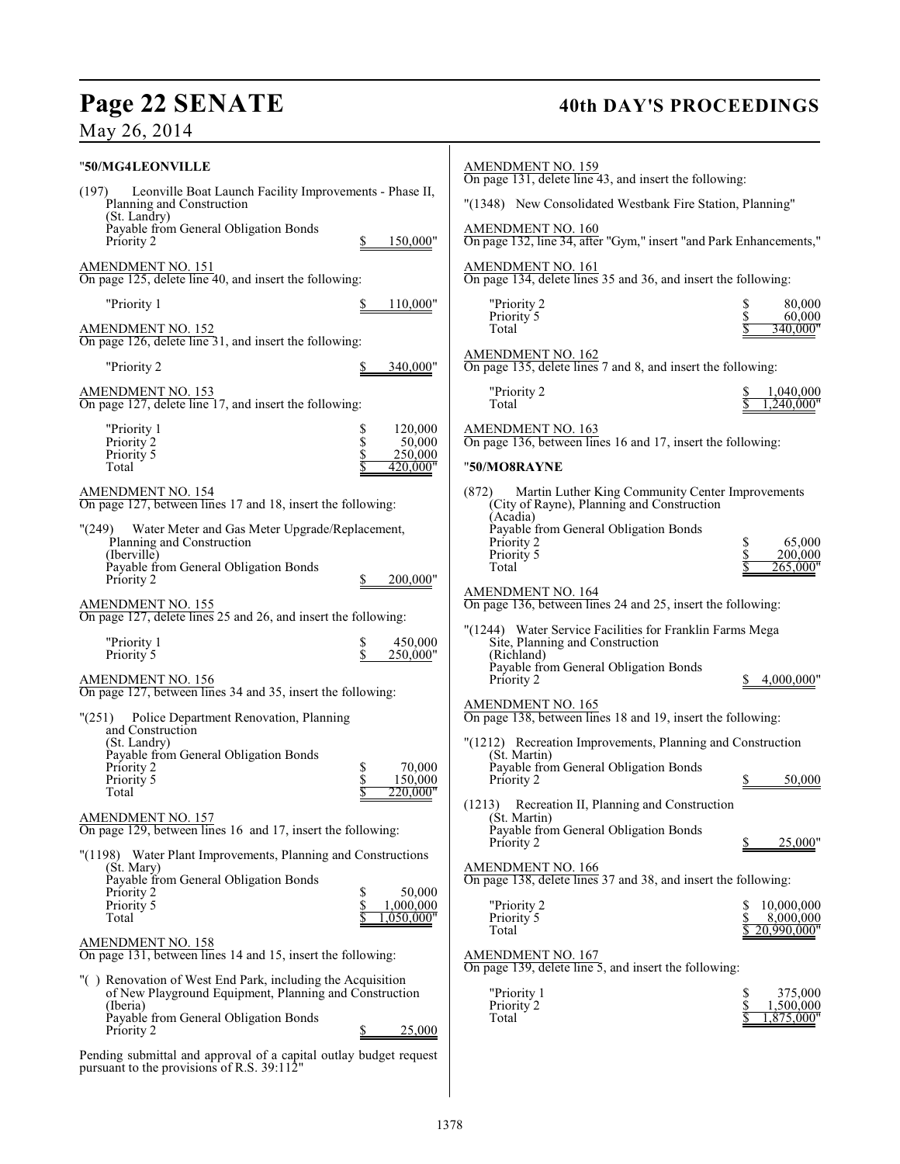# Page 22 SENATE 40th DAY'S PROCEEDINGS

May 26, 2014

| "50/MG4LEONVILLE                                                                                                     |                                 | <b>AMENDMENT NO. 159</b><br>On page 131, delete line 43, and insert the following:                                  |                              |
|----------------------------------------------------------------------------------------------------------------------|---------------------------------|---------------------------------------------------------------------------------------------------------------------|------------------------------|
| Leonville Boat Launch Facility Improvements - Phase II,<br>(197)<br>Planning and Construction                        |                                 | "(1348) New Consolidated Westbank Fire Station, Planning"                                                           |                              |
| (St. Landry)<br>Payable from General Obligation Bonds                                                                |                                 | <b>AMENDMENT NO. 160</b>                                                                                            |                              |
| Priority 2                                                                                                           | 150,000"                        | On page 132, line 34, after "Gym," insert "and Park Enhancements,"                                                  |                              |
| <b>AMENDMENT NO. 151</b><br>On page 125, delete line 40, and insert the following:                                   |                                 | AMENDMENT NO. 161<br>On page 134, delete lines 35 and 36, and insert the following:                                 |                              |
| "Priority 1                                                                                                          | 110,000"                        | "Priority 2<br>Priority 5                                                                                           | 80,000<br>\$<br>60,000       |
| $\frac{\text{AMENDMENT NO. 152}}{\text{On page 126, delete line 31, and insert the following:}}$                     |                                 | Total                                                                                                               | 340,000"                     |
| "Priority 2                                                                                                          | 340,000"                        | <b>AMENDMENT NO. 162</b><br>On page 135, delete lines 7 and 8, and insert the following:                            |                              |
| AMENDMENT NO. 153<br>On page 127, delete line 17, and insert the following:                                          |                                 | "Priority 2<br>Total                                                                                                | 1,040,000<br>.240,000"       |
| "Priority 1<br>Priority 2                                                                                            | 120,000<br>\$<br>50,000         | <b>AMENDMENT NO. 163</b><br>On page 136, between lines 16 and 17, insert the following:                             |                              |
| Priority 5<br>Total                                                                                                  | \$<br>\$<br>250,000<br>420,000" | "50/MO8RAYNE                                                                                                        |                              |
| AMENDMENT NO. 154                                                                                                    |                                 |                                                                                                                     |                              |
| On page 127, between lines 17 and 18, insert the following:                                                          |                                 | Martin Luther King Community Center Improvements<br>(872)<br>(City of Rayne), Planning and Construction<br>(Acadia) |                              |
| "(249) Water Meter and Gas Meter Upgrade/Replacement,<br>Planning and Construction                                   |                                 | Payable from General Obligation Bonds<br>Priority 2                                                                 | 65,000                       |
| (Iberville)                                                                                                          |                                 | Priority 5<br>Total                                                                                                 | 200,000<br>265,000"          |
| Payable from General Obligation Bonds<br>Priority 2                                                                  | 200,000"                        |                                                                                                                     |                              |
| <b>AMENDMENT NO. 155</b><br>On page 127, delete lines 25 and 26, and insert the following:                           |                                 | <b>AMENDMENT NO. 164</b><br>On page 136, between lines 24 and 25, insert the following:                             |                              |
| "Priority 1                                                                                                          | 450,000<br>\$                   | "(1244) Water Service Facilities for Franklin Farms Mega<br>Site, Planning and Construction                         |                              |
| Priority 5                                                                                                           | \$<br>250,000"                  | (Richland)<br>Payable from General Obligation Bonds                                                                 |                              |
| <b>AMENDMENT NO. 156</b><br>On page 127, between lines 34 and 35, insert the following:                              |                                 | Priority 2                                                                                                          | 4,000,000"                   |
| Police Department Renovation, Planning<br>"(251)<br>and Construction                                                 |                                 | AMENDMENT NO. 165<br>On page 138, between lines 18 and 19, insert the following:                                    |                              |
| (St. Landry)                                                                                                         |                                 | "(1212) Recreation Improvements, Planning and Construction<br>(St. Martin)                                          |                              |
| Payable from General Obligation Bonds<br>Priority 2                                                                  | 70,000<br>\$<br>150,000         | Payable from General Obligation Bonds<br>Priority 2                                                                 | 50,000                       |
| Priority 5<br>Total                                                                                                  | 220.000"                        | (1213) Recreation II, Planning and Construction                                                                     |                              |
| AMENDMENT NO. 157<br>On page 129, between lines 16 and 17, insert the following:                                     |                                 | (St. Martin)<br>Payable from General Obligation Bonds                                                               |                              |
| "(1198) Water Plant Improvements, Planning and Constructions                                                         |                                 | Priority 2                                                                                                          | 25,000"                      |
| (St. Mary)<br>Payable from General Obligation Bonds                                                                  |                                 | <b>AMENDMENT NO. 166</b><br>On page 138, delete lines 37 and 38, and insert the following:                          |                              |
| Priority 2<br>Priority 5                                                                                             | 50,000<br>\$<br>1,000,000       | "Priority 2                                                                                                         | 10,000,000                   |
| Total                                                                                                                | ,050,000"                       | Priority 5<br>Total                                                                                                 | 8,000,000<br>20,990,000"     |
| AMENDMENT NO. 158<br>On page 131, between lines 14 and 15, insert the following:                                     |                                 | <b>AMENDMENT NO. 167</b><br>On page 139, delete line 5, and insert the following:                                   |                              |
| "() Renovation of West End Park, including the Acquisition<br>of New Playground Equipment, Planning and Construction |                                 | "Priority 1                                                                                                         | 375,000<br>S                 |
| (Iberia)<br>Payable from General Obligation Bonds                                                                    |                                 | Priority 2<br>Total                                                                                                 | 1,500,000<br>S<br>1,875,000" |
| Priority 2                                                                                                           | 25,000                          |                                                                                                                     |                              |
| Pending submittal and approval of a capital outlay budget request<br>pursuant to the provisions of R.S. 39:112"      |                                 |                                                                                                                     |                              |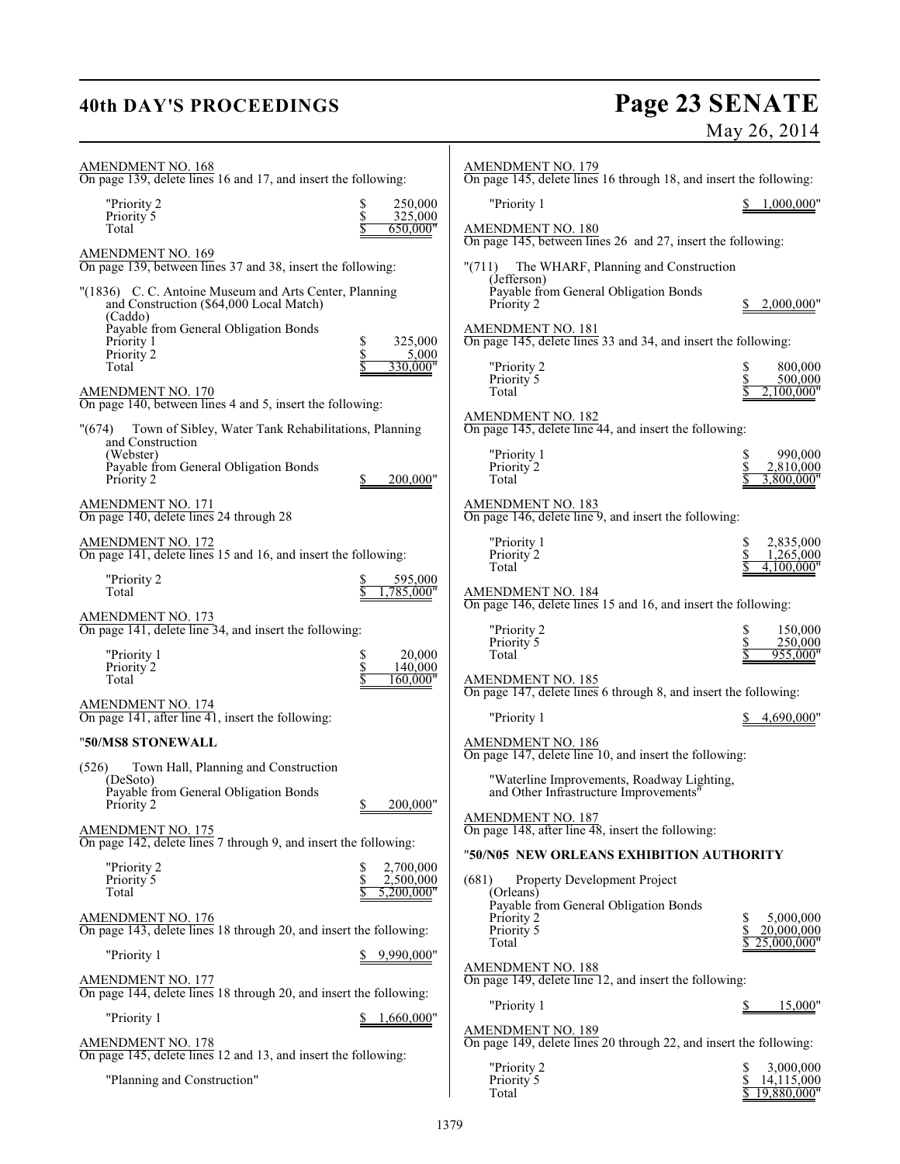## **40th DAY'S PROCEEDINGS**

# **Page 23 SENATE**<br>May 26, 2014

| AMENDMENT NO. 168<br>On page 139, delete lines 16 and 17, and insert the following:                          |                                | <b>AMENDMENT NO. 179</b><br>On page 145, delete lines 16 through 18, and insert the following: |                             |
|--------------------------------------------------------------------------------------------------------------|--------------------------------|------------------------------------------------------------------------------------------------|-----------------------------|
| "Priority 2<br>Priority 5<br>Total                                                                           | 250,000<br>325,000<br>650,000" | "Priority 1<br>AMENDMENT NO. 180                                                               | 1,000,000"                  |
| <b>AMENDMENT NO. 169</b><br>On page 139, between lines 37 and 38, insert the following:                      |                                | On page 145, between lines 26 and 27, insert the following:<br>" $(711)$                       |                             |
|                                                                                                              |                                | The WHARF, Planning and Construction<br>(Jefferson)                                            |                             |
| "(1836) C. C. Antoine Museum and Arts Center, Planning<br>and Construction (\$64,000 Local Match)<br>(Caddo) |                                | Payable from General Obligation Bonds<br>Priority 2                                            | 2,000,000"                  |
| Payable from General Obligation Bonds<br>Priority 1                                                          | 325,000<br>\$                  | <b>AMENDMENT NO. 181</b><br>On page 145, delete lines 33 and 34, and insert the following:     |                             |
| Priority 2<br>Total                                                                                          | 5,000<br>330,000"              | "Priority 2                                                                                    | 800,000                     |
| AMENDMENT NO. 170<br>On page 140, between lines 4 and 5, insert the following:                               |                                | Priority 5<br>Total                                                                            | 500,000<br>2.100.000"       |
| "(674)<br>Town of Sibley, Water Tank Rehabilitations, Planning                                               |                                | AMENDMENT NO. 182<br>On page 145, delete line 44, and insert the following:                    |                             |
| and Construction<br>(Webster)                                                                                |                                | "Priority 1                                                                                    | 990,000                     |
| Payable from General Obligation Bonds<br>Priority 2                                                          | 200,000"                       | Priority 2<br>Total                                                                            | 2,810,000<br>3.800.000"     |
| AMENDMENT NO. 171<br>On page 140, delete lines 24 through 28                                                 |                                | <b>AMENDMENT NO. 183</b><br>On page 146, delete line 9, and insert the following:              |                             |
| <b>AMENDMENT NO. 172</b><br>On page 141, delete lines 15 and 16, and insert the following:                   |                                | "Priority 1<br>Priority <sup>2</sup>                                                           | 2,835,000<br>S<br>1,265,000 |
|                                                                                                              |                                | Total                                                                                          | 4,100,000"                  |
| "Priority 2<br>Total                                                                                         | 595,000<br>785.000"            | <b>AMENDMENT NO. 184</b><br>On page 146, delete lines 15 and 16, and insert the following:     |                             |
| AMENDMENT NO. 173<br>On page 141, delete line 34, and insert the following:                                  |                                | "Priority 2                                                                                    | 150,000<br>\$               |
| "Priority 1                                                                                                  | 20,000                         | Priority 5<br>Total                                                                            | \$<br>250,000<br>955,000"   |
| Priority 2<br>Total                                                                                          | 140,000<br>160,000"            | <b>AMENDMENT NO. 185</b>                                                                       |                             |
|                                                                                                              |                                | On page 147, delete lines 6 through 8, and insert the following:                               |                             |
| AMENDMENT NO. 174<br>On page $141$ , after line 41, insert the following:                                    |                                | "Priority 1                                                                                    | 4,690,000"                  |
| "50/MS8 STONEWALL                                                                                            |                                | <b>AMENDMENT NO. 186</b><br>On page 147, delete line 10, and insert the following:             |                             |
| Town Hall, Planning and Construction<br>(526)<br>(DeSoto)                                                    |                                | "Waterline Improvements, Roadway Lighting,                                                     |                             |
| Payable from General Obligation Bonds<br>Priority 2                                                          | 200,000"<br>Φ                  | and Other Infrastructure Improvements"                                                         |                             |
| <b>AMENDMENT NO. 175</b>                                                                                     |                                | AMENDMENT NO. 187<br>On page $148$ , after line $48$ , insert the following:                   |                             |
| On page 142, delete lines 7 through 9, and insert the following:                                             |                                | "50/N05 NEW ORLEANS EXHIBITION AUTHORITY                                                       |                             |
| "Priority 2<br>Priority 5                                                                                    | 2,700,000<br>\$<br>2,500,000   | Property Development Project<br>(681)                                                          |                             |
| Total                                                                                                        | 5,200,000"                     | (Orleans)                                                                                      |                             |
| <b>AMENDMENT NO. 176</b><br>On page 143, delete lines 18 through 20, and insert the following:               |                                | Payable from General Obligation Bonds<br>Priority 2<br>Priority 5                              | 5,000,000<br>20,000,000     |
| "Priority 1                                                                                                  | 9,990,000"                     | Total                                                                                          | 25.000.000"                 |
| <b>AMENDMENT NO. 177</b><br>On page 144, delete lines 18 through 20, and insert the following:               |                                | <b>AMENDMENT NO. 188</b><br>On page 149, delete line 12, and insert the following:             |                             |
| "Priority 1                                                                                                  | 1,660,000"                     | "Priority 1                                                                                    | 15,000"                     |
| <b>AMENDMENT NO. 178</b>                                                                                     |                                | <b>AMENDMENT NO. 189</b><br>On page 149, delete lines 20 through 22, and insert the following: |                             |
| On page 145, delete lines 12 and 13, and insert the following:                                               |                                | "Priority 2                                                                                    | 3,000,000                   |
| "Planning and Construction"                                                                                  |                                | Priority <sup>5</sup><br>Total                                                                 | 14,115,000<br>19,880,000"   |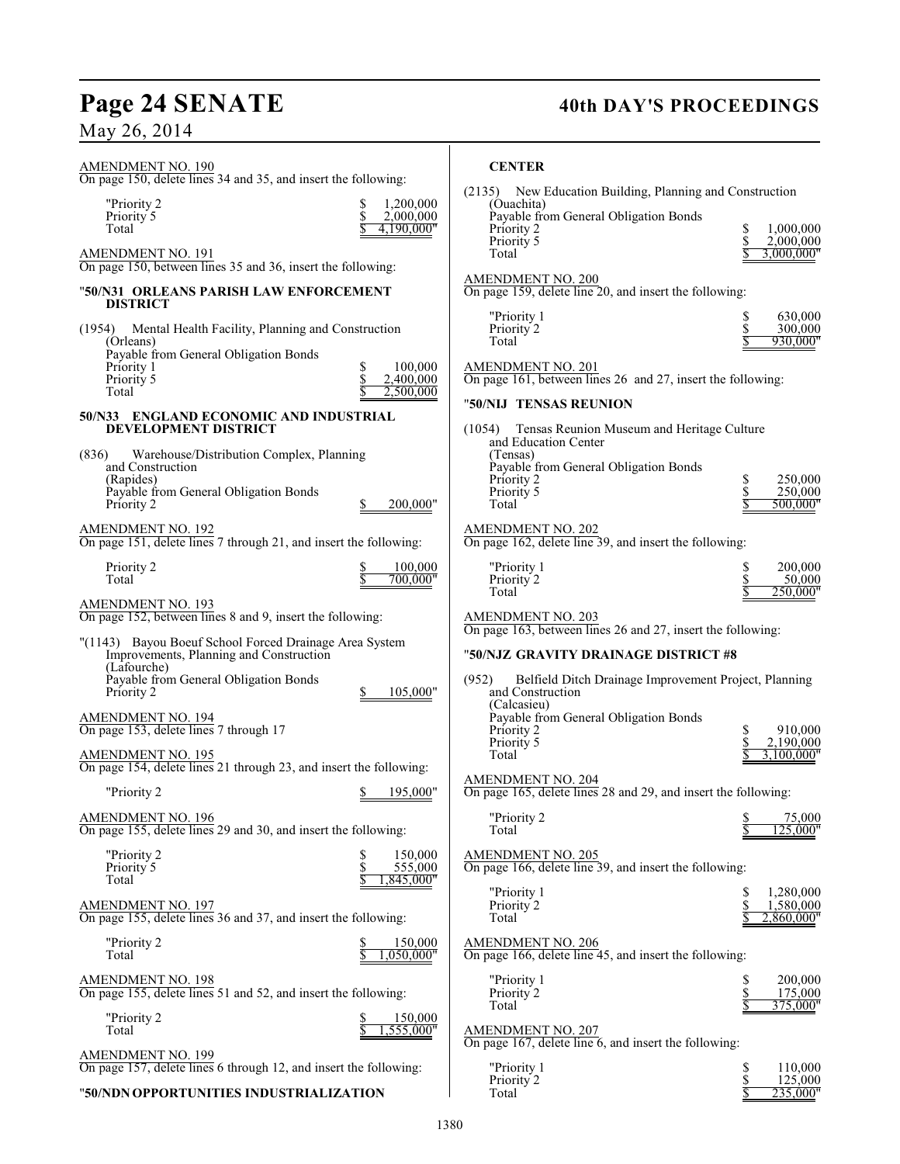## Page 24 SENATE 40th DAY'S PROCEEDINGS

## May 26, 2014

| $\cdots$<br>20, 201                                                                                                                                                                                                                                                                                                    |                                                                                                                                                                                                                                                                                                             |
|------------------------------------------------------------------------------------------------------------------------------------------------------------------------------------------------------------------------------------------------------------------------------------------------------------------------|-------------------------------------------------------------------------------------------------------------------------------------------------------------------------------------------------------------------------------------------------------------------------------------------------------------|
| <b>AMENDMENT NO. 190</b><br>On page 150, delete lines 34 and 35, and insert the following:                                                                                                                                                                                                                             | <b>CENTER</b>                                                                                                                                                                                                                                                                                               |
| 1,200,000<br>"Priority 2<br>\$<br>Priority 5<br>2,000,000<br>Total<br>4.190.000"<br><b>AMENDMENT NO. 191</b>                                                                                                                                                                                                           | (2135)<br>New Education Building, Planning and Construction<br>(Ouachita)<br>Payable from General Obligation Bonds<br>Priority 2<br>\$<br>1,000,000<br>2,000,000<br>Priority 5<br>\$<br>Total<br>3,000,000"                                                                                                 |
| On page 150, between lines 35 and 36, insert the following:<br>"50/N31   ORLEANS PARISH LAW ENFORCEMENT<br><b>DISTRICT</b>                                                                                                                                                                                             | <b>AMENDMENT NO. 200</b><br>On page 159, delete line 20, and insert the following:                                                                                                                                                                                                                          |
| (1954) Mental Health Facility, Planning and Construction<br>(Orleans)<br>Payable from General Obligation Bonds<br>Priority 1<br>100,000<br>2,400,000<br>Priority 5<br>Total<br>2,500,000                                                                                                                               | "Priority 1<br>630,000<br>S<br>\$<br>300,000<br>Priority 2<br>930,000"<br>Total<br><b>AMENDMENT NO. 201</b><br>On page 161, between lines 26 and 27, insert the following:<br>"50/NIJ TENSAS REUNION                                                                                                        |
| 50/N33 ENGLAND ECONOMIC AND INDUSTRIAL<br><b>DEVELOPMENT DISTRICT</b><br>(836)<br>Warehouse/Distribution Complex, Planning<br>and Construction<br>(Rapides)<br>Payable from General Obligation Bonds<br>200,000"<br>Priority 2                                                                                         | (1054) Tensas Reunion Museum and Heritage Culture<br>and Education Center<br>(Tensas)<br>Payable from General Obligation Bonds<br>\$<br>250,000<br>Priority 2<br>\$<br>Priority 5<br>250,000<br>Total<br>500,000"                                                                                           |
| AMENDMENT NO. 192<br>On page 151, delete lines 7 through 21, and insert the following:                                                                                                                                                                                                                                 | AMENDMENT NO. 202<br>On page 162, delete line 39, and insert the following:                                                                                                                                                                                                                                 |
| Priority 2<br>100,000<br>Total<br>700.000"<br><b>AMENDMENT NO. 193</b>                                                                                                                                                                                                                                                 | \$<br>200,000<br>"Priority 1<br>Priority 2<br>\$<br>50,000<br>Total<br>250.000"                                                                                                                                                                                                                             |
| On page 152, between lines 8 and 9, insert the following:<br>"(1143) Bayou Boeuf School Forced Drainage Area System<br>Improvements, Planning and Construction<br>(Lafourche)<br>Payable from General Obligation Bonds<br>Priority 2<br>105,000"<br><b>AMENDMENT NO. 194</b><br>On page 153, delete lines 7 through 17 | <b>AMENDMENT NO. 203</b><br>On page 163, between lines 26 and 27, insert the following:<br>"50/NJZ GRAVITY DRAINAGE DISTRICT #8<br>(952)<br>Belfield Ditch Drainage Improvement Project, Planning<br>and Construction<br>(Calcasieu)<br>Payable from General Obligation Bonds<br>Priority 2<br>910,000<br>S |
| <b>AMENDMENT NO. 195</b><br>On page 154, delete lines 21 through 23, and insert the following:<br>\$ 195,000"<br>"Priority 2                                                                                                                                                                                           | Priority 5<br>2,190,000<br>Total<br>3.100.000"<br><b>AMENDMENT NO. 204</b><br>On page 165, delete lines 28 and 29, and insert the following:                                                                                                                                                                |
| <b>AMENDMENT NO. 196</b><br>On page 155, delete lines 29 and 30, and insert the following:                                                                                                                                                                                                                             | "Priority 2<br>75,000<br>Total<br>25.000'                                                                                                                                                                                                                                                                   |
| "Priority 2<br>150,000<br>S<br>\$<br>555,000<br>Priority 5<br>Total<br>,845,000"                                                                                                                                                                                                                                       | <b>AMENDMENT NO. 205</b><br>On page 166, delete line 39, and insert the following:<br>"Priority 1<br>1,280,000                                                                                                                                                                                              |
| <b>AMENDMENT NO. 197</b><br>On page 155, delete lines 36 and 37, and insert the following:                                                                                                                                                                                                                             | Priority 2<br>\$<br>1.580,000<br>2,860,000"<br>Total                                                                                                                                                                                                                                                        |
| "Priority 2<br>150,000<br>\$<br>,050,000"<br>Total<br><b>AMENDMENT NO. 198</b>                                                                                                                                                                                                                                         | <b>AMENDMENT NO. 206</b><br>On page 166, delete line 45, and insert the following:<br>"Priority 1<br>200,000                                                                                                                                                                                                |
| On page 155, delete lines 51 and 52, and insert the following:<br>"Priority 2<br>150,000<br>Total<br>1,555,000"                                                                                                                                                                                                        | \$<br>175,000<br>Priority 2<br>375,000"<br>Total<br><b>AMENDMENT NO. 207</b>                                                                                                                                                                                                                                |
| <b>AMENDMENT NO. 199</b><br>On page 157, delete lines 6 through 12, and insert the following:                                                                                                                                                                                                                          | On page 167, delete line 6, and insert the following:<br>"Priority 1<br>\$<br>110,000<br>Priority 2<br>125,000                                                                                                                                                                                              |
| "50/NDN OPPORTUNITIES INDUSTRIALIZATION                                                                                                                                                                                                                                                                                | \$<br>\$<br>235,000"<br>Total                                                                                                                                                                                                                                                                               |

## "**50/NDNOPPORTUNITIES INDUSTRIALIZATION**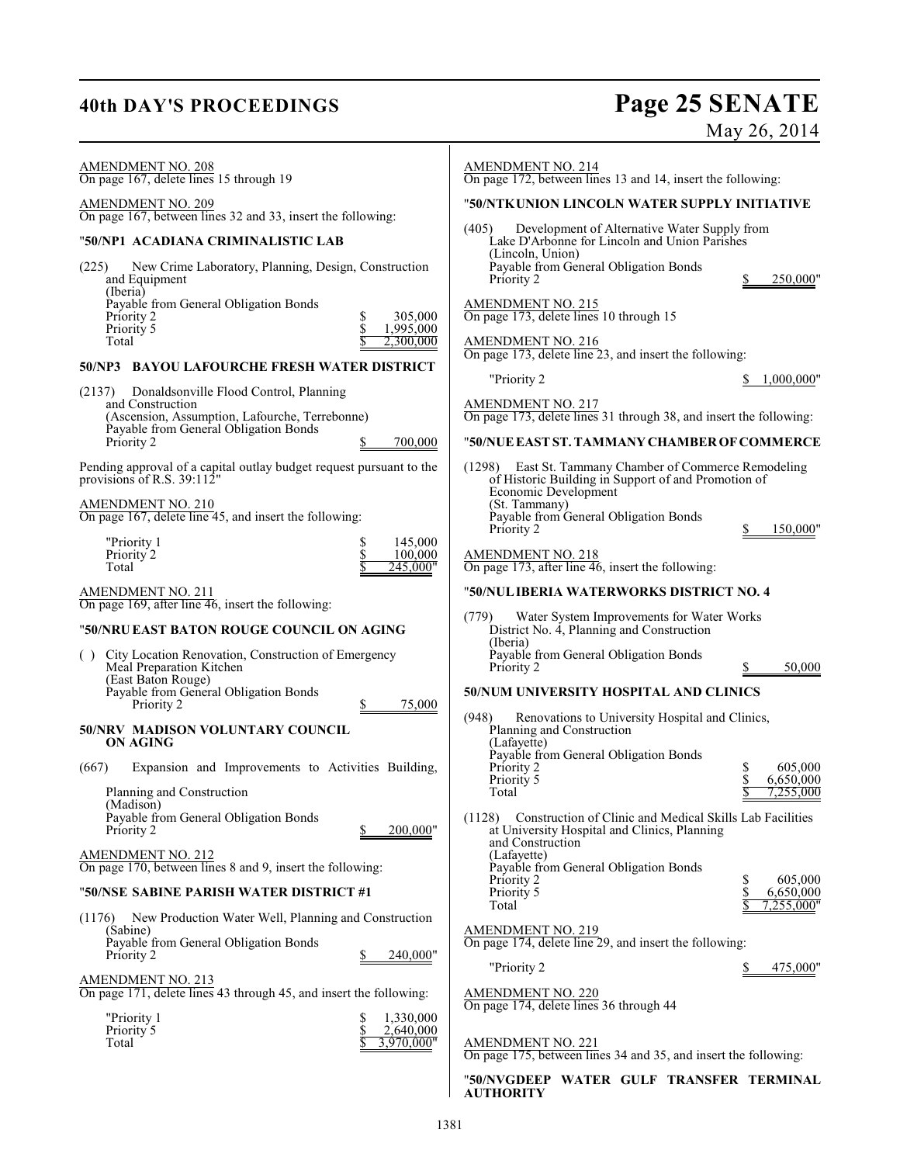# **40th DAY'S PROCEEDINGS Page 25 SENATE**

May 26, 2014

| AMENDMENT NO. 208<br>On page 167, delete lines 15 through 19                                                           | <b>AMENDMENT NO. 214</b><br>On page 172, between lines 13 and 14, insert the following:                                               |
|------------------------------------------------------------------------------------------------------------------------|---------------------------------------------------------------------------------------------------------------------------------------|
| AMENDMENT NO. 209                                                                                                      | "50/NTKUNION LINCOLN WATER SUPPLY INITIATIVE                                                                                          |
| On page 167, between lines 32 and 33, insert the following:<br>"50/NP1 ACADIANA CRIMINALISTIC LAB                      | (405)<br>Development of Alternative Water Supply from<br>Lake D'Arbonne for Lincoln and Union Parishes                                |
| New Crime Laboratory, Planning, Design, Construction<br>(225)<br>and Equipment<br>(Iberia)                             | (Lincoln, Union)<br>Payable from General Obligation Bonds<br>Priority 2<br>250,000"                                                   |
| Payable from General Obligation Bonds<br>305,000<br>Priority 2<br>Priority 5<br>1,995,000                              | <b>AMENDMENT NO. 215</b><br>On page 173, delete lines 10 through 15                                                                   |
| Total<br>2,300,000                                                                                                     | <b>AMENDMENT NO. 216</b><br>On page 173, delete line 23, and insert the following:                                                    |
| 50/NP3 BAYOU LAFOURCHE FRESH WATER DISTRICT                                                                            | "Priority 2<br>1,000,000"                                                                                                             |
| Donaldsonville Flood Control, Planning<br>(2137)<br>and Construction<br>(Ascension, Assumption, Lafourche, Terrebonne) | <b>AMENDMENT NO. 217</b><br>On page 173, delete lines 31 through 38, and insert the following:                                        |
| Payable from General Obligation Bonds<br>Priority 2<br>700,000                                                         | "50/NUE EAST ST. TAMMANY CHAMBER OF COMMERCE                                                                                          |
| Pending approval of a capital outlay budget request pursuant to the<br>provisions of R.S. $39:112"$                    | (1298) East St. Tammany Chamber of Commerce Remodeling<br>of Historic Building in Support of and Promotion of<br>Economic Development |
| AMENDMENT NO. 210<br>On page 167, delete line 45, and insert the following:                                            | (St. Tammany)<br>Payable from General Obligation Bonds<br>Priority 2<br>150,000"                                                      |
| "Priority 1<br>S<br>145,000<br>Priority 2<br>100,000<br>Total<br>245,000"                                              | AMENDMENT NO. 218<br>On page 173, after line 46, insert the following:                                                                |
| AMENDMENT NO. 211                                                                                                      | "50/NUL IBERIA WATERWORKS DISTRICT NO. 4                                                                                              |
| On page 169, after line 46, insert the following:                                                                      | (779)<br>Water System Improvements for Water Works                                                                                    |
| "50/NRU EAST BATON ROUGE COUNCIL ON AGING                                                                              | District No. 4, Planning and Construction<br>(Iberia)                                                                                 |
| () City Location Renovation, Construction of Emergency<br>Meal Preparation Kitchen<br>(East Baton Rouge)               | Payable from General Obligation Bonds<br>Priority 2<br>50,000                                                                         |
| Payable from General Obligation Bonds<br>Priority 2<br>75,000                                                          | 50/NUM UNIVERSITY HOSPITAL AND CLINICS                                                                                                |
| 50/NRV MADISON VOLUNTARY COUNCIL<br>ON AGING                                                                           | Renovations to University Hospital and Clinics,<br>(948)<br>Planning and Construction<br>(Lafayette)                                  |
| (667)<br>Expansion and Improvements to Activities Building,                                                            | Payable from General Obligation Bonds<br>Priority 2<br>605,000<br>Priority 5<br>6,650,000                                             |
| Planning and Construction<br>(Madison)                                                                                 | Total<br>7,255,000                                                                                                                    |
| Payable from General Obligation Bonds<br>200,000"<br>Priority 2                                                        | (1128) Construction of Clinic and Medical Skills Lab Facilities<br>at University Hospital and Clinics, Planning<br>and Construction   |
| <b>AMENDMENT NO. 212</b><br>On page 170, between lines 8 and 9, insert the following:                                  | (Lafayette)<br>Payable from General Obligation Bonds                                                                                  |
| "50/NSE SABINE PARISH WATER DISTRICT #1                                                                                | 605,000<br>Priority 2<br>Priority 5<br>6,650,000<br>Total<br>7,255,000"                                                               |
| New Production Water Well, Planning and Construction<br>(1176)<br>(Sabine)                                             | <b>AMENDMENT NO. 219</b>                                                                                                              |
| Payable from General Obligation Bonds<br>Priority 2<br>240,000"                                                        | On page 174, delete line 29, and insert the following:                                                                                |
| <u>AMENDMENT NO. 213</u>                                                                                               | "Priority 2<br>475,000"                                                                                                               |
| On page 171, delete lines 43 through 45, and insert the following:<br>"Priority 1<br>1,330,000<br>S                    | <b>AMENDMENT NO. 220</b><br>On page 174, delete lines 36 through 44                                                                   |
| \$<br>2,640,000<br>Priority 5<br>Total<br>3,970,000"                                                                   | AMENDMENT NO. 221<br>On page 175, between lines 34 and 35, and insert the following:                                                  |
|                                                                                                                        | "50/NVGDEEP WATER GULF TRANSFER TERMINAL<br><b>AUTHORITY</b>                                                                          |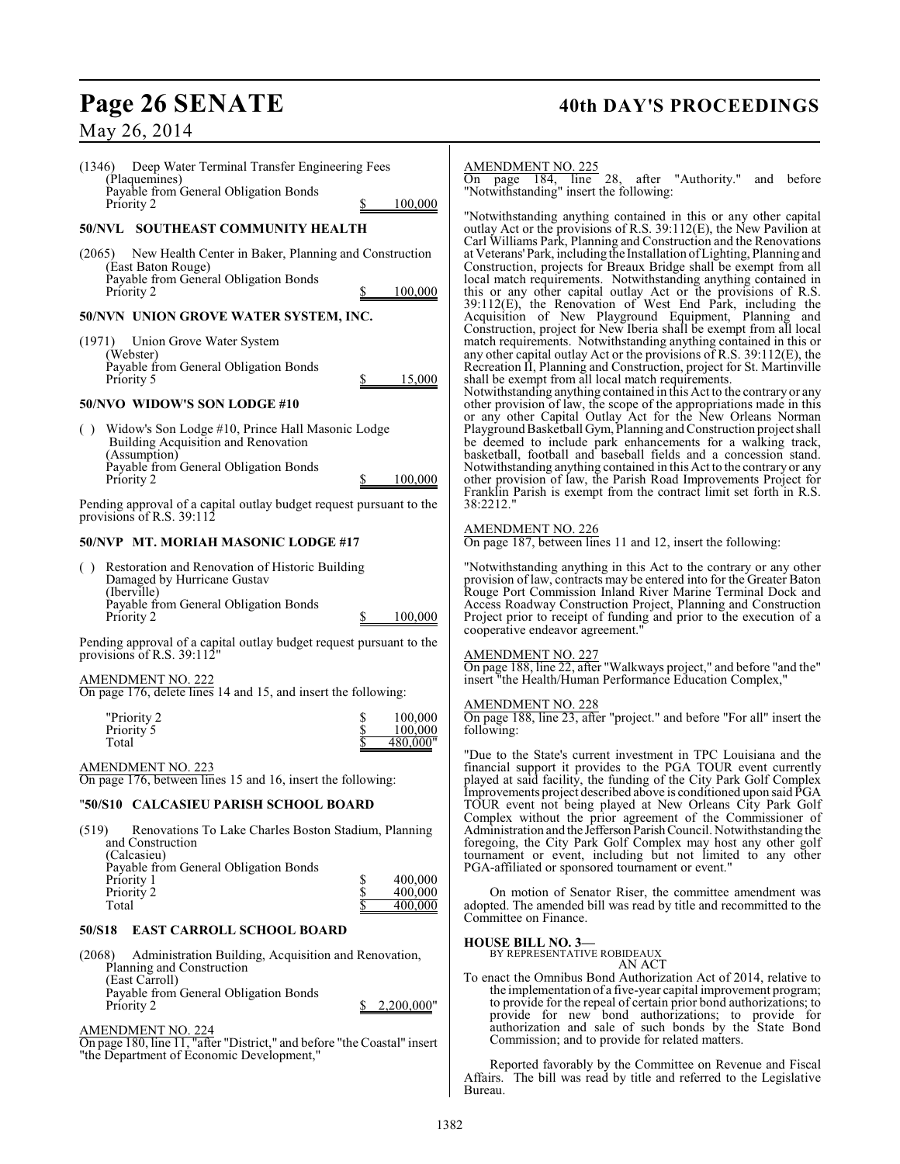## Page 26 SENATE 40th DAY'S PROCEEDINGS

May 26, 2014

## (1346) Deep Water Terminal Transfer Engineering Fees (Plaquemines) Payable from General Obligation Bonds Priority 2 \$ 100,000 **50/NVL SOUTHEAST COMMUNITY HEALTH** (2065) New Health Center in Baker, Planning and Construction (East Baton Rouge) Payable from General Obligation Bonds Priority 2 \$ 100,000 **50/NVN UNION GROVE WATER SYSTEM, INC.** (1971) Union Grove Water System (Webster) Payable from General Obligation Bonds Priority 5  $\qquad \qquad$  15,000 **50/NVO WIDOW'S SON LODGE #10** ( ) Widow's Son Lodge #10, Prince Hall Masonic Lodge Building Acquisition and Renovation (Assumption) Payable from General Obligation Bonds 100,000 Pending approval of a capital outlay budget request pursuant to the provisions of R.S. 39:112 **50/NVP MT. MORIAH MASONIC LODGE #17** ( ) Restoration and Renovation of Historic Building Damaged by Hurricane Gustav (Iberville) Payable from General Obligation Bonds Priority 2 \$ 100,000 Pending approval of a capital outlay budget request pursuant to the provisions of R.S. 39:112 AMENDMENT NO. 222 On page 176, delete lines 14 and 15, and insert the following: "Priority 2 <br>Priority 5 <br>S 100,000 Priority<sup>5</sup>  $480,000"$ AMENDMENT NO. 223 On page 176, between lines 15 and 16, insert the following: "**50/S10 CALCASIEU PARISH SCHOOL BOARD** (519) Renovations To Lake Charles Boston Stadium, Planning and Construction (Calcasieu) Payable from General Obligation Bonds Priority 1 5 400,000<br>Priority 2 5 400,000 Priority 2  $\frac{$}{8}$  400,000<br>Total  $\frac{$}{8}$  400,000 Total  $\frac{1}{\sqrt{5}}$  400,000 **50/S18 EAST CARROLL SCHOOL BOARD** (2068) Administration Building, Acquisition and Renovation, Planning and Construction (East Carroll) Payable from General Obligation Bonds 2.200,000" AMENDMENT NO. 224

On page 180, line 11, "after "District," and before "the Coastal" insert "the Department of Economic Development,"

## AMENDMENT NO. 225

On page 184, line 28, after "Authority." and before "Notwithstanding" insert the following:

"Notwithstanding anything contained in this or any other capital outlay Act or the provisions of R.S. 39:112(E), the New Pavilion at Carl Williams Park, Planning and Construction and the Renovations at Veterans' Park, including the Installation ofLighting, Planning and Construction, projects for Breaux Bridge shall be exempt from all local match requirements. Notwithstanding anything contained in this or any other capital outlay Act or the provisions of R.S. 39:112(E), the Renovation of West End Park, including the Acquisition of New Playground Equipment, Planning and Construction, project for New Iberia shall be exempt from all local match requirements. Notwithstanding anything contained in this or any other capital outlay Act or the provisions of R.S. 39:112(E), the Recreation II, Planning and Construction, project for St. Martinville shall be exempt from all local match requirements.

Notwithstanding anything contained in this Act to the contrary or any other provision of law, the scope of the appropriations made in this or any other Capital Outlay Act for the New Orleans Norman Playground Basketball Gym, Planning and Construction project shall be deemed to include park enhancements for a walking track, basketball, football and baseball fields and a concession stand. Notwithstanding anything contained in this Act to the contrary or any other provision of law, the Parish Road Improvements Project for Franklin Parish is exempt from the contract limit set forth in R.S. 38:2212."

## AMENDMENT NO. 226

On page 187, between lines 11 and 12, insert the following:

"Notwithstanding anything in this Act to the contrary or any other provision of law, contracts may be entered into for the Greater Baton Rouge Port Commission Inland River Marine Terminal Dock and Access Roadway Construction Project, Planning and Construction Project prior to receipt of funding and prior to the execution of a cooperative endeavor agreement."

## AMENDMENT NO. 227

On page 188, line 22, after "Walkways project," and before "and the" insert "the Health/Human Performance Education Complex,"

## AMENDMENT NO. 228

On page 188, line 23, after "project." and before "For all" insert the following:

"Due to the State's current investment in TPC Louisiana and the financial support it provides to the PGA TOUR event currently played at said facility, the funding of the City Park Golf Complex Improvements project described above is conditioned upon said PGA TOUR event not being played at New Orleans City Park Golf Complex without the prior agreement of the Commissioner of Administration and the Jefferson Parish Council. Notwithstanding the foregoing, the City Park Golf Complex may host any other golf tournament or event, including but not limited to any other PGA-affiliated or sponsored tournament or event."

On motion of Senator Riser, the committee amendment was adopted. The amended bill was read by title and recommitted to the Committee on Finance.

## **HOUSE BILL NO. 3—**

BY REPRESENTATIVE ROBIDEAUX AN ACT

To enact the Omnibus Bond Authorization Act of 2014, relative to the implementation of a five-year capital improvement program; to provide for the repeal of certain prior bond authorizations; to provide for new bond authorizations; to provide for authorization and sale of such bonds by the State Bond Commission; and to provide for related matters.

Reported favorably by the Committee on Revenue and Fiscal Affairs. The bill was read by title and referred to the Legislative The bill was read by title and referred to the Legislative Bureau.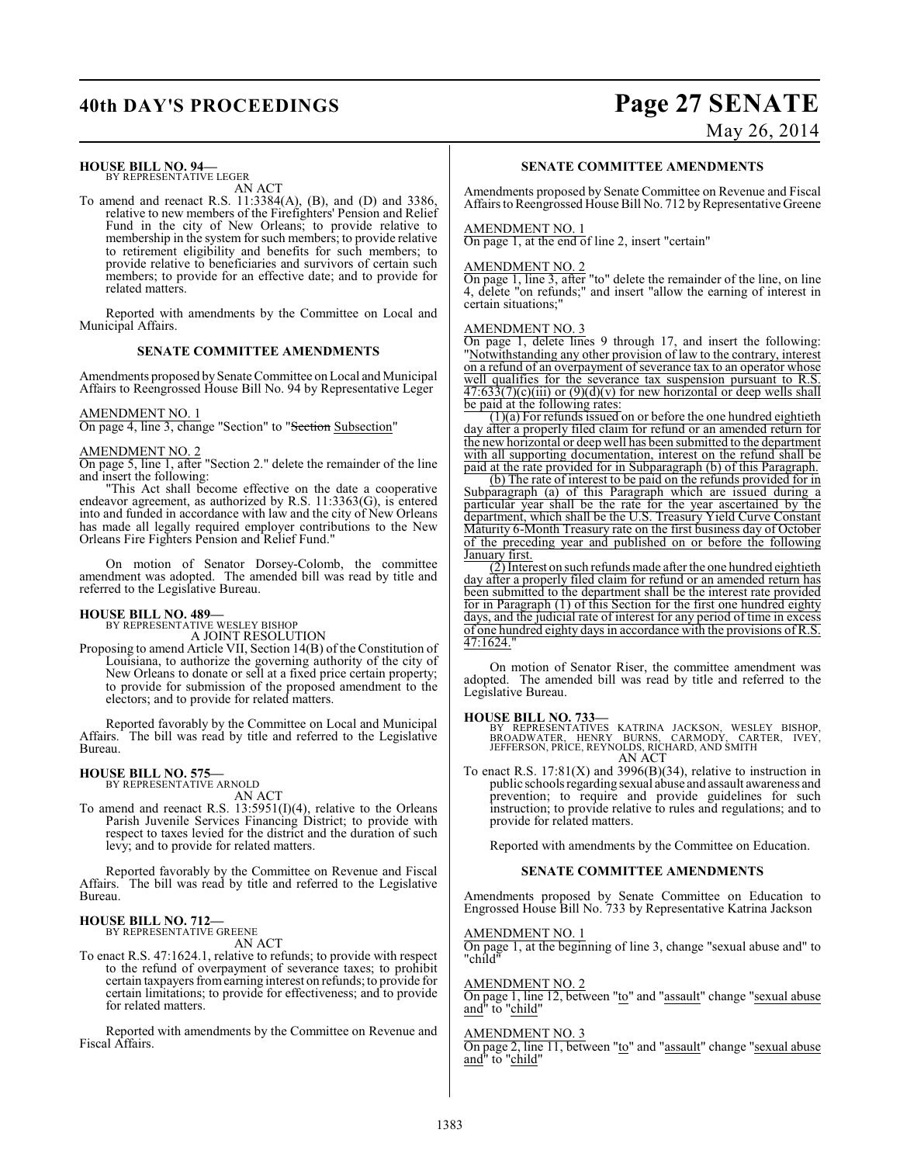## **HOUSE BILL NO. 94—**

BY REPRESENTATIVE LEGER AN ACT

To amend and reenact R.S. 11:3384(A), (B), and (D) and 3386, relative to new members of the Firefighters' Pension and Relief Fund in the city of New Orleans; to provide relative to membership in the system for such members; to provide relative to retirement eligibility and benefits for such members; to provide relative to beneficiaries and survivors of certain such members; to provide for an effective date; and to provide for related matters.

Reported with amendments by the Committee on Local and Municipal Affairs.

## **SENATE COMMITTEE AMENDMENTS**

Amendments proposed by Senate Committee on Local and Municipal Affairs to Reengrossed House Bill No. 94 by Representative Leger

### AMENDMENT NO. 1

On page 4, line 3, change "Section" to "Section Subsection"

## AMENDMENT NO. 2

On page 5, line 1, after "Section 2." delete the remainder of the line and insert the following:

"This Act shall become effective on the date a cooperative endeavor agreement, as authorized by R.S. 11:3363(G), is entered into and funded in accordance with law and the city of New Orleans has made all legally required employer contributions to the New Orleans Fire Fighters Pension and Relief Fund."

On motion of Senator Dorsey-Colomb, the committee amendment was adopted. The amended bill was read by title and referred to the Legislative Bureau.

## **HOUSE BILL NO. 489—**

BY REPRESENTATIVE WESLEY BISHOP A JOINT RESOLUTION

Proposing to amend Article VII, Section 14(B) of the Constitution of Louisiana, to authorize the governing authority of the city of New Orleans to donate or sell at a fixed price certain property; to provide for submission of the proposed amendment to the electors; and to provide for related matters.

Reported favorably by the Committee on Local and Municipal Affairs. The bill was read by title and referred to the Legislative Bureau.

## **HOUSE BILL NO. 575—** BY REPRESENTATIVE ARNOLD

AN ACT

To amend and reenact R.S. 13:5951(I)(4), relative to the Orleans Parish Juvenile Services Financing District; to provide with respect to taxes levied for the district and the duration of such levy; and to provide for related matters.

Reported favorably by the Committee on Revenue and Fiscal Affairs. The bill was read by title and referred to the Legislative Bureau.

## **HOUSE BILL NO. 712—** BY REPRESENTATIVE GREENE

AN ACT

To enact R.S. 47:1624.1, relative to refunds; to provide with respect to the refund of overpayment of severance taxes; to prohibit certain taxpayers from earning interest on refunds; to provide for certain limitations; to provide for effectiveness; and to provide for related matters.

Reported with amendments by the Committee on Revenue and Fiscal Affairs.

# **40th DAY'S PROCEEDINGS Page 27 SENATE**

May 26, 2014

## **SENATE COMMITTEE AMENDMENTS**

Amendments proposed by Senate Committee on Revenue and Fiscal Affairs to Reengrossed House Bill No. 712 by Representative Greene

## AMENDMENT NO. 1

On page 1, at the end of line 2, insert "certain"

## AMENDMENT NO. 2

On page 1, line 3, after "to" delete the remainder of the line, on line 4, delete "on refunds;" and insert "allow the earning of interest in certain situations;"

## AMENDMENT NO. 3

On page 1, delete lines 9 through 17, and insert the following: "Notwithstanding any other provision of law to the contrary, interest on a refund of an overpayment of severance tax to an operator whose well qualifies for the severance tax suspension pursuant to R.S.  $\frac{47:633(7)(c)(iii)}{20}$  or  $\frac{9(d)}{v}$  for new horizontal or deep wells shall be paid at the following rates:

 $(1)(a)$  For refunds issued on or before the one hundred eightieth day after a properly filed claim for refund or an amended return for the new horizontal or deep well has been submitted to the department with all supporting documentation, interest on the refund shall be paid at the rate provided for in Subparagraph (b) of this Paragraph.

(b) The rate of interest to be paid on the refunds provided for in Subparagraph (a) of this Paragraph which are issued during a particular year shall be the rate for the year ascertained by the department, which shall be the U.S. Treasury Yield Curve Constant Maturity 6-Month Treasury rate on the first business day of October of the preceding year and published on or before the following January first.

(2) Interest on such refunds made after the one hundred eightieth day after a properly filed claim for refund or an amended return has been submitted to the department shall be the interest rate provided for in Paragraph (1) of this Section for the first one hundred eighty days, and the judicial rate of interest for any period of time in excess of one hundred eighty days in accordance with the provisions of R.S. 47:1624."

On motion of Senator Riser, the committee amendment was adopted. The amended bill was read by title and referred to the Legislative Bureau.

### **HOUSE BILL NO. 733—**

BY REPRESENTATIVES KATRINA JACKSON, WESLEY BISHOP,<br>BROADWATER, HENRY BURNS, CARMODY, CARTER, IVEY,<br>JEFFERSON,PRICE,REYNOLDS,RICHARD,ANDSMITH AN ACT

To enact R.S.  $17:81(X)$  and  $3996(B)(34)$ , relative to instruction in public schools regarding sexual abuse and assault awareness and prevention; to require and provide guidelines for such instruction; to provide relative to rules and regulations; and to provide for related matters.

Reported with amendments by the Committee on Education.

## **SENATE COMMITTEE AMENDMENTS**

Amendments proposed by Senate Committee on Education to Engrossed House Bill No. 733 by Representative Katrina Jackson

### AMENDMENT NO. 1

On page 1, at the beginning of line 3, change "sexual abuse and" to "child"

## AMENDMENT NO. 2

On page 1, line 12, between "to" and "assault" change "sexual abuse and" to "<u>child</u>"

## AMENDMENT NO. 3

On page 2, line 11, between "to" and "assault" change "sexual abuse and" to "child"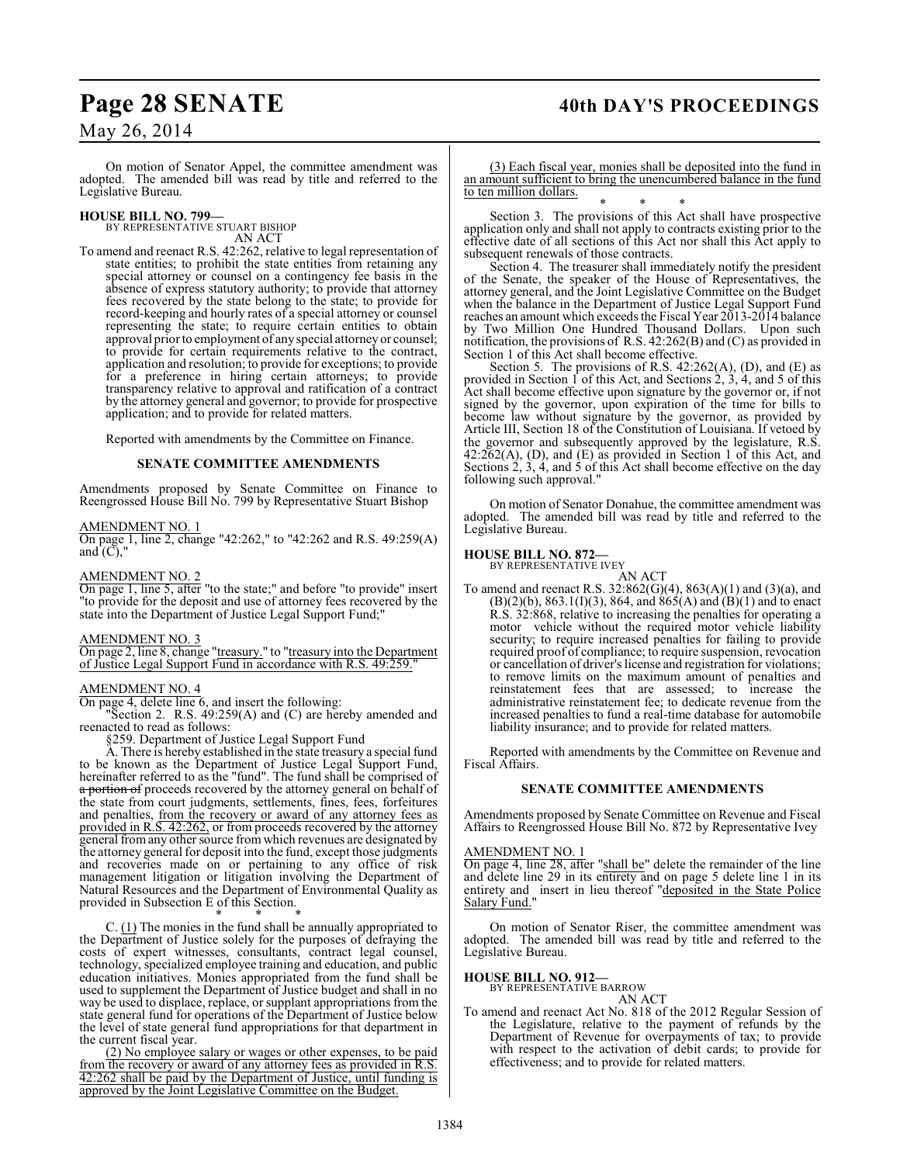## Page 28 SENATE 40th DAY'S PROCEEDINGS

## May 26, 2014

On motion of Senator Appel, the committee amendment was adopted. The amended bill was read by title and referred to the Legislative Bureau.

### **HOUSE BILL NO. 799—** BY REPRESENTATIVE STUART BISHOP

AN ACT

To amend and reenact R.S. 42:262, relative to legal representation of state entities; to prohibit the state entities from retaining any special attorney or counsel on a contingency fee basis in the absence of express statutory authority; to provide that attorney fees recovered by the state belong to the state; to provide for record-keeping and hourly rates of a special attorney or counsel representing the state; to require certain entities to obtain approval prior to employment of any special attorney or counsel; to provide for certain requirements relative to the contract, application and resolution; to provide for exceptions; to provide for a preference in hiring certain attorneys; to provide transparency relative to approval and ratification of a contract by the attorney general and governor; to provide for prospective application; and to provide for related matters.

Reported with amendments by the Committee on Finance.

### **SENATE COMMITTEE AMENDMENTS**

Amendments proposed by Senate Committee on Finance to Reengrossed House Bill No. 799 by Representative Stuart Bishop

## AMENDMENT NO. 1

On page 1, line 2, change "42:262," to "42:262 and R.S. 49:259(A) and  $\dot{C}$ ),

### AMENDMENT NO. 2

On page 1, line 5, after "to the state;" and before "to provide" insert "to provide for the deposit and use of attorney fees recovered by the state into the Department of Justice Legal Support Fund;"

## AMENDMENT NO. 3

On page 2, line 8, change "treasury." to "treasury into the Department of Justice Legal Support Fund in accordance with R.S. 49:259.

### AMENDMENT NO. 4

On page 4, delete line 6, and insert the following:

Section 2. R.S.  $49:259(A)$  and (C) are hereby amended and reenacted to read as follows:

§259. Department of Justice Legal Support Fund

A. There is hereby established in the state treasury a special fund to be known as the Department of Justice Legal Support Fund, hereinafter referred to as the "fund". The fund shall be comprised of <del>a portion of</del> proceeds recovered by the attorney general on behalf of the state from court judgments, settlements, fines, fees, forfeitures and penalties, from the recovery or award of any attorney fees as provided in R.S. 42:262, or from proceeds recovered by the attorney general from any other source from which revenues are designated by the attorney general for deposit into the fund, except those judgments and recoveries made on or pertaining to any office of risk management litigation or litigation involving the Department of Natural Resources and the Department of Environmental Quality as provided in Subsection E of this Section.

\* \* \* C.  $(1)$  The monies in the fund shall be annually appropriated to the Department of Justice solely for the purposes of defraying the costs of expert witnesses, consultants, contract legal counsel, technology, specialized employee training and education, and public education initiatives. Monies appropriated from the fund shall be used to supplement the Department of Justice budget and shall in no way be used to displace, replace, or supplant appropriations from the state general fund for operations of the Department of Justice below the level of state general fund appropriations for that department in the current fiscal year.

(2) No employee salary or wages or other expenses, to be paid from the recovery or award of any attorney fees as provided in R.S. 42:262 shall be paid by the Department of Justice, until funding is approved by the Joint Legislative Committee on the Budget.

(3) Each fiscal year, monies shall be deposited into the fund in an amount sufficient to bring the unencumbered balance in the fund to ten million dollars.

\* \* \* Section 3. The provisions of this Act shall have prospective application only and shall not apply to contracts existing prior to the effective date of all sections of this Act nor shall this Act apply to subsequent renewals of those contracts.

Section 4. The treasurer shall immediately notify the president of the Senate, the speaker of the House of Representatives, the attorney general, and the Joint Legislative Committee on the Budget when the balance in the Department of Justice Legal Support Fund reaches an amount which exceeds the Fiscal Year 2013-2014 balance by Two Million One Hundred Thousand Dollars. Upon such notification, the provisions of R.S. 42:262(B) and (C) as provided in Section 1 of this Act shall become effective.

Section 5. The provisions of R.S.  $42:262(A)$ , (D), and (E) as provided in Section 1 of this Act, and Sections 2, 3, 4, and 5 of this Act shall become effective upon signature by the governor or, if not signed by the governor, upon expiration of the time for bills to become law without signature by the governor, as provided by Article III, Section 18 of the Constitution of Louisiana. If vetoed by the governor and subsequently approved by the legislature, R.S. 42:262(A), (D), and (E) as provided in Section 1 of this Act, and Sections 2, 3, 4, and 5 of this Act shall become effective on the day following such approval."

On motion of Senator Donahue, the committee amendment was adopted. The amended bill was read by title and referred to the Legislative Bureau.

## **HOUSE BILL NO. 872—**

BY REPRESENTATIVE IVEY

AN ACT To amend and reenact R.S. 32:862(G)(4), 863(A)(1) and (3)(a), and  $(B)(2)(b)$ , 863.1(I)(3), 864, and  $865(A)$  and  $(B)(1)$  and to enact R.S. 32:868, relative to increasing the penalties for operating a motor vehicle without the required motor vehicle liability security; to require increased penalties for failing to provide required proof of compliance; to require suspension, revocation or cancellation of driver's license and registration for violations; to remove limits on the maximum amount of penalties and reinstatement fees that are assessed; to increase the administrative reinstatement fee; to dedicate revenue from the increased penalties to fund a real-time database for automobile liability insurance; and to provide for related matters.

Reported with amendments by the Committee on Revenue and Fiscal Affairs.

## **SENATE COMMITTEE AMENDMENTS**

Amendments proposed by Senate Committee on Revenue and Fiscal Affairs to Reengrossed House Bill No. 872 by Representative Ivey

### AMENDMENT NO. 1

On page 4, line 28, after "shall be" delete the remainder of the line and delete line 29 in its entirety and on page 5 delete line 1 in its entirety and insert in lieu thereof "deposited in the State Police Salary Fund."

On motion of Senator Riser, the committee amendment was adopted. The amended bill was read by title and referred to the Legislative Bureau.

### **HOUSE BILL NO. 912—**

BY REPRESENTATIVE BARROW

AN ACT

To amend and reenact Act No. 818 of the 2012 Regular Session of the Legislature, relative to the payment of refunds by the Department of Revenue for overpayments of tax; to provide with respect to the activation of debit cards; to provide for effectiveness; and to provide for related matters.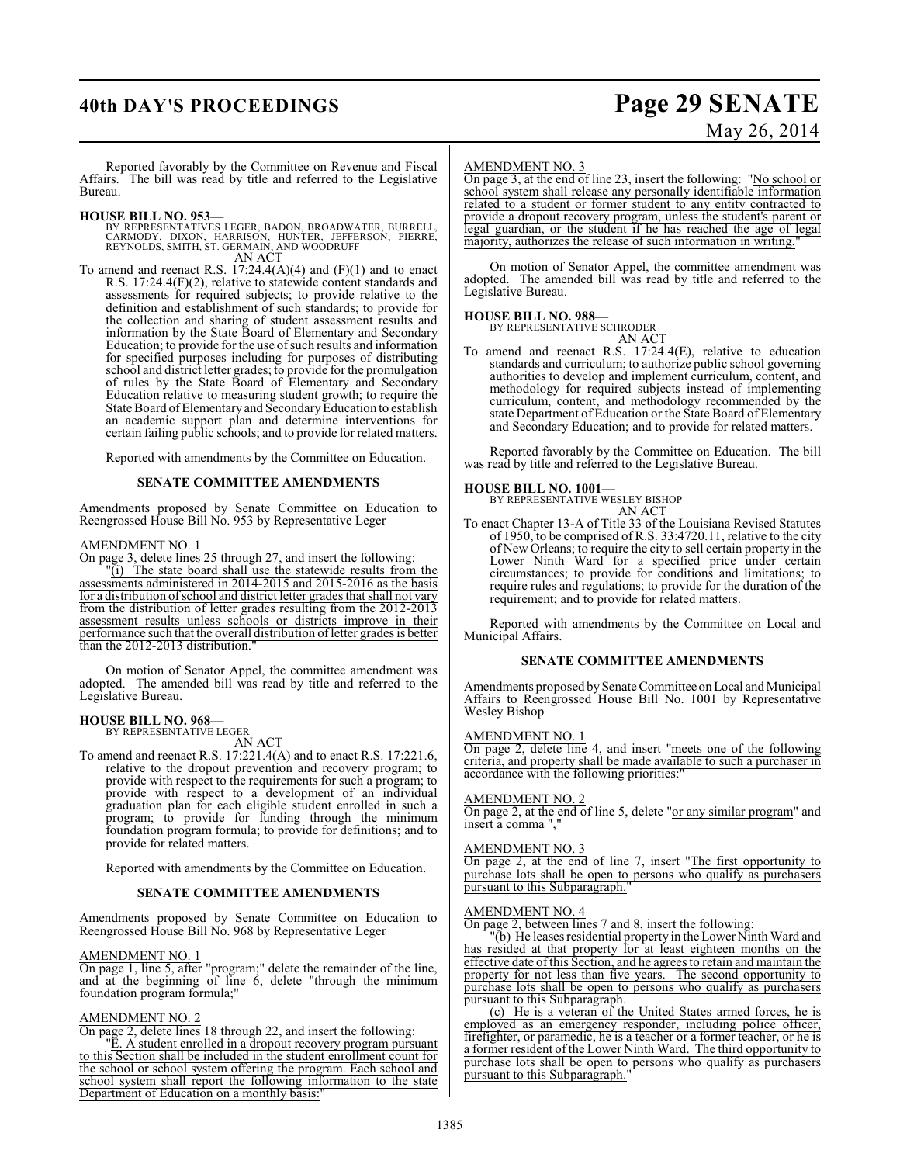## **40th DAY'S PROCEEDINGS Page 29 SENATE**

# May 26, 2014

Reported favorably by the Committee on Revenue and Fiscal Affairs. The bill was read by title and referred to the Legislative Bureau.

## **HOUSE BILL NO. 953—**

- BY REPRESENTATIVES LEGER, BADON, BROADWATER, BURRELL,<br>CARMODY, DIXON, HARRISON, HUNTER, JEFFERSON, PIERRE,<br>REYNOLDS, SMITH, ST. GERMAIN, AND WOODRUFF AN ACT
- To amend and reenact R.S.  $17:24.4(A)(4)$  and  $(F)(1)$  and to enact R.S. 17:24.4(F)(2), relative to statewide content standards and assessments for required subjects; to provide relative to the definition and establishment of such standards; to provide for the collection and sharing of student assessment results and information by the State Board of Elementary and Secondary Education; to provide for the use of such results and information for specified purposes including for purposes of distributing school and district letter grades; to provide for the promulgation of rules by the State Board of Elementary and Secondary Education relative to measuring student growth; to require the State Board of Elementary and Secondary Education to establish an academic support plan and determine interventions for certain failing public schools; and to provide for related matters.

Reported with amendments by the Committee on Education.

## **SENATE COMMITTEE AMENDMENTS**

Amendments proposed by Senate Committee on Education to Reengrossed House Bill No. 953 by Representative Leger

### AMENDMENT NO. 1

On page 3, delete lines 25 through 27, and insert the following:

"(i) The state board shall use the statewide results from the assessments administered in 2014-2015 and 2015-2016 as the basis for a distribution of school and district letter grades that shall not vary from the distribution of letter grades resulting from the 2012-2013 assessment results unless schools or districts improve in their performance such that the overall distribution of letter grades is better than the 2012-2013 distribution.

On motion of Senator Appel, the committee amendment was adopted. The amended bill was read by title and referred to the Legislative Bureau.

## **HOUSE BILL NO. 968—** BY REPRESENTATIVE LEGER

AN ACT

To amend and reenact R.S. 17:221.4(A) and to enact R.S. 17:221.6, relative to the dropout prevention and recovery program; to provide with respect to the requirements for such a program; to provide with respect to a development of an individual graduation plan for each eligible student enrolled in such a program; to provide for funding through the minimum foundation program formula; to provide for definitions; and to provide for related matters.

Reported with amendments by the Committee on Education.

## **SENATE COMMITTEE AMENDMENTS**

Amendments proposed by Senate Committee on Education to Reengrossed House Bill No. 968 by Representative Leger

## AMENDMENT NO. 1

On page 1, line 5, after "program;" delete the remainder of the line, and at the beginning of line 6, delete "through the minimum foundation program formula;"

## AMENDMENT NO. 2

On page 2, delete lines 18 through 22, and insert the following:

"E. A student enrolled in a dropout recovery program pursuant to this Section shall be included in the student enrollment count for the school or school system offering the program. Each school and school system shall report the following information to the state Department of Education on a monthly basis:

### AMENDMENT NO. 3

On page 3, at the end of line 23, insert the following: "No school or school system shall release any personally identifiable information related to a student or former student to any entity contracted to provide a dropout recovery program, unless the student's parent or legal guardian, or the student if he has reached the age of legal majority, authorizes the release of such information in writing.

On motion of Senator Appel, the committee amendment was adopted. The amended bill was read by title and referred to the Legislative Bureau.

**HOUSE BILL NO. 988—** BY REPRESENTATIVE SCHRODER

AN ACT

To amend and reenact R.S. 17:24.4(E), relative to education standards and curriculum; to authorize public school governing authorities to develop and implement curriculum, content, and methodology for required subjects instead of implementing curriculum, content, and methodology recommended by the state Department of Education or the State Board of Elementary and Secondary Education; and to provide for related matters.

Reported favorably by the Committee on Education. The bill was read by title and referred to the Legislative Bureau.

**HOUSE BILL NO. 1001—** BY REPRESENTATIVE WESLEY BISHOP AN ACT

To enact Chapter 13-A of Title 33 of the Louisiana Revised Statutes of 1950, to be comprised of R.S. 33:4720.11, relative to the city of New Orleans; to require the city to sell certain property in the Lower Ninth Ward for a specified price under certain circumstances; to provide for conditions and limitations; to require rules and regulations; to provide for the duration of the requirement; and to provide for related matters.

Reported with amendments by the Committee on Local and Municipal Affairs.

## **SENATE COMMITTEE AMENDMENTS**

Amendments proposed by Senate Committee on Local and Municipal Affairs to Reengrossed House Bill No. 1001 by Representative Wesley Bishop

## AMENDMENT NO. 1

On page 2, delete line 4, and insert "meets one of the following criteria, and property shall be made available to such a purchaser in accordance with the following priorities:

## AMENDMENT NO. 2

On page 2, at the end of line 5, delete "or any similar program" and insert a comma ","

## AMENDMENT NO. 3

On page 2, at the end of line 7, insert "The first opportunity to purchase lots shall be open to persons who qualify as purchasers pursuant to this Subparagraph.

#### AMENDMENT NO. 4

On page 2, between lines 7 and 8, insert the following:

"(b) He leases residential property in the Lower Ninth Ward and has resided at that property for at least eighteen months on the effective date of this Section, and he agrees to retain and maintain the property for not less than five years. The second opportunity to purchase lots shall be open to persons who qualify as purchasers pursuant to this Subparagraph.

(c) He is a veteran of the United States armed forces, he is employed as an emergency responder, including police officer, firefighter, or paramedic, he is a teacher or a former teacher, or he is a former resident of the Lower Ninth Ward. The third opportunity to purchase lots shall be open to persons who qualify as purchasers pursuant to this Subparagraph."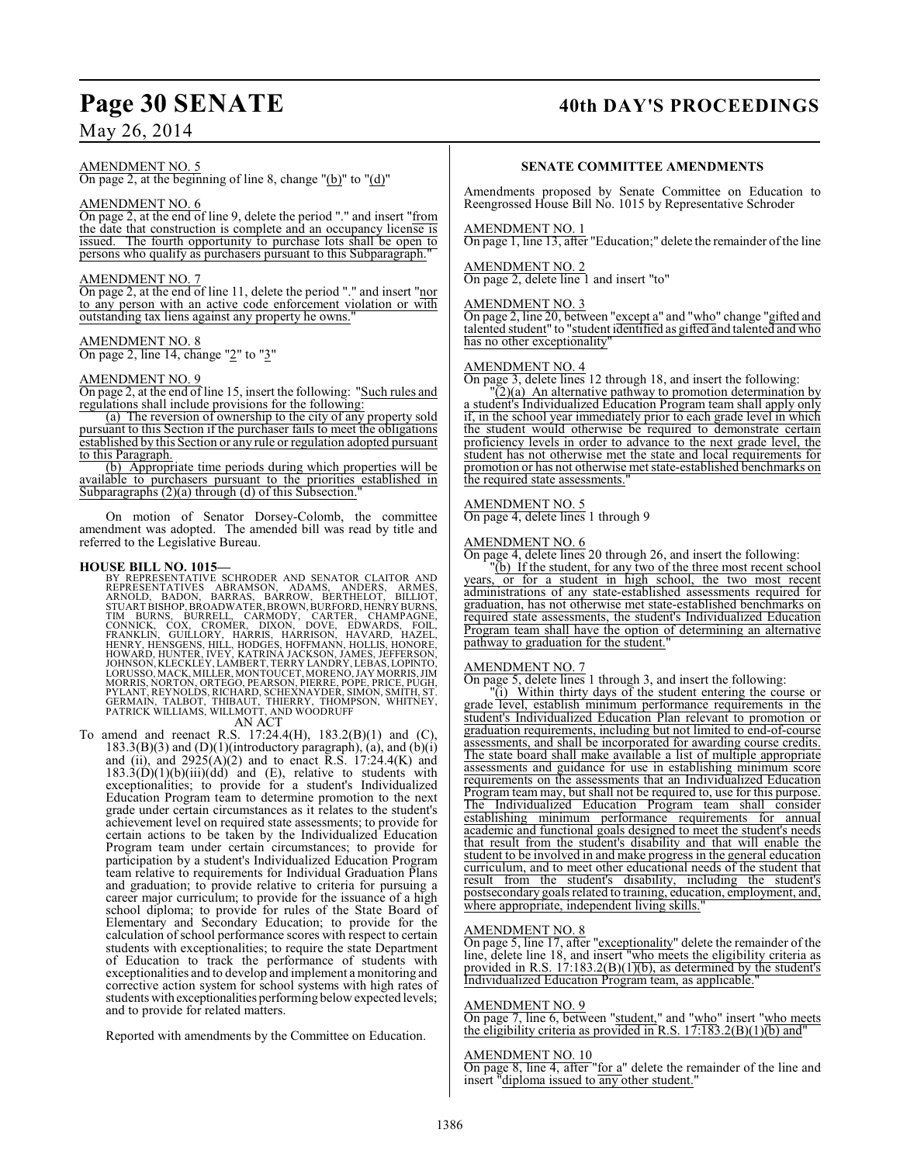## May 26, 2014

## AMENDMENT NO. 5

On page 2, at the beginning of line 8, change "(b)" to "(d)"

## AMENDMENT NO. 6

On page 2, at the end of line 9, delete the period "." and insert "from the date that construction is complete and an occupancy license is issued. The fourth opportunity to purchase lots shall be open to persons who qualify as purchasers pursuant to this Subparagraph."

## AMENDMENT NO. 7

On page 2, at the end of line 11, delete the period "." and insert "nor to any person with an active code enforcement violation or with outstanding tax liens against any property he owns.

AMENDMENT NO. 8 On page 2, line 14, change "2" to "3"

## AMENDMENT NO. 9

On page 2, at the end of line 15, insert the following: "Such rules and regulations shall include provisions for the following:

(a) The reversion of ownership to the city of any property sold pursuant to this Section if the purchaser fails to meet the obligations established by this Section or any rule or regulation adopted pursuant to this Paragraph.

(b) Appropriate time periods during which properties will be available to purchasers pursuant to the priorities established in Subparagraphs  $(2)(a)$  through  $(d)$  of this Subsection.

On motion of Senator Dorsey-Colomb, the committee amendment was adopted. The amended bill was read by title and referred to the Legislative Bureau.

### **HOUSE BILL NO. 1015—**

BY REPRESENTATIVE SCHRODER AND SENATOR CLAITOR AND<br>REPRESENTATIVES ABRAMSON, ADAMS, ANDERS, ARMES,<br>ARNOLD, BADON, BARRAS, BARROW, BERTHELOT, BILLIOT,<br>STUART BISHOP, BROADWATER, BROWN, BURFORD, HENRY BURNS, TIM BURNS, BURRELL, CARMODY, CARTER, CHAMPAGNE,<br>CONNICK, COX, CROMER, DIXON, DOVE, EDWARDS, FOIL,<br>FRANKLIN, GUILLORY, HARRIS, HARRISON, HAVARD, HAZEL,<br>HENRY, HENSGENS, HILL, HODGES, HOFFMANN, HOLLIS, HONORE.<br>HOWARD, HUNTER

AN ACT

To amend and reenact R.S. 17:24.4(H), 183.2(B)(1) and (C),  $183.3(B)(3)$  and  $(D)(1)(introducing a graph)$ , (a), and  $(b)(i)$ and (ii), and  $2925(A)(2)$  and to enact R.S. 17:24.4(K) and  $183.3(D)(1)(b)(iii)(dd)$  and (E), relative to students with exceptionalities; to provide for a student's Individualized Education Program team to determine promotion to the next grade under certain circumstances as it relates to the student's achievement level on required state assessments; to provide for certain actions to be taken by the Individualized Education Program team under certain circumstances; to provide for participation by a student's Individualized Education Program team relative to requirements for Individual Graduation Plans and graduation; to provide relative to criteria for pursuing a career major curriculum; to provide for the issuance of a high school diploma; to provide for rules of the State Board of Elementary and Secondary Education; to provide for the calculation of school performance scores with respect to certain students with exceptionalities; to require the state Department of Education to track the performance of students with exceptionalities and to develop and implement a monitoring and corrective action system for school systems with high rates of students with exceptionalities performing below expected levels; and to provide for related matters.

Reported with amendments by the Committee on Education.

## Page 30 SENATE 40th DAY'S PROCEEDINGS

## **SENATE COMMITTEE AMENDMENTS**

Amendments proposed by Senate Committee on Education to Reengrossed House Bill No. 1015 by Representative Schroder

## AMENDMENT NO. 1

On page 1, line 13, after "Education;" delete the remainder of the line

## AMENDMENT NO. 2

On page 2, delete line 1 and insert "to"

## AMENDMENT NO. 3

On page 2, line 20, between "except a" and "who" change "gifted and talented student" to "student identified as gifted and talented and who has no other exceptionality"

### AMENDMENT NO. 4

On page 3, delete lines 12 through 18, and insert the following:

 $\sqrt{2}$ (a) An alternative pathway to promotion determination by a student's Individualized Education Program team shall apply only if, in the school year immediately prior to each grade level in which the student would otherwise be required to demonstrate certain proficiency levels in order to advance to the next grade level, the student has not otherwise met the state and local requirements for promotion or has not otherwise met state-established benchmarks on the required state assessments."

## AMENDMENT NO. 5

On page 4, delete lines 1 through 9

## AMENDMENT NO. 6

On page 4, delete lines 20 through 26, and insert the following:

"(b) If the student, for any two of the three most recent school years, or for a student in high school, the two most recent administrations of any state-established assessments required for graduation, has not otherwise met state-established benchmarks on required state assessments, the student's Individualized Education Program team shall have the option of determining an alternative pathway to graduation for the student.

## AMENDMENT NO. 7

On page 5, delete lines 1 through 3, and insert the following:

"(i) Within thirty days of the student entering the course or grade level, establish minimum performance requirements in the student's Individualized Education Plan relevant to promotion or graduation requirements, including but not limited to end-of-course assessments, and shall be incorporated for awarding course credits. The state board shall make available a list of multiple appropriate assessments and guidance for use in establishing minimum score requirements on the assessments that an Individualized Education Program team may, but shall not be required to, use for this purpose. The Individualized Education Program team shall consider The Individualized Education Program team shall consider establishing minimum performance requirements for annual academic and functional goals designed to meet the student's needs that result from the student's disability and that will enable the student to be involved in and make progress in the general education curriculum, and to meet other educational needs of the student that result from the student's disability, including the student's postsecondary goals related to training, education, employment, and, where appropriate, independent living skills.

## AMENDMENT NO. 8

On page 5, line 17, after "exceptionality" delete the remainder of the line, delete line 18, and insert "who meets the eligibility criteria as provided in R.S. 17:183.2(B)(1)(b), as determined by the student's Individualized Education Program team, as applicable."

### AMENDMENT NO. 9

On page 7, line 6, between "student," and "who" insert "who meets the eligibility criteria as provided in R.S.  $17:183.2(B)(1)(b)$  and

### AMENDMENT NO. 10

On page 8, line 4, after "<u>for a</u>" delete the remainder of the line and insert "diploma issued to any other student."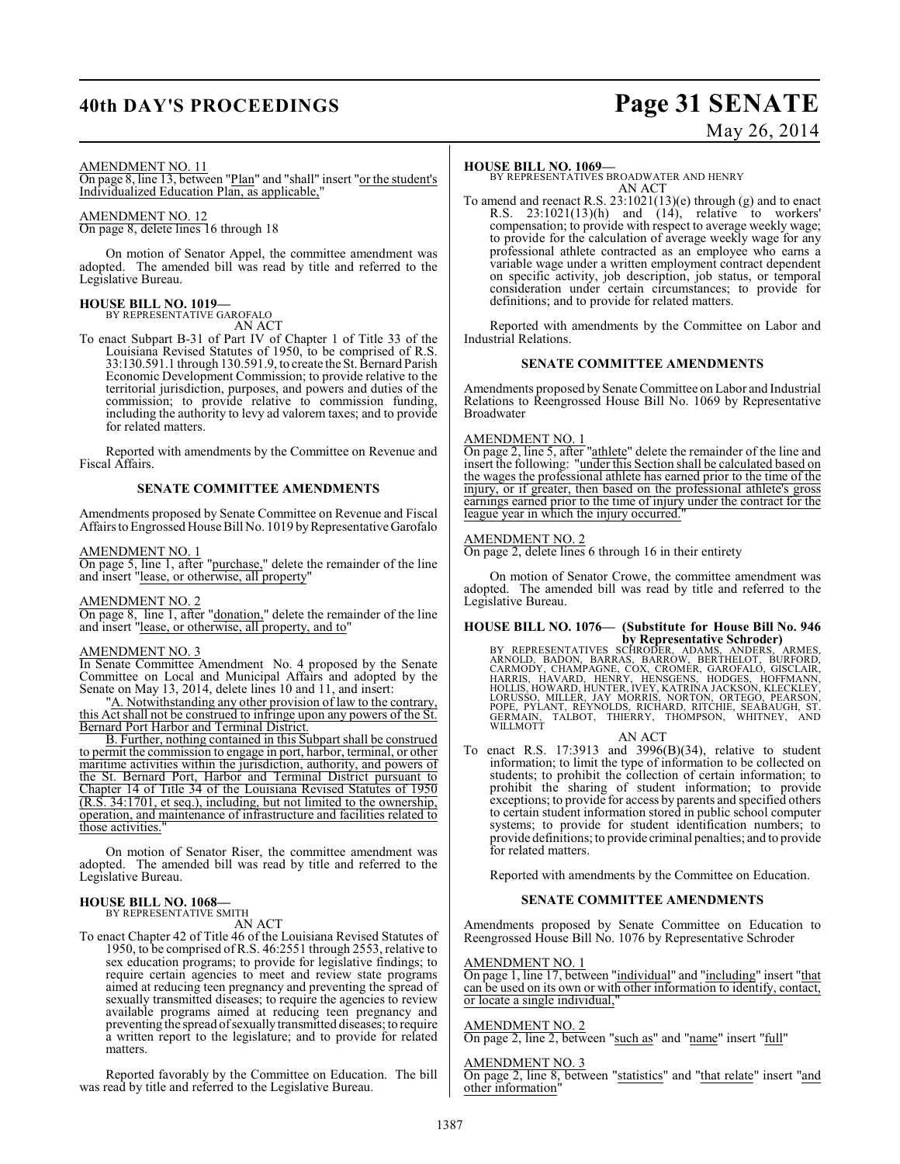## **40th DAY'S PROCEEDINGS Page 31 SENATE**

# May 26, 2014

### AMENDMENT NO. 11

On page 8, line 13, between "Plan" and "shall" insert "or the student's Individualized Education Plan, as applicable,"

## AMENDMENT NO. 12

On page 8, delete lines 16 through 18

On motion of Senator Appel, the committee amendment was adopted. The amended bill was read by title and referred to the Legislative Bureau.

## **HOUSE BILL NO. 1019—** BY REPRESENTATIVE GAROFALO

AN ACT

To enact Subpart B-31 of Part IV of Chapter 1 of Title 33 of the Louisiana Revised Statutes of 1950, to be comprised of R.S. 33:130.591.1 through 130.591.9, to create the St. Bernard Parish Economic Development Commission; to provide relative to the territorial jurisdiction, purposes, and powers and duties of the commission; to provide relative to commission funding, including the authority to levy ad valorem taxes; and to provide for related matters.

Reported with amendments by the Committee on Revenue and Fiscal Affairs.

## **SENATE COMMITTEE AMENDMENTS**

Amendments proposed by Senate Committee on Revenue and Fiscal Affairs to Engrossed House Bill No. 1019 by Representative Garofalo

### AMENDMENT NO. 1

On page 5, line 1, after "purchase," delete the remainder of the line and insert "lease, or otherwise, all property"

### AMENDMENT NO. 2

On page 8, line 1, after "donation," delete the remainder of the line and insert "lease, or otherwise, all property, and to"

## AMENDMENT NO. 3

In Senate Committee Amendment No. 4 proposed by the Senate Committee on Local and Municipal Affairs and adopted by the Senate on May 13, 2014, delete lines 10 and 11, and insert:

"A. Notwithstanding any other provision of law to the contrary, this Act shall not be construed to infringe upon any powers of the St. Bernard Port Harbor and Terminal District.

B. Further, nothing contained in this Subpart shall be construed to permit the commission to engage in port, harbor, terminal, or other maritime activities within the jurisdiction, authority, and powers of the St. Bernard Port, Harbor and Terminal District pursuant to Chapter 14 of Title 34 of the Louisiana Revised Statutes of 1950 (R.S. 34:1701, et seq.), including, but not limited to the ownership, operation, and maintenance of infrastructure and facilities related to those activities.

On motion of Senator Riser, the committee amendment was adopted. The amended bill was read by title and referred to the Legislative Bureau.

## **HOUSE BILL NO. 1068—**

BY REPRESENTATIVE SMITH

AN ACT

To enact Chapter 42 of Title 46 of the Louisiana Revised Statutes of 1950, to be comprised of R.S. 46:2551 through 2553, relative to sex education programs; to provide for legislative findings; to require certain agencies to meet and review state programs aimed at reducing teen pregnancy and preventing the spread of sexually transmitted diseases; to require the agencies to review available programs aimed at reducing teen pregnancy and preventing the spread of sexually transmitted diseases; to require a written report to the legislature; and to provide for related matters.

Reported favorably by the Committee on Education. The bill was read by title and referred to the Legislative Bureau.

### **HOUSE BILL NO. 1069—**

BY REPRESENTATIVES BROADWATER AND HENRY AN ACT

To amend and reenact R.S. 23:1021(13)(e) through (g) and to enact R.S.  $23:1021(13)(h)$  and  $(14)$ , relative to workers' compensation; to provide with respect to average weekly wage; to provide for the calculation of average weekly wage for any professional athlete contracted as an employee who earns a variable wage under a written employment contract dependent on specific activity, job description, job status, or temporal consideration under certain circumstances; to provide for definitions; and to provide for related matters.

Reported with amendments by the Committee on Labor and Industrial Relations.

## **SENATE COMMITTEE AMENDMENTS**

Amendments proposed by Senate Committee on Labor and Industrial Relations to Reengrossed House Bill No. 1069 by Representative Broadwater

### AMENDMENT NO. 1

On page 2, line 5, after "athlete" delete the remainder of the line and insert the following: "under this Section shall be calculated based on the wages the professional athlete has earned prior to the time of the injury, or if greater, then based on the professional athlete's gross earnings earned prior to the time of injury under the contract for the league year in which the injury occurred.

## AMENDMENT NO. 2

On page 2, delete lines 6 through 16 in their entirety

On motion of Senator Crowe, the committee amendment was adopted. The amended bill was read by title and referred to the Legislative Bureau.

## **HOUSE BILL NO. 1076— (Substitute for House Bill No. 946**

**by Representative Schroder)**<br>BY REPRESENTATIVES SCHRODER, ADAMS, ANDERS, ARMES,<br>ARNOLD, BADON, BARRAS, BARRÓW, BERTHELOT, BURFORD,<br>CARMODY, CHAMPAGNE, COX, CROMER, GAROFALO, GISCLAIR,<br>HARRIS, HAVARD, HENRY, HENSGENS, HODG

AN ACT

To enact R.S.  $17:3913$  and  $3996(B)(34)$ , relative to student information; to limit the type of information to be collected on students; to prohibit the collection of certain information; to prohibit the sharing of student information; to provide exceptions; to provide for access by parents and specified others to certain student information stored in public school computer systems; to provide for student identification numbers; to provide definitions; to provide criminal penalties; and to provide for related matters.

Reported with amendments by the Committee on Education.

### **SENATE COMMITTEE AMENDMENTS**

Amendments proposed by Senate Committee on Education to Reengrossed House Bill No. 1076 by Representative Schroder

## AMENDMENT NO. 1

On page 1, line 17, between "individual" and "including" insert "that can be used on its own or with other information to identify, contact, or locate a single individual,"

## AMENDMENT NO. 2

On page 2, line 2, between "such as" and "name" insert "full"

AMENDMENT NO. 3

On page 2, line 8, between "statistics" and "that relate" insert "and other information"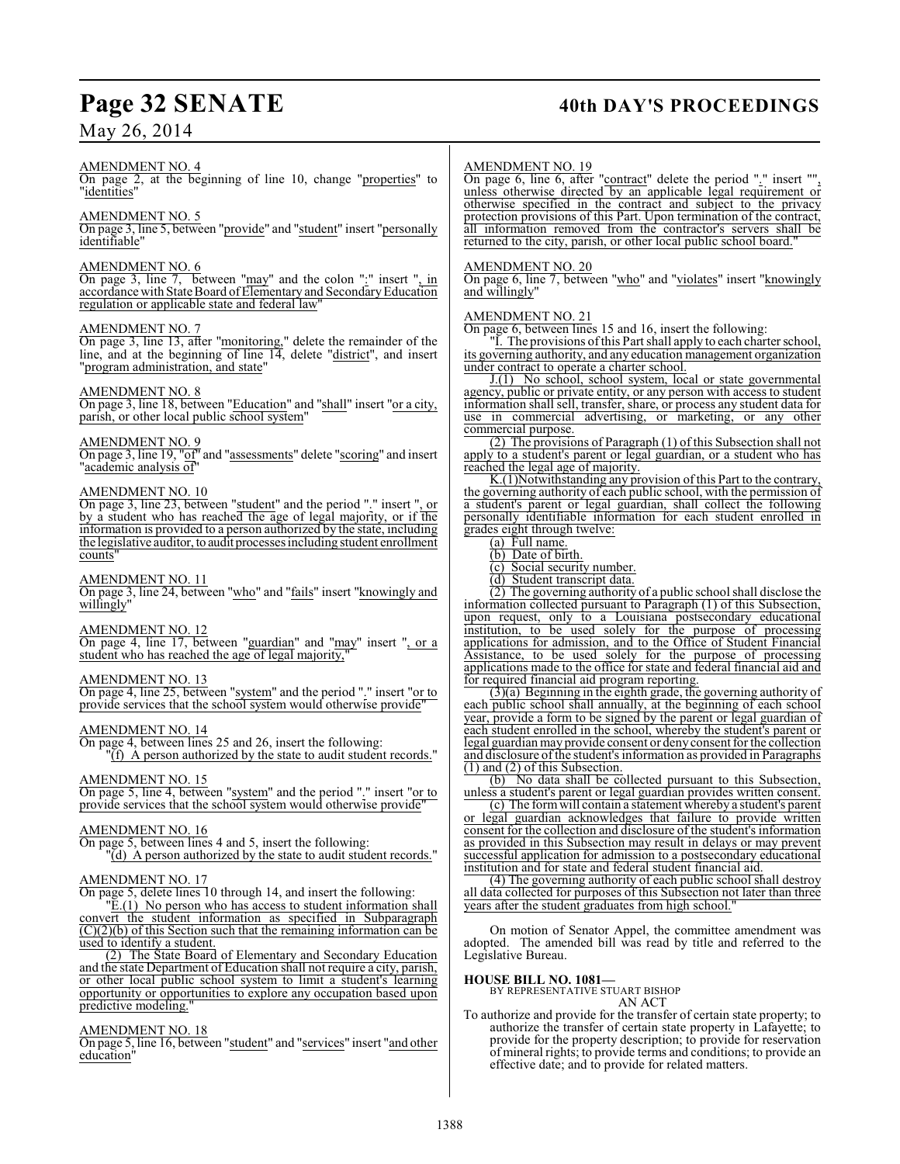## **Page 32 SENATE 40th DAY'S PROCEEDINGS**

## May 26, 2014

## AMENDMENT NO. 4

On page 2, at the beginning of line 10, change "properties" to "identities"

## AMENDMENT NO. 5

On page 3, line 5, between "provide" and "student" insert "personally identifiable"

## AMENDMENT NO. 6

On page 3, line 7, between "may" and the colon ":" insert ", in accordance with State Board of Elementary and Secondary Education regulation or applicable state and federal law"

### AMENDMENT NO. 7

On page 3, line 13, after "monitoring," delete the remainder of the line, and at the beginning of line 14, delete "district", and insert "program administration, and state"

## AMENDMENT NO. 8

On page 3, line 18, between "Education" and "shall" insert "or a city, parish, or other local public school system"

## AMENDMENT NO. 9

On page 3, line 19, "of" and "assessments" delete "scoring" and insert "academic analysis of"

## AMENDMENT NO. 10

On page 3, line 23, between "student" and the period "." insert ", or by a student who has reached the age of legal majority, or if the information is provided to a person authorized by the state, including the legislative auditor, to audit processes including student enrollment counts"

## AMENDMENT NO. 11

On page 3, line 24, between "who" and "fails" insert "knowingly and willingly"

## AMENDMENT NO. 12

On page 4, line 17, between "guardian" and "may" insert ", or a student who has reached the age of legal majority,

### AMENDMENT NO. 13

On page 4, line 25, between "system" and the period "." insert "or to provide services that the school system would otherwise provide"

## AMENDMENT NO. 14

On page 4, between lines 25 and 26, insert the following:

"(f) A person authorized by the state to audit student records."

## AMENDMENT NO. 15

On page 5, line 4, between "system" and the period "." insert "or to provide services that the school system would otherwise provide"

## AMENDMENT NO. 16

On page 5, between lines 4 and 5, insert the following: "(d) A person authorized by the state to audit student records."

## AMENDMENT NO. 17

On page 5, delete lines 10 through 14, and insert the following:

 $E(1)$  No person who has access to student information shall convert the student information as specified in Subparagraph  $(C)(2)(b)$  of this Section such that the remaining information can be used to identify a student.

(2) The State Board of Elementary and Secondary Education and the state Department of Education shall not require a city, parish, or other local public school system to limit a student's learning opportunity or opportunities to explore any occupation based upon predictive modeling."

## AMENDMENT NO. 18

On page 5, line 16, between "student" and "services" insert "and other education"

### AMENDMENT NO. 19

On page 6, line 6, after "contract" delete the period "." insert "", unless otherwise directed by an applicable legal requirement or otherwise specified in the contract and subject to the privacy protection provisions of this Part. Upon termination of the contract, all information removed from the contractor's servers shall be returned to the city, parish, or other local public school board.

## AMENDMENT NO. 20

On page 6, line 7, between "who" and "violates" insert "knowingly and willingly"

### AMENDMENT NO. 21

On page 6, between lines 15 and 16, insert the following:

I. The provisions of this Part shall apply to each charter school, its governing authority, and any education management organization under contract to operate a charter school.

J.(1) No school, school system, local or state governmental agency, public or private entity, or any person with access to student information shall sell, transfer, share, or process any student data for use in commercial advertising, or marketing, or any other commercial purpose.

(2) The provisions of Paragraph (1) of this Subsection shall not apply to a student's parent or legal guardian, or a student who has reached the legal age of majority.

K.(1)Notwithstanding any provision of this Part to the contrary, the governing authority of each public school, with the permission of a student's parent or legal guardian, shall collect the following personally identifiable information for each student enrolled in grades eight through twelve:

(a) Full name.

(b) Date of birth.

(c) Social security number.

(d) Student transcript data.

(2) The governing authority of a public school shall disclose the information collected pursuant to Paragraph (1) of this Subsection, upon request, only to a Louisiana postsecondary educational institution, to be used solely for the purpose of processing applications for admission, and to the Office of Student Financial Assistance, to be used solely for the purpose of processing applications made to the office for state and federal financial aid and for required financial aid program reporting.

(3)(a) Beginning in the eighth grade, the governing authority of each public school shall annually, at the beginning of each school year, provide a form to be signed by the parent or legal guardian of each student enrolled in the school, whereby the student's parent or legal guardian may provide consent or deny consent for the collection and disclosure of the student's information as provided in Paragraphs (1) and (2) of this Subsection.

(b) No data shall be collected pursuant to this Subsection, unless a student's parent or legal guardian provides written consent.

(c) The form will contain a statement whereby a student's parent or legal guardian acknowledges that failure to provide written consent for the collection and disclosure of the student's information as provided in this Subsection may result in delays or may prevent successful application for admission to a postsecondary educational institution and for state and federal student financial aid.

(4) The governing authority of each public school shall destroy all data collected for purposes of this Subsection not later than three years after the student graduates from high school.

On motion of Senator Appel, the committee amendment was adopted. The amended bill was read by title and referred to the Legislative Bureau.

**HOUSE BILL NO. 1081—** BY REPRESENTATIVE STUART BISHOP

AN ACT

To authorize and provide for the transfer of certain state property; to authorize the transfer of certain state property in Lafayette; to provide for the property description; to provide for reservation of mineral rights; to provide terms and conditions; to provide an effective date; and to provide for related matters.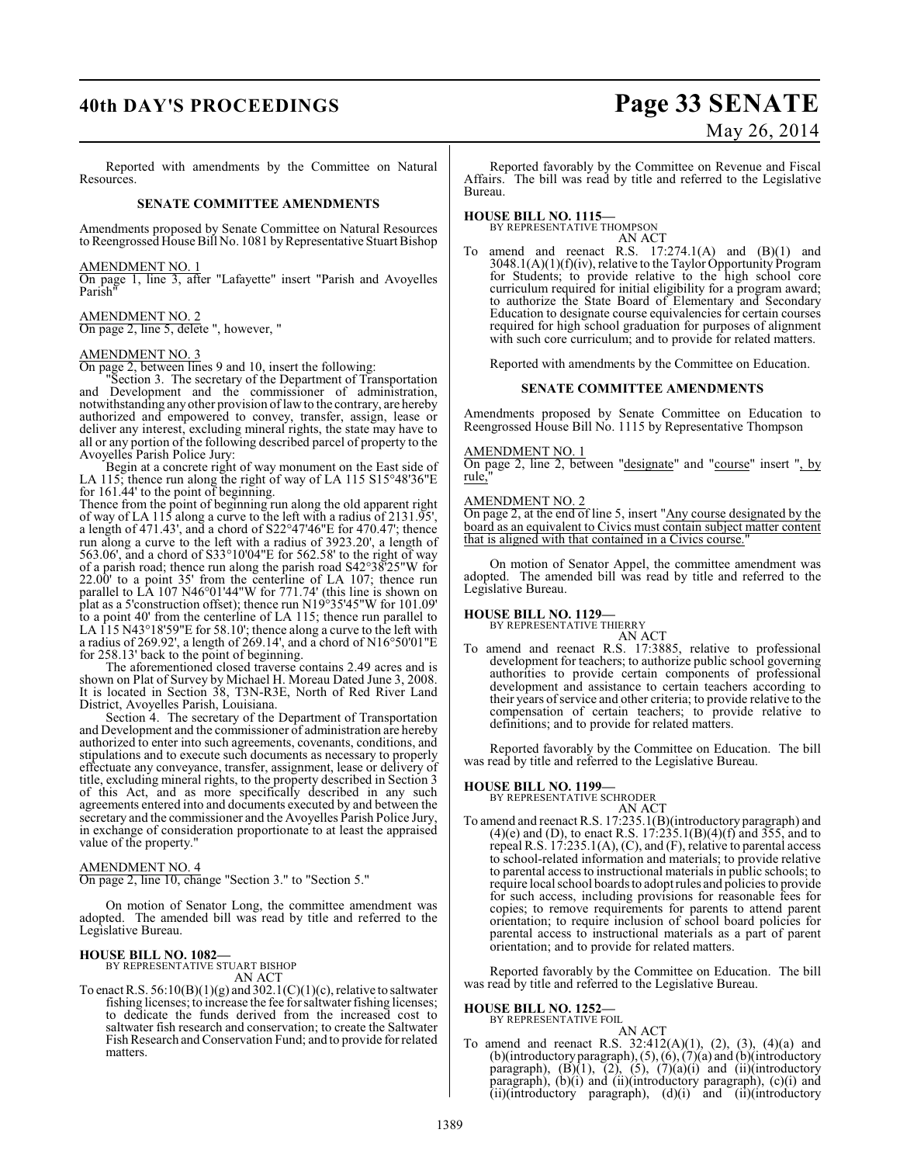## **40th DAY'S PROCEEDINGS Page 33 SENATE**

# May 26, 2014

Reported with amendments by the Committee on Natural Resources.

## **SENATE COMMITTEE AMENDMENTS**

Amendments proposed by Senate Committee on Natural Resources to Reengrossed House Bill No. 1081 by Representative Stuart Bishop

AMENDMENT NO. 1

On page 1, line 3, after "Lafayette" insert "Parish and Avoyelles Parish"

### AMENDMENT NO. 2

On page 2, line 5, delete ", however, "

## AMENDMENT NO. 3

On page 2, between lines 9 and 10, insert the following:

Section 3. The secretary of the Department of Transportation and Development and the commissioner of administration, notwithstanding any other provision of law to the contrary, are hereby authorized and empowered to convey, transfer, assign, lease or deliver any interest, excluding mineral rights, the state may have to all or any portion of the following described parcel of property to the Avoyelles Parish Police Jury:

Begin at a concrete right of way monument on the East side of LA 115; thence run along the right of way of LA 115 S15°48'36"E for 161.44' to the point of beginning.

Thence from the point of beginning run along the old apparent right of way of LA 115 along a curve to the left with a radius of 2131.95', a length of 471.43', and a chord of S22°47'46"E for 470.47'; thence run along a curve to the left with a radius of 3923.20', a length of 563.06', and a chord of S33°10'04"E for 562.58' to the right of way of a parish road; thence run along the parish road S42°38'25"W for 22.00' to a point 35' from the centerline of LA 107; thence run parallel to LA 107 N46°01'44"W for 771.74' (this line is shown on plat as a 5'construction offset); thence run N19°35'45"W for 101.09' to a point 40' from the centerline of LA 115; thence run parallel to LA 115 N43°18'59"E for 58.10'; thence along a curve to the left with a radius of 269.92', a length of 269.14', and a chord of N16°50'01"E for 258.13' back to the point of beginning.

The aforementioned closed traverse contains 2.49 acres and is shown on Plat of Survey by Michael H. Moreau Dated June 3, 2008. It is located in Section 38, T3N-R3E, North of Red River Land District, Avoyelles Parish, Louisiana.

Section 4. The secretary of the Department of Transportation and Development and the commissioner of administration are hereby authorized to enter into such agreements, covenants, conditions, and stipulations and to execute such documents as necessary to properly effectuate any conveyance, transfer, assignment, lease or delivery of title, excluding mineral rights, to the property described in Section 3 of this Act, and as more specifically described in any such agreements entered into and documents executed by and between the secretary and the commissioner and the Avoyelles Parish Police Jury, in exchange of consideration proportionate to at least the appraised value of the property."

### AMENDMENT NO. 4

On page 2, line 10, change "Section 3." to "Section 5."

On motion of Senator Long, the committee amendment was adopted. The amended bill was read by title and referred to the Legislative Bureau.

## **HOUSE BILL NO. 1082—** BY REPRESENTATIVE STUART BISHOP

- AN ACT
- To enact R.S.  $56:10(B)(1)(g)$  and  $302.1(C)(1)(c)$ , relative to saltwater fishing licenses; to increase the fee for saltwater fishing licenses; to dedicate the funds derived from the increased cost to saltwater fish research and conservation; to create the Saltwater Fish Research and Conservation Fund; and to provide for related matters.

Reported favorably by the Committee on Revenue and Fiscal Affairs. The bill was read by title and referred to the Legislative Bureau.

## **HOUSE BILL NO. 1115—**

BY REPRESENTATIVE THOMPSON AN ACT

amend and reenact R.S.  $17:274.1(A)$  and  $(B)(1)$  and 3048.1(A)(1)(f)(iv), relative to the Taylor Opportunity Program for Students; to provide relative to the high school core curriculum required for initial eligibility for a program award; to authorize the State Board of Elementary and Secondary Education to designate course equivalencies for certain courses required for high school graduation for purposes of alignment with such core curriculum; and to provide for related matters.

Reported with amendments by the Committee on Education.

## **SENATE COMMITTEE AMENDMENTS**

Amendments proposed by Senate Committee on Education to Reengrossed House Bill No. 1115 by Representative Thompson

## AMENDMENT NO. 1

On page 2, line 2, between "designate" and "course" insert ", by rule,"

### AMENDMENT NO. 2

On page 2, at the end of line 5, insert "Any course designated by the board as an equivalent to Civics must contain subject matter content that is aligned with that contained in a Civics course."

On motion of Senator Appel, the committee amendment was adopted. The amended bill was read by title and referred to the Legislative Bureau.

## **HOUSE BILL NO. 1129—** BY REPRESENTATIVE THIERRY

AN ACT To amend and reenact R.S. 17:3885, relative to professional development for teachers; to authorize public school governing authorities to provide certain components of professional development and assistance to certain teachers according to their years of service and other criteria; to provide relative to the compensation of certain teachers; to provide relative to definitions; and to provide for related matters.

Reported favorably by the Committee on Education. The bill was read by title and referred to the Legislative Bureau.

### **HOUSE BILL NO. 1199—**

BY REPRESENTATIVE SCHRODER AN ACT

To amend and reenact R.S. 17:235.1(B)(introductory paragraph) and  $(4)(e)$  and (D), to enact R.S. 17:235.1(B)(4)(f) and 355, and to repeal R.S. 17:235.1(A), (C), and (F), relative to parental access to school-related information and materials; to provide relative to parental access to instructional materials in public schools; to require local school boards to adopt rules and policies to provide for such access, including provisions for reasonable fees for copies; to remove requirements for parents to attend parent orientation; to require inclusion of school board policies for parental access to instructional materials as a part of parent orientation; and to provide for related matters.

Reported favorably by the Committee on Education. The bill was read by title and referred to the Legislative Bureau.

## **HOUSE BILL NO. 1252—**

- BY REPRESENTATIVE FOIL AN ACT
- To amend and reenact R.S. 32:412(A)(1), (2), (3), (4)(a) and  $(b)$ (introductory paragraph),  $(5)$ ,  $(6)$ ,  $(7)$  $(a)$  and  $(b)$ (introductory paragraph),  $(B)(1)$ ,  $(2)$ ,  $(5)$ ,  $(7)(a)(i)$  and  $(ii)(introductory)$ paragraph), (b)(i) and (ii)(introductory paragraph), (c)(i) and (ii)(introductory paragraph), (d)(i) and (ii)(introductory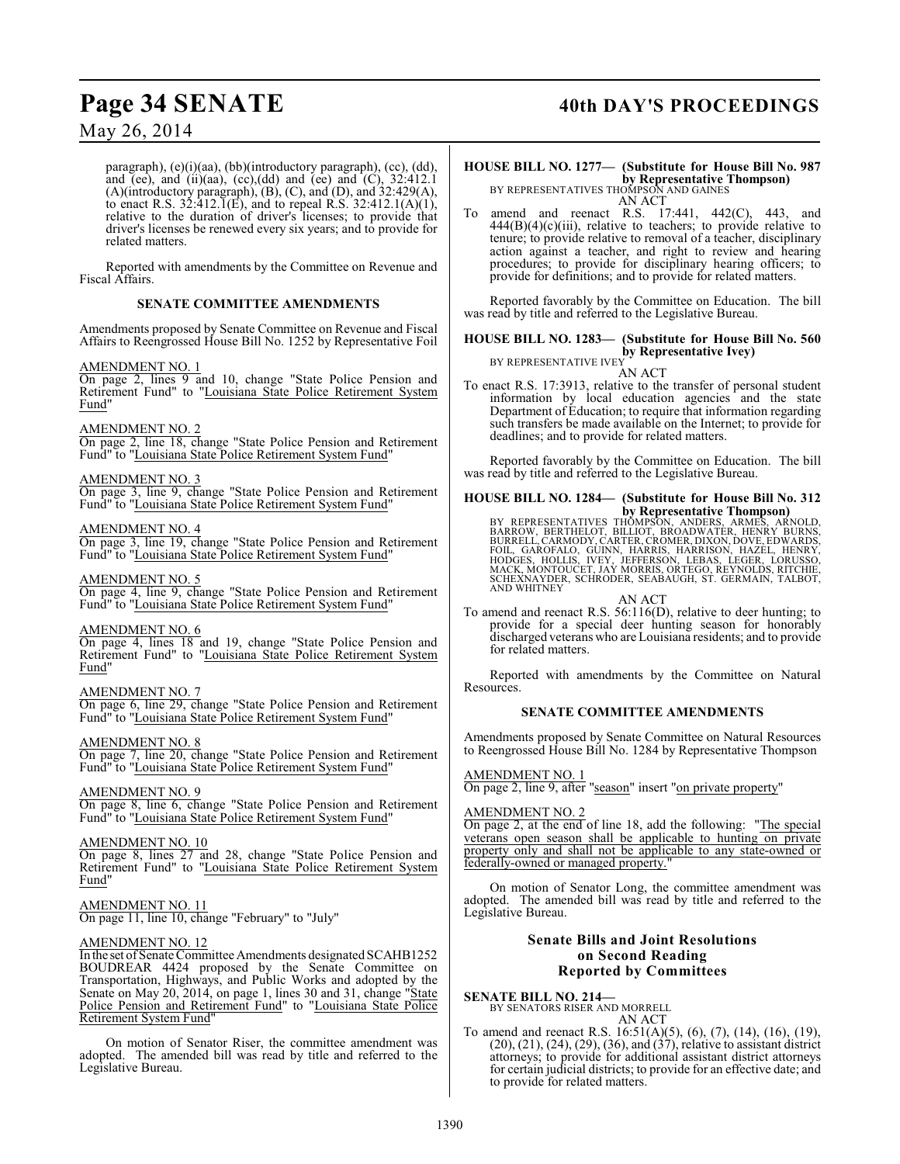## Page 34 SENATE 40th DAY'S PROCEEDINGS

## May 26, 2014

paragraph), (e)(i)(aa), (bb)(introductory paragraph), (cc), (dd), and (ee), and (ii)(aa), (cc),(dd) and (ee) and (C),  $32:412.1$ (A)(introductory paragraph), (B), (C), and (D), and 32:429(A), to enact R.S.  $32:412.\overline{1}(E)$ , and to repeal R.S.  $32:412.1(A)(1)$ , relative to the duration of driver's licenses; to provide that driver's licenses be renewed every six years; and to provide for related matters.

Reported with amendments by the Committee on Revenue and Fiscal Affairs.

## **SENATE COMMITTEE AMENDMENTS**

Amendments proposed by Senate Committee on Revenue and Fiscal Affairs to Reengrossed House Bill No. 1252 by Representative Foil

## AMENDMENT NO. 1

On page 2, lines 9 and 10, change "State Police Pension and Retirement Fund" to "Louisiana State Police Retirement System Fund"

## AMENDMENT NO. 2

On page 2, line 18, change "State Police Pension and Retirement Fund" to "Louisiana State Police Retirement System Fund"

## AMENDMENT NO. 3

On page 3, line 9, change "State Police Pension and Retirement Fund" to "Louisiana State Police Retirement System Fund"

## AMENDMENT NO. 4

On page 3, line 19, change "State Police Pension and Retirement Fund" to "Louisiana State Police Retirement System Fund"

## AMENDMENT NO. 5

On page 4, line 9, change "State Police Pension and Retirement Fund" to "Louisiana State Police Retirement System Fund"

## AMENDMENT NO. 6

On page 4, lines 18 and 19, change "State Police Pension and Retirement Fund" to "Louisiana State Police Retirement System Fund"

## AMENDMENT NO. 7

On page 6, line 29, change "State Police Pension and Retirement Fund" to "Louisiana State Police Retirement System Fund"

## AMENDMENT NO. 8

On page 7, line 20, change "State Police Pension and Retirement Fund" to "Louisiana State Police Retirement System Fund"

## AMENDMENT NO. 9

On page 8, line 6, change "State Police Pension and Retirement Fund" to "Louisiana State Police Retirement System Fund"

## AMENDMENT NO. 10

On page 8, lines 27 and 28, change "State Police Pension and Retirement Fund" to "Louisiana State Police Retirement System Fund"

## AMENDMENT NO. 11

On page 11, line 10, change "February" to "July"

## AMENDMENT NO. 12

In the set of Senate Committee Amendments designated SCAHB1252 BOUDREAR 4424 proposed by the Senate Committee on Transportation, Highways, and Public Works and adopted by the Senate on May 20, 2014, on page 1, lines 30 and 31, change "State Police Pension and Retirement Fund" to "Louisiana State Police Retirement System Fund"

On motion of Senator Riser, the committee amendment was adopted. The amended bill was read by title and referred to the Legislative Bureau.

## **HOUSE BILL NO. 1277— (Substitute for House Bill No. 987 by Representative Thompson)**<br>BY REPRESENTATIVES THOMPSON AND GAINES

AN ACT

To amend and reenact R.S. 17:441, 442(C), 443, and  $444(B)(4)(c)(iii)$ , relative to teachers; to provide relative to tenure; to provide relative to removal of a teacher, disciplinary action against a teacher, and right to review and hearing procedures; to provide for disciplinary hearing officers; to provide for definitions; and to provide for related matters.

Reported favorably by the Committee on Education. The bill was read by title and referred to the Legislative Bureau.

### **HOUSE BILL NO. 1283— (Substitute for House Bill No. 560 by Representative Ivey)** BY REPRESENTATIVE IVEY

AN ACT

To enact R.S. 17:3913, relative to the transfer of personal student information by local education agencies and the state Department of Education; to require that information regarding such transfers be made available on the Internet; to provide for deadlines; and to provide for related matters.

Reported favorably by the Committee on Education. The bill was read by title and referred to the Legislative Bureau.

## **HOUSE BILL NO. 1284— (Substitute for House Bill No. 312 by Representative Thompson)**

BY REPRESENTATIVES THOMPSON, ANDERS, ARMES, ARNOLD,<br>BARROW, BERTHELOT, BILLIOT, BROADWATER, HENRY BURRELL,CARMODY,CARTER,CROMER,DIXON,DOVE,EDWARDS,<br>BURRELL,CARMODY,CARTER,CROMER,DIXON,DOVE,EDWARDS,<br>FOIL, GAROFALO, GÜINN, H AND WHITNEY

## AN ACT

To amend and reenact R.S. 56:116(D), relative to deer hunting; to provide for a special deer hunting season for honorably discharged veterans who are Louisiana residents; and to provide for related matters.

Reported with amendments by the Committee on Natural Resources.

## **SENATE COMMITTEE AMENDMENTS**

Amendments proposed by Senate Committee on Natural Resources to Reengrossed House Bill No. 1284 by Representative Thompson

## AMENDMENT NO. 1

On page 2, line 9, after "season" insert "on private property"

## AMENDMENT NO. 2

On page 2, at the end of line 18, add the following: "The special veterans open season shall be applicable to hunting on private property only and shall not be applicable to any state-owned or federally-owned or managed property.'

On motion of Senator Long, the committee amendment was adopted. The amended bill was read by title and referred to the Legislative Bureau.

## **Senate Bills and Joint Resolutions on Second Reading Reported by Committees**

**SENATE BILL NO. 214—**

BY SENATORS RISER AND MORRELL AN ACT

To amend and reenact R.S. 16:51(A)(5), (6), (7), (14), (16), (19), (20), (21), (24), (29), (36), and (37), relative to assistant district attorneys; to provide for additional assistant district attorneys for certain judicial districts; to provide for an effective date; and to provide for related matters.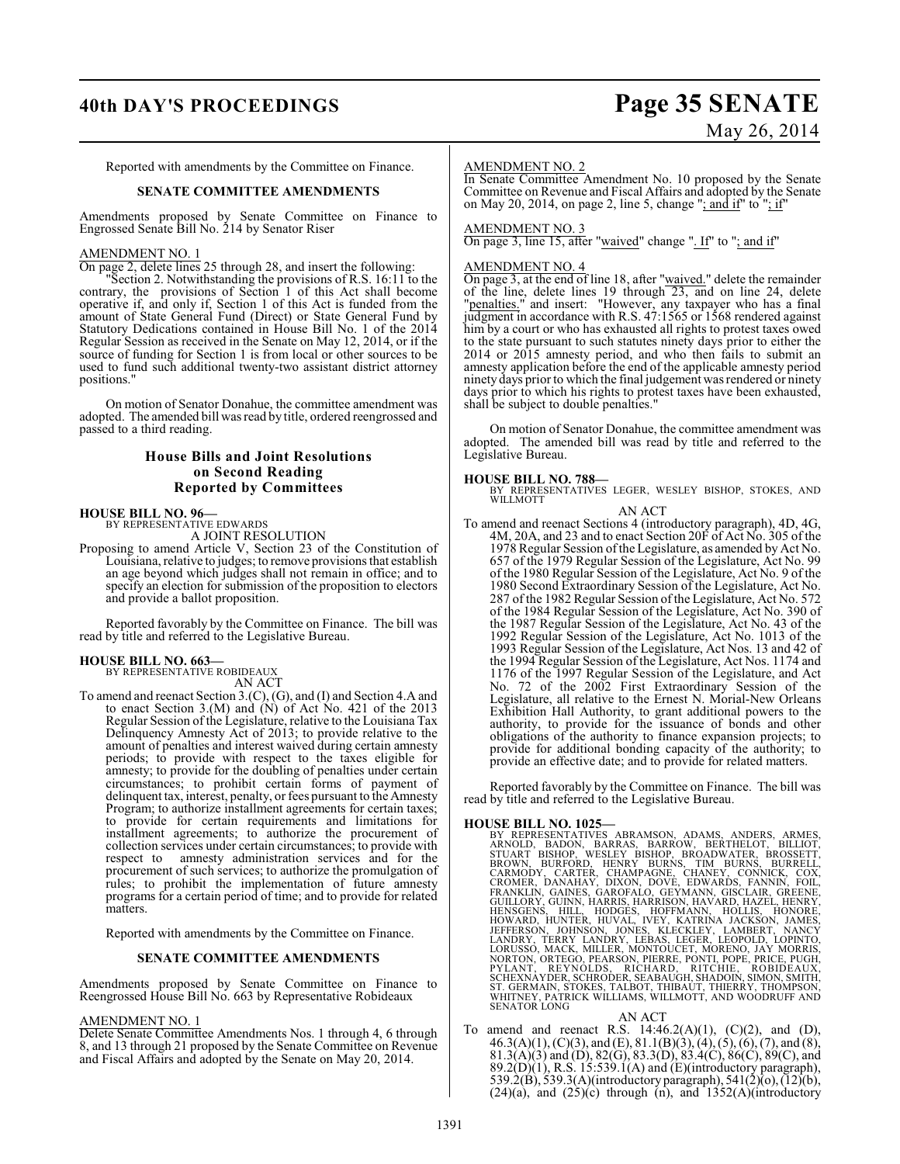## **40th DAY'S PROCEEDINGS Page 35 SENATE** May 26, 2014

Reported with amendments by the Committee on Finance.

## **SENATE COMMITTEE AMENDMENTS**

Amendments proposed by Senate Committee on Finance to Engrossed Senate Bill No. 214 by Senator Riser

## AMENDMENT NO. 1

On page 2, delete lines 25 through 28, and insert the following:

Section 2. Notwithstanding the provisions of R.S. 16:11 to the contrary, the provisions of Section 1 of this Act shall become operative if, and only if, Section 1 of this Act is funded from the amount of State General Fund (Direct) or State General Fund by Statutory Dedications contained in House Bill No. 1 of the 2014 Regular Session as received in the Senate on May 12, 2014, or if the source of funding for Section 1 is from local or other sources to be used to fund such additional twenty-two assistant district attorney positions."

On motion of Senator Donahue, the committee amendment was adopted. The amended bill wasread by title, ordered reengrossed and passed to a third reading.

## **House Bills and Joint Resolutions on Second Reading Reported by Committees**

## **HOUSE BILL NO. 96—** BY REPRESENTATIVE EDWARDS

A JOINT RESOLUTION

Proposing to amend Article V, Section 23 of the Constitution of Louisiana, relative to judges; to remove provisions that establish an age beyond which judges shall not remain in office; and to specify an election for submission of the proposition to electors and provide a ballot proposition.

Reported favorably by the Committee on Finance. The bill was read by title and referred to the Legislative Bureau.

## **HOUSE BILL NO. 663—** BY REPRESENTATIVE ROBIDEAUX

AN ACT

To amend and reenact Section 3.(C), (G), and (I) and Section 4.A and to enact Section 3.(M) and (N) of Act No. 421 of the 2013 Regular Session of the Legislature, relative to the Louisiana Tax Delinquency Amnesty Act of 2013; to provide relative to the amount of penalties and interest waived during certain amnesty periods; to provide with respect to the taxes eligible for amnesty; to provide for the doubling of penalties under certain circumstances; to prohibit certain forms of payment of delinquent tax, interest, penalty, or fees pursuant to the Amnesty Program; to authorize installment agreements for certain taxes; to provide for certain requirements and limitations for installment agreements; to authorize the procurement of collection services under certain circumstances; to provide with respect to amnesty administration services and for the procurement of such services; to authorize the promulgation of rules; to prohibit the implementation of future amnesty programs for a certain period of time; and to provide for related matters.

Reported with amendments by the Committee on Finance.

## **SENATE COMMITTEE AMENDMENTS**

Amendments proposed by Senate Committee on Finance to Reengrossed House Bill No. 663 by Representative Robideaux

### AMENDMENT NO. 1

Delete Senate Committee Amendments Nos. 1 through 4, 6 through 8, and 13 through 21 proposed by the Senate Committee on Revenue and Fiscal Affairs and adopted by the Senate on May 20, 2014.

## AMENDMENT NO. 2

In Senate Committee Amendment No. 10 proposed by the Senate Committee on Revenue and Fiscal Affairs and adopted by the Senate on May 20, 2014, on page 2, line 5, change "; and if" to "; if"

## AMENDMENT NO. 3

On page 3, line 15, after "waived" change ". If" to "; and if"

## AMENDMENT NO. 4

On page 3, at the end of line 18, after "waived." delete the remainder of the line, delete lines 19 through  $\overline{23}$ , and on line 24, delete "penalties." and insert: "However, any taxpayer who has a final judgment in accordance with R.S. 47:1565 or 1568 rendered against him by a court or who has exhausted all rights to protest taxes owed to the state pursuant to such statutes ninety days prior to either the 2014 or 2015 amnesty period, and who then fails to submit an amnesty application before the end of the applicable amnesty period ninety days prior to which the final judgement was rendered or ninety days prior to which his rights to protest taxes have been exhausted, shall be subject to double penalties."

On motion of Senator Donahue, the committee amendment was adopted. The amended bill was read by title and referred to the Legislative Bureau.

**HOUSE BILL NO. 788—** BY REPRESENTATIVES LEGER, WESLEY BISHOP, STOKES, AND WILLMOTT

## AN ACT

To amend and reenact Sections 4 (introductory paragraph), 4D, 4G, 4M, 20A, and 23 and to enact Section 20F of Act No. 305 of the 1978 Regular Session oftheLegislature, as amended by Act No. 657 of the 1979 Regular Session of the Legislature, Act No. 99 of the 1980 Regular Session of the Legislature, Act No. 9 of the 1980 Second Extraordinary Session of the Legislature, Act No. 287 of the 1982 Regular Session ofthe Legislature, Act No. 572 of the 1984 Regular Session of the Legislature, Act No. 390 of the 1987 Regular Session of the Legislature, Act No. 43 of the 1992 Regular Session of the Legislature, Act No. 1013 of the 1993 Regular Session of the Legislature, Act Nos. 13 and 42 of the 1994 Regular Session of the Legislature, Act Nos. 1174 and 1176 of the 1997 Regular Session of the Legislature, and Act No. 72 of the 2002 First Extraordinary Session of the Legislature, all relative to the Ernest N. Morial-New Orleans Exhibition Hall Authority, to grant additional powers to the authority, to provide for the issuance of bonds and other obligations of the authority to finance expansion projects; to provide for additional bonding capacity of the authority; to provide an effective date; and to provide for related matters.

Reported favorably by the Committee on Finance. The bill was read by title and referred to the Legislative Bureau.

HOUSE BILL NO. 1025—<br>
BY REPRESENTATIVES ABRAMSON, ADAMS, ANDERS, ARMES, ARNOLD, BADON, BARRAS, BARROW, BERTHELOT, BILLIOT, STUART BISHOP, WESLEY BISHOP, RENEW BOADWATER, BROSSETT, BROWN, BURRELL, CARMODY, CARTER, CHAMPAGN

AN ACT<br>To amend and reenact R.S. 14:46.2(A)(1), (C)(2), and (D),  $46.3(A)(1), (C)(3), and (E), 81.1(B)(3), (4), (5), (6), (7), and (8),$ 81.3(A)(3) and (D), 82(G), 83.3(D), 83.4(C), 86(C), 89(C), and  $89.2(D)(1)$ , R.S. 15:539.1(A) and (E)(introductory paragraph), 539.2(B), 539.3(A)(introductory paragraph), 541(2)(o), (12)(b),  $(24)(a)$ , and  $(25)(c)$  through (n), and  $1352(A)$ (introductory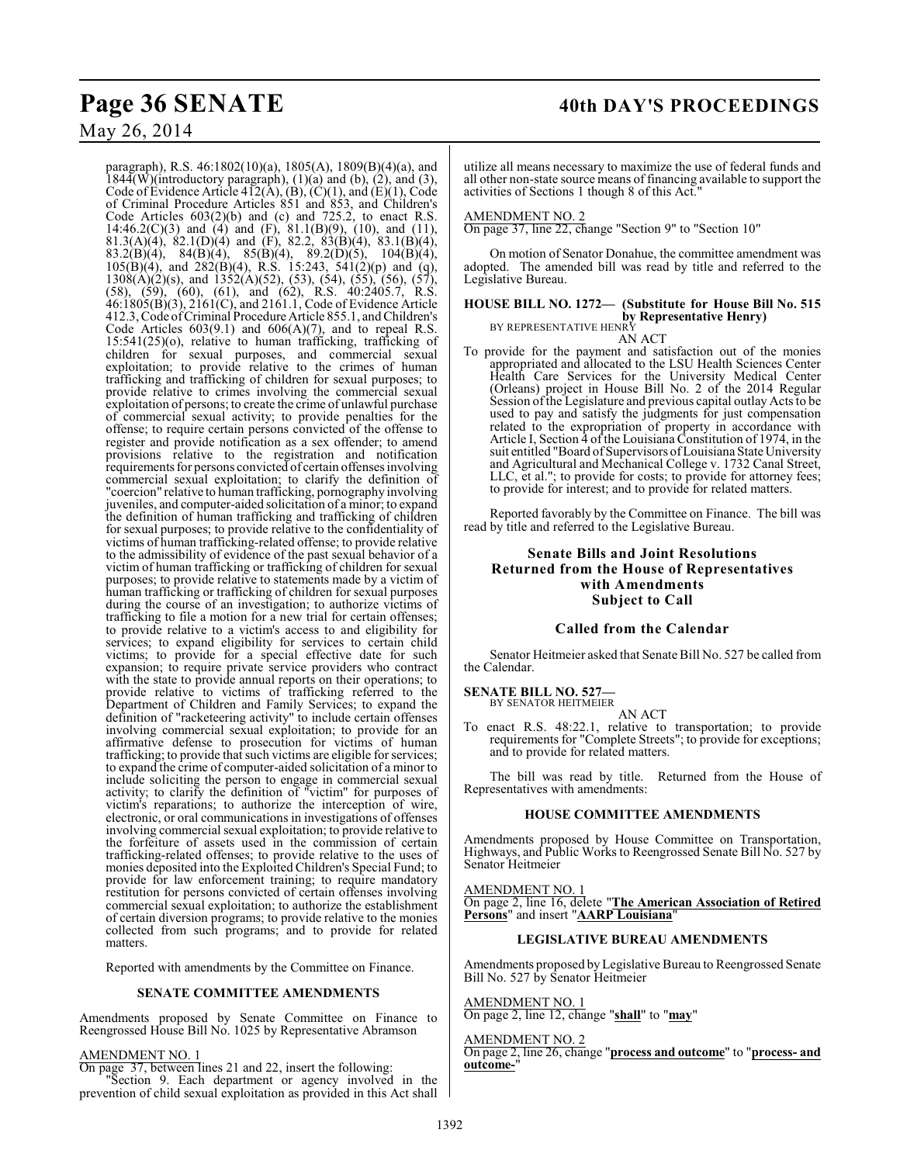## May 26, 2014

paragraph), R.S. 46:1802(10)(a), 1805(A), 1809(B)(4)(a), and 1844(W)(introductory paragraph),  $(1)(a)$  and  $(b)$ ,  $(2)$ , and  $(3)$ , Code of Evidence Article 412(A), (B), (C)(1), and (E)(1), Code of Criminal Procedure Articles 851 and 853, and Children's Code Articles  $603(2)(b)$  and (c) and  $725.2$ , to enact R.S. 14:46.2(C)(3) and (4) and (F), 81.1(B)(9), (10), and (11), 81.3(A)(4), 82.1(D)(4) and (F), 82.2, 83(B)(4), 83.1(B)(4), 83.2(B)(4), 84(B)(4), 85(B)(4), 89.2(D)(5), 104(B)(4),  $105(B)(4)$ , and  $282(B)(4)$ , R.S. 15:243, 541(2)(p) and (q),  $130\&(\hat{A})(2)(s)$ , and  $1352(\hat{A})(52)$ , (53), (54), (55), (56), (57), (58), (59), (60), (61), and (62), R.S. 40:2405.7, R.S. 46:1805(B)(3), 2161(C), and 2161.1, Code of Evidence Article 412.3, Code of Criminal Procedure Article 855.1, and Children's Code Articles  $603(9.1)$  and  $606(A)(7)$ , and to repeal R.S. 15:541(25)(o), relative to human trafficking, trafficking of children for sexual purposes, and commercial sexual exploitation; to provide relative to the crimes of human trafficking and trafficking of children for sexual purposes; to provide relative to crimes involving the commercial sexual exploitation of persons; to create the crime of unlawful purchase of commercial sexual activity; to provide penalties for the offense; to require certain persons convicted of the offense to register and provide notification as a sex offender; to amend provisions relative to the registration and notification requirements for persons convicted of certain offenses involving commercial sexual exploitation; to clarify the definition of "coercion" relative to human trafficking, pornography involving juveniles, and computer-aided solicitation of a minor; to expand the definition of human trafficking and trafficking of children for sexual purposes; to provide relative to the confidentiality of victims of human trafficking-related offense; to provide relative to the admissibility of evidence of the past sexual behavior of a victim of human trafficking or trafficking of children for sexual purposes; to provide relative to statements made by a victim of human trafficking or trafficking of children for sexual purposes during the course of an investigation; to authorize victims of trafficking to file a motion for a new trial for certain offenses; to provide relative to a victim's access to and eligibility for services; to expand eligibility for services to certain child victims; to provide for a special effective date for such expansion; to require private service providers who contract with the state to provide annual reports on their operations; to provide relative to victims of trafficking referred to the Department of Children and Family Services; to expand the definition of "racketeering activity" to include certain offenses involving commercial sexual exploitation; to provide for an affirmative defense to prosecution for victims of human trafficking; to provide that such victims are eligible for services; to expand the crime of computer-aided solicitation of a minor to include soliciting the person to engage in commercial sexual activity; to clarify the definition of "victim" for purposes of victim's reparations; to authorize the interception of wire, electronic, or oral communications in investigations of offenses involving commercial sexual exploitation; to provide relative to the forfeiture of assets used in the commission of certain trafficking-related offenses; to provide relative to the uses of monies deposited into the Exploited Children's Special Fund; to provide for law enforcement training; to require mandatory restitution for persons convicted of certain offenses involving commercial sexual exploitation; to authorize the establishment of certain diversion programs; to provide relative to the monies collected from such programs; and to provide for related matters.

Reported with amendments by the Committee on Finance.

## **SENATE COMMITTEE AMENDMENTS**

Amendments proposed by Senate Committee on Finance to Reengrossed House Bill No. 1025 by Representative Abramson

## AMENDMENT NO. 1

On page 37, between lines 21 and 22, insert the following: Section 9. Each department or agency involved in the prevention of child sexual exploitation as provided in this Act shall

utilize all means necessary to maximize the use of federal funds and all other non-state source means of financing available to support the activities of Sections 1 though 8 of this Act."

### AMENDMENT NO. 2

On page 37, line 22, change "Section 9" to "Section 10"

On motion of Senator Donahue, the committee amendment was adopted. The amended bill was read by title and referred to the Legislative Bureau.

## **HOUSE BILL NO. 1272— (Substitute for House Bill No. 515 by Representative Henry)**<br>BY REPRESENTATIVE HENRY

AN ACT

To provide for the payment and satisfaction out of the monies appropriated and allocated to the LSU Health Sciences Center Health Care Services for the University Medical Center (Orleans) project in House Bill No. 2 of the 2014 Regular Session of the Legislature and previous capital outlay Acts to be used to pay and satisfy the judgments for just compensation related to the expropriation of property in accordance with Article I, Section 4 of the Louisiana Constitution of 1974, in the suit entitled "Board of Supervisors of Louisiana State University and Agricultural and Mechanical College v. 1732 Canal Street, LLC, et al."; to provide for costs; to provide for attorney fees; to provide for interest; and to provide for related matters.

Reported favorably by the Committee on Finance. The bill was read by title and referred to the Legislative Bureau.

## **Senate Bills and Joint Resolutions Returned from the House of Representatives with Amendments Subject to Call**

## **Called from the Calendar**

Senator Heitmeier asked that Senate Bill No. 527 be called from the Calendar.

## **SENATE BILL NO. 527—** BY SENATOR HEITMEIER

AN ACT

To enact R.S. 48:22.1, relative to transportation; to provide requirements for "Complete Streets"; to provide for exceptions; and to provide for related matters.

The bill was read by title. Returned from the House of Representatives with amendments:

## **HOUSE COMMITTEE AMENDMENTS**

Amendments proposed by House Committee on Transportation, Highways, and Public Works to Reengrossed Senate Bill No. 527 by Senator Heitmeier

## AMENDMENT NO. 1

On page 2, line 16, delete "**The American Association of Retired Persons**" and insert "**AARP Louisiana**"

## **LEGISLATIVE BUREAU AMENDMENTS**

Amendments proposed by Legislative Bureau to Reengrossed Senate Bill No. 527 by Senator Heitmeier

## AMENDMENT NO. 1

On page 2, line 12, change "**shall**" to "**may**"

## AMENDMENT NO. 2

On page 2, line 26, change "**process and outcome**" to "**process- and outcome-**"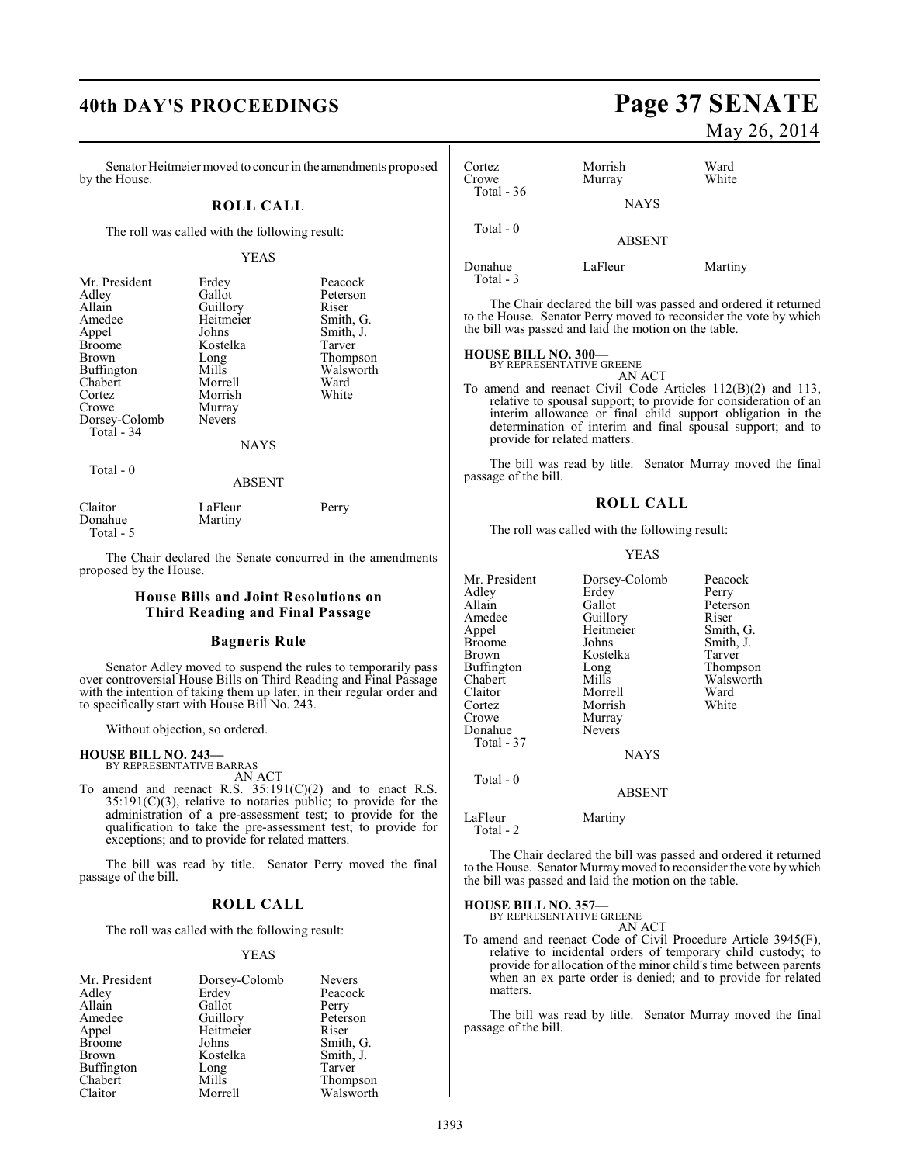Senator Heitmeier moved to concur in the amendments proposed by the House.

## **ROLL CALL**

The roll was called with the following result:

## YEAS

| Mr. President     | Erdey         | Peacock   |
|-------------------|---------------|-----------|
| Adley             | Gallot        | Peterson  |
| Allain            | Guillory      | Riser     |
| Amedee            | Heitmeier     | Smith, G. |
| Appel             | Johns         | Smith, J. |
| <b>Broome</b>     | Kostelka      | Tarver    |
| Brown             | Long          | Thompson  |
| <b>Buffington</b> | Mills         | Walsworth |
| Chabert           | Morrell       | Ward      |
| Cortez            | Morrish       | White     |
| Crowe             | Murray        |           |
| Dorsey-Colomb     | <b>Nevers</b> |           |
| Total - 34        |               |           |
|                   | <b>NAYS</b>   |           |
| Total $-0$        |               |           |
|                   | ABSENT        |           |

| Claitor   | LaFleur | Perry |
|-----------|---------|-------|
| Donahue   | Martiny |       |
| Total - 5 |         |       |

The Chair declared the Senate concurred in the amendments proposed by the House.

## **House Bills and Joint Resolutions on Third Reading and Final Passage**

## **Bagneris Rule**

Senator Adley moved to suspend the rules to temporarily pass over controversial House Bills on Third Reading and Final Passage with the intention of taking them up later, in their regular order and to specifically start with House Bill No. 243.

Without objection, so ordered.

## **HOUSE BILL NO. 243—** BY REPRESENTATIVE BARRAS

AN ACT

To amend and reenact R.S.  $35:191(C)(2)$  and to enact R.S. 35:191(C)(3), relative to notaries public; to provide for the administration of a pre-assessment test; to provide for the qualification to take the pre-assessment test; to provide for exceptions; and to provide for related matters.

The bill was read by title. Senator Perry moved the final passage of the bill.

## **ROLL CALL**

The roll was called with the following result:

## YEAS

| Mr. President | Dorsey-Colomb | <b>Nevers</b> |
|---------------|---------------|---------------|
| Adley         | Erdey         | Peacock       |
| Allain        | Gallot        | Perry         |
| Amedee        | Guillory      | Peterson      |
| Appel         | Heitmeier     | Riser         |
| <b>Broome</b> | Johns         | Smith, G.     |
| Brown         | Kostelka      | Smith, J.     |
| Buffington    | Long          | Tarver        |
| Chabert       | Mills         | Thompson      |
| Claitor       | Morrell       | Walsworth     |

# **40th DAY'S PROCEEDINGS Page 37 SENATE**

## May 26, 2014

| Cortez<br>Crowe<br>Total $-36$ | Morrish<br>Murray | Ward<br>White |
|--------------------------------|-------------------|---------------|
|                                | <b>NAYS</b>       |               |
| Total - 0                      | <b>ABSENT</b>     |               |
| Donahue                        | LaFleur           | Martiny       |

Total - 3

The Chair declared the bill was passed and ordered it returned to the House. Senator Perry moved to reconsider the vote by which the bill was passed and laid the motion on the table.

## **HOUSE BILL NO. 300—**

BY REPRESENTATIVE GREENE AN ACT

To amend and reenact Civil Code Articles 112(B)(2) and 113, relative to spousal support; to provide for consideration of an interim allowance or final child support obligation in the determination of interim and final spousal support; and to provide for related matters.

The bill was read by title. Senator Murray moved the final passage of the bill.

## **ROLL CALL**

The roll was called with the following result:

### YEAS

| Mr. President        | Dorsey-Colomb | Peacock   |
|----------------------|---------------|-----------|
| Adlev                | Erdey         | Perry     |
| Allain               | Gallot        | Peterson  |
| Amedee               | Guillory      | Riser     |
| Appel                | Heitmeier     | Smith, G. |
| Broome               | Johns         | Smith, J. |
| Brown                | Kostelka      | Tarver    |
| Buffington           | Long          | Thompson  |
| Chabert              | Mills         | Walsworth |
| Claitor              | Morrell       | Ward      |
| Cortez               | Morrish       | White     |
| Crowe                | Murray        |           |
| Donahue              | Nevers        |           |
| Total - 37           |               |           |
|                      | <b>NAYS</b>   |           |
| Total - 0            |               |           |
|                      | <b>ABSENT</b> |           |
| LaFleur<br>Total - 2 | Martiny       |           |

The Chair declared the bill was passed and ordered it returned to the House. Senator Murray moved to reconsider the vote by which the bill was passed and laid the motion on the table.

**HOUSE BILL NO. 357—**

BY REPRESENTATIVE GREENE

- AN ACT
- To amend and reenact Code of Civil Procedure Article 3945(F), relative to incidental orders of temporary child custody; to provide for allocation of the minor child's time between parents when an ex parte order is denied; and to provide for related matters.

The bill was read by title. Senator Murray moved the final passage of the bill.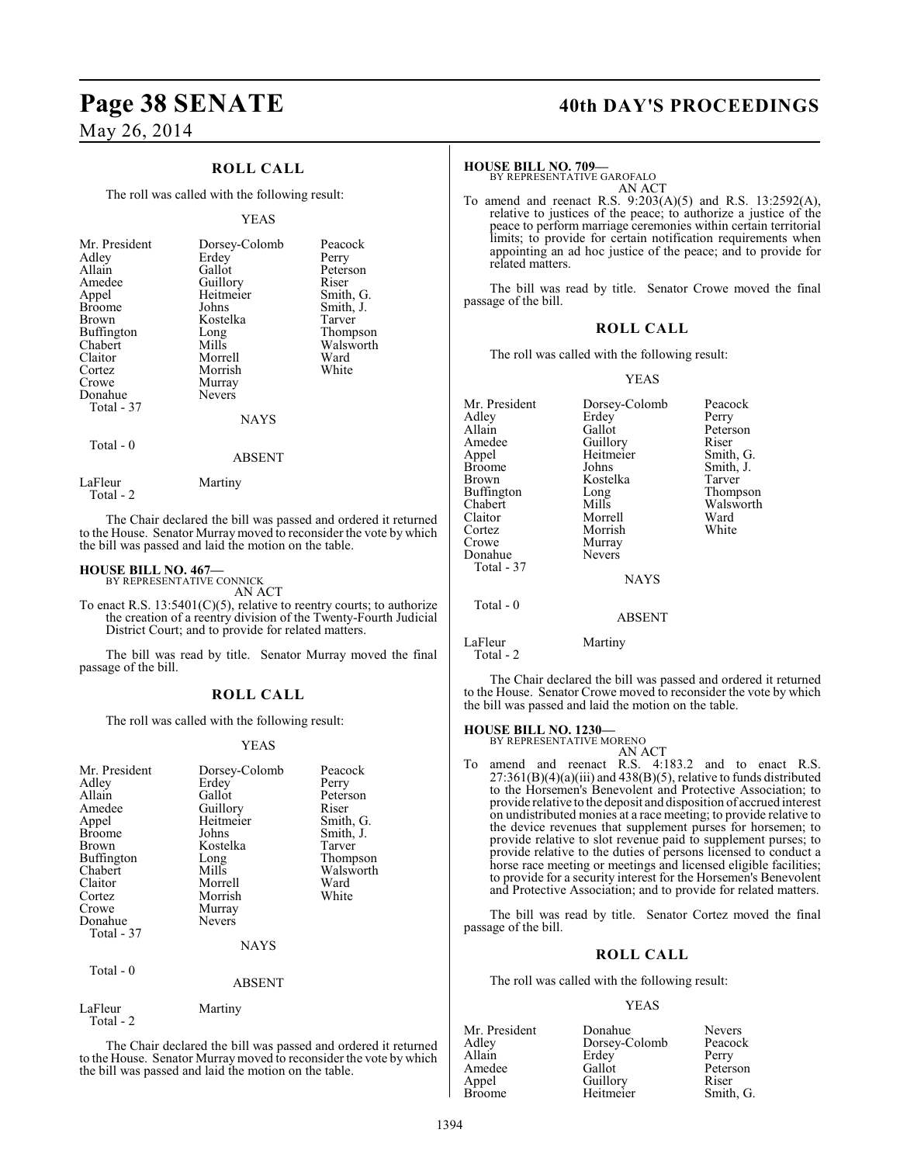## May 26, 2014

## **ROLL CALL**

The roll was called with the following result:

### YEAS

| Mr. President<br>Adley<br>Allain<br>Amedee<br>Appel<br><b>Broome</b><br>Brown<br>Buffington<br>Chabert<br>Claitor<br>Cortez | Dorsey-Colomb<br>Erdey<br>Gallot<br>Guillory<br>Heitmeier<br>Johns<br>Kostelka<br>Long<br>Mills<br>Morrell<br>Morrish | Peacock<br>Perry<br>Peterson<br>Riser<br>Smith, G.<br>Smith, J.<br>Tarver<br>Thompson<br>Walsworth<br>Ward<br>White |
|-----------------------------------------------------------------------------------------------------------------------------|-----------------------------------------------------------------------------------------------------------------------|---------------------------------------------------------------------------------------------------------------------|
|                                                                                                                             |                                                                                                                       |                                                                                                                     |
|                                                                                                                             |                                                                                                                       |                                                                                                                     |
|                                                                                                                             |                                                                                                                       |                                                                                                                     |
|                                                                                                                             |                                                                                                                       |                                                                                                                     |
|                                                                                                                             |                                                                                                                       |                                                                                                                     |
|                                                                                                                             |                                                                                                                       |                                                                                                                     |
| Crowe                                                                                                                       | Murray                                                                                                                |                                                                                                                     |
| Donahue                                                                                                                     | <b>Nevers</b>                                                                                                         |                                                                                                                     |
| Total - 37                                                                                                                  |                                                                                                                       |                                                                                                                     |
|                                                                                                                             | <b>NAYS</b>                                                                                                           |                                                                                                                     |
|                                                                                                                             |                                                                                                                       |                                                                                                                     |

## Total - 0

Total - 2

LaFleur Martiny

The Chair declared the bill was passed and ordered it returned to the House. Senator Murraymoved to reconsider the vote by which the bill was passed and laid the motion on the table.

ABSENT

## **HOUSE BILL NO. 467—**

BY REPRESENTATIVE CONNICK AN ACT

To enact R.S.  $13:5401(C)(5)$ , relative to reentry courts; to authorize the creation of a reentry division of the Twenty-Fourth Judicial District Court; and to provide for related matters.

The bill was read by title. Senator Murray moved the final passage of the bill.

## **ROLL CALL**

The roll was called with the following result:

## YEAS

| Mr. President<br>Adley<br>Allain<br>Amedee<br>Appel<br><b>Broome</b><br>Brown<br>Buffington<br>Chabert<br>Claitor<br>Cortez<br>Crowe<br>Donahue<br>Total - 37 | Dorsey-Colomb<br>Erdey<br>Gallot<br>Guillory<br>Heitmeier<br>Johns<br>Kostelka<br>Long<br>Mills<br>Morrell<br>Morrish<br>Murray<br><b>Nevers</b><br><b>NAYS</b> | Peacock<br>Perry<br>Peterson<br>Riser<br>Smith, G.<br>Smith, J.<br>Tarver<br>Thompson<br>Walsworth<br>Ward<br>White |
|---------------------------------------------------------------------------------------------------------------------------------------------------------------|-----------------------------------------------------------------------------------------------------------------------------------------------------------------|---------------------------------------------------------------------------------------------------------------------|
| Total - 0                                                                                                                                                     | <b>ABSENT</b>                                                                                                                                                   |                                                                                                                     |
| LaFleur                                                                                                                                                       | Martiny                                                                                                                                                         |                                                                                                                     |

Total - 2

The Chair declared the bill was passed and ordered it returned to the House. Senator Murray moved to reconsider the vote by which the bill was passed and laid the motion on the table.

## **Page 38 SENATE 40th DAY'S PROCEEDINGS**

### **HOUSE BILL NO. 709—**

BY REPRESENTATIVE GAROFALO AN ACT

To amend and reenact R.S. 9:203(A)(5) and R.S. 13:2592(A), relative to justices of the peace; to authorize a justice of the peace to perform marriage ceremonies within certain territorial limits; to provide for certain notification requirements when appointing an ad hoc justice of the peace; and to provide for related matters.

The bill was read by title. Senator Crowe moved the final passage of the bill.

## **ROLL CALL**

The roll was called with the following result:

### YEAS

| Dorsey-Colomb | Peacock<br>Perry |
|---------------|------------------|
|               | Peterson         |
| Guillory      | Riser            |
| Heitmeier     | Smith, G.        |
| Johns         | Smith, J.        |
| Kostelka      | Tarver           |
| Long          | Thompson         |
| Mills         | Walsworth        |
| Morrell       | Ward             |
| Morrish       | White            |
| Murray        |                  |
| Nevers        |                  |
|               |                  |
| <b>NAYS</b>   |                  |
|               |                  |
| <b>ABSENT</b> |                  |
| Martiny       |                  |
|               | Erdey<br>Gallot  |

Total - 2

The Chair declared the bill was passed and ordered it returned to the House. Senator Crowe moved to reconsider the vote by which the bill was passed and laid the motion on the table.

## **HOUSE BILL NO. 1230—**

| BY REPRESENTATIVE MORENO |  |
|--------------------------|--|
| AN ACT                   |  |

To amend and reenact R.S. 4:183.2 and to enact R.S.  $27:361(B)(4)(a)(iii)$  and  $438(B)(5)$ , relative to funds distributed to the Horsemen's Benevolent and Protective Association; to provide relative to the deposit and disposition of accrued interest on undistributed monies at a race meeting; to provide relative to the device revenues that supplement purses for horsemen; to provide relative to slot revenue paid to supplement purses; to provide relative to the duties of persons licensed to conduct a horse race meeting or meetings and licensed eligible facilities; to provide for a security interest for the Horsemen's Benevolent and Protective Association; and to provide for related matters.

The bill was read by title. Senator Cortez moved the final passage of the bill.

## **ROLL CALL**

The roll was called with the following result:

### YEAS

| Mr. President | Donahue       | <b>Nevers</b> |
|---------------|---------------|---------------|
| Adley         | Dorsey-Colomb | Peacock       |
| Allain        | Erdey         | Perry         |
| Amedee        | Gallot        | Peterson      |
| Appel         | Guillory      | Riser         |
| <b>Broome</b> | Heitmeier     | Smith, G.     |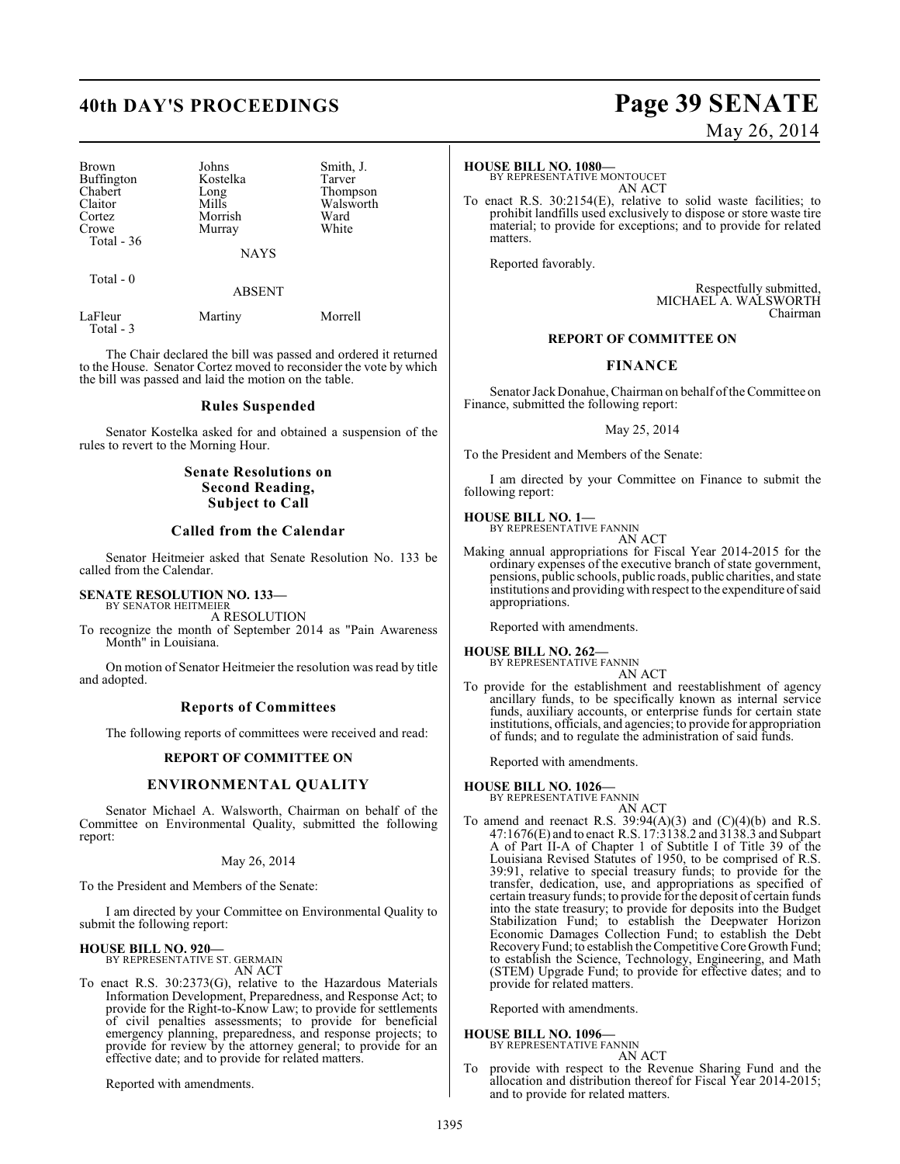## **40th DAY'S PROCEEDINGS Page 39 SENATE**

| Brown             | Johns       | Smith, J. |
|-------------------|-------------|-----------|
| <b>Buffington</b> | Kostelka    | Tarver    |
| Chabert           | Long        | Thompson  |
| Claitor           | Mills       | Walsworth |
| Cortez            | Morrish     | Ward      |
| Crowe             | Murray      | White     |
| Total $-36$       |             |           |
|                   | <b>NAYS</b> |           |

Total - 0

### ABSENT

| LaFleur   | Martiny | Morrell |
|-----------|---------|---------|
| Total - 3 |         |         |

The Chair declared the bill was passed and ordered it returned to the House. Senator Cortez moved to reconsider the vote by which the bill was passed and laid the motion on the table.

## **Rules Suspended**

Senator Kostelka asked for and obtained a suspension of the rules to revert to the Morning Hour.

## **Senate Resolutions on Second Reading, Subject to Call**

## **Called from the Calendar**

Senator Heitmeier asked that Senate Resolution No. 133 be called from the Calendar.

## **SENATE RESOLUTION NO. 133—** BY SENATOR HEITMEIER

A RESOLUTION

To recognize the month of September 2014 as "Pain Awareness Month" in Louisiana.

On motion of Senator Heitmeier the resolution was read by title and adopted.

## **Reports of Committees**

The following reports of committees were received and read:

## **REPORT OF COMMITTEE ON**

## **ENVIRONMENTAL QUALITY**

Senator Michael A. Walsworth, Chairman on behalf of the Committee on Environmental Quality, submitted the following report:

### May 26, 2014

To the President and Members of the Senate:

I am directed by your Committee on Environmental Quality to submit the following report:

## **HOUSE BILL NO. 920—**

BY REPRESENTATIVE ST. GERMAIN AN ACT

To enact R.S. 30:2373(G), relative to the Hazardous Materials Information Development, Preparedness, and Response Act; to provide for the Right-to-Know Law; to provide for settlements of civil penalties assessments; to provide for beneficial emergency planning, preparedness, and response projects; to provide for review by the attorney general; to provide for an effective date; and to provide for related matters.

Reported with amendments.

# May 26, 2014

### **HOUSE BILL NO. 1080—**

BY REPRESENTATIVE MONTOUCET AN ACT

To enact R.S. 30:2154(E), relative to solid waste facilities; to prohibit landfills used exclusively to dispose or store waste tire material; to provide for exceptions; and to provide for related matters.

Reported favorably.

Respectfully submitted, MICHAEL A. WALSWORTH Chairman

## **REPORT OF COMMITTEE ON**

## **FINANCE**

Senator JackDonahue, Chairman on behalf of the Committee on Finance, submitted the following report:

## May 25, 2014

To the President and Members of the Senate:

I am directed by your Committee on Finance to submit the following report:

## **HOUSE BILL NO. 1—**

BY REPRESENTATIVE FANNIN AN ACT

Making annual appropriations for Fiscal Year 2014-2015 for the ordinary expenses of the executive branch of state government, pensions, public schools, public roads, public charities, and state institutions and providing with respect to the expenditure of said appropriations.

Reported with amendments.

## **HOUSE BILL NO. 262—**

BY REPRESENTATIVE FANNIN AN ACT

To provide for the establishment and reestablishment of agency ancillary funds, to be specifically known as internal service funds, auxiliary accounts, or enterprise funds for certain state institutions, officials, and agencies; to provide for appropriation of funds; and to regulate the administration of said funds.

Reported with amendments.

## **HOUSE BILL NO. 1026—**

BY REPRESENTATIVE FANNIN AN ACT

To amend and reenact R.S.  $39:94(A)(3)$  and  $(C)(4)(b)$  and R.S. 47:1676(E) and to enact R.S. 17:3138.2 and 3138.3 and Subpart A of Part II-A of Chapter 1 of Subtitle I of Title 39 of the Louisiana Revised Statutes of 1950, to be comprised of R.S. 39:91, relative to special treasury funds; to provide for the transfer, dedication, use, and appropriations as specified of certain treasury funds; to provide for the deposit of certain funds into the state treasury; to provide for deposits into the Budget Stabilization Fund; to establish the Deepwater Horizon Economic Damages Collection Fund; to establish the Debt Recovery Fund; to establish the Competitive Core Growth Fund; to establish the Science, Technology, Engineering, and Math (STEM) Upgrade Fund; to provide for effective dates; and to provide for related matters.

Reported with amendments.

## **HOUSE BILL NO. 1096—** BY REPRESENTATIVE FANNIN

AN ACT

To provide with respect to the Revenue Sharing Fund and the allocation and distribution thereof for Fiscal Year 2014-2015; and to provide for related matters.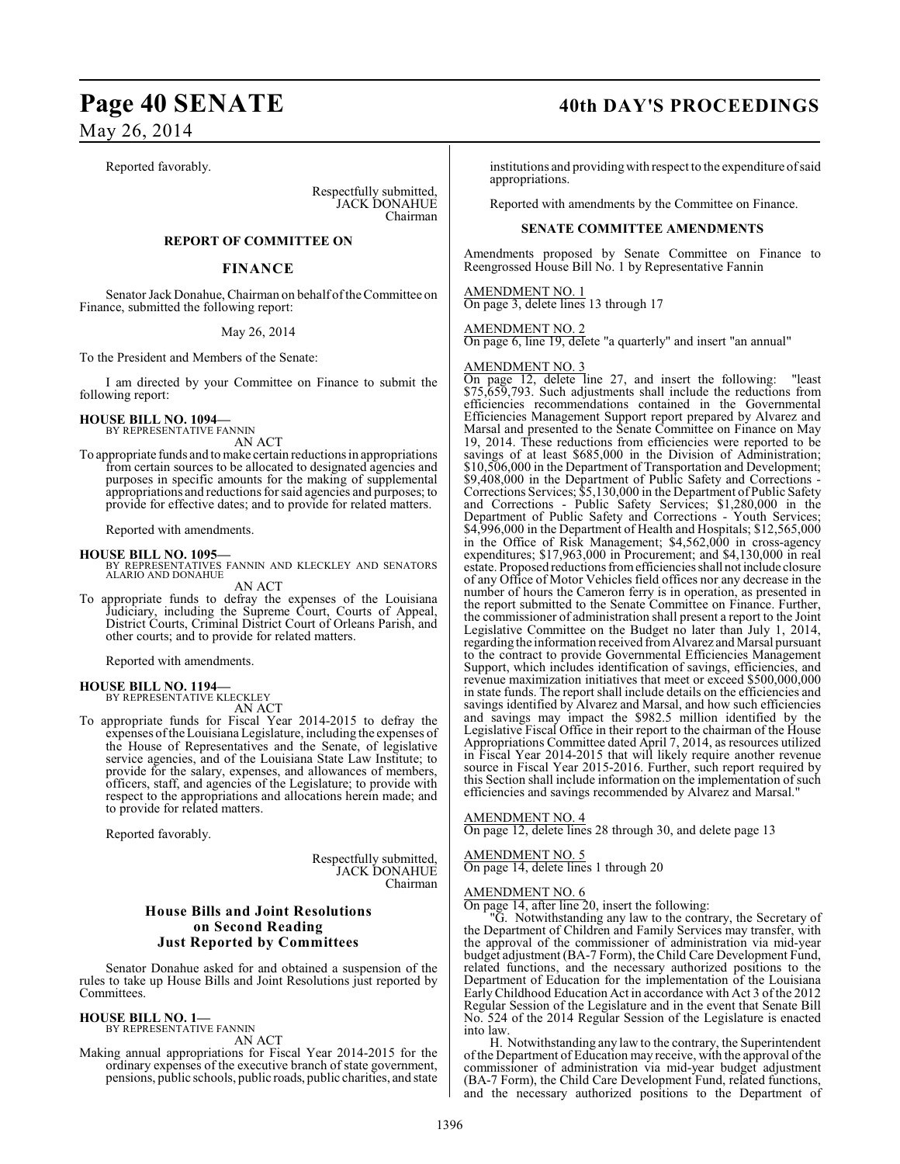## Page 40 SENATE 40th DAY'S PROCEEDINGS

May 26, 2014

Reported favorably.

Respectfully submitted, JACK DONAHUE Chairman

## **REPORT OF COMMITTEE ON**

## **FINANCE**

Senator Jack Donahue, Chairman on behalf of the Committee on Finance, submitted the following report:

## May 26, 2014

To the President and Members of the Senate:

I am directed by your Committee on Finance to submit the following report:

## **HOUSE BILL NO. 1094—** BY REPRESENTATIVE FANNIN

AN ACT

To appropriate funds and to make certain reductions in appropriations from certain sources to be allocated to designated agencies and purposes in specific amounts for the making of supplemental appropriations and reductions for said agencies and purposes; to provide for effective dates; and to provide for related matters.

Reported with amendments.

### **HOUSE BILL NO. 1095—**

BY REPRESENTATIVES FANNIN AND KLECKLEY AND SENATORS ALARIO AND DONAHUE

AN ACT

To appropriate funds to defray the expenses of the Louisiana Judiciary, including the Supreme Court, Courts of Appeal, District Courts, Criminal District Court of Orleans Parish, and other courts; and to provide for related matters.

Reported with amendments.

## **HOUSE BILL NO. 1194—**

BY REPRESENTATIVE KLECKLEY AN ACT

To appropriate funds for Fiscal Year 2014-2015 to defray the expenses oftheLouisiana Legislature, including the expenses of the House of Representatives and the Senate, of legislative service agencies, and of the Louisiana State Law Institute; to provide for the salary, expenses, and allowances of members, officers, staff, and agencies of the Legislature; to provide with respect to the appropriations and allocations herein made; and to provide for related matters.

Reported favorably.

Respectfully submitted, JACK DONAHUE Chairman

## **House Bills and Joint Resolutions on Second Reading Just Reported by Committees**

Senator Donahue asked for and obtained a suspension of the rules to take up House Bills and Joint Resolutions just reported by Committees.

## **HOUSE BILL NO. 1—** BY REPRESENTATIVE FANNIN

AN ACT

Making annual appropriations for Fiscal Year 2014-2015 for the ordinary expenses of the executive branch of state government, pensions, public schools, public roads, public charities, and state

institutions and providingwith respect to the expenditure of said appropriations.

Reported with amendments by the Committee on Finance.

## **SENATE COMMITTEE AMENDMENTS**

Amendments proposed by Senate Committee on Finance to Reengrossed House Bill No. 1 by Representative Fannin

## AMENDMENT NO. 1

On page 3, delete lines 13 through 17

## AMENDMENT NO. 2

On page 6, line 19, delete "a quarterly" and insert "an annual"

## AMENDMENT NO. 3

On page 12, delete line 27, and insert the following: "least \$75,659,793. Such adjustments shall include the reductions from efficiencies recommendations contained in the Governmental Efficiencies Management Support report prepared by Alvarez and Marsal and presented to the Senate Committee on Finance on May 19, 2014. These reductions from efficiencies were reported to be savings of at least \$685,000 in the Division of Administration; \$10,506,000 in the Department of Transportation and Development; \$9,408,000 in the Department of Public Safety and Corrections - Corrections Services; \$5,130,000 in the Department of Public Safety and Corrections - Public Safety Services; \$1,280,000 in the Department of Public Safety and Corrections - Youth Services; \$4,996,000 in the Department of Health and Hospitals; \$12,565,000 in the Office of Risk Management; \$4,562,000 in cross-agency expenditures; \$17,963,000 in Procurement; and \$4,130,000 in real estate. Proposed reductions from efficiencies shall not include closure of any Office of Motor Vehicles field offices nor any decrease in the number of hours the Cameron ferry is in operation, as presented in the report submitted to the Senate Committee on Finance. Further, the commissioner of administration shall present a report to the Joint Legislative Committee on the Budget no later than July 1, 2014, regarding the information received from Alvarez and Marsal pursuant to the contract to provide Governmental Efficiencies Management Support, which includes identification of savings, efficiencies, and revenue maximization initiatives that meet or exceed \$500,000,000 in state funds. The report shall include details on the efficiencies and savings identified by Alvarez and Marsal, and how such efficiencies and savings may impact the \$982.5 million identified by the Legislative Fiscal Office in their report to the chairman of the House Appropriations Committee dated April 7, 2014, as resources utilized in Fiscal Year 2014-2015 that will likely require another revenue source in Fiscal Year 2015-2016. Further, such report required by this Section shall include information on the implementation of such efficiencies and savings recommended by Alvarez and Marsal."

## AMENDMENT NO. 4

On page 12, delete lines 28 through 30, and delete page 13

## AMENDMENT NO. 5 On page 14, delete lines 1 through 20

## AMENDMENT NO. 6

On page 14, after line 20, insert the following:

"G. Notwithstanding any law to the contrary, the Secretary of the Department of Children and Family Services may transfer, with the approval of the commissioner of administration via mid-year budget adjustment (BA-7 Form), the Child Care Development Fund, related functions, and the necessary authorized positions to the Department of Education for the implementation of the Louisiana Early Childhood Education Act in accordance with Act 3 of the 2012 Regular Session of the Legislature and in the event that Senate Bill No. 524 of the 2014 Regular Session of the Legislature is enacted into law.

H. Notwithstanding any law to the contrary, the Superintendent of the Department of Education may receive, with the approval of the commissioner of administration via mid-year budget adjustment (BA-7 Form), the Child Care Development Fund, related functions, and the necessary authorized positions to the Department of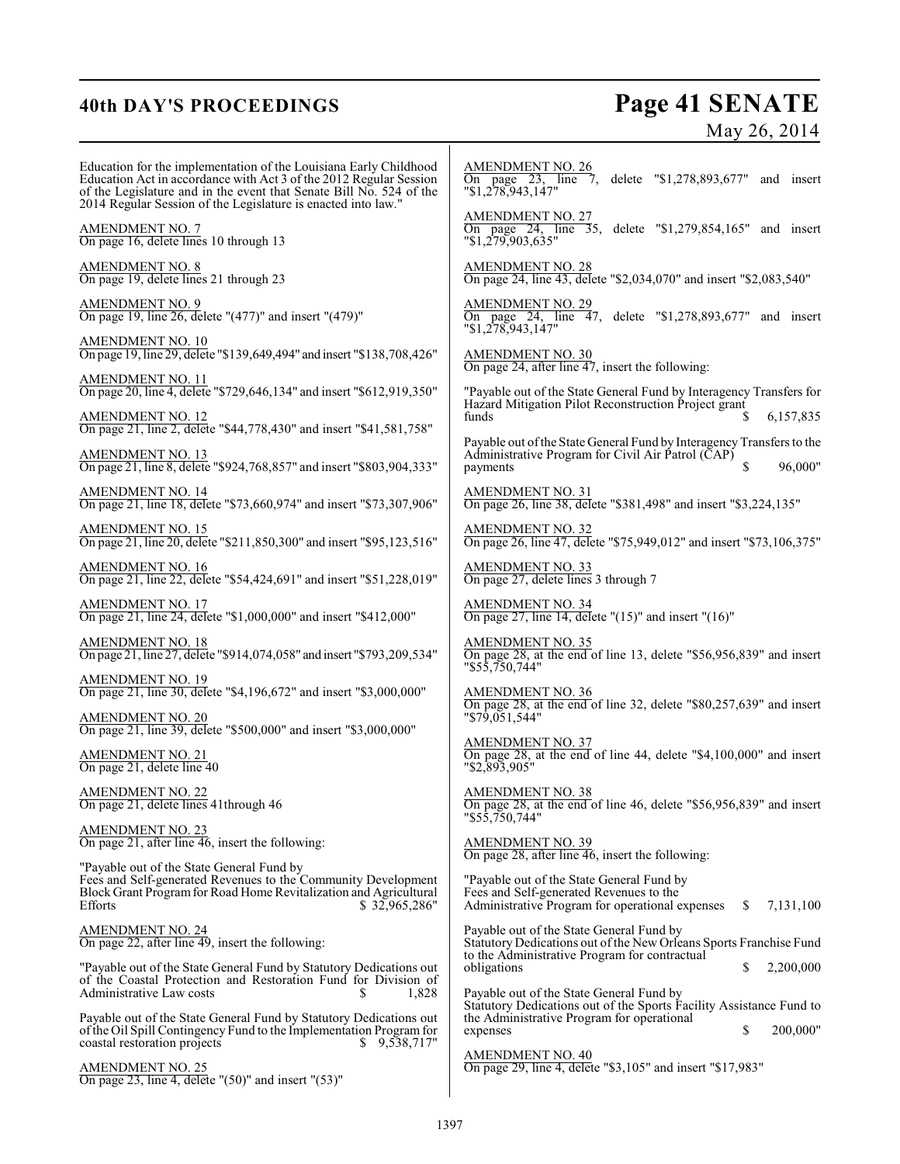## **40th DAY'S PROCEEDINGS Page 41 SENATE** May 26, 2014

| Education for the implementation of the Louisiana Early Childhood<br>Education Act in accordance with Act 3 of the 2012 Regular Session<br>of the Legislature and in the event that Senate Bill No. 524 of the<br>2014 Regular Session of the Legislature is enacted into law." | <b>AMENDMENT NO. 26</b><br>On page 23, line 7, delete "\$1,278,893,677" and insert<br>"\$1,278,943,147"                                                   |
|---------------------------------------------------------------------------------------------------------------------------------------------------------------------------------------------------------------------------------------------------------------------------------|-----------------------------------------------------------------------------------------------------------------------------------------------------------|
| AMENDMENT NO. 7<br>On page 16, delete lines 10 through 13                                                                                                                                                                                                                       | $\frac{\text{AMENDMENT NO. 27}}{\text{On page 24}}$ , line 35, delete "\$1,279,854,165" and insert<br>$"\$1,279,903,635"$                                 |
| AMENDMENT NO. 8<br>On page 19, delete lines 21 through 23                                                                                                                                                                                                                       | <b>AMENDMENT NO. 28</b><br>On page 24, line 43, delete "\$2,034,070" and insert "\$2,083,540"                                                             |
| AMENDMENT NO. 9<br>On page 19, line 26, delete "(477)" and insert "(479)"                                                                                                                                                                                                       | <b>AMENDMENT NO. 29</b><br>On page 24, line 47, delete "\$1,278,893,677" and insert<br>$"\$1,278,943,147"$                                                |
| AMENDMENT NO. 10<br>On page 19, line 29, delete "\$139,649,494" and insert "\$138,708,426"                                                                                                                                                                                      | AMENDMENT NO. 30<br>On page 24, after line 47, insert the following:                                                                                      |
| AM <u>ENDMENT NO. 11</u><br>On page 20, line 4, delete "\$729,646,134" and insert "\$612,919,350"                                                                                                                                                                               | "Payable out of the State General Fund by Interagency Transfers for<br>Hazard Mitigation Pilot Reconstruction Project grant<br>funds<br>6,157,835         |
| <u>AMENDMENT NO. 12</u><br>On page 21, line 2, delete "\$44,778,430" and insert "\$41,581,758"                                                                                                                                                                                  | Payable out of the State General Fund by Interagency Transfers to the                                                                                     |
| AMENDMENT NO. 13<br>On page 21, line 8, delete "\$924,768,857" and insert "\$803,904,333"                                                                                                                                                                                       | Administrative Program for Civil Air Patrol (CAP)<br>96,000"<br>\$<br>payments                                                                            |
| <u>AMENDMENT NO. 14</u><br>On page 21, line 18, delete "\$73,660,974" and insert "\$73,307,906"                                                                                                                                                                                 | AMENDMENT NO. 31<br>On page 26, line 38, delete "\$381,498" and insert "\$3,224,135"                                                                      |
| AMENDMENT NO. 15<br>On page 21, line 20, delete "\$211,850,300" and insert "\$95,123,516"                                                                                                                                                                                       | AMENDMENT NO. 32<br>On page 26, line 47, delete "\$75,949,012" and insert "\$73,106,375"                                                                  |
| <b>AMENDMENT NO. 16</b><br>On page 21, line 22, delete "\$54,424,691" and insert "\$51,228,019"                                                                                                                                                                                 | <b>AMENDMENT NO. 33</b><br>On page 27, delete lines 3 through 7                                                                                           |
| AMENDMENT NO. 17<br>On page 21, line 24, delete "\$1,000,000" and insert "\$412,000"                                                                                                                                                                                            | <b>AMENDMENT NO. 34</b><br>On page 27, line 14, delete " $(15)$ " and insert " $(16)$ "                                                                   |
| <u>AMENDMENT NO. 18</u><br>On page 21, line 27, delete "\$914,074,058" and insert "\$793,209,534"                                                                                                                                                                               | <b>AMENDMENT NO. 35</b><br>On page 28, at the end of line 13, delete "\$56,956,839" and insert<br>"\$55,750,744"                                          |
| AMENDMENT NO. 19<br>On page 21, line 30, delete "\$4,196,672" and insert "\$3,000,000"                                                                                                                                                                                          | AMENDMENT NO. 36<br>On page 28, at the end of line 32, delete "\$80,257,639" and insert                                                                   |
| <b>AMENDMENT NO. 20</b><br>On page 21, line 39, delete "\$500,000" and insert "\$3,000,000"                                                                                                                                                                                     | $"\$79,051,544"$                                                                                                                                          |
| AMENDMENT NO. 21<br>On page 21, delete line 40                                                                                                                                                                                                                                  | <b>AMENDMENT NO. 37</b><br>On page 28, at the end of line 44, delete "\$4,100,000" and insert<br>$"$ \$2,893,905"                                         |
| AMENDMENT NO. 22<br>On page 21, delete lines 41 through 46                                                                                                                                                                                                                      | <b>AMENDMENT NO. 38</b><br>On page 28, at the end of line 46, delete "\$56,956,839" and insert<br>"\$55,750,744"                                          |
| AMENDMENT NO. 23<br>On page $21$ , after line $46$ , insert the following:                                                                                                                                                                                                      | <b>AMENDMENT NO. 39</b><br>On page 28, after line 46, insert the following:                                                                               |
| "Payable out of the State General Fund by<br>Fees and Self-generated Revenues to the Community Development<br>Block Grant Program for Road Home Revitalization and Agricultural<br>Efforts<br>\$32,965,286"                                                                     | "Payable out of the State General Fund by<br>Fees and Self-generated Revenues to the<br>Administrative Program for operational expenses<br>7,131,100<br>S |
| <u>AMENDMENT NO. 24</u><br>On page 22, after line $\overline{49}$ , insert the following:                                                                                                                                                                                       | Payable out of the State General Fund by<br>Statutory Dedications out of the New Orleans Sports Franchise Fund                                            |
| "Payable out of the State General Fund by Statutory Dedications out<br>of the Coastal Protection and Restoration Fund for Division of                                                                                                                                           | to the Administrative Program for contractual<br>2,200,000<br>obligations<br>S                                                                            |
| Administrative Law costs<br>1,828                                                                                                                                                                                                                                               | Payable out of the State General Fund by<br>Statutory Dedications out of the Sports Facility Assistance Fund to                                           |
| Payable out of the State General Fund by Statutory Dedications out<br>of the Oil Spill Contingency Fund to the Implementation Program for<br>\$9,538,717"<br>coastal restoration projects                                                                                       | the Administrative Program for operational<br>200,000"<br>S<br>expenses                                                                                   |
| <b>AMENDMENT NO. 25</b><br>On page 23, line 4, delete " $(50)$ " and insert " $(53)$ "                                                                                                                                                                                          | <b>AMENDMENT NO. 40</b><br>On page 29, line 4, defete "\$3,105" and insert "\$17,983"                                                                     |
|                                                                                                                                                                                                                                                                                 |                                                                                                                                                           |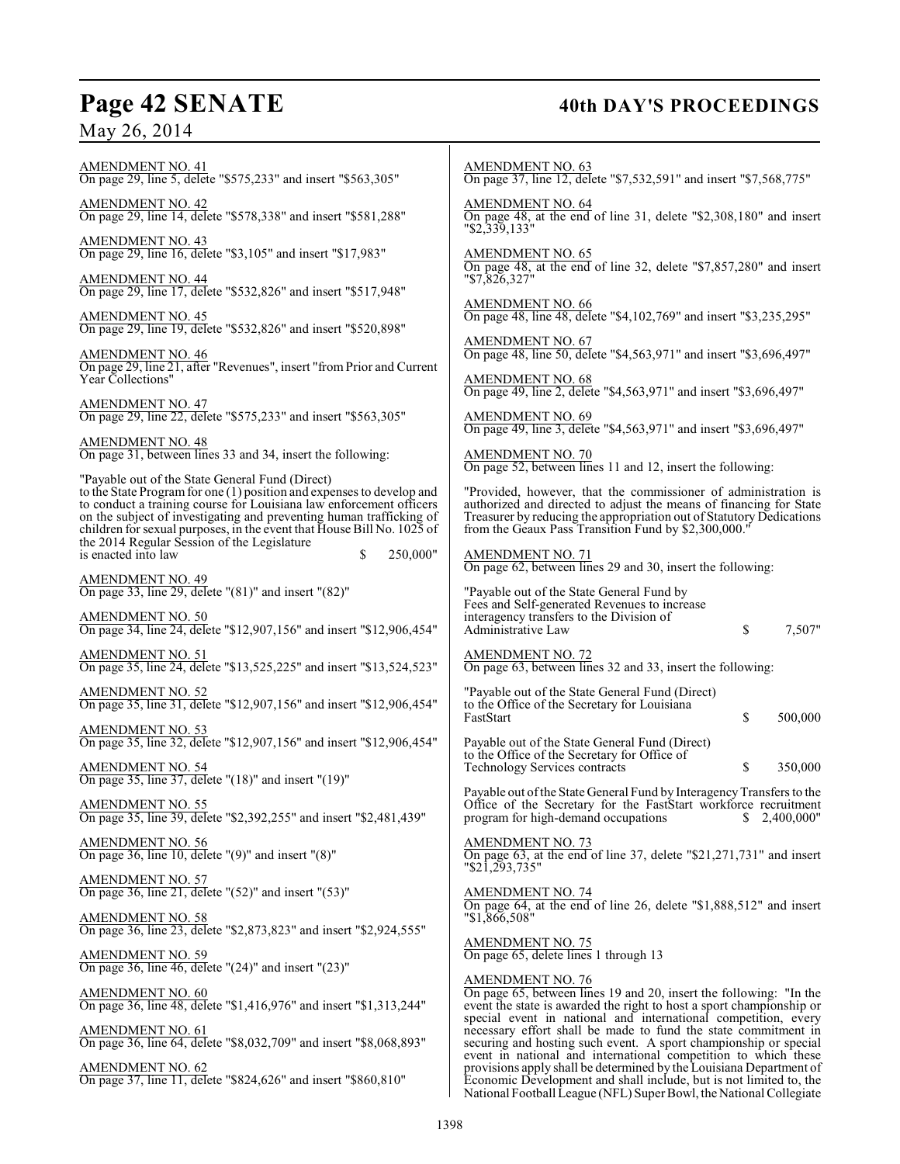## Page 42 SENATE 40th DAY'S PROCEEDINGS

May 26, 2014

AMENDMENT NO. 41 On page 29, line 5, delete "\$575,233" and insert "\$563,305" AMENDMENT NO. 42 On page 29, line 14, delete "\$578,338" and insert "\$581,288" AMENDMENT NO. 43 On page 29, line 16, delete "\$3,105" and insert "\$17,983" AMENDMENT NO. 44 On page 29, line 17, delete "\$532,826" and insert "\$517,948" AMENDMENT NO. 45 On page 29, line 19, delete "\$532,826" and insert "\$520,898" AMENDMENT NO. 46 On page 29, line 21, after "Revenues", insert "from Prior and Current Year Collections" AMENDMENT NO. 47 On page 29, line 22, delete "\$575,233" and insert "\$563,305" AMENDMENT NO. 48 On page 31, between lines 33 and 34, insert the following: "Payable out of the State General Fund (Direct) to the State Programfor one (1) position and expenses to develop and to conduct a training course for Louisiana law enforcement officers on the subject of investigating and preventing human trafficking of children for sexual purposes, in the event that House Bill No. 1025 of the 2014 Regular Session of the Legislature is enacted into law  $\qquad \qquad$  \$ 250,000" AMENDMENT NO. 49 On page 33, line 29, delete "(81)" and insert "(82)" AMENDMENT NO. 50 On page 34, line 24, delete "\$12,907,156" and insert "\$12,906,454" AMENDMENT NO. 51 On page 35, line 24, delete "\$13,525,225" and insert "\$13,524,523" AMENDMENT NO. 52 On page 35, line 31, delete "\$12,907,156" and insert "\$12,906,454" AMENDMENT NO. 53 On page 35, line 32, delete "\$12,907,156" and insert "\$12,906,454" AMENDMENT NO. 54 On page 35, line 37, delete "(18)" and insert "(19)" AMENDMENT NO. 55 On page 35, line 39, delete "\$2,392,255" and insert "\$2,481,439" AMENDMENT NO. 56 On page 36, line 10, delete "(9)" and insert "(8)" AMENDMENT NO. 57 On page 36, line 21, delete "(52)" and insert "(53)" AMENDMENT NO. 58 On page 36, line 23, delete "\$2,873,823" and insert "\$2,924,555" AMENDMENT NO. 59 On page 36, line 46, delete "(24)" and insert "(23)" AMENDMENT NO. 60 On page 36, line 48, delete "\$1,416,976" and insert "\$1,313,244" AMENDMENT NO. 61 On page 36, line 64, delete "\$8,032,709" and insert "\$8,068,893" AMENDMENT NO. 62 On page 37, line 11, delete "\$824,626" and insert "\$860,810" AMENDMENT NO. 63 AMENDMENT NO. 64 "\$2,339,133" AMENDMENT NO. 65 "\$7,826,327" AMENDMENT NO. 66 AMENDMENT NO. 67 AMENDMENT NO. 68 AMENDMENT NO. 69 AMENDMENT NO. 71 AMENDMENT NO. 73 "\$21,293,735" AMENDMENT NO. 74 "\$1,866,508" AMENDMENT NO. 75

On page 37, line 12, delete "\$7,532,591" and insert "\$7,568,775" On page 48, at the end of line 31, delete "\$2,308,180" and insert On page 48, at the end of line 32, delete "\$7,857,280" and insert

On page 48, line 48, delete "\$4,102,769" and insert "\$3,235,295"

On page 48, line 50, delete "\$4,563,971" and insert "\$3,696,497"

On page 49, line 2, delete "\$4,563,971" and insert "\$3,696,497"

On page 49, line 3, delete "\$4,563,971" and insert "\$3,696,497"

AMENDMENT NO. 70 On page 52, between lines 11 and 12, insert the following:

"Provided, however, that the commissioner of administration is authorized and directed to adjust the means of financing for State Treasurer by reducing the appropriation out of Statutory Dedications from the Geaux Pass Transition Fund by \$2,300,000.

On page 62, between lines 29 and 30, insert the following:

"Payable out of the State General Fund by Fees and Self-generated Revenues to increase interagency transfers to the Division of Administrative Law \$ 7,507"

AMENDMENT NO. 72 On page 63, between lines 32 and 33, insert the following:

"Payable out of the State General Fund (Direct) to the Office of the Secretary for Louisiana FastStart \$ 500,000

Payable out of the State General Fund (Direct) to the Office of the Secretary for Office of Technology Services contracts  $\qquad \qquad$  \$ 350,000

Payable out of the State General Fund by Interagency Transfers to the Office of the Secretary for the FastStart workforce recruitment program for high-demand occupations \$2,400,000" program for high-demand occupations

On page 63, at the end of line 37, delete "\$21,271,731" and insert

On page 64, at the end of line 26, delete "\$1,888,512" and insert

On page 65, delete lines 1 through 13

## AMENDMENT NO. 76

On page 65, between lines 19 and 20, insert the following: "In the event the state is awarded the right to host a sport championship or special event in national and international competition, every necessary effort shall be made to fund the state commitment in securing and hosting such event. A sport championship or special event in national and international competition to which these provisions apply shall be determined by the Louisiana Department of Economic Development and shall include, but is not limited to, the National Football League (NFL) Super Bowl, the National Collegiate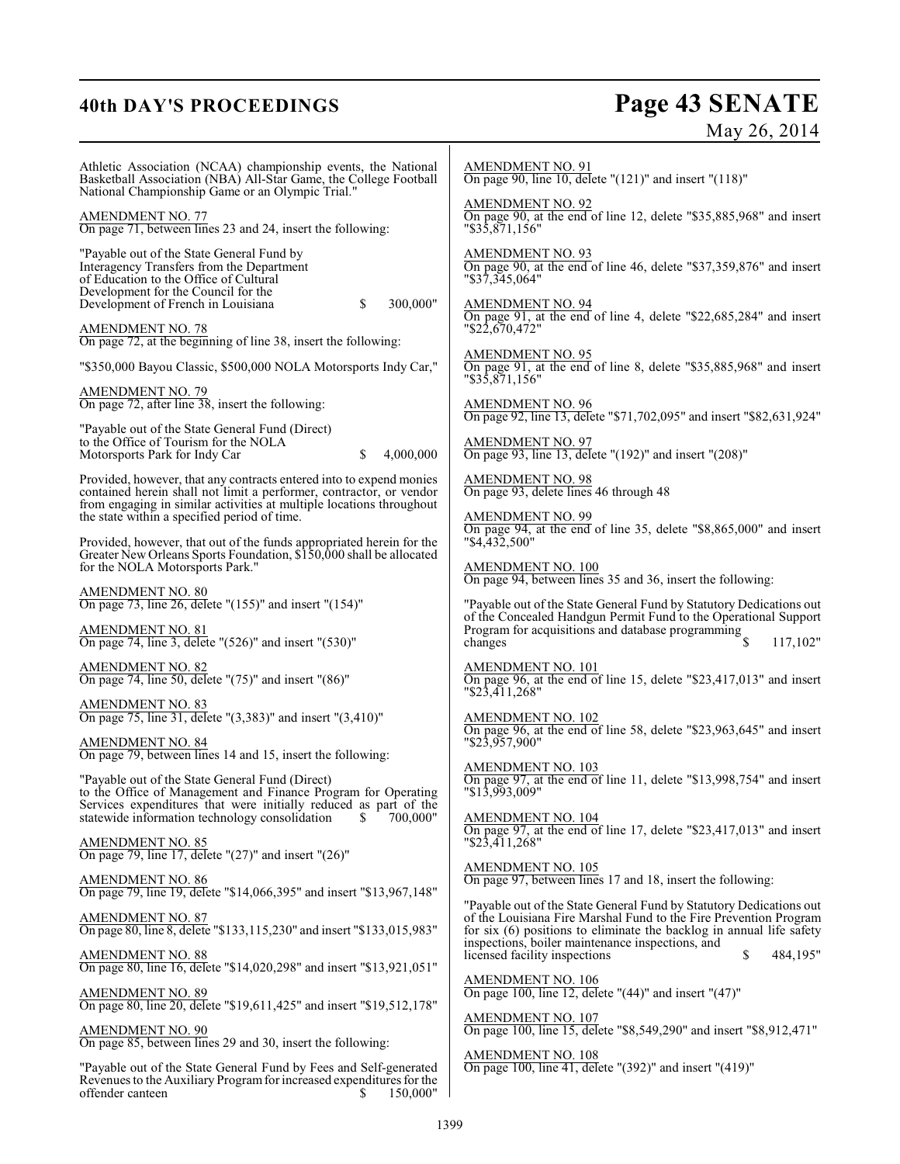## **40th DAY'S PROCEEDINGS**

# **Page 43 SENATE**<br>May 26, 2014

| Athletic Association (NCAA) championship events, the National<br>Basketball Association (NBA) All-Star Game, the College Football<br>National Championship Game or an Olympic Trial."                                           | AMENDMENT NO. 91<br>On page 90, line 10, delete "(121)" and insert "(118)"                                                                                                                                 |
|---------------------------------------------------------------------------------------------------------------------------------------------------------------------------------------------------------------------------------|------------------------------------------------------------------------------------------------------------------------------------------------------------------------------------------------------------|
| AMENDMENT NO. 77<br>On page 71, between lines 23 and 24, insert the following:                                                                                                                                                  | <b>AMENDMENT NO. 92</b><br>On page 90, at the end of line 12, delete "\$35,885,968" and insert<br>"\$35.871.156"                                                                                           |
| "Payable out of the State General Fund by<br>Interagency Transfers from the Department<br>of Education to the Office of Cultural<br>Development for the Council for the<br>Development of French in Louisiana<br>300,000"<br>\$ | <b>AMENDMENT NO. 93</b><br>On page 90, at the end of line 46, delete "\$37,359,876" and insert<br>"\$37,345,064"<br>AMENDMENT NO. 94<br>On page 91, at the end of line 4, delete "\$22,685,284" and insert |
| <b>AMENDMENT NO. 78</b><br>On page 72, at the beginning of line 38, insert the following:                                                                                                                                       | $"\$2\overline{2}, 6\overline{7}0, 472"$                                                                                                                                                                   |
| "\$350,000 Bayou Classic, \$500,000 NOLA Motorsports Indy Car,"                                                                                                                                                                 | AMENDMENT NO. 95<br>On page 91, at the end of line 8, delete "\$35,885,968" and insert<br>"\$35,871,156"                                                                                                   |
| AMENDMENT NO. 79<br>On page 72, after line 38, insert the following:                                                                                                                                                            | <b>AMENDMENT NO. 96</b><br>On page 92, line 13, delete "\$71,702,095" and insert "\$82,631,924"                                                                                                            |
| "Payable out of the State General Fund (Direct)<br>to the Office of Tourism for the NOLA<br>Motorsports Park for Indy Car<br>4,000,000<br>S                                                                                     | <b>AMENDMENT NO. 97</b><br>On page 93, line 13, delete "(192)" and insert "(208)"                                                                                                                          |
| Provided, however, that any contracts entered into to expend monies<br>contained herein shall not limit a performer, contractor, or vendor                                                                                      | AMENDMENT NO. 98<br>On page 93, delete lines 46 through 48                                                                                                                                                 |
| from engaging in similar activities at multiple locations throughout<br>the state within a specified period of time.                                                                                                            | <b>AMENDMENT NO. 99</b><br>On page 94, at the end of line 35, delete "\$8,865,000" and insert                                                                                                              |
| Provided, however, that out of the funds appropriated herein for the<br>Greater New Orleans Sports Foundation, \$150,000 shall be allocated<br>for the NOLA Motorsports Park."                                                  | "\$4,432,500"<br>AMENDMENT NO. 100<br>On page 94, between lines 35 and 36, insert the following:                                                                                                           |
| AMENDMENT NO. 80<br>On page 73, line 26, delete " $(155)$ " and insert " $(154)$ "                                                                                                                                              | "Payable out of the State General Fund by Statutory Dedications out                                                                                                                                        |
| <u>AMENDMENT NO. 81</u><br>On page 74, line 3, delete " $(526)$ " and insert " $(530)$ "                                                                                                                                        | of the Concealed Handgun Permit Fund to the Operational Support<br>Program for acquisitions and database programming<br>117,102"<br>changes                                                                |
| AMENDMENT NO. 82<br>On page 74, line 50, delete "(75)" and insert "(86)"                                                                                                                                                        | AMENDMENT NO. 101<br>On page 96, at the end of line 15, delete "\$23,417,013" and insert<br>"\$23,411,268"                                                                                                 |
| AMENDMENT NO. 83<br>On page 75, line 31, delete "(3,383)" and insert "(3,410)"                                                                                                                                                  | AMENDMENT NO. 102<br>On page 96, at the end of line 58, delete "\$23,963,645" and insert                                                                                                                   |
| AMENDMENT NO. 84<br>On page 79, between lines 14 and 15, insert the following:                                                                                                                                                  | $"\$2\overline{3},\overline{957},900"$<br>AMENDMENT NO. 103                                                                                                                                                |
| "Payable out of the State General Fund (Direct)<br>to the Office of Management and Finance Program for Operating<br>Services expenditures that were initially reduced as part of the                                            | On page 97, at the end of line 11, delete "\$13,998,754" and insert<br>"\$13,993,009"                                                                                                                      |
| 700,000"<br>statewide information technology consolidation<br>S                                                                                                                                                                 | AMENDMENT NO. 104<br>On page 97, at the end of line 17, delete "\$23,417,013" and insert<br>$"\$2\overline{3}$ , 411, 268"                                                                                 |
| AMENDMENT NO. 85<br>On page 79, line 17, delete "(27)" and insert "(26)"                                                                                                                                                        | <b>AMENDMENT NO. 105</b>                                                                                                                                                                                   |
| <b>AMENDMENT NO. 86</b><br>On page 79, line 19, delete "\$14,066,395" and insert "\$13,967,148"                                                                                                                                 | On page 97, between lines 17 and 18, insert the following:<br>"Payable out of the State General Fund by Statutory Dedications out                                                                          |
| <b>AMENDMENT NO. 87</b><br>On page 80, line 8, delete "\$133,115,230" and insert "\$133,015,983"                                                                                                                                | of the Louisiana Fire Marshal Fund to the Fire Prevention Program<br>for six (6) positions to eliminate the backlog in annual life safety<br>inspections, boiler maintenance inspections, and              |
| <b>AMENDMENT NO. 88</b><br>On page 80, line 16, delete "\$14,020,298" and insert "\$13,921,051"                                                                                                                                 | licensed facility inspections<br>\$<br>484,195"                                                                                                                                                            |
| <b>AMENDMENT NO. 89</b><br>On page 80, line 20, delete "\$19,611,425" and insert "\$19,512,178"                                                                                                                                 | AMENDMENT NO. 106<br>On page 100, line 12, delete "(44)" and insert "(47)"                                                                                                                                 |
| <b>AMENDMENT NO. 90</b><br>On page 85, between lines 29 and 30, insert the following:                                                                                                                                           | <b>AMENDMENT NO. 107</b><br>On page 100, line 15, delete "\$8,549,290" and insert "\$8,912,471"                                                                                                            |
| "Payable out of the State General Fund by Fees and Self-generated<br>Revenues to the Auxiliary Program for increased expenditures for the<br>150,000"<br>offender canteen<br>S                                                  | AMENDMENT NO. 108<br>On page 100, line 41, delete "(392)" and insert "(419)"                                                                                                                               |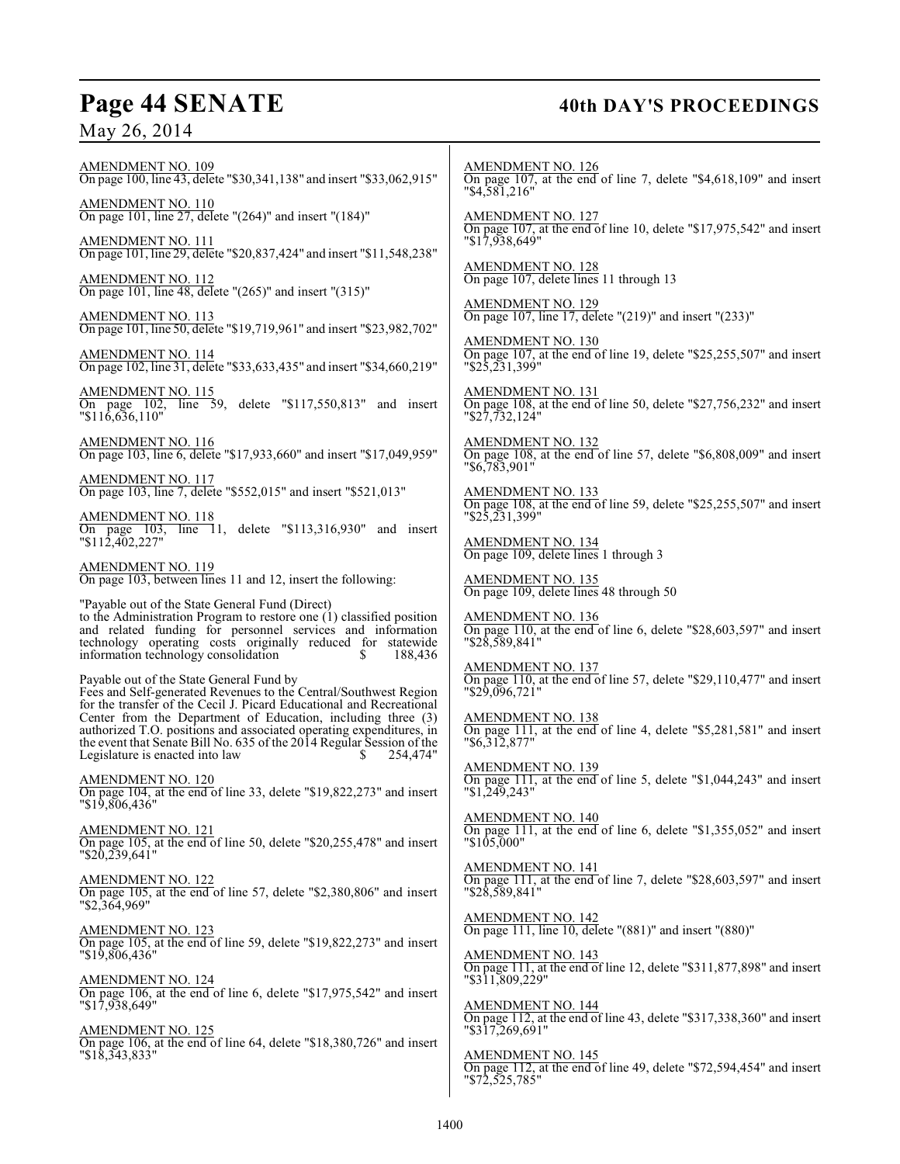## May 26, 2014

## Page 44 SENATE 40th DAY'S PROCEEDINGS

AMENDMENT NO. 109 On page 100, line 43, delete "\$30,341,138" and insert "\$33,062,915" AMENDMENT NO. 110 On page 101, line 27, delete "(264)" and insert "(184)" AMENDMENT NO. 111 On page 101, line 29, delete "\$20,837,424" and insert "\$11,548,238" AMENDMENT NO. 112 On page 101, line 48, delete "(265)" and insert "(315)" AMENDMENT NO. 113 On page 101, line 50, delete "\$19,719,961" and insert "\$23,982,702" AMENDMENT NO. 114 On page 102, line 31, delete "\$33,633,435" and insert "\$34,660,219" AMENDMENT NO. 115 On page 102, line 59, delete "\$117,550,813" and insert "\$116,636,110" AMENDMENT NO. 116 On page 103, line 6, delete "\$17,933,660" and insert "\$17,049,959" AMENDMENT NO. 117 On page 103, line 7, delete "\$552,015" and insert "\$521,013" AMENDMENT NO. 118 On page 103, line 11, delete "\$113,316,930" and insert "\$112,402,227" AMENDMENT NO. 119 On page 103, between lines 11 and 12, insert the following: "Payable out of the State General Fund (Direct) to the Administration Program to restore one (1) classified position and related funding for personnel services and information technology operating costs originally reduced for statewide information technology consolidation \$ 188,436 Payable out of the State General Fund by Fees and Self-generated Revenues to the Central/Southwest Region for the transfer of the Cecil J. Picard Educational and Recreational Center from the Department of Education, including three (3) authorized T.O. positions and associated operating expenditures, in the event that Senate Bill No. 635 of the 2014 Regular Session of the Legislature is enacted into law  $\qquad \qquad$  \$ 254,474" AMENDMENT NO. 120 On page 104, at the end of line 33, delete "\$19,822,273" and insert "\$19,806,436" AMENDMENT NO. 121 On page 105, at the end of line 50, delete "\$20,255,478" and insert "\$20,239,641" AMENDMENT NO. 122 On page 105, at the end of line 57, delete "\$2,380,806" and insert "\$2,364,969" AMENDMENT NO. 123 On page 105, at the end of line 59, delete "\$19,822,273" and insert "\$19,806,436" AMENDMENT NO. 124 On page 106, at the end of line 6, delete "\$17,975,542" and insert "\$17,938,649" AMENDMENT NO. 125 On page 106, at the end of line 64, delete "\$18,380,726" and insert "\$18,343,833" AMENDMENT NO. 126 "\$4,581,216" AMENDMENT NO. 127 "\$17,938,649" AMENDMENT NO. 128 On page 107, delete lines 11 through 13 AMENDMENT NO. 129 AMENDMENT NO. 130 "\$25,231,399" AMENDMENT NO. 131 "\$27,732,124" AMENDMENT NO. 132 "\$6,783,901" AMENDMENT NO. 133 "\$25,231,399" AMENDMENT NO. 134 On page 109, delete lines 1 through 3 AMENDMENT NO. 135 On page 109, delete lines 48 through 50 AMENDMENT NO. 136 "\$28,589,841" AMENDMENT NO. 137 "\$29,096,721" AMENDMENT NO. 138 "\$6,312,877" AMENDMENT NO. 139 "\$1,249,243" AMENDMENT NO. 140 "\$105,000" AMENDMENT NO. 141 "\$28,589,841" AMENDMENT NO. 142 AMENDMENT NO. 143 "\$311,809,229" AMENDMENT NO. 144 "\$317,269,691" AMENDMENT NO. 145

On page 107, at the end of line 7, delete "\$4,618,109" and insert

On page 107, at the end of line 10, delete "\$17,975,542" and insert

On page 107, line 17, delete "(219)" and insert "(233)"

On page  $\overline{107}$ , at the end of line 19, delete "\$25,255,507" and insert

On page 108, at the end of line 50, delete "\$27,756,232" and insert

On page 108, at the end of line 57, delete "\$6,808,009" and insert

On page 108, at the end of line 59, delete "\$25,255,507" and insert

On page 110, at the end of line 6, delete "\$28,603,597" and insert

On page 110, at the end of line 57, delete "\$29,110,477" and insert

On page 111, at the end of line 4, delete "\$5,281,581" and insert

On page 111, at the end of line 5, delete "\$1,044,243" and insert

On page 111, at the end of line 6, delete "\$1,355,052" and insert

On page 111, at the end of line 7, delete "\$28,603,597" and insert

On page 111, line 10, delete "(881)" and insert "(880)"

On page 111, at the end of line 12, delete "\$311,877,898" and insert

On page 112, at the end of line 43, delete "\$317,338,360" and insert

On page 112, at the end of line 49, delete "\$72,594,454" and insert "\$72,525,785"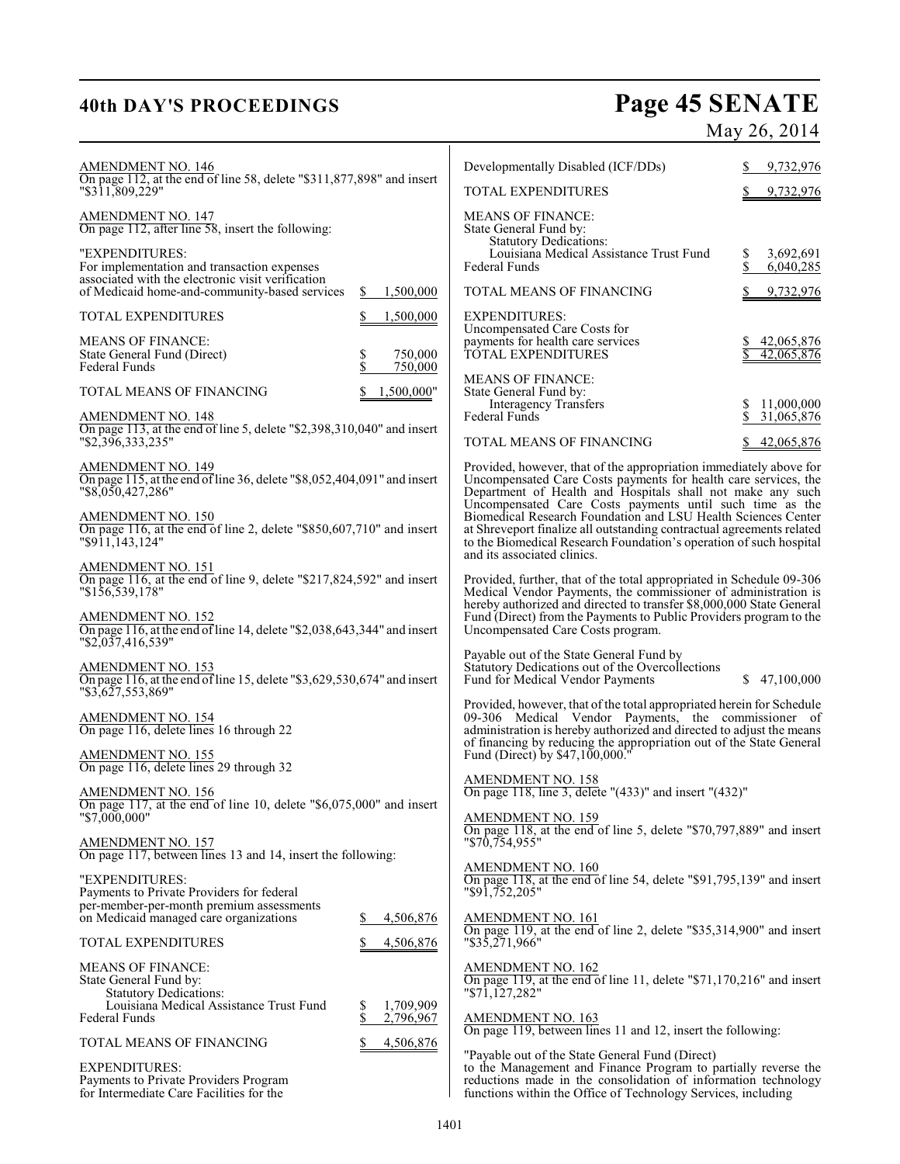# **40th DAY'S PROCEEDINGS Page 45 SENATE**

May 26, 2014

| <b>AMENDMENT NO. 146</b><br>On page 112, at the end of line 58, delete "\$311,877,898" and insert                               |                                    | Developmentally Disabled (ICF/DDs)                                                                                                                                                                                                                              | 9,732,976                            |
|---------------------------------------------------------------------------------------------------------------------------------|------------------------------------|-----------------------------------------------------------------------------------------------------------------------------------------------------------------------------------------------------------------------------------------------------------------|--------------------------------------|
| "\$311,809,229"                                                                                                                 |                                    | TOTAL EXPENDITURES                                                                                                                                                                                                                                              | 9,732,976                            |
| <b>AMENDMENT NO. 147</b><br>On page 112, after line 58, insert the following:                                                   |                                    | <b>MEANS OF FINANCE:</b><br>State General Fund by:<br><b>Statutory Dedications:</b>                                                                                                                                                                             |                                      |
| "EXPENDITURES:<br>For implementation and transaction expenses                                                                   |                                    | Louisiana Medical Assistance Trust Fund<br><b>Federal Funds</b>                                                                                                                                                                                                 | 3,692,691<br>\$<br>\$<br>6,040,285   |
| associated with the electronic visit verification<br>of Medicaid home-and-community-based services                              | \$<br>1,500,000                    | TOTAL MEANS OF FINANCING                                                                                                                                                                                                                                        | 9,732,976                            |
| TOTAL EXPENDITURES                                                                                                              | 1,500,000                          | <b>EXPENDITURES:</b>                                                                                                                                                                                                                                            |                                      |
| <b>MEANS OF FINANCE:</b><br>State General Fund (Direct)<br><b>Federal Funds</b>                                                 | \$<br>\$<br>750,000<br>750,000     | Uncompensated Care Costs for<br>payments for health care services<br>TOTAL EXPENDITURES                                                                                                                                                                         | 42,065,876<br>42,065,876             |
| TOTAL MEANS OF FINANCING                                                                                                        | 1,500,000"                         | <b>MEANS OF FINANCE:</b><br>State General Fund by:                                                                                                                                                                                                              |                                      |
| <b>AMENDMENT NO. 148</b>                                                                                                        |                                    | Interagency Transfers<br><b>Federal Funds</b>                                                                                                                                                                                                                   | 11,000,000<br>\$<br>\$<br>31,065,876 |
| On page 113, at the end of line 5, delete " $$2,398,310,040$ " and insert<br>"\$2,396,333,235"                                  |                                    | TOTAL MEANS OF FINANCING                                                                                                                                                                                                                                        | 42,065,876                           |
| <b>AMENDMENT NO. 149</b><br>On page 115, at the end of line 36, delete "\$8,052,404,091" and insert<br>"\$8,050,427,286"        |                                    | Provided, however, that of the appropriation immediately above for<br>Uncompensated Care Costs payments for health care services, the<br>Department of Health and Hospitals shall not make any such<br>Uncompensated Care Costs payments until such time as the |                                      |
| AMENDMENT NO. 150<br>On page 116, at the end of line 2, delete "\$850,607,710" and insert<br>"\$911.143.124"                    |                                    | Biomedical Research Foundation and LSU Health Sciences Center<br>at Shreveport finalize all outstanding contractual agreements related<br>to the Biomedical Research Foundation's operation of such hospital<br>and its associated clinics.                     |                                      |
| AMENDMENT NO. 151<br>On page 116, at the end of line 9, delete "\$217,824,592" and insert<br>"\$156,539,178"                    |                                    | Provided, further, that of the total appropriated in Schedule 09-306<br>Medical Vendor Payments, the commissioner of administration is<br>hereby authorized and directed to transfer \$8,000,000 State General                                                  |                                      |
| AMENDMENT NO. 152<br>On page 116, at the end of line 14, delete "\$2,038,643,344" and insert<br>$\frac{1}{2}$ (\$2,037,416,539" |                                    | Fund (Direct) from the Payments to Public Providers program to the<br>Uncompensated Care Costs program.                                                                                                                                                         |                                      |
| <b>AMENDMENT NO. 153</b><br>On page 116, at the end of line 15, delete "\$3,629,530,674" and insert<br>"\$3,627,553,869"        |                                    | Payable out of the State General Fund by<br>Statutory Dedications out of the Overcollections<br>Fund for Medical Vendor Payments                                                                                                                                | \$47,100,000                         |
| AMENDMENT NO. 154<br>On page 116, delete lines 16 through 22                                                                    |                                    | Provided, however, that of the total appropriated herein for Schedule<br>09-306 Medical Vendor Payments, the commissioner of<br>administration is hereby authorized and directed to adjust the means                                                            |                                      |
| AMENDMENT NO. 155<br>On page 116, delete lines 29 through 32                                                                    |                                    | of financing by reducing the appropriation out of the State General<br>Fund (Direct) by \$47,100,000."                                                                                                                                                          |                                      |
| <b>AMENDMENT NO. 156</b><br>On page 117, at the end of line 10, delete "\$6,075,000" and insert                                 |                                    | <b>AMENDMENT NO. 158</b><br>On page 118, line 3, delete "(433)" and insert "(432)"                                                                                                                                                                              |                                      |
| "\$7,000,000"<br><u>AMENDMENT NO. 157</u>                                                                                       |                                    | AMENDMENT NO. 159<br>On page 118, at the end of line 5, delete "\$70,797,889" and insert<br>$"\$70,754,955"$                                                                                                                                                    |                                      |
| On page 117, between lines 13 and 14, insert the following:                                                                     |                                    | <b>AMENDMENT NO. 160</b>                                                                                                                                                                                                                                        |                                      |
| "EXPENDITURES:<br>Payments to Private Providers for federal<br>per-member-per-month premium assessments                         |                                    | On page 118, at the end of line 54, delete " $$91,795,139$ " and insert<br>$"$ \$91,752,205"                                                                                                                                                                    |                                      |
| on Medicaid managed care organizations                                                                                          | 4,506,876                          | <b>AMENDMENT NO. 161</b><br>On page 119, at the end of line 2, delete "\$35,314,900" and insert                                                                                                                                                                 |                                      |
| <b>TOTAL EXPENDITURES</b>                                                                                                       | 4,506,876                          | $"\$3\overline{5,271,966"$                                                                                                                                                                                                                                      |                                      |
| <b>MEANS OF FINANCE:</b><br>State General Fund by:<br><b>Statutory Dedications:</b>                                             |                                    | <b>AMENDMENT NO. 162</b><br>On page 119, at the end of line 11, delete " $$71,170,216"$ and insert<br>$"\$71,127,282"$                                                                                                                                          |                                      |
| Louisiana Medical Assistance Trust Fund<br><b>Federal Funds</b>                                                                 | 1,709,909<br>\$<br>\$<br>2,796,967 | AMENDMENT NO. 163<br>On page 119, between lines 11 and 12, insert the following:                                                                                                                                                                                |                                      |
| TOTAL MEANS OF FINANCING                                                                                                        | 4,506,876                          |                                                                                                                                                                                                                                                                 |                                      |
| <b>EXPENDITURES:</b><br>Payments to Private Providers Program<br>for Intermediate Care Facilities for the                       |                                    | "Payable out of the State General Fund (Direct)<br>to the Management and Finance Program to partially reverse the reductions made in the consolidation of information technology<br>functions within the Office of Technology Services, including               |                                      |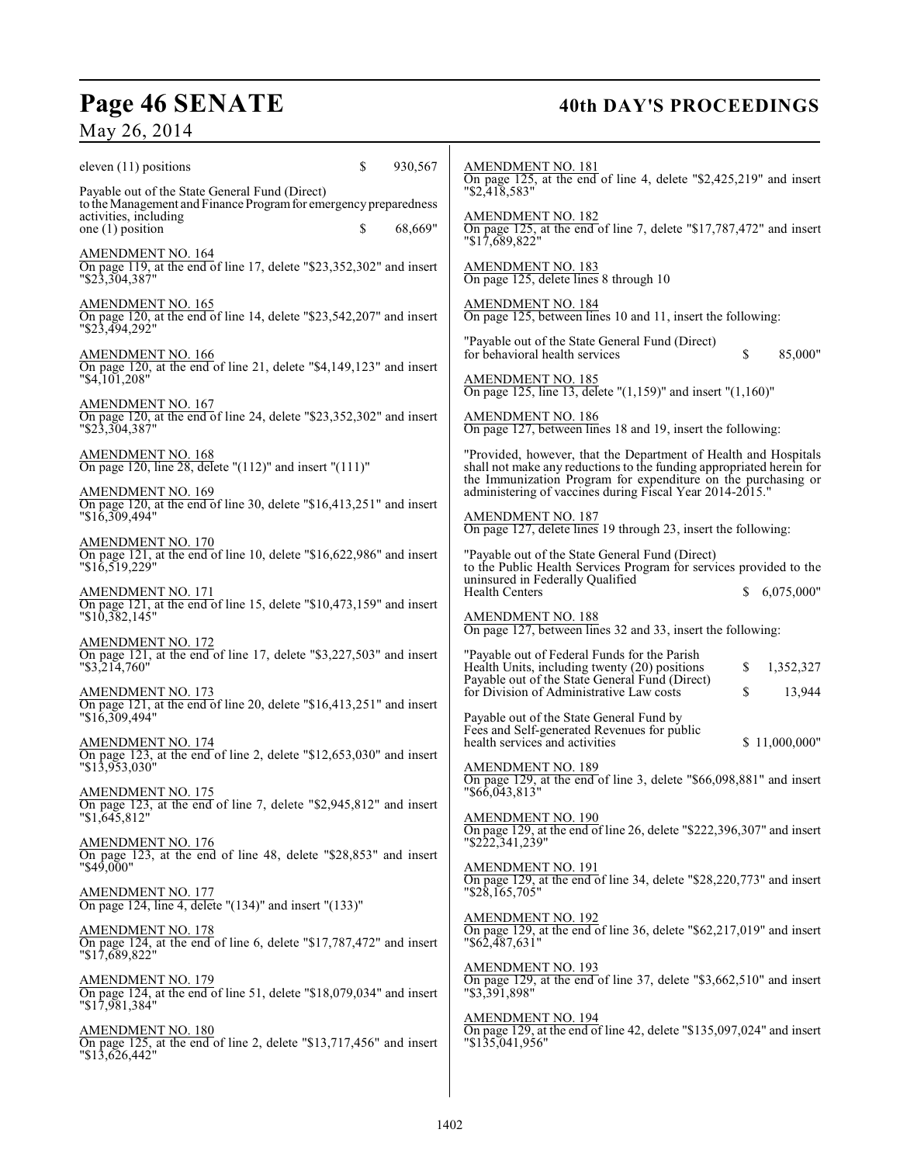# Page 46 SENATE 40th DAY'S PROCEEDINGS

## May 26, 2014

| \$<br>930,567<br>eleven $(11)$ positions                                                                                                                                                      | AMENDMENT NO. 181<br>On page 125, at the end of line 4, delete "\$2,425,219" and insert                                                                                                                  |
|-----------------------------------------------------------------------------------------------------------------------------------------------------------------------------------------------|----------------------------------------------------------------------------------------------------------------------------------------------------------------------------------------------------------|
| Payable out of the State General Fund (Direct)<br>to the Management and Finance Program for emergency preparedness<br>activities, including<br><sup>\$</sup><br>68,669"<br>one $(1)$ position | $"$ \$2,418,583"<br>AMENDMENT NO. 182<br>On page 125, at the end of line 7, delete "\$17,787,472" and insert                                                                                             |
|                                                                                                                                                                                               | "\$17,689,822"                                                                                                                                                                                           |
| <b>AMENDMENT NO. 164</b><br>On page 119, at the end of line 17, delete "\$23,352,302" and insert<br>$"\$2\overline{3}, \overline{3}04, 38\overline{7}"$                                       | AMENDMENT NO. 183<br>On page 125, delete lines 8 through 10                                                                                                                                              |
| AMENDMENT NO. 165<br>On page 120, at the end of line 14, delete "\$23,542,207" and insert<br>"\$23,494,292"                                                                                   | AMENDMENT NO. 184<br>On page 125, between lines 10 and 11, insert the following:                                                                                                                         |
| <b>AMENDMENT NO. 166</b><br>On page 120, at the end of line 21, delete "\$4,149,123" and insert                                                                                               | "Payable out of the State General Fund (Direct)<br>for behavioral health services<br>\$<br>85,000"                                                                                                       |
| $"$ \$4,101,208"                                                                                                                                                                              | <b>AMENDMENT NO. 185</b><br>On page 125, line 13, delete " $(1,159)$ " and insert " $(1,160)$ "                                                                                                          |
| <b>AMENDMENT NO. 167</b><br>On page 120, at the end of line 24, delete "\$23,352,302" and insert<br>"\$23,304,387"                                                                            | <b>AMENDMENT NO. 186</b><br>On page 127, between lines 18 and 19, insert the following:                                                                                                                  |
| AMENDMENT NO. 168<br>On page 120, line 28, delete " $(112)$ " and insert " $(111)$ "                                                                                                          | "Provided, however, that the Department of Health and Hospitals<br>shall not make any reductions to the funding appropriated herein for<br>the Immunization Program for expenditure on the purchasing or |
| <b>AMENDMENT NO. 169</b><br>On page 120, at the end of line 30, delete "\$16,413,251" and insert                                                                                              | administering of vaccines during Fiscal Year 2014-2015."                                                                                                                                                 |
| $"\$16,309,494"$                                                                                                                                                                              | <b>AMENDMENT NO. 187</b><br>On page 127, delete lines 19 through 23, insert the following:                                                                                                               |
| AMENDMENT NO. 170<br>On page 121, at the end of line 10, delete "\$16,622,986" and insert<br>$"\$16,519,229"$                                                                                 | "Payable out of the State General Fund (Direct)<br>to the Public Health Services Program for services provided to the                                                                                    |
| AMENDMENT NO. 171<br>On page 121, at the end of line 15, delete "\$10,473,159" and insert                                                                                                     | uninsured in Federally Qualified<br><b>Health Centers</b><br>6,075,000"                                                                                                                                  |
| $"\$1\overline{0,382,145"$                                                                                                                                                                    | AMENDMENT NO. 188<br>On page 127, between lines 32 and 33, insert the following:                                                                                                                         |
| <b>AMENDMENT NO. 172</b><br>On page 121, at the end of line 17, delete "\$3,227,503" and insert                                                                                               | "Payable out of Federal Funds for the Parish                                                                                                                                                             |
| $"$ \$3,214,760"                                                                                                                                                                              | Health Units, including twenty (20) positions<br>\$<br>1,352,327<br>Payable out of the State General Fund (Direct)                                                                                       |
| <b>AMENDMENT NO. 173</b><br>On page 121, at the end of line 20, delete "\$16,413,251" and insert<br>$"\$16,309,494"$                                                                          | for Division of Administrative Law costs<br>\$<br>13,944<br>Payable out of the State General Fund by                                                                                                     |
| <b>AMENDMENT NO. 174</b>                                                                                                                                                                      | Fees and Self-generated Revenues for public<br>health services and activities<br>\$11,000,000"                                                                                                           |
| On page 123, at the end of line 2, delete "\$12,653,030" and insert<br>$"\$1\overline{3},\overline{953},030"$                                                                                 | <b>AMENDMENT NO. 189</b>                                                                                                                                                                                 |
| <b>AMENDMENT NO. 175</b><br>On page 123, at the end of line 7, delete "\$2,945,812" and insert                                                                                                | On page 129, at the end of line 3, delete " $$66,098,881"$ and insert<br>"\$66,043,813"                                                                                                                  |
| "\$1,645,812"                                                                                                                                                                                 | <b>AMENDMENT NO. 190</b><br>On page 129, at the end of line 26, delete "\$222,396,307" and insert                                                                                                        |
| <u>AMENDMENT NO. 176</u><br>On page 123, at the end of line 48, delete "\$28,853" and insert                                                                                                  | "\$222,341,239"                                                                                                                                                                                          |
| $"\$49.000"$                                                                                                                                                                                  | <b>AMENDMENT NO. 191</b><br>On page 129, at the end of line 34, delete "\$28,220,773" and insert                                                                                                         |
| <b>AMENDMENT NO. 177</b><br>On page 124, line 4, delete " $(134)$ " and insert " $(133)$ "                                                                                                    | $"\$2\&\165,705"$                                                                                                                                                                                        |
| AMENDMENT NO. 178<br>On page 124, at the end of line 6, delete "\$17,787,472" and insert<br>"17,689,822"                                                                                      | <b>AMENDMENT NO. 192</b><br>On page 129, at the end of line 36, delete "\$62,217,019" and insert<br>"\$62,487,631"                                                                                       |
| <b>AMENDMENT NO. 179</b><br>On page 124, at the end of line 51, delete "\$18,079,034" and insert<br>"\$17,981,384"                                                                            | <b>AMENDMENT NO. 193</b><br>On page 129, at the end of line 37, delete "\$3,662,510" and insert<br>"\$3,391,898"                                                                                         |
| AMENDMENT NO. 180<br>On page 125, at the end of line 2, delete "\$13,717,456" and insert<br>"13,626,442"                                                                                      | <b>AMENDMENT NO. 194</b><br>On page 129, at the end of line 42, delete "\$135,097,024" and insert<br>"\$135,041,956"                                                                                     |
|                                                                                                                                                                                               |                                                                                                                                                                                                          |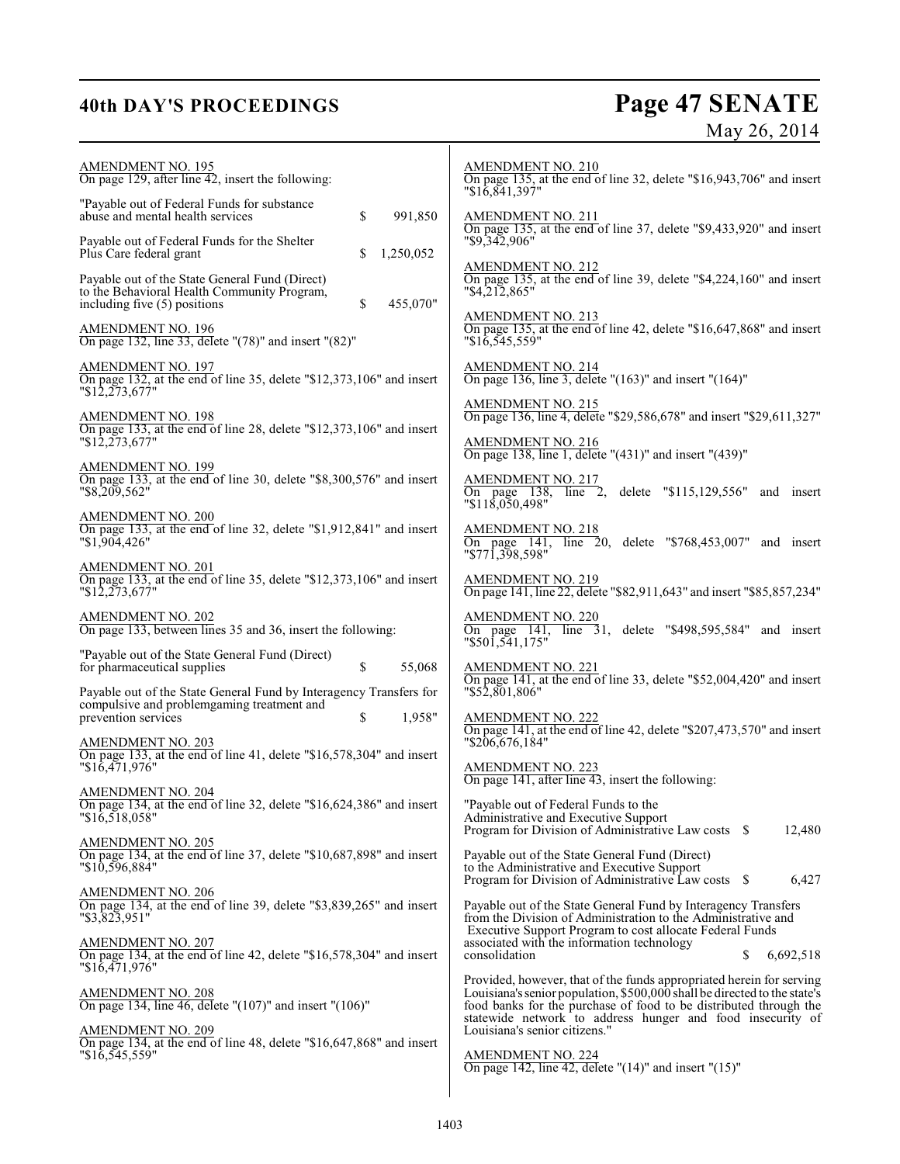## **40th DAY'S PROCEEDINGS Page 47 SENATE** May 26, 2014

| <b>AMENDMENT NO. 195</b><br>On page 129, after line 42, insert the following:                                                                           | <b>AMENDMENT NO. 210</b><br>On page 135, at the end of line 32, delete "\$16,943,706" and insert<br>"\$16,841,397"                                                                                                                                                                   |
|---------------------------------------------------------------------------------------------------------------------------------------------------------|--------------------------------------------------------------------------------------------------------------------------------------------------------------------------------------------------------------------------------------------------------------------------------------|
| "Payable out of Federal Funds for substance"<br>\$<br>abuse and mental health services<br>991,850                                                       | <b>AMENDMENT NO. 211</b><br>On page 135, at the end of line 37, delete "\$9,433,920" and insert                                                                                                                                                                                      |
| Payable out of Federal Funds for the Shelter<br>Plus Care federal grant<br>\$<br>1,250,052                                                              | "\$9,342,906"                                                                                                                                                                                                                                                                        |
| Payable out of the State General Fund (Direct)<br>to the Behavioral Health Community Program,<br>455,070"<br>including five (5) positions<br>\$         | <b>AMENDMENT NO. 212</b><br>On page 135, at the end of line 39, delete "\$4,224,160" and insert<br>"\$4,212,865"                                                                                                                                                                     |
| <b>AMENDMENT NO. 196</b><br>On page 132, line 33, delete "(78)" and insert "(82)"                                                                       | <b>AMENDMENT NO. 213</b><br>On page 135, at the end of line 42, delete " $$16,647,868"$ " and insert<br>$"\$16,545,559"$                                                                                                                                                             |
| <b>AMENDMENT NO. 197</b><br>On page 132, at the end of line 35, delete "\$12,373,106" and insert<br>"12,273,677"                                        | <b>AMENDMENT NO. 214</b><br>On page 136, line 3, delete " $(163)$ " and insert " $(164)$ "                                                                                                                                                                                           |
| AMENDMENT NO. 198<br>On page 133, at the end of line 28, delete "\$12,373,106" and insert                                                               | AMENDMENT NO. 215<br>On page 136, line 4, delete "\$29,586,678" and insert "\$29,611,327"                                                                                                                                                                                            |
| "12,273,677"                                                                                                                                            | <b>AMENDMENT NO. 216</b><br>On page 138, line 1, delete " $(431)$ " and insert " $(439)$ "                                                                                                                                                                                           |
| AMENDMENT NO. 199<br>On page 133, at the end of line 30, delete "\$8,300,576" and insert<br>$"$ \$8,209,562"                                            | <b>AMENDMENT NO. 217</b><br>On page 138,<br>delete $"115,129,556"$ and insert<br>$line 2$ ,<br>$"\$11\overline{\$}0\overline{\$}0,498"$                                                                                                                                              |
| <b>AMENDMENT NO. 200</b><br>On page 133, at the end of line 32, delete "\$1,912,841" and insert<br>"\$1,904,426"                                        | <u>AMENDMENT NO. 218</u><br>On page 141, line 20, delete "\$768,453,007" and insert<br>"\$771,398,598"                                                                                                                                                                               |
| <b>AMENDMENT NO. 201</b><br>On page 133, at the end of line 35, delete "\$12,373,106" and insert<br>"12,273,677"                                        | <b>AMENDMENT NO. 219</b><br>On page 141, line 22, delete "\$82,911,643" and insert "\$85,857,234"                                                                                                                                                                                    |
| AMENDMENT NO. 202<br>On page 133, between lines 35 and 36, insert the following:                                                                        | <b>AMENDMENT NO. 220</b><br>On page 141, line 31, delete "\$498,595,584" and insert<br>$"\$50\overline{1,541,175"}$                                                                                                                                                                  |
| "Payable out of the State General Fund (Direct)<br>for pharmaceutical supplies<br>\$<br>55,068                                                          | $\frac{\text{AMENDMENT NO. 221}}{\text{On page 141, at the end of line 33, delete "$52,004,420" and insert}$                                                                                                                                                                         |
| Payable out of the State General Fund by Interagency Transfers for<br>compulsive and problemgaming treatment and<br>prevention services<br>\$<br>1,958" | "\$52,801,806"<br>AMENDMENT NO. 222                                                                                                                                                                                                                                                  |
| AMENDMENT NO. 203<br>On page 133, at the end of line 41, delete "\$16,578,304" and insert                                                               | On page 141, at the end of line 42, delete "\$207,473,570" and insert<br>"\$206,676,184"                                                                                                                                                                                             |
| $"\$16,471,976"$<br>AMENDMENT NO. 204                                                                                                                   | AMENDMENT NO. 223<br>On page 141, after line 43, insert the following:                                                                                                                                                                                                               |
| On page 134, at the end of line 32, delete "\$16,624,386" and insert<br>$"\$16,518,058"$                                                                | "Payable out of Federal Funds to the<br>Administrative and Executive Support<br>Program for Division of Administrative Law costs \$<br>12,480                                                                                                                                        |
| <b>AMENDMENT NO. 205</b><br>On page 134, at the end of line 37, delete "\$10,687,898" and insert<br>$"\$10,596,884"$                                    | Payable out of the State General Fund (Direct)<br>to the Administrative and Executive Support<br>Program for Division of Administrative Law costs \$<br>6,427                                                                                                                        |
| AMENDMENT NO. 206<br>On page 134, at the end of line 39, delete "\$3,839,265" and insert<br>"\$3,823,951"                                               | Payable out of the State General Fund by Interagency Transfers<br>from the Division of Administration to the Administrative and                                                                                                                                                      |
| <b>AMENDMENT NO. 207</b><br>On page 134, at the end of line 42, delete "\$16,578,304" and insert<br>$"\$16,471,976"$                                    | Executive Support Program to cost allocate Federal Funds<br>associated with the information technology<br>consolidation<br>6,692,518<br>S                                                                                                                                            |
| <b>AMENDMENT NO. 208</b><br>On page 134, line 46, delete " $(107)$ " and insert " $(106)$ "                                                             | Provided, however, that of the funds appropriated herein for serving<br>Louisiana's senior population, \$500,000 shall be directed to the state's<br>food banks for the purchase of food to be distributed through the<br>statewide network to address hunger and food insecurity of |
| <b>AMENDMENT NO. 209</b><br>On page 134, at the end of line 48, delete " $$16,647,868"$ " and insert<br>"\$16,545,559"                                  | Louisiana's senior citizens."<br><b>AMENDMENT NO. 224</b>                                                                                                                                                                                                                            |
|                                                                                                                                                         | On page 142, line 42, delete " $(14)$ " and insert " $(15)$ "                                                                                                                                                                                                                        |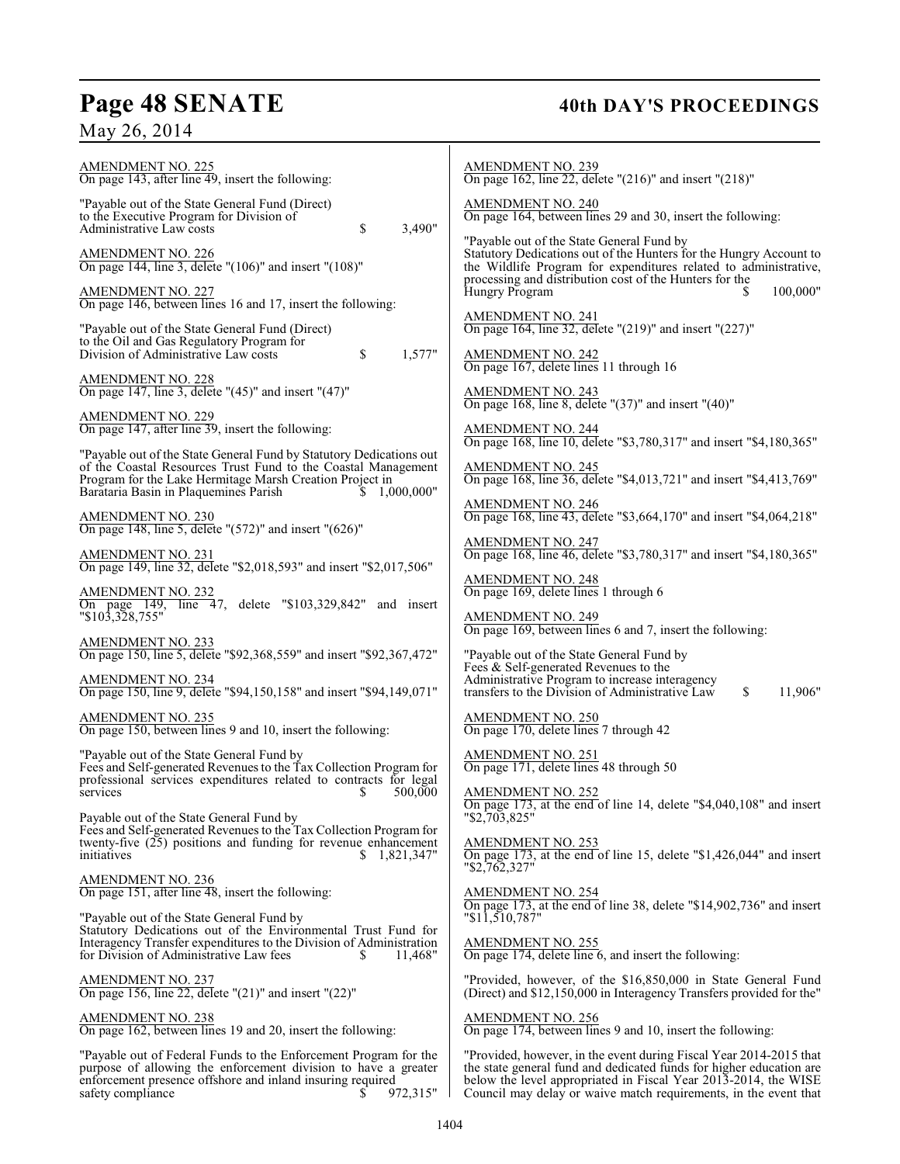## Page 48 SENATE 40th DAY'S PROCEEDINGS

May 26, 2014

| AMENDMENT NO. 225<br>On page 143, after line 49, insert the following:                                                                                                                           | <b>AMENDMENT NO. 239</b><br>On page 162, line 22, delete " $(216)$ " and insert " $(218)$ "                                                                                                                  |
|--------------------------------------------------------------------------------------------------------------------------------------------------------------------------------------------------|--------------------------------------------------------------------------------------------------------------------------------------------------------------------------------------------------------------|
| "Payable out of the State General Fund (Direct)<br>to the Executive Program for Division of<br>Administrative Law costs<br>\$<br>3,490"                                                          | <b>AMENDMENT NO. 240</b><br>On page 164, between lines 29 and 30, insert the following:                                                                                                                      |
| <b>AMENDMENT NO. 226</b><br>On page 144, line 3, delete " $(106)$ " and insert " $(108)$ "                                                                                                       | "Payable out of the State General Fund by<br>Statutory Dedications out of the Hunters for the Hungry Account to<br>the Wildlife Program for expenditures related to administrative,                          |
| <b>AMENDMENT NO. 227</b><br>On page 146, between lines 16 and 17, insert the following:                                                                                                          | processing and distribution cost of the Hunters for the<br>100,000"<br>Hungry Program                                                                                                                        |
| "Payable out of the State General Fund (Direct)<br>to the Oil and Gas Regulatory Program for<br>Division of Administrative Law costs                                                             | $\frac{\text{AMENDMENT NO. 241}}{\text{On page 164, line 32, delete}}$ (219)" and insert "(227)"                                                                                                             |
| 1,577"<br>\$<br><b>AMENDMENT NO. 228</b>                                                                                                                                                         | AMENDMENT NO. 242<br>On page 167, delete lines 11 through 16                                                                                                                                                 |
| On page 147, line 3, delete " $(45)$ " and insert " $(47)$ "<br>AMENDMENT NO. 229<br>On page 147, after line 39, insert the following:                                                           | AMENDMENT NO. 243<br>On page 168, line 8, delete "(37)" and insert "(40)"                                                                                                                                    |
| "Payable out of the State General Fund by Statutory Dedications out                                                                                                                              | <b>AMENDMENT NO. 244</b><br>On page 168, line 10, delete "\$3,780,317" and insert "\$4,180,365"                                                                                                              |
| of the Coastal Resources Trust Fund to the Coastal Management<br>Program for the Lake Hermitage Marsh Creation Project in<br>Barataria Basin in Plaquemines Parish<br>1,000,000"                 | AMENDMENT NO. 245<br>On page 168, line 36, delete "\$4,013,721" and insert "\$4,413,769"                                                                                                                     |
| AMENDMENT NO. 230<br>On page 148, line 5, delete " $(572)$ " and insert " $(626)$ "                                                                                                              | <b>AMENDMENT NO. 246</b><br>On page 168, line 43, delete "\$3,664,170" and insert "\$4,064,218"                                                                                                              |
| <b>AMENDMENT NO. 231</b><br>On page 149, line 32, delete "\$2,018,593" and insert "\$2,017,506"                                                                                                  | AMENDMENT NO. 247<br>On page 168, line 46, delete "\$3,780,317" and insert "\$4,180,365"                                                                                                                     |
| <b>AMENDMENT NO. 232</b><br>On page 149, line 47, delete "\$103,329,842" and insert                                                                                                              | <b>AMENDMENT NO. 248</b><br>On page 169, delete lines 1 through 6                                                                                                                                            |
| $"\$10\overline{3},3\overline{2}8,755"$<br>AMENDMENT NO. 233                                                                                                                                     | AMENDMENT NO. 249<br>On page 169, between lines 6 and 7, insert the following:                                                                                                                               |
| On page 150, line 5, delete "\$92,368,559" and insert "\$92,367,472"<br><b>AMENDMENT NO. 234</b><br>On page 150, line 9, delete "\$94,150,158" and insert "\$94,149,071"                         | "Payable out of the State General Fund by<br>Fees & Self-generated Revenues to the<br>Administrative Program to increase interagency<br>\$<br>11,906"<br>transfers to the Division of Administrative Law     |
| <b>AMENDMENT NO. 235</b><br>On page 150, between lines 9 and 10, insert the following:                                                                                                           | <b>AMENDMENT NO. 250</b><br>On page 170, delete lines 7 through 42                                                                                                                                           |
| "Payable out of the State General Fund by<br>Fees and Self-generated Revenues to the Tax Collection Program for                                                                                  | <b>AMENDMENT NO. 251</b><br>On page 171, delete lines 48 through 50                                                                                                                                          |
| professional services expenditures related to contracts for legal<br>500,000<br>services<br>S<br>Payable out of the State General Fund by                                                        | <b>AMENDMENT NO. 252</b><br>On page 173, at the end of line 14, delete "\$4,040,108" and insert<br>"\$2,703,825"                                                                                             |
| Fees and Self-generated Revenues to the Tax Collection Program for<br>twenty-five $(25)$ positions and funding for revenue enhancement<br>initiatives<br>1,821,347"<br>S.                        | AMENDMENT NO. 253<br>On page 173, at the end of line 15, delete "\$1,426,044" and insert<br>"\$2,762,327"                                                                                                    |
| <b>AMENDMENT NO. 236</b><br>On page $151$ , after line $48$ , insert the following:                                                                                                              | <b>AMENDMENT NO. 254</b><br>On page 173, at the end of line 38, delete "\$14,902,736" and insert                                                                                                             |
| "Payable out of the State General Fund by<br>Statutory Dedications out of the Environmental Trust Fund for<br>Interagency Transfer expenditures to the Division of Administration                | "\$11,510,787"<br><b>AMENDMENT NO. 255</b>                                                                                                                                                                   |
| for Division of Administrative Law fees<br>11,468"<br>S.                                                                                                                                         | On page $174$ , delete line 6, and insert the following:                                                                                                                                                     |
| AMENDMENT NO. 237<br>On page 156, line 22, delete "(21)" and insert "(22)"                                                                                                                       | "Provided, however, of the \$16,850,000 in State General Fund<br>(Direct) and \$12,150,000 in Interagency Transfers provided for the"                                                                        |
| <b>AMENDMENT NO. 238</b><br>On page 162, between lines 19 and 20, insert the following:                                                                                                          | <b>AMENDMENT NO. 256</b><br>On page 174, between lines 9 and 10, insert the following:                                                                                                                       |
| "Payable out of Federal Funds to the Enforcement Program for the<br>purpose of allowing the enforcement division to have a greater<br>enforcement presence offshore and inland insuring required | "Provided, however, in the event during Fiscal Year 2014-2015 that<br>the state general fund and dedicated funds for higher education are<br>below the level appropriated in Fiscal Year 2013-2014, the WISE |

 $\mathbf{I}$ 

Council may delay or waive match requirements, in the event that

safety compliance  $\sqrt{972,315}$ "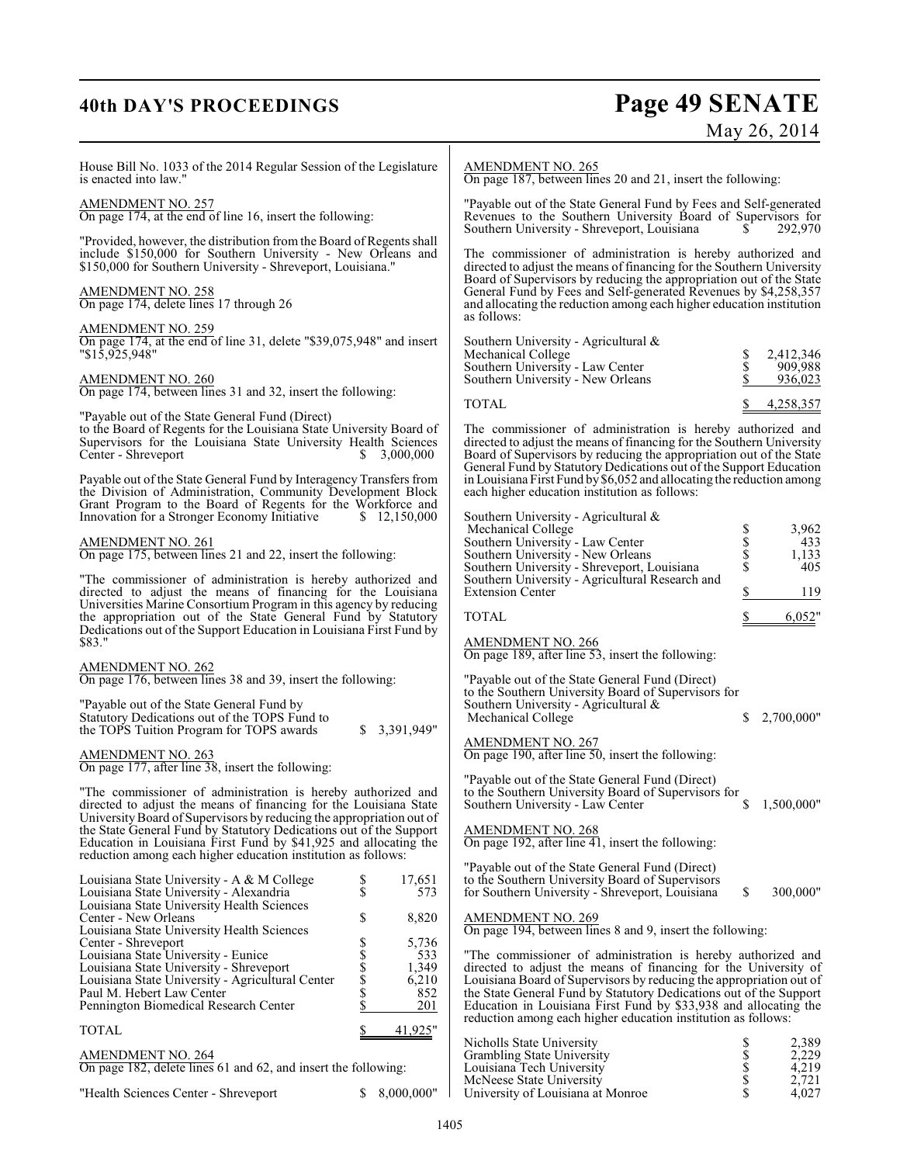## **40th DAY'S PROCEEDINGS Page 49 SENATE** May 26, 2014

| House Bill No. 1033 of the 2014 Regular Session of the Legislature<br>is enacted into law."                                                                                                                                                                                     | AMENDMENT NO. 265<br>On page 187, between lines 20 and 21, insert the following:                                                                                                                                                                                                  |
|---------------------------------------------------------------------------------------------------------------------------------------------------------------------------------------------------------------------------------------------------------------------------------|-----------------------------------------------------------------------------------------------------------------------------------------------------------------------------------------------------------------------------------------------------------------------------------|
| <b>AMENDMENT NO. 257</b><br>On page 174, at the end of line 16, insert the following:                                                                                                                                                                                           | "Payable out of the State General Fund by Fees and Self-generated<br>Revenues to the Southern University Board of Supervisors for<br>Southern University - Shreveport, Louisiana<br>292,970<br>S.                                                                                 |
| "Provided, however, the distribution from the Board of Regents shall<br>include \$150,000 for Southern University - New Orleans and<br>\$150,000 for Southern University - Shreveport, Louisiana."                                                                              | The commissioner of administration is hereby authorized and<br>directed to adjust the means of financing for the Southern University                                                                                                                                              |
| <b>AMENDMENT NO. 258</b><br>On page 174, delete lines 17 through 26                                                                                                                                                                                                             | Board of Supervisors by reducing the appropriation out of the State<br>General Fund by Fees and Self-generated Revenues by \$4,258,357<br>and allocating the reduction among each higher education institution<br>as follows:                                                     |
| AMENDMENT NO. 259<br>On page 174, at the end of line 31, delete "\$39,075,948" and insert<br>$"\$1\overline{5}.\overline{9}25.\overline{9}48"$                                                                                                                                  | Southern University - Agricultural &<br>2,412,346<br>Mechanical College<br>\$<br>\$                                                                                                                                                                                               |
| <b>AMENDMENT NO. 260</b><br>On page 174, between lines 31 and 32, insert the following:                                                                                                                                                                                         | 909,988<br>Southern University - Law Center<br>Southern University - New Orleans<br>936,023                                                                                                                                                                                       |
| "Payable out of the State General Fund (Direct)                                                                                                                                                                                                                                 | <b>TOTAL</b><br>4,258,357                                                                                                                                                                                                                                                         |
| to the Board of Regents for the Louisiana State University Board of<br>Supervisors for the Louisiana State University Health Sciences<br>Center - Shreveport<br>3,000,000<br>S.                                                                                                 | The commissioner of administration is hereby authorized and<br>directed to adjust the means of financing for the Southern University<br>Board of Supervisors by reducing the appropriation out of the State<br>General Fund by Statutory Dedications out of the Support Education |
| Payable out of the State General Fund by Interagency Transfers from<br>the Division of Administration, Community Development Block<br>Grant Program to the Board of Regents for the Workforce and                                                                               | in Louisiana First Fund by \$6,052 and allocating the reduction among<br>each higher education institution as follows:                                                                                                                                                            |
| \$12,150,000<br>Innovation for a Stronger Economy Initiative                                                                                                                                                                                                                    | Southern University - Agricultural $\&$<br>3,962<br>Mechanical College                                                                                                                                                                                                            |
| AMENDMENT NO. 261<br>On page 175, between lines 21 and 22, insert the following:                                                                                                                                                                                                | Տ<br>Տ<br>Տ<br>Southern University - Law Center<br>433<br>1,133<br>Southern University - New Orleans                                                                                                                                                                              |
|                                                                                                                                                                                                                                                                                 | 405<br>Southern University - Shreveport, Louisiana                                                                                                                                                                                                                                |
| "The commissioner of administration is hereby authorized and<br>directed to adjust the means of financing for the Louisiana                                                                                                                                                     | Southern University - Agricultural Research and<br>\$<br><b>Extension Center</b><br>119                                                                                                                                                                                           |
| Universities Marine Consortium Program in this agency by reducing<br>the appropriation out of the State General Fund by Statutory                                                                                                                                               | <b>TOTAL</b><br>6,052"                                                                                                                                                                                                                                                            |
| Dedications out of the Support Education in Louisiana First Fund by<br>\$83."                                                                                                                                                                                                   | <b>AMENDMENT NO. 266</b><br>On page 189, after line 53, insert the following:                                                                                                                                                                                                     |
| AMENDMENT NO. 262<br>On page 176, between lines 38 and 39, insert the following:                                                                                                                                                                                                | "Payable out of the State General Fund (Direct)<br>to the Southern University Board of Supervisors for                                                                                                                                                                            |
| "Payable out of the State General Fund by<br>Statutory Dedications out of the TOPS Fund to<br>\$3,391,949"<br>the TOPS Tuition Program for TOPS awards                                                                                                                          | Southern University - Agricultural $\&$<br>2,700,000"<br>S.<br>Mechanical College                                                                                                                                                                                                 |
| AMENDMENT NO. 263<br>On page 177, after line 38, insert the following:                                                                                                                                                                                                          | <b>AMENDMENT NO. 267</b><br>On page $190$ , after line $50$ , insert the following:                                                                                                                                                                                               |
| "The commissioner of administration is hereby authorized and<br>directed to adjust the means of financing for the Louisiana State                                                                                                                                               | "Payable out of the State General Fund (Direct)<br>to the Southern University Board of Supervisors for<br>1,500,000"<br>\$<br>Southern University - Law Center                                                                                                                    |
| University Board of Supervisors by reducing the appropriation out of<br>the State General Fund by Statutory Dedications out of the Support<br>Education in Louisiana First Fund by \$41,925 and allocating the<br>reduction among each higher education institution as follows: | <b>AMENDMENT NO. 268</b><br>On page 192, after line $41$ , insert the following:                                                                                                                                                                                                  |
| Louisiana State University - A & M College<br>\$<br>17,651<br>\$<br>Louisiana State University - Alexandria<br>573                                                                                                                                                              | "Payable out of the State General Fund (Direct)<br>to the Southern University Board of Supervisors<br>\$<br>300,000"<br>for Southern University - Shreveport, Louisiana                                                                                                           |
| Louisiana State University Health Sciences<br>\$<br>8,820<br>Center - New Orleans                                                                                                                                                                                               | <b>AMENDMENT NO. 269</b>                                                                                                                                                                                                                                                          |
| Louisiana State University Health Sciences<br>5,736<br>Center - Shreveport                                                                                                                                                                                                      | On page 194, between lines 8 and 9, insert the following:                                                                                                                                                                                                                         |
| \$\$\$\$\$<br>Louisiana State University - Eunice<br>533                                                                                                                                                                                                                        | "The commissioner of administration is hereby authorized and                                                                                                                                                                                                                      |
| 1,349<br>Louisiana State University - Shreveport<br>Louisiana State University - Agricultural Center<br>6,210                                                                                                                                                                   | directed to adjust the means of financing for the University of<br>Louisiana Board of Supervisors by reducing the appropriation out of                                                                                                                                            |
| Paul M. Hebert Law Center<br>852<br>\$<br>Pennington Biomedical Research Center<br>201                                                                                                                                                                                          | the State General Fund by Statutory Dedications out of the Support<br>Education in Louisiana First Fund by \$33,938 and allocating the                                                                                                                                            |
| 41,925"<br><b>TOTAL</b><br>\$                                                                                                                                                                                                                                                   | reduction among each higher education institution as follows:                                                                                                                                                                                                                     |
| AMENDMENT NO. 264                                                                                                                                                                                                                                                               | Nicholls State University<br>\$<br>2,389<br>\$<br>Grambling State University<br>2,229                                                                                                                                                                                             |
| On page 182, delete lines 61 and 62, and insert the following:                                                                                                                                                                                                                  | \$<br>4,219<br>Louisiana Tech University                                                                                                                                                                                                                                          |

"Health Sciences Center - Shreveport

McNeese State University \$ 2,721 University of Louisiana at Monroe  $\qquad \qquad$  \$ 4,027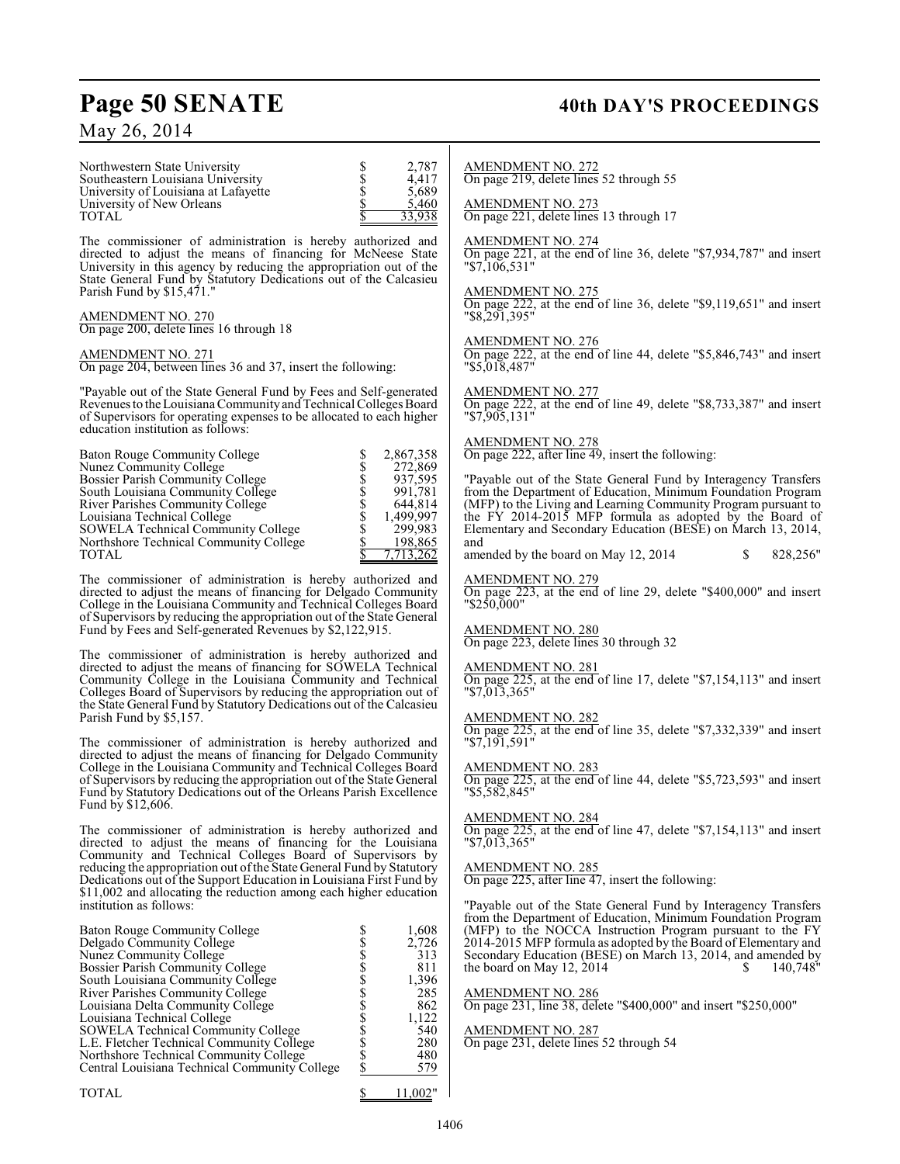## May 26, 2014

## Page 50 SENATE 40th DAY'S PROCEEDINGS

| Northwestern State University<br>Southeastern Louisiana University<br>University of Louisiana at Lafayette<br>University of New Orleans<br>TOTAL                                                                                                                                                                                                                                                                                                                                                     | Տ<br>Տ<br>Տ<br>2,787<br>4,417<br>5,689<br>\$<br>5,460<br>33,938                                          | AMENDMENT NO. 272<br>On page 219, delete lines 52 through 55<br>AMENDMENT NO. 273<br>On page 221, delete lines 13 through 17                                                                                                                                                                                                                                                        |
|------------------------------------------------------------------------------------------------------------------------------------------------------------------------------------------------------------------------------------------------------------------------------------------------------------------------------------------------------------------------------------------------------------------------------------------------------------------------------------------------------|----------------------------------------------------------------------------------------------------------|-------------------------------------------------------------------------------------------------------------------------------------------------------------------------------------------------------------------------------------------------------------------------------------------------------------------------------------------------------------------------------------|
| The commissioner of administration is hereby authorized and<br>directed to adjust the means of financing for McNeese State<br>University in this agency by reducing the appropriation out of the<br>State General Fund by Statutory Dedications out of the Calcasieu                                                                                                                                                                                                                                 |                                                                                                          | <b>AMENDMENT NO. 274</b><br>On page $221$ , at the end of line 36, dele<br>"\$7.106.531"                                                                                                                                                                                                                                                                                            |
| Parish Fund by \$15,471."<br><u>AMENDMENT NO. 270</u><br>On page 200, delete lines 16 through 18                                                                                                                                                                                                                                                                                                                                                                                                     |                                                                                                          | <b>AMENDMENT NO. 275</b><br>On page 222, at the end of line 36, dele<br>"\$8,291,395"                                                                                                                                                                                                                                                                                               |
| <b>AMENDMENT NO. 271</b><br>On page 204, between lines 36 and 37, insert the following:                                                                                                                                                                                                                                                                                                                                                                                                              |                                                                                                          | <b>AMENDMENT NO. 276</b><br>On page 222, at the end of line 44, dele<br>"\$5,018,487"                                                                                                                                                                                                                                                                                               |
| "Payable out of the State General Fund by Fees and Self-generated<br>Revenues to the Louisiana Community and Technical Colleges Board<br>of Supervisors for operating expenses to be allocated to each higher<br>education institution as follows:                                                                                                                                                                                                                                                   |                                                                                                          | AMENDMENT NO. 277<br>On page 222, at the end of line 49, dele<br>"\$7,905,131"                                                                                                                                                                                                                                                                                                      |
| Baton Rouge Community College<br>Nunez Community College                                                                                                                                                                                                                                                                                                                                                                                                                                             | 2,867,358<br>272,869                                                                                     | AMENDMENT NO. 278<br>On page 222, after line 49, insert the foll                                                                                                                                                                                                                                                                                                                    |
| <b>Bossier Parish Community College</b><br>South Louisiana Community College<br>River Parishes Community College<br>Louisiana Technical College<br>SOWELA Technical Community College<br>Northshore Technical Community College<br>TOTAL                                                                                                                                                                                                                                                             | S<br>SSSSS<br>SSS<br>937,595<br>991,781<br>644,814<br>1,499,997<br>299,983<br>\$<br>198,865<br>7,713,262 | "Payable out of the State General Fune<br>from the Department of Education, Min<br>(MFP) to the Living and Learning Comr<br>the FY 2014-2015 MFP formula as<br>Elementary and Secondary Education (I<br>and<br>amended by the board on May 12, 2014                                                                                                                                 |
| The commissioner of administration is hereby authorized and<br>directed to adjust the means of financing for Delgado Community<br>College in the Louisiana Community and Technical Colleges Board<br>of Supervisors by reducing the appropriation out of the State General                                                                                                                                                                                                                           |                                                                                                          | <b>AMENDMENT NO. 279</b><br>On page 223, at the end of line 29, de<br>"\$250,000"                                                                                                                                                                                                                                                                                                   |
| Fund by Fees and Self-generated Revenues by \$2,122,915.                                                                                                                                                                                                                                                                                                                                                                                                                                             |                                                                                                          | <b>AMENDMENT NO. 280</b><br>On page 223, delete lines 30 through 32                                                                                                                                                                                                                                                                                                                 |
| The commissioner of administration is hereby authorized and<br>directed to adjust the means of financing for SOWELA Technical<br>Community College in the Louisiana Community and Technical<br>Colleges Board of Supervisors by reducing the appropriation out of<br>the State General Fund by Statutory Dedications out of the Calcasieu                                                                                                                                                            |                                                                                                          | <u>AMENDMENT NO. 281</u><br>On page 225, at the end of line 17, dele<br>"\$7,013,365"                                                                                                                                                                                                                                                                                               |
| Parish Fund by \$5,157.<br>The commissioner of administration is hereby authorized and                                                                                                                                                                                                                                                                                                                                                                                                               |                                                                                                          | AMENDMENT NO. 282<br>On page 225, at the end of line 35, dele<br>"\$7,191,591"                                                                                                                                                                                                                                                                                                      |
| directed to adjust the means of financing for Delgado Community<br>College in the Louisiana Community and Technical Colleges Board<br>of Supervisors by reducing the appropriation out of the State General<br>Fund by Statutory Dedications out of the Orleans Parish Excellence<br>Fund by \$12,606.                                                                                                                                                                                               |                                                                                                          | <b>AMENDMENT NO. 283</b><br>On page 225, at the end of line 44, dele<br>"\$5,582,845"                                                                                                                                                                                                                                                                                               |
| The commissioner of administration is hereby authorized and<br>directed to adjust the means of financing for the Louisiana                                                                                                                                                                                                                                                                                                                                                                           |                                                                                                          | AMENDMENT NO. 284<br>On page 225, at the end of line 47, dele<br>"\$7,013,365"                                                                                                                                                                                                                                                                                                      |
| Community and Technical Colleges Board of Supervisors by<br>reducing the appropriation out of the State General Fund by Statutory<br>Dedications out of the Support Education in Louisiana First Fund by<br>\$11,002 and allocating the reduction among each higher education                                                                                                                                                                                                                        |                                                                                                          | AMENDMENT NO. 285<br>On page 225, after line 47, insert the foll                                                                                                                                                                                                                                                                                                                    |
| institution as follows:<br><b>Baton Rouge Community College</b><br>Delgado Community College<br>Nunez Community College<br><b>Bossier Parish Community College</b><br>South Louisiana Community College<br><b>River Parishes Community College</b><br>Louisiana Delta Community College<br>Louisiana Technical College<br>SOWELA Technical Community College<br>L.E. Fletcher Technical Community College<br>Northshore Technical Community College<br>Central Louisiana Technical Community College | 1,608<br>2,726<br>313<br>811<br>1,396<br>285<br>862<br>1,122<br>540<br>280<br>480<br>579                 | "Payable out of the State General Fund<br>from the Department of Education, Min<br>(MFP) to the NOCCA Instruction Pro<br>2014-2015 MFP formula as adopted by the<br>Secondary Education (BESE) on March<br>the board on May 12, 2014<br><b>AMENDMENT NO. 286</b><br>On page 231, line 38, delete "\$400,000"<br><b>AMENDMENT NO. 287</b><br>On page 231, delete lines 52 through 54 |
| TOTAL                                                                                                                                                                                                                                                                                                                                                                                                                                                                                                | \$<br>11,002"                                                                                            |                                                                                                                                                                                                                                                                                                                                                                                     |

13 through 17 of line 36, delete "\$7,934,787" and insert

of line 36, delete "\$9,119,651" and insert

of line 44, delete "\$5,846,743" and insert

of line 49, delete "\$8,733,387" and insert

insert the following:

General Fund by Interagency Transfers ducation, Minimum Foundation Program (MFP) to the Living and Learning Community Program pursuant to the FY 2014-2015 MFP formula as adopted by the Board of Elementary and Secondary Education (BESE) on March 13, 2014,

May 12, 2014 \$ 828,256"

of line 29, delete "\$400,000" and insert

of line 17, delete "\$7,154,113" and insert

of line 35, delete "\$7,332,339" and insert

of line 44, delete "\$5,723,593" and insert

of line 47, delete " $$7,154,113"$  and insert

insert the following:

General Fund by Interagency Transfers ducation, Minimum Foundation Program nstruction Program pursuant to the FY is adopted by the Board of Elementary and Secondary Education (BESE) on March 13, 2014, and amended by the board on May 12, 2014  $\qquad$  \$ 140,748"

ete "\$400,000" and insert "\$250,000"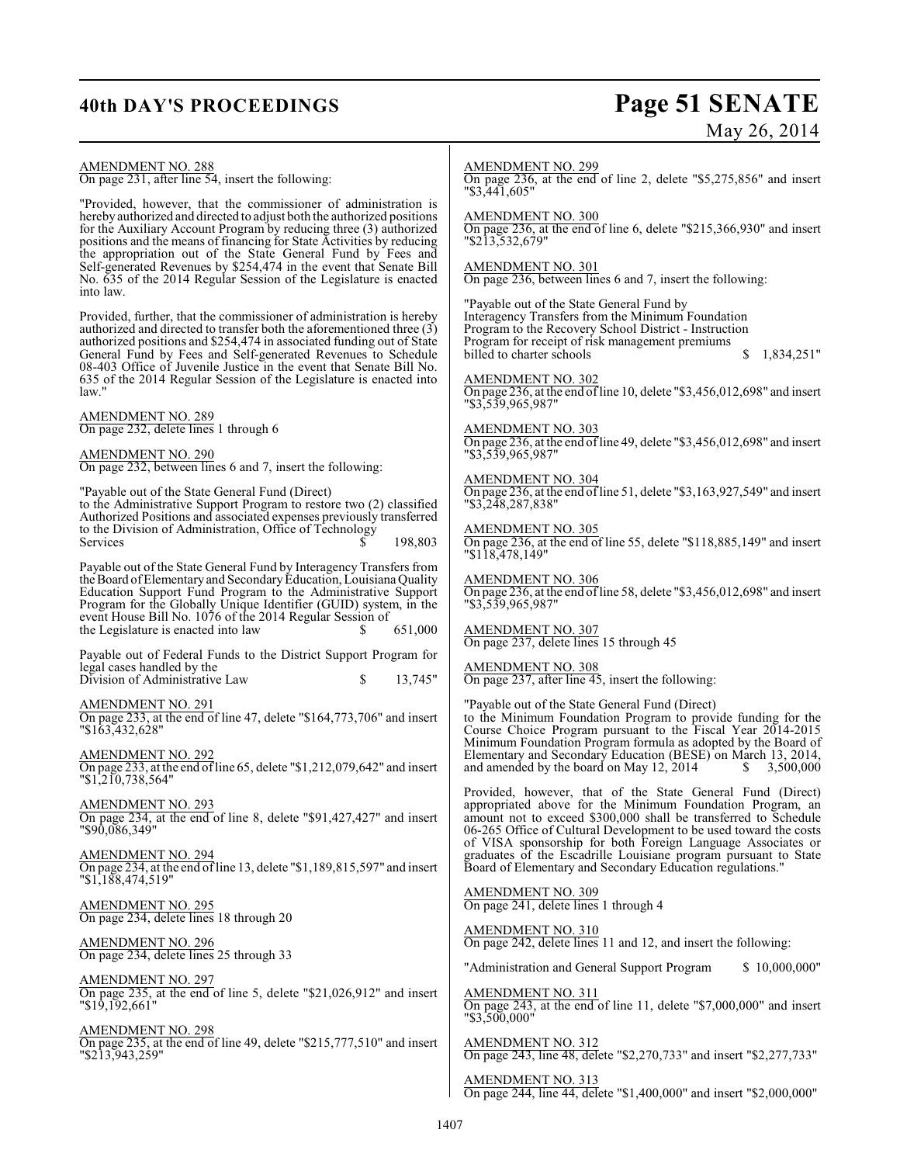## **40th DAY'S PROCEEDINGS Page 51 SENATE** May 26, 2014

| AMENDMENT NO. 288<br>On page 231, after line 54, insert the following:                                                                                                                                                                                                                                                                    | <b>AMENDMENT NO. 299</b><br>On page 236, at the end of line 2, delete "\$5,275,856" and insert<br>$"\$3,441,605"$                                                                                                                                                                                                              |
|-------------------------------------------------------------------------------------------------------------------------------------------------------------------------------------------------------------------------------------------------------------------------------------------------------------------------------------------|--------------------------------------------------------------------------------------------------------------------------------------------------------------------------------------------------------------------------------------------------------------------------------------------------------------------------------|
| "Provided, however, that the commissioner of administration is<br>hereby authorized and directed to adjust both the authorized positions<br>for the Auxiliary Account Program by reducing three (3) authorized<br>positions and the means of financing for State Activities by reducing                                                   | <b>AMENDMENT NO. 300</b><br>On page 236, at the end of line 6, delete " $$215,366,930$ " and insert<br>"\$213,532,679"                                                                                                                                                                                                         |
| the appropriation out of the State General Fund by Fees and<br>Self-generated Revenues by \$254,474 in the event that Senate Bill<br>No. 635 of the 2014 Regular Session of the Legislature is enacted<br>into law.                                                                                                                       | <b>AMENDMENT NO. 301</b><br>On page 236, between lines 6 and 7, insert the following:                                                                                                                                                                                                                                          |
| Provided, further, that the commissioner of administration is hereby<br>authorized and directed to transfer both the aforementioned three (3)<br>authorized positions and \$254,474 in associated funding out of State<br>General Fund by Fees and Self-generated Revenues to Schedule                                                    | "Payable out of the State General Fund by<br>Interagency Transfers from the Minimum Foundation<br>Program to the Recovery School District - Instruction<br>Program for receipt of risk management premiums<br>1,834,251"<br>billed to charter schools<br>\$                                                                    |
| 08-403 Office of Juvenile Justice in the event that Senate Bill No.<br>635 of the 2014 Regular Session of the Legislature is enacted into<br>law."                                                                                                                                                                                        | <b>AMENDMENT NO. 302</b><br>On page 236, at the end of line 10, delete "\$3,456,012,698" and insert<br>"\$3,539,965,987"                                                                                                                                                                                                       |
| AMENDMENT NO. 289<br>On page 232, delete lines 1 through 6                                                                                                                                                                                                                                                                                | <b>AMENDMENT NO. 303</b><br>On page 236, at the end of line 49, delete "\$3,456,012,698" and insert                                                                                                                                                                                                                            |
| AMENDMENT NO. 290<br>On page 232, between lines 6 and 7, insert the following:                                                                                                                                                                                                                                                            | "\$3,539,965,987"                                                                                                                                                                                                                                                                                                              |
| "Payable out of the State General Fund (Direct)<br>to the Administrative Support Program to restore two (2) classified<br>Authorized Positions and associated expenses previously transferred                                                                                                                                             | <b>AMENDMENT NO. 304</b><br>On page 236, at the end of line 51, delete "\$3,163,927,549" and insert<br>"\$3,248,287,838"                                                                                                                                                                                                       |
| to the Division of Administration, Office of Technology<br>Services<br>198,803                                                                                                                                                                                                                                                            | <b>AMENDMENT NO. 305</b><br>On page 236, at the end of line 55, delete "\$118,885,149" and insert<br>"\$118,478,149"                                                                                                                                                                                                           |
| Payable out of the State General Fund by Interagency Transfers from<br>the Board of Elementary and Secondary Education, Louisiana Quality<br>Education Support Fund Program to the Administrative Support<br>Program for the Globally Unique Identifier (GUID) system, in the<br>event House Bill No. 1076 of the 2014 Regular Session of | <b>AMENDMENT NO. 306</b><br>On page 236, at the end of line 58, delete " $$3,456,012,698"$ and insert<br>"\$3,539,965,987"                                                                                                                                                                                                     |
| the Legislature is enacted into law<br>651,000                                                                                                                                                                                                                                                                                            | <b>AMENDMENT NO. 307</b><br>On page 237, delete lines 15 through 45                                                                                                                                                                                                                                                            |
| Payable out of Federal Funds to the District Support Program for<br>legal cases handled by the<br>Division of Administrative Law<br>13,745"<br>\$                                                                                                                                                                                         | <b>AMENDMENT NO. 308</b><br>On page 237, after line 45, insert the following:                                                                                                                                                                                                                                                  |
| AMENDMENT NO. 291<br>On page 233, at the end of line 47, delete "\$164,773,706" and insert<br>"\$163,432,628"                                                                                                                                                                                                                             | "Payable out of the State General Fund (Direct)<br>to the Minimum Foundation Program to provide funding for the<br>Course Choice Program pursuant to the Fiscal Year 2014-2015<br>Minimum Foundation Program formula as adopted by the Board of                                                                                |
| <b>AMENDMENT NO. 292</b><br>On page 233, at the end of line 65, delete "\$1,212,079,642" and insert<br>"\$1,210,738,564"                                                                                                                                                                                                                  | Elementary and Secondary Education (BESE) on March 13, 2014,<br>and amended by the board on May 12, 2014<br>\$ 3,500,000                                                                                                                                                                                                       |
| AMENDMENT NO. 293<br>On page 234, at the end of line 8, delete "\$91,427,427" and insert<br>"\$90,086,349"                                                                                                                                                                                                                                | Provided, however, that of the State General Fund (Direct)<br>appropriated above for the Minimum Foundation Program, an<br>amount not to exceed \$300,000 shall be transferred to Schedule<br>06-265 Office of Cultural Development to be used toward the costs<br>of VISA sponsorship for both Foreign Language Associates or |
| <u>AMENDMENT NO. 294</u><br>On page 234, at the end of line 13, delete "\$1,189,815,597" and insert<br>"\$1,188,474,519"                                                                                                                                                                                                                  | graduates of the Escadrille Louisiane program pursuant to State<br>Board of Elementary and Secondary Education regulations."                                                                                                                                                                                                   |
| AMENDMENT NO. 295<br>On page 234, delete lines 18 through 20                                                                                                                                                                                                                                                                              | AMENDMENT NO. 309<br>On page 241, delete lines 1 through 4                                                                                                                                                                                                                                                                     |
| <b>AMENDMENT NO. 296</b>                                                                                                                                                                                                                                                                                                                  | AMENDMENT NO. 310<br>On page 242, delete lines 11 and 12, and insert the following:                                                                                                                                                                                                                                            |
| On page 234, delete lines 25 through 33                                                                                                                                                                                                                                                                                                   | "Administration and General Support Program<br>\$10,000,000"                                                                                                                                                                                                                                                                   |
| AMENDMENT NO. 297<br>On page 235, at the end of line 5, delete "\$21,026,912" and insert<br>"\$19,192,661"                                                                                                                                                                                                                                | AMENDMENT NO. 311<br>On page 243, at the end of line 11, delete "\$7,000,000" and insert<br>"\$3,500,000"                                                                                                                                                                                                                      |
| AMENDMENT NO. 298<br>On page 235, at the end of line 49, delete "\$215,777,510" and insert<br>"\$213,943,259"                                                                                                                                                                                                                             | <b>AMENDMENT NO. 312</b><br>On page 243, line 48, delete "\$2,270,733" and insert "\$2,277,733"                                                                                                                                                                                                                                |
|                                                                                                                                                                                                                                                                                                                                           | AMENDMENT NO. 313<br>On page 244, line 44, delete "\$1,400,000" and insert "\$2,000,000"                                                                                                                                                                                                                                       |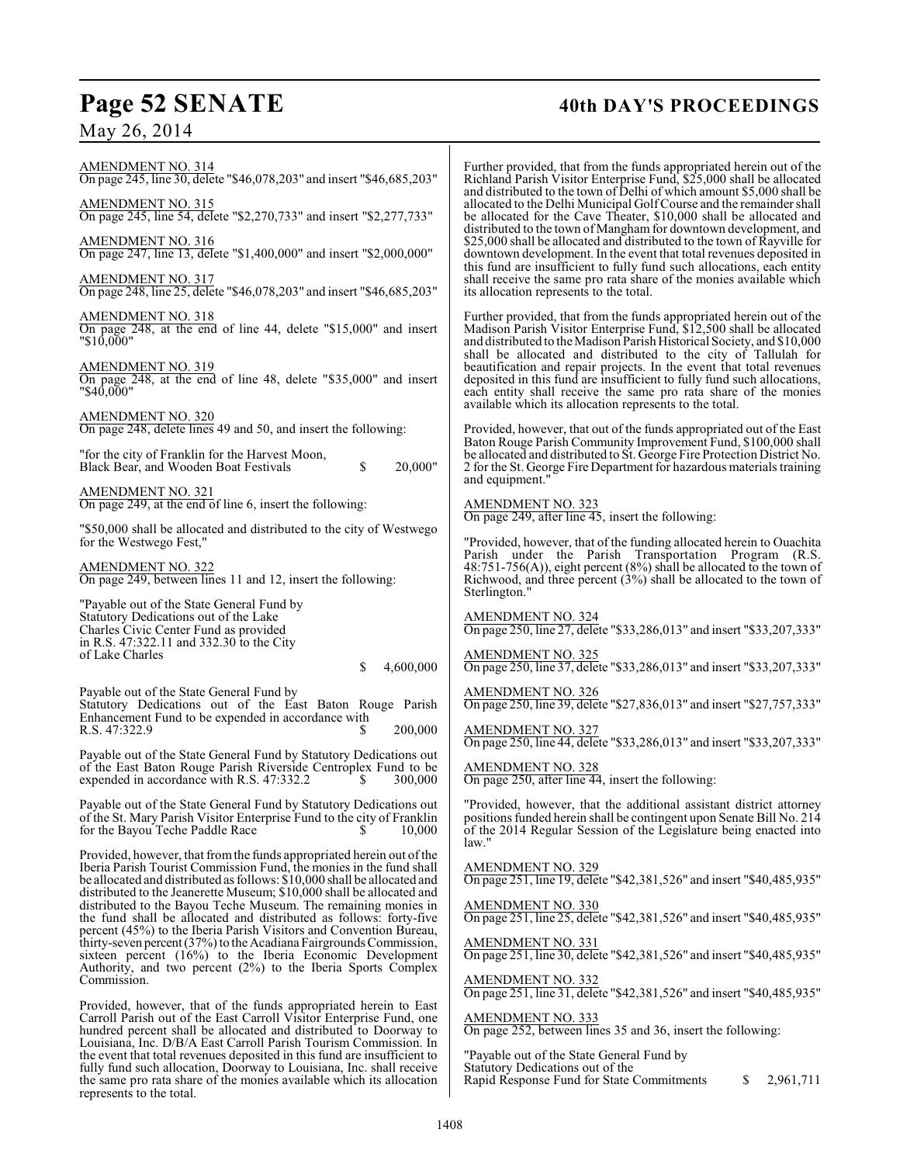May 26, 2014

## **Page 52 SENATE 40th DAY'S PROCEEDINGS**

| AMENDMENT NO. 314<br>On page 245, line 30, delete "\$46,078,203" and insert "\$46,685,203"<br>AMENDMENT NO. 315<br>On page 245, line 54, delete "\$2,270,733" and insert "\$2,277,733"<br>AMENDMENT NO. 316<br>On page 247, line 13, delete "\$1,400,000" and insert "\$2,000,000"<br>AMENDMENT NO. 317<br>On page 248, line 25, delete "\$46,078,203" and insert "\$46,685,203"                                                                                                                                                                                                                                                                                                                                                     | Further provided, that fro<br>Richland Parish Visitor E<br>and distributed to the town<br>allocated to the Delhi Mur<br>be allocated for the Cave<br>distributed to the town of I<br>\$25,000 shall be allocated<br>downtown development.<br>this fund are insufficient<br>shall receive the same pro<br>its allocation represents to |
|--------------------------------------------------------------------------------------------------------------------------------------------------------------------------------------------------------------------------------------------------------------------------------------------------------------------------------------------------------------------------------------------------------------------------------------------------------------------------------------------------------------------------------------------------------------------------------------------------------------------------------------------------------------------------------------------------------------------------------------|---------------------------------------------------------------------------------------------------------------------------------------------------------------------------------------------------------------------------------------------------------------------------------------------------------------------------------------|
| AMENDMENT NO. 318<br>On page 248, at the end of line 44, delete "\$15,000" and insert<br>"\$10,000"<br><b>AMENDMENT NO. 319</b><br>On page 248, at the end of line 48, delete "\$35,000" and insert<br>"\$40,000"                                                                                                                                                                                                                                                                                                                                                                                                                                                                                                                    | Further provided, that fro<br>Madison Parish Visitor E<br>and distributed to the Mad<br>shall be allocated and<br>beautification and repair<br>deposited in this fund are<br>each entity shall receive<br>available which its alloca                                                                                                  |
| <b>AMENDMENT NO. 320</b><br>On page 248, delete lines 49 and 50, and insert the following:<br>"for the city of Franklin for the Harvest Moon,<br>\$<br>20,000"<br>Black Bear, and Wooden Boat Festivals                                                                                                                                                                                                                                                                                                                                                                                                                                                                                                                              | Provided, however, that o<br>Baton Rouge Parish Com<br>be allocated and distribute<br>2 for the St. George Fire D<br>and equipment."                                                                                                                                                                                                  |
| <b>AMENDMENT NO. 321</b><br>On page 249, at the end of line 6, insert the following:<br>"\$50,000 shall be allocated and distributed to the city of Westwego<br>for the Westwego Fest,"                                                                                                                                                                                                                                                                                                                                                                                                                                                                                                                                              | <b>AMENDMENT NO. 323</b><br>On page 249, after line 4:<br>"Provided, however, that                                                                                                                                                                                                                                                    |
| AMENDMENT NO. 322<br>On page 249, between lines 11 and 12, insert the following:                                                                                                                                                                                                                                                                                                                                                                                                                                                                                                                                                                                                                                                     | Parish under the Pa<br>$48:751-756(A)$ , eight per<br>Richwood, and three perc<br>Sterlington."                                                                                                                                                                                                                                       |
| "Payable out of the State General Fund by<br>Statutory Dedications out of the Lake<br>Charles Civic Center Fund as provided<br>in R.S. 47:322.11 and 332.30 to the City<br>of Lake Charles<br>\$<br>4,600,000                                                                                                                                                                                                                                                                                                                                                                                                                                                                                                                        | AMENDMENT NO. 324<br>On page 250, line 27, dele<br>AMENDMENT NO. 325<br>On page 250, line 37, dele                                                                                                                                                                                                                                    |
| Payable out of the State General Fund by<br>Statutory Dedications out of the East Baton Rouge Parish<br>Enhancement Fund to be expended in accordance with<br>200,000<br>R.S. 47:322.9<br>S.                                                                                                                                                                                                                                                                                                                                                                                                                                                                                                                                         | <u>AMENDMENT NO. 326</u><br>On page 250, line 39, dele<br><b>AMENDMENT NO. 327</b><br>On page 250, line 44, dele                                                                                                                                                                                                                      |
| Payable out of the State General Fund by Statutory Dedications out<br>of the East Baton Rouge Parish Riverside Centroplex Fund to be<br>expended in accordance with R.S. 47:332.2<br>S.<br>300,000                                                                                                                                                                                                                                                                                                                                                                                                                                                                                                                                   | <b>AMENDMENT NO. 328</b><br>On page 250, after line 44                                                                                                                                                                                                                                                                                |
| Payable out of the State General Fund by Statutory Dedications out<br>of the St. Mary Parish Visitor Enterprise Fund to the city of Franklin<br>for the Bayou Teche Paddle Race<br>10,000                                                                                                                                                                                                                                                                                                                                                                                                                                                                                                                                            | "Provided, however, that<br>positions funded herein sh<br>of the 2014 Regular Sess<br>law."                                                                                                                                                                                                                                           |
| Provided, however, that from the funds appropriated herein out of the<br>Iberia Parish Tourist Commission Fund, the monies in the fund shall<br>be allocated and distributed as follows: \$10,000 shall be allocated and<br>distributed to the Jeanerette Museum; \$10,000 shall be allocated and<br>distributed to the Bayou Teche Museum. The remaining monies in<br>the fund shall be allocated and distributed as follows: forty-five<br>percent (45%) to the Iberia Parish Visitors and Convention Bureau,<br>thirty-seven percent $(37%)$ to the Acadiana Fairgrounds Commission,<br>sixteen percent $(16%)$ to the Iberia Economic Development<br>Authority, and two percent (2%) to the Iberia Sports Complex<br>Commission. | <b>AMENDMENT NO. 329</b><br>On page 251, line 19, dele<br><b>AMENDMENT NO. 330</b><br>On page 251, line 25, dele<br>AMENDMENT NO. 331<br>On page 251, line 30, dele<br><b>AMENDMENT NO. 332</b>                                                                                                                                       |
| Provided, however, that of the funds appropriated herein to East<br>Carroll Parish out of the East Carroll Visitor Enterprise Fund, one<br>hundred percent shall be allocated and distributed to Doorway to<br>Louisiana, Inc. D/B/A East Carroll Parish Tourism Commission. In                                                                                                                                                                                                                                                                                                                                                                                                                                                      | On page 251, line 31, dele<br><b>AMENDMENT NO. 333</b><br>On page 252, between lin                                                                                                                                                                                                                                                    |

the event that total revenues deposited in this fund are insufficient to fully fund such allocation, Doorway to Louisiana, Inc. shall receive the same pro rata share of the monies available which its allocation

represents to the total.

Further provided, that from the funds appropriated herein out of the Richland Parish Visitor Enterprise Fund, \$25,000 shall be allocated wn of Delhi of which amount \$5,000 shall be Iunicipal Golf Course and the remainder shall ave Theater, \$10,000 shall be allocated and of Mangham for downtown development, and ted and distributed to the town of Rayville for t. In the event that total revenues deposited in nt to fully fund such allocations, each entity pro rata share of the monies available which  $\overline{s}$  to the total.

from the funds appropriated herein out of the r Enterprise Fund, \$12,500 shall be allocated and distributed to the Madison Parish Historical Society, and \$10,000 shall be allocated and distributed to the city of Tallulah for air projects. In the event that total revenues are insufficient to fully fund such allocations, ive the same pro rata share of the monies location represents to the total.

at out of the funds appropriated out of the East mmunity Improvement Fund, \$100,000 shall uted to St. George Fire Protection District No. e Department for hazardous materials training

## AMENDMENT NO. 323 On page 249, after line 45, insert the following:

at of the funding allocated herein to Ouachita Parish under the Parish Transportation Program (R.S. 48:751-756(A)), eight percent (8%) shall be allocated to the town of  $\text{Percent}$  (3%) shall be allocated to the town of

AMENDMENT NO. 324 On page 250, line 27, delete "\$33,286,013" and insert "\$33,207,333"

AMENDMENT NO. 325 On page 250, line 37, delete "\$33,286,013" and insert "\$33,207,333"

On page 250, line 39, delete "\$27,836,013" and insert "\$27,757,333"

On page 250, line 44, delete "\$33,286,013" and insert "\$33,207,333"

AMENDMENT NO. 328 On page 250, after line 44, insert the following:

hat the additional assistant district attorney shall be contingent upon Senate Bill No. 214 ession of the Legislature being enacted into

AMENDMENT NO. 329 On page 251, line 19, delete "\$42,381,526" and insert "\$40,485,935"

AMENDMENT NO. 330 On page 251, line 25, delete "\$42,381,526" and insert "\$40,485,935"

AMENDMENT NO. 331 On page 251, line 30, delete "\$42,381,526" and insert "\$40,485,935"

AMENDMENT NO. 332 On page 251, line 31, delete "\$42,381,526" and insert "\$40,485,935"

 $\frac{33}{5}$  $\overline{\text{lines}}$  35 and 36, insert the following:

"Payable out of the State General Fund by Statutory Dedications out of the Rapid Response Fund for State Commitments \$ 2,961,711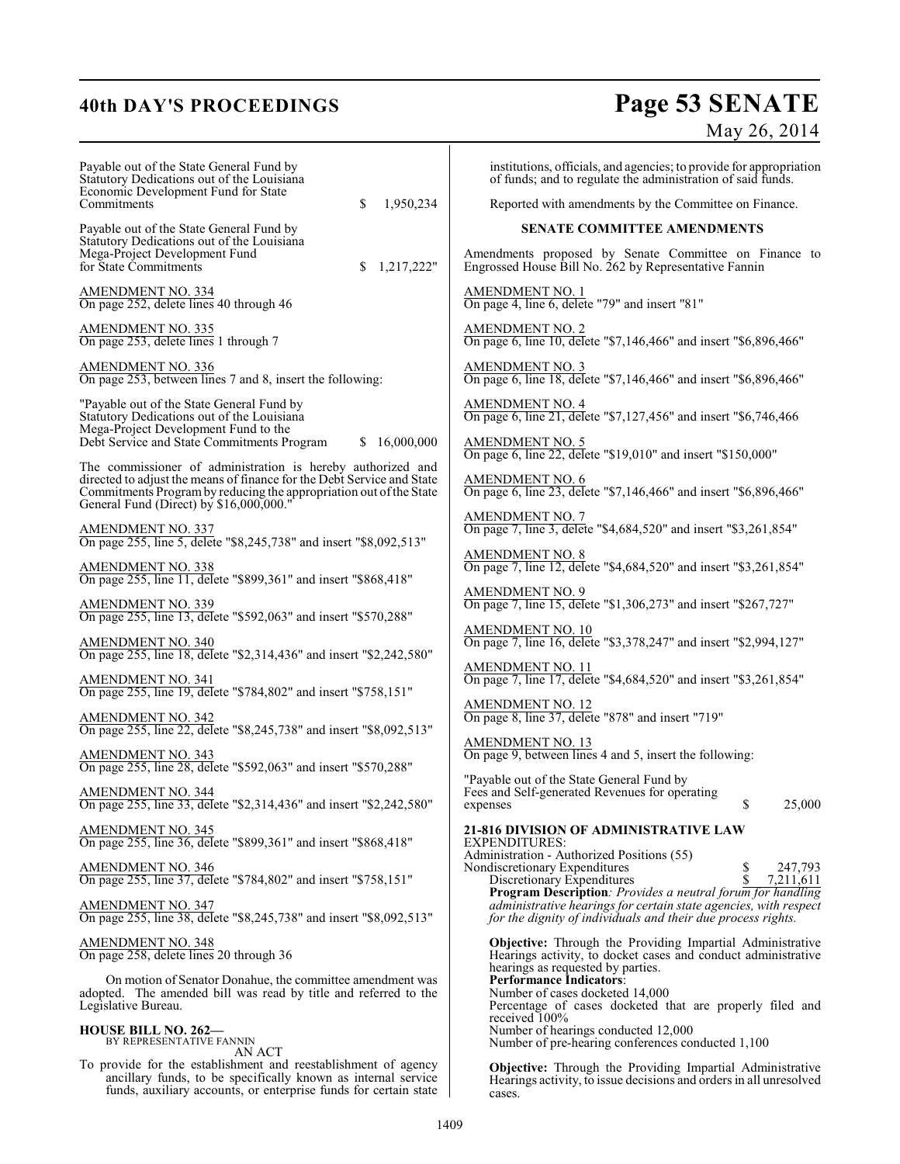# **40th DAY'S PROCEEDINGS Page 53 SENATE**

|                                                                                                                                                                                                                                                                               | May 26, 2014                                                                                                                                                                                                                                                                                                                                                                                                         |
|-------------------------------------------------------------------------------------------------------------------------------------------------------------------------------------------------------------------------------------------------------------------------------|----------------------------------------------------------------------------------------------------------------------------------------------------------------------------------------------------------------------------------------------------------------------------------------------------------------------------------------------------------------------------------------------------------------------|
| Payable out of the State General Fund by<br>Statutory Dedications out of the Louisiana<br>Economic Development Fund for State<br>Commitments<br>\$<br>1,950,234                                                                                                               | institutions, officials, and agencies; to provide for appropriation<br>of funds; and to regulate the administration of said funds.<br>Reported with amendments by the Committee on Finance.                                                                                                                                                                                                                          |
| Payable out of the State General Fund by                                                                                                                                                                                                                                      | <b>SENATE COMMITTEE AMENDMENTS</b>                                                                                                                                                                                                                                                                                                                                                                                   |
| Statutory Dedications out of the Louisiana<br>Mega-Project Development Fund<br>for State Commitments<br>1,217,222"<br>\$                                                                                                                                                      | Amendments proposed by Senate Committee on Finance to<br>Engrossed House Bill No. 262 by Representative Fannin                                                                                                                                                                                                                                                                                                       |
| AMENDMENT NO. 334<br>On page 252, delete lines 40 through 46                                                                                                                                                                                                                  | <b>AMENDMENT NO. 1</b><br>On page 4, line 6, delete "79" and insert "81"                                                                                                                                                                                                                                                                                                                                             |
| <b>AMENDMENT NO. 335</b><br>On page 253, delete lines 1 through 7                                                                                                                                                                                                             | AMENDMENT NO. 2<br>On page 6, line 10, delete "\$7,146,466" and insert "\$6,896,466"                                                                                                                                                                                                                                                                                                                                 |
| AMENDMENT NO. 336<br>On page 253, between lines 7 and 8, insert the following:                                                                                                                                                                                                | <b>AMENDMENT NO. 3</b><br>On page 6, line 18, delete "\$7,146,466" and insert "\$6,896,466"                                                                                                                                                                                                                                                                                                                          |
| "Payable out of the State General Fund by<br>Statutory Dedications out of the Louisiana<br>Mega-Project Development Fund to the                                                                                                                                               | <b>AMENDMENT NO. 4</b><br>On page 6, line 21, delete "\$7,127,456" and insert "\$6,746,466                                                                                                                                                                                                                                                                                                                           |
| Debt Service and State Commitments Program<br>16,000,000                                                                                                                                                                                                                      | <b>AMENDMENT NO. 5</b><br>On page 6, line 22, delete "\$19,010" and insert "\$150,000"                                                                                                                                                                                                                                                                                                                               |
| The commissioner of administration is hereby authorized and<br>directed to adjust the means of finance for the Debt Service and State<br>Commitments Program by reducing the appropriation out of the State<br>General Fund (Direct) by \$16,000,000."                        | AMENDMENT NO. 6<br>On page 6, line 23, delete "\$7,146,466" and insert "\$6,896,466"                                                                                                                                                                                                                                                                                                                                 |
| AMENDMENT NO. 337<br>On page 255, line 5, delete "\$8,245,738" and insert "\$8,092,513"                                                                                                                                                                                       | <b>AMENDMENT NO. 7</b><br>On page 7, line 3, delete "\$4,684,520" and insert "\$3,261,854"                                                                                                                                                                                                                                                                                                                           |
| <b>AMENDMENT NO. 338</b><br>On page 255, line 11, delete "\$899,361" and insert "\$868,418"                                                                                                                                                                                   | <b>AMENDMENT NO. 8</b><br>On page 7, line 12, delete "\$4,684,520" and insert "\$3,261,854"                                                                                                                                                                                                                                                                                                                          |
| <b>AMENDMENT NO. 339</b><br>On page 255, line 13, delete "\$592,063" and insert "\$570,288"                                                                                                                                                                                   | <b>AMENDMENT NO. 9</b><br>On page 7, line 15, delete "\$1,306,273" and insert "\$267,727"                                                                                                                                                                                                                                                                                                                            |
| AMENDMENT NO. 340<br>On page 255, line 18, delete "\$2,314,436" and insert "\$2,242,580"                                                                                                                                                                                      | AMENDMENT NO. 10<br>On page 7, line 16, delete "\$3,378,247" and insert "\$2,994,127"                                                                                                                                                                                                                                                                                                                                |
| AMENDMENT NO. 341<br>On page 255, line 19, delete "\$784,802" and insert "\$758,151"                                                                                                                                                                                          | AMENDMENT NO. 11<br>On page 7, line 17, delete "\$4,684,520" and insert "\$3,261,854"                                                                                                                                                                                                                                                                                                                                |
| <b>AMENDMENT NO. 342</b><br>On page 255, line 22, delete "\$8,245,738" and insert "\$8,092,513"                                                                                                                                                                               | AMENDMENT NO. 12<br>On page 8, line 37, delete "878" and insert "719"                                                                                                                                                                                                                                                                                                                                                |
| <u>AMENDMENT NO. 343</u><br>On page 255, line 28, delete "\$592,063" and insert "\$570,288"                                                                                                                                                                                   | <b>AMENDMENT NO. 13</b><br>On page 9, between lines 4 and 5, insert the following:                                                                                                                                                                                                                                                                                                                                   |
| AMENDMENT NO. 344<br>On page 255, line 33, delete "\$2,314,436" and insert "\$2,242,580"                                                                                                                                                                                      | "Payable out of the State General Fund by"<br>Fees and Self-generated Revenues for operating<br>\$<br>25,000<br>expenses                                                                                                                                                                                                                                                                                             |
| AMENDMENT NO. 345<br>On page 255, line 36, delete "\$899,361" and insert "\$868,418"                                                                                                                                                                                          | <b>21-816 DIVISION OF ADMINISTRATIVE LAW</b><br>EXPENDITURES:<br>Administration - Authorized Positions (55)                                                                                                                                                                                                                                                                                                          |
| <u>AMENDMENT NO. 346</u><br>On page 255, line 37, delete "\$784,802" and insert "\$758,151"                                                                                                                                                                                   | 247,793<br>Nondiscretionary Expenditures<br>7,211,611<br>Discretionary Expenditures<br><b>Program Description</b> : Provides a neutral forum for handling                                                                                                                                                                                                                                                            |
| AMENDMENT NO. 347<br>On page 255, line 38, delete "\$8,245,738" and insert "\$8,092,513"                                                                                                                                                                                      | administrative hearings for certain state agencies, with respect<br>for the dignity of individuals and their due process rights.                                                                                                                                                                                                                                                                                     |
| AMENDMENT NO. 348<br>On page 258, delete lines 20 through 36<br>On motion of Senator Donahue, the committee amendment was<br>adopted. The amended bill was read by title and referred to the<br>Legislative Bureau.<br><b>HOUSE BILL NO. 262—</b><br>BY REPRESENTATIVE FANNIN | <b>Objective:</b> Through the Providing Impartial Administrative<br>Hearings activity, to docket cases and conduct administrative<br>hearings as requested by parties.<br><b>Performance Indicators:</b><br>Number of cases docketed 14,000<br>Percentage of cases docketed that are properly filed and<br>received 100%<br>Number of hearings conducted 12,000<br>Number of pre-hearing conferences conducted 1,100 |
| AN ACT<br>To provide for the establishment and reestablishment of agency<br>ancillary funds, to be specifically known as internal service<br>funds, auxiliary accounts, or enterprise funds for certain state                                                                 | <b>Objective:</b> Through the Providing Impartial Administrative<br>Hearings activity, to issue decisions and orders in all unresolved<br>cases.                                                                                                                                                                                                                                                                     |

cases.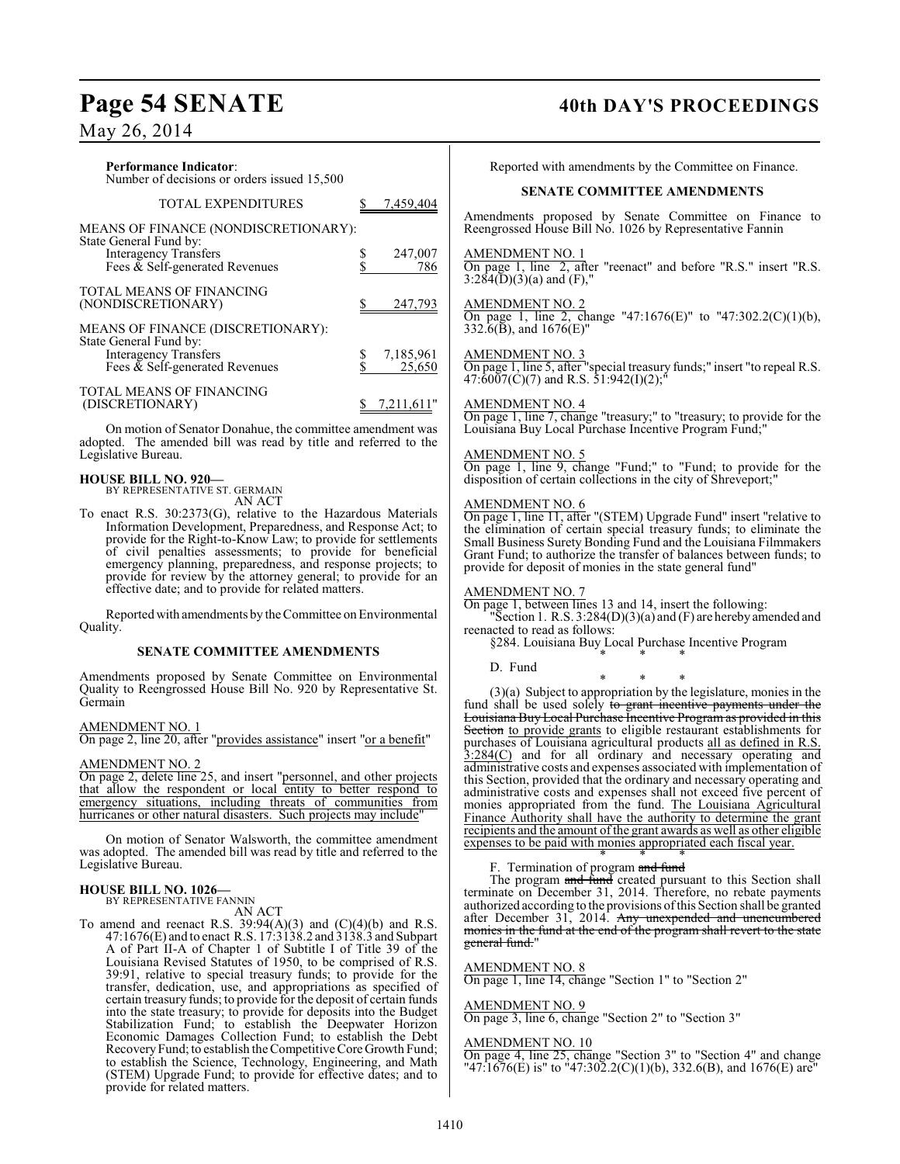## May 26, 2014

| <b>Performance Indicator:</b><br>Number of decisions or orders issued 15,500 |            | Rep                     |
|------------------------------------------------------------------------------|------------|-------------------------|
| <b>TOTAL EXPENDITURES</b>                                                    | 7,459,404  | Amendm                  |
| MEANS OF FINANCE (NONDISCRETIONARY):<br>State General Fund by:               |            | Reengros                |
| <b>Interagency Transfers</b>                                                 | 247,007    | <b>AMEND</b>            |
| Fees $\bar{\&}$ Self-generated Revenues                                      | 786        | On page<br>3:284(D)     |
| <b>TOTAL MEANS OF FINANCING</b>                                              |            |                         |
| (NONDISCRETIONARY)                                                           | 247,793    | <b>AMEND</b><br>On page |
| MEANS OF FINANCE (DISCRETIONARY):                                            |            | 332.6(B)                |
| State General Fund by:                                                       |            |                         |
| <b>Interagency Transfers</b>                                                 | 7,185,961  | <b>AMEND</b>            |
| Fees $\&$ Self-generated Revenues                                            | 25,650     | On page<br>47:6007      |
| <b>TOTAL MEANS OF FINANCING</b>                                              |            |                         |
| (DISCRETIONARY)                                                              | 7,211,611" | <b>AMEND</b>            |

On motion of Senator Donahue, the committee amendment was adopted. The amended bill was read by title and referred to the Legislative Bureau.

## **HOUSE BILL NO. 920—**

BY REPRESENTATIVE ST. GERMAIN AN ACT

To enact R.S. 30:2373(G), relative to the Hazardous Materials Information Development, Preparedness, and Response Act; to provide for the Right-to-Know Law; to provide for settlements of civil penalties assessments; to provide for beneficial emergency planning, preparedness, and response projects; to provide for review by the attorney general; to provide for an effective date; and to provide for related matters.

Reported with amendments by the Committee on Environmental Quality.

## **SENATE COMMITTEE AMENDMENTS**

Amendments proposed by Senate Committee on Environmental Quality to Reengrossed House Bill No. 920 by Representative St. Germain

## AMENDMENT NO. 1

On page 2, line 20, after "provides assistance" insert "or a benefit"

## AMENDMENT NO. 2

On page 2, delete line 25, and insert "personnel, and other projects that allow the respondent or local entity to better respond to emergency situations, including threats of communities from hurricanes or other natural disasters. Such projects may include'

On motion of Senator Walsworth, the committee amendment was adopted. The amended bill was read by title and referred to the Legislative Bureau.

## **HOUSE BILL NO. 1026—** BY REPRESENTATIVE FANNIN

AN ACT

To amend and reenact R.S.  $39:94(A)(3)$  and  $(C)(4)(b)$  and R.S. 47:1676(E) and to enact R.S. 17:3138.2 and 3138.3 and Subpart A of Part II-A of Chapter 1 of Subtitle I of Title 39 of the Louisiana Revised Statutes of 1950, to be comprised of R.S. 39:91, relative to special treasury funds; to provide for the transfer, dedication, use, and appropriations as specified of certain treasury funds; to provide for the deposit of certain funds into the state treasury; to provide for deposits into the Budget Stabilization Fund; to establish the Deepwater Horizon Economic Damages Collection Fund; to establish the Debt Recovery Fund; to establish the Competitive Core Growth Fund; to establish the Science, Technology, Engineering, and Math (STEM) Upgrade Fund; to provide for effective dates; and to provide for related matters.

## Page 54 SENATE 40th DAY'S PROCEEDINGS

orted with amendments by the Committee on Finance.

## **SENATE COMMITTEE AMENDMENTS**

hents proposed by Senate Committee on Finance to ssed House Bill No. 1026 by Representative Fannin

### MENT NO. 1

1, line 2, after "reenact" and before "R.S." insert "R.S.  $(3)(a)$  and  $(F)$ ,"

## <u>MENT NO. 2</u>

1, line 2, change "47:1676(E)" to "47:302.2(C)(1)(b),  $3,$  and 1676(E)"

## MENT NO. 3

On page 1, line 5, after "special treasury funds;" insert "to repeal R.S.  $47:6007(C)(7)$  and R.S.  $51:942(I)(2);$ "

## AMENDMENT NO. 4

On page 1, line 7, change "treasury;" to "treasury; to provide for the Louisiana Buy Local Purchase Incentive Program Fund;"

## AMENDMENT NO. 5

On page 1, line 9, change "Fund;" to "Fund; to provide for the disposition of certain collections in the city of Shreveport;

## AMENDMENT NO. 6

On page 1, line 11, after "(STEM) Upgrade Fund" insert "relative to the elimination of certain special treasury funds; to eliminate the Small Business Surety Bonding Fund and the Louisiana Filmmakers Grant Fund; to authorize the transfer of balances between funds; to provide for deposit of monies in the state general fund"

## AMENDMENT NO. 7

On page 1, between lines 13 and 14, insert the following:

"Section 1. R.S. 3:284(D)(3)(a) and (F) are hereby amended and reenacted to read as follows:

§284. Louisiana Buy Local Purchase Incentive Program \* \* \*

## D. Fund

\* \* \* (3)(a) Subject to appropriation by the legislature, monies in the fund shall be used solely to grant incentive payments under the Louisiana Buy Local Purchase Incentive Program as provided in this Section to provide grants to eligible restaurant establishments for purchases of Louisiana agricultural products all as defined in R.S. 3:284(C) and for all ordinary and necessary operating and administrative costs and expenses associated with implementation of this Section, provided that the ordinary and necessary operating and administrative costs and expenses shall not exceed five percent of monies appropriated from the fund. The Louisiana Agricultural Finance Authority shall have the authority to determine the grant recipients and the amount of the grant awards as well as other eligible expenses to be paid with monies appropriated each fiscal year.

### \* \* \* F. Termination of program and fund

The program and fund created pursuant to this Section shall terminate on December 31, 2014. Therefore, no rebate payments authorized according to the provisions of this Section shall be granted after December 31, 2014. Any unexpended and unencumbered monies in the fund at the end of the program shall revert to the state general fund."

## AMENDMENT NO. 8

On page 1, line 14, change "Section 1" to "Section 2"

## AMENDMENT NO. 9

On page 3, line 6, change "Section 2" to "Section 3"

## AMENDMENT NO. 10

On page 4, line 25, change "Section 3" to "Section 4" and change "47:1676(E) is" to "47:302.2(C)(1)(b), 332.6(B), and 1676(E) are"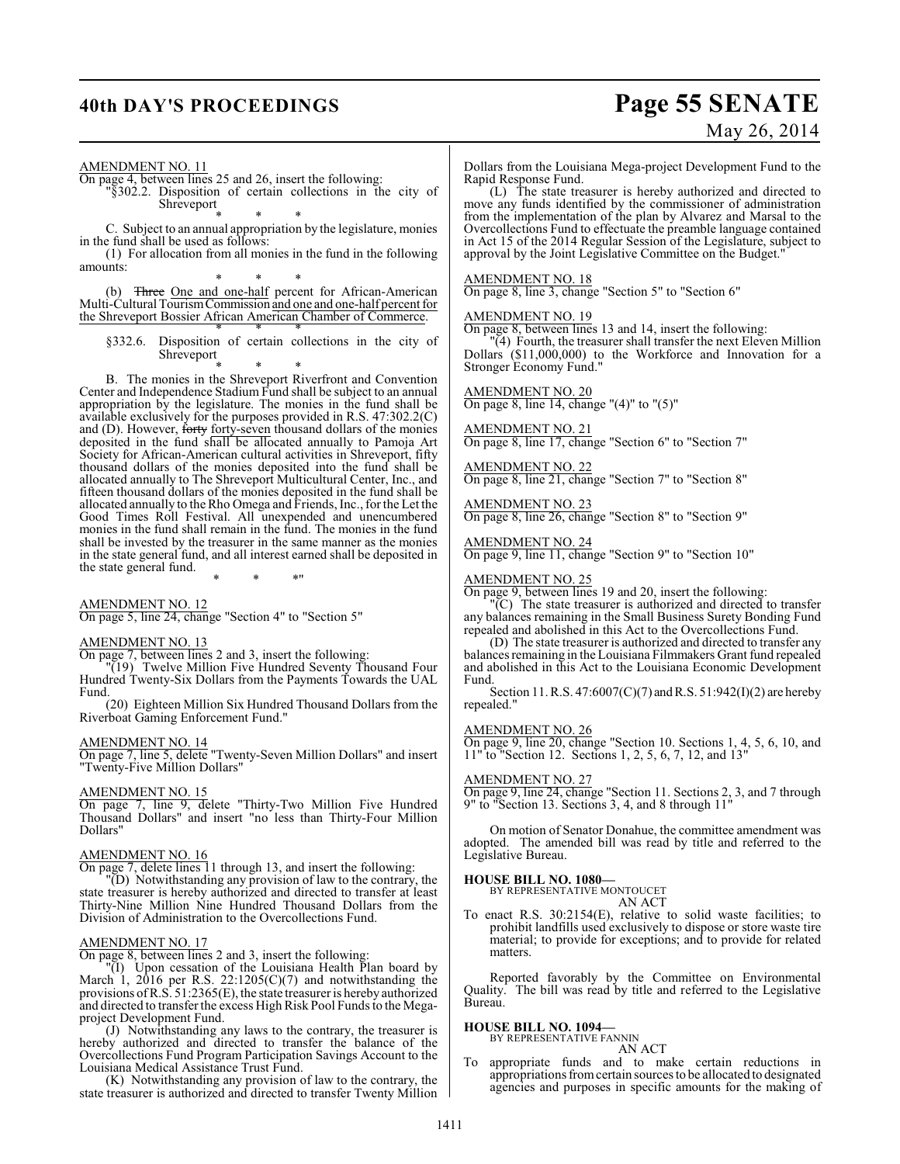## **40th DAY'S PROCEEDINGS Page 55 SENATE** May 26, 2014

AMENDMENT NO. 11

On page 4, between lines 25 and 26, insert the following:

"§302.2. Disposition of certain collections in the city of Shreveport

\* \* \*

C. Subject to an annual appropriation by the legislature, monies in the fund shall be used as follows:

(1) For allocation from all monies in the fund in the following amounts:

\* \* \* (b) Three One and one-half percent for African-American Multi-Cultural Tourism Commission and one and one-half percent for the Shreveport Bossier African American Chamber of Commerce.

\* \* \* §332.6. Disposition of certain collections in the city of Shreveport

\* \* \* B. The monies in the Shreveport Riverfront and Convention Center and Independence Stadium Fund shall be subject to an annual appropriation by the legislature. The monies in the fund shall be available exclusively for the purposes provided in R.S. 47:302.2(C) and (D). However, forty forty-seven thousand dollars of the monies deposited in the fund shall be allocated annually to Pamoja Art Society for African-American cultural activities in Shreveport, fifty thousand dollars of the monies deposited into the fund shall be allocated annually to The Shreveport Multicultural Center, Inc., and fifteen thousand dollars of the monies deposited in the fund shall be allocated annually to the Rho Omega and Friends, Inc., for the Let the Good Times Roll Festival. All unexpended and unencumbered monies in the fund shall remain in the fund. The monies in the fund shall be invested by the treasurer in the same manner as the monies in the state general fund, and all interest earned shall be deposited in the state general fund. \* \* \*"

AMENDMENT NO. 12

On page 5, line 24, change "Section 4" to "Section 5"

### AMENDMENT NO. 13

On page 7, between lines 2 and 3, insert the following:

"(19) Twelve Million Five Hundred Seventy Thousand Four Hundred Twenty-Six Dollars from the Payments Towards the UAL Fund.

(20) Eighteen Million Six Hundred Thousand Dollars from the Riverboat Gaming Enforcement Fund."

### AMENDMENT NO. 14

On page 7, line 5, delete "Twenty-Seven Million Dollars" and insert "Twenty-Five Million Dollars"

## AMENDMENT NO. 15

On page 7, line 9, delete "Thirty-Two Million Five Hundred Thousand Dollars" and insert "no less than Thirty-Four Million Dollars"

## AMENDMENT NO. 16

On page 7, delete lines 11 through 13, and insert the following:

"(D) Notwithstanding any provision of law to the contrary, the state treasurer is hereby authorized and directed to transfer at least Thirty-Nine Million Nine Hundred Thousand Dollars from the Division of Administration to the Overcollections Fund.

## AMENDMENT NO. 17

On page 8, between lines 2 and 3, insert the following:

"(I) Upon cessation of the Louisiana Health Plan board by March 1, 2016 per R.S. 22:1205(C)(7) and notwithstanding the provisions of R.S. 51:2365(E), the state treasurer is hereby authorized and directed to transfer the excess High Risk Pool Funds to the Megaproject Development Fund.

(J) Notwithstanding any laws to the contrary, the treasurer is hereby authorized and directed to transfer the balance of the Overcollections Fund Program Participation Savings Account to the Louisiana Medical Assistance Trust Fund.

(K) Notwithstanding any provision of law to the contrary, the state treasurer is authorized and directed to transfer Twenty Million

Dollars from the Louisiana Mega-project Development Fund to the Rapid Response Fund.

(L) The state treasurer is hereby authorized and directed to move any funds identified by the commissioner of administration from the implementation of the plan by Alvarez and Marsal to the Overcollections Fund to effectuate the preamble language contained in Act 15 of the 2014 Regular Session of the Legislature, subject to approval by the Joint Legislative Committee on the Budget."

## AMENDMENT NO. 18

On page 8, line 3, change "Section 5" to "Section 6"

#### AMENDMENT NO. 19

On page 8, between lines 13 and 14, insert the following:

"(4) Fourth, the treasurer shall transfer the next Eleven Million Dollars (\$11,000,000) to the Workforce and Innovation for a Stronger Economy Fund."

### AMENDMENT NO. 20

On page 8, line 14, change "(4)" to "(5)"

## AMENDMENT NO. 21

On page 8, line 17, change "Section 6" to "Section 7"

AMENDMENT NO. 22 On page 8, line 21, change "Section 7" to "Section 8"

AMENDMENT NO. 23 On page 8, line 26, change "Section 8" to "Section 9"

AMENDMENT NO. 24 On page 9, line 11, change "Section 9" to "Section 10"

## AMENDMENT NO. 25

On page 9, between lines 19 and 20, insert the following:

"(C) The state treasurer is authorized and directed to transfer any balances remaining in the Small Business Surety Bonding Fund repealed and abolished in this Act to the Overcollections Fund.

(D) The state treasurer is authorized and directed to transfer any balances remaining in the Louisiana Filmmakers Grant fund repealed and abolished in this Act to the Louisiana Economic Development Fund.

Section 11. R.S. 47:6007(C)(7) and R.S. 51:942(I)(2) are hereby repealed."

### AMENDMENT NO. 26

 $\overline{\text{On page 9}}$ , line 20, change "Section 10. Sections 1, 4, 5, 6, 10, and 11" to "Section 12. Sections 1, 2, 5, 6, 7, 12, and 13"

## AMENDMENT NO. 27

On page 9, line 24, change "Section 11. Sections 2, 3, and 7 through 9" to "Section 13. Sections 3, 4, and 8 through 11"

On motion of Senator Donahue, the committee amendment was adopted. The amended bill was read by title and referred to the Legislative Bureau.

### **HOUSE BILL NO. 1080—**

BY REPRESENTATIVE MONTOUCET AN ACT

To enact R.S. 30:2154(E), relative to solid waste facilities; to prohibit landfills used exclusively to dispose or store waste tire material; to provide for exceptions; and to provide for related matters.

Reported favorably by the Committee on Environmental Quality. The bill was read by title and referred to the Legislative Bureau.

## **HOUSE BILL NO. 1094—**

BY REPRESENTATIVE FANNIN AN ACT

To appropriate funds and to make certain reductions in appropriations from certain sources to be allocated to designated agencies and purposes in specific amounts for the making of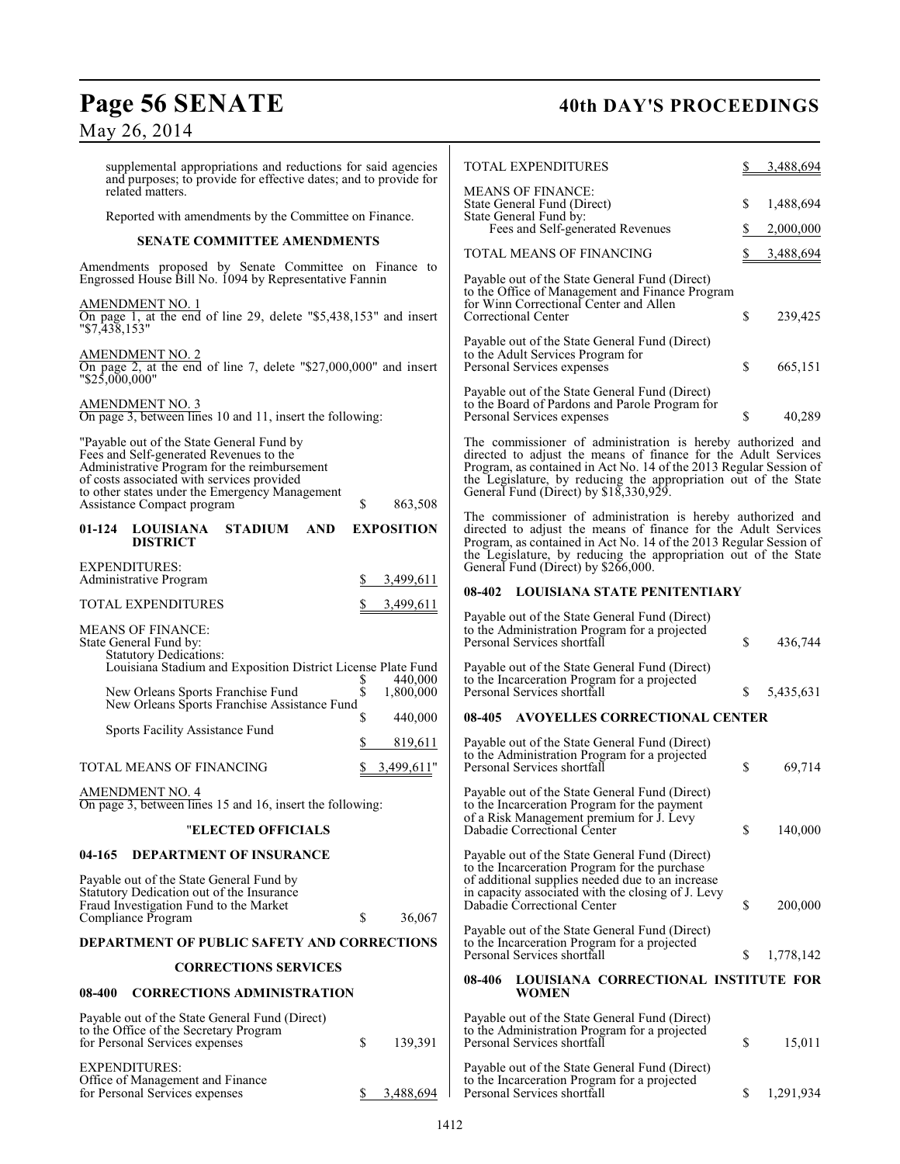## Page 56 SENATE 40th DAY'S PROCEEDINGS May 26, 2014

| supplemental appropriations and reductions for said agencies<br>and purposes; to provide for effective dates; and to provide for                                                                                                                                   |                            | <b>TOTAL EXPENDITURES</b>                                                                                                                                                                                                                                                                                     |               | 3,488,694 |
|--------------------------------------------------------------------------------------------------------------------------------------------------------------------------------------------------------------------------------------------------------------------|----------------------------|---------------------------------------------------------------------------------------------------------------------------------------------------------------------------------------------------------------------------------------------------------------------------------------------------------------|---------------|-----------|
| related matters.<br>Reported with amendments by the Committee on Finance.                                                                                                                                                                                          |                            | <b>MEANS OF FINANCE:</b><br>State General Fund (Direct)<br>State General Fund by:                                                                                                                                                                                                                             | S             | 1,488,694 |
| <b>SENATE COMMITTEE AMENDMENTS</b>                                                                                                                                                                                                                                 |                            | Fees and Self-generated Revenues                                                                                                                                                                                                                                                                              |               | 2,000,000 |
|                                                                                                                                                                                                                                                                    |                            | TOTAL MEANS OF FINANCING                                                                                                                                                                                                                                                                                      |               | 3,488,694 |
| Amendments proposed by Senate Committee on Finance to<br>Engrossed House Bill No. 1094 by Representative Fannin                                                                                                                                                    |                            | Payable out of the State General Fund (Direct)<br>to the Office of Management and Finance Program                                                                                                                                                                                                             |               |           |
| <b>AMENDMENT NO. 1</b><br>On page 1, at the end of line 29, delete "\$5,438,153" and insert<br>$"\$7,43\overline{8},153"$                                                                                                                                          |                            | for Winn Correctional Center and Allen<br>Correctional Center                                                                                                                                                                                                                                                 | \$            | 239,425   |
| AMENDMENT NO. 2<br>On page 2, at the end of line 7, delete " $$27,000,000$ " and insert<br>"\$25,000,000"                                                                                                                                                          |                            | Payable out of the State General Fund (Direct)<br>to the Adult Services Program for<br>Personal Services expenses                                                                                                                                                                                             | \$            | 665,151   |
| <b>AMENDMENT NO. 3</b><br>On page 3, between lines 10 and 11, insert the following:                                                                                                                                                                                |                            | Payable out of the State General Fund (Direct)<br>to the Board of Pardons and Parole Program for<br>Personal Services expenses                                                                                                                                                                                | \$            | 40,289    |
| "Payable out of the State General Fund by<br>Fees and Self-generated Revenues to the<br>Administrative Program for the reimbursement<br>of costs associated with services provided<br>to other states under the Emergency Management<br>Assistance Compact program | \$<br>863,508              | The commissioner of administration is hereby authorized and<br>directed to adjust the means of finance for the Adult Services<br>Program, as contained in Act No. 14 of the 2013 Regular Session of<br>the Legislature, by reducing the appropriation out of the State General Fund (Direct) by \$18,330,929. |               |           |
| <b>STADIUM</b><br>01-124<br><b>LOUISIANA</b><br><b>AND</b><br><b>DISTRICT</b>                                                                                                                                                                                      | <b>EXPOSITION</b>          | The commissioner of administration is hereby authorized and<br>directed to adjust the means of finance for the Adult Services<br>Program, as contained in Act No. 14 of the 2013 Regular Session of<br>the Legislature, by reducing the appropriation out of the State                                        |               |           |
| <b>EXPENDITURES:</b><br>Administrative Program                                                                                                                                                                                                                     | 3,499,611                  | General Fund (Direct) by \$266,000.                                                                                                                                                                                                                                                                           |               |           |
| TOTAL EXPENDITURES                                                                                                                                                                                                                                                 | 3,499,611                  | 08-402 LOUISIANA STATE PENITENTIARY                                                                                                                                                                                                                                                                           |               |           |
| <b>MEANS OF FINANCE:</b><br>State General Fund by:<br><b>Statutory Dedications:</b>                                                                                                                                                                                |                            | Payable out of the State General Fund (Direct)<br>to the Administration Program for a projected<br>Personal Services shortfall                                                                                                                                                                                | <sup>\$</sup> | 436,744   |
| Louisiana Stadium and Exposition District License Plate Fund<br>New Orleans Sports Franchise Fund                                                                                                                                                                  | 440,000<br>\$<br>1,800,000 | Payable out of the State General Fund (Direct)<br>to the Incarceration Program for a projected<br>Personal Services shortfall                                                                                                                                                                                 | \$            | 5,435,631 |
| New Orleans Sports Franchise Assistance Fund                                                                                                                                                                                                                       | S<br>440,000               | 08-405 AVOYELLES CORRECTIONAL CENTER                                                                                                                                                                                                                                                                          |               |           |
| Sports Facility Assistance Fund                                                                                                                                                                                                                                    | 819,611                    | Payable out of the State General Fund (Direct)                                                                                                                                                                                                                                                                |               |           |
| TOTAL MEANS OF FINANCING                                                                                                                                                                                                                                           | 3,499,611"                 | to the Administration Program for a projected<br>Personal Services shortfall                                                                                                                                                                                                                                  | \$            | 69,714    |
| <b>AMENDMENT NO. 4</b><br>On page 3, between lines 15 and 16, insert the following:                                                                                                                                                                                |                            | Payable out of the State General Fund (Direct)<br>to the Incarceration Program for the payment<br>of a Risk Management premium for J. Levy                                                                                                                                                                    |               |           |
| <b>"ELECTED OFFICIALS</b>                                                                                                                                                                                                                                          |                            | Dabadie Correctional Center                                                                                                                                                                                                                                                                                   | \$            | 140,000   |
| <b>DEPARTMENT OF INSURANCE</b><br>04-165<br>Payable out of the State General Fund by<br>Statutory Dedication out of the Insurance                                                                                                                                  |                            | Payable out of the State General Fund (Direct)<br>to the Incarceration Program for the purchase<br>of additional supplies needed due to an increase<br>in capacity associated with the closing of J. Levy                                                                                                     |               |           |
| Fraud Investigation Fund to the Market<br>Compliance Program                                                                                                                                                                                                       | \$<br>36,067               | Dabadie Correctional Center                                                                                                                                                                                                                                                                                   | \$            | 200,000   |
| DEPARTMENT OF PUBLIC SAFETY AND CORRECTIONS                                                                                                                                                                                                                        |                            | Payable out of the State General Fund (Direct)<br>to the Incarceration Program for a projected<br>Personal Services shortfall                                                                                                                                                                                 | S             | 1,778,142 |
| <b>CORRECTIONS SERVICES</b>                                                                                                                                                                                                                                        |                            | 08-406 LOUISIANA CORRECTIONAL INSTITUTE FOR                                                                                                                                                                                                                                                                   |               |           |
| <b>CORRECTIONS ADMINISTRATION</b><br>08-400                                                                                                                                                                                                                        |                            | <b>WOMEN</b>                                                                                                                                                                                                                                                                                                  |               |           |
| Payable out of the State General Fund (Direct)<br>to the Office of the Secretary Program<br>for Personal Services expenses                                                                                                                                         | \$<br>139,391              | Payable out of the State General Fund (Direct)<br>to the Administration Program for a projected<br>Personal Services shortfall                                                                                                                                                                                | \$            | 15,011    |
| <b>EXPENDITURES:</b><br>Office of Management and Finance<br>for Personal Services expenses                                                                                                                                                                         | 3,488,694<br>S             | Payable out of the State General Fund (Direct)<br>to the Incarceration Program for a projected<br>Personal Services shortfall                                                                                                                                                                                 | S             | 1,291,934 |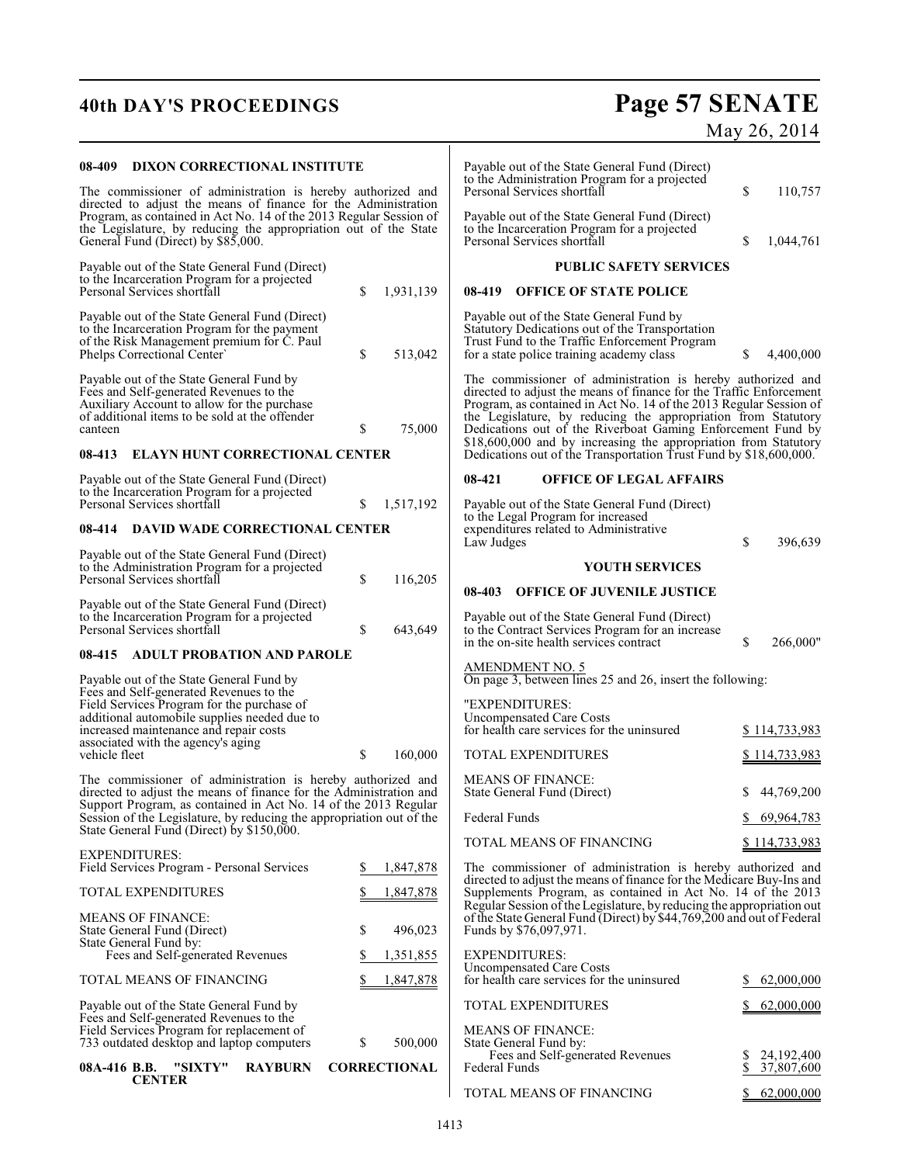# **40th DAY'S PROCEEDINGS Page 57 SENATE**

| 08-409                                                                                                                                                                                               | DIXON CORRECTIONAL INSTITUTE                                                                                                                                                                                                                  |                |                             |                                                                                                | Payable out of the State General Fund (Direct)<br>to the Administration Program for a projected |                                                                                                                                                                                                                                                                                                                                                                                                             |              |                            |
|------------------------------------------------------------------------------------------------------------------------------------------------------------------------------------------------------|-----------------------------------------------------------------------------------------------------------------------------------------------------------------------------------------------------------------------------------------------|----------------|-----------------------------|------------------------------------------------------------------------------------------------|-------------------------------------------------------------------------------------------------|-------------------------------------------------------------------------------------------------------------------------------------------------------------------------------------------------------------------------------------------------------------------------------------------------------------------------------------------------------------------------------------------------------------|--------------|----------------------------|
| The commissioner of administration is hereby authorized and                                                                                                                                          |                                                                                                                                                                                                                                               |                | Personal Services shortfall |                                                                                                | \$                                                                                              | 110,757                                                                                                                                                                                                                                                                                                                                                                                                     |              |                            |
|                                                                                                                                                                                                      | directed to adjust the means of finance for the Administration<br>Program, as contained in Act No. 14 of the 2013 Regular Session of<br>the Legislature, by reducing the appropriation out of the State<br>General Fund (Direct) by \$85,000. |                | Personal Services shortfall | Payable out of the State General Fund (Direct)<br>to the Incarceration Program for a projected | \$                                                                                              | 1,044,761                                                                                                                                                                                                                                                                                                                                                                                                   |              |                            |
|                                                                                                                                                                                                      | Payable out of the State General Fund (Direct)                                                                                                                                                                                                |                |                             |                                                                                                |                                                                                                 | <b>PUBLIC SAFETY SERVICES</b>                                                                                                                                                                                                                                                                                                                                                                               |              |                            |
|                                                                                                                                                                                                      | to the Incarceration Program for a projected<br>Personal Services shortfall                                                                                                                                                                   |                | \$                          | 1,931,139                                                                                      |                                                                                                 | 08-419 OFFICE OF STATE POLICE                                                                                                                                                                                                                                                                                                                                                                               |              |                            |
|                                                                                                                                                                                                      | Payable out of the State General Fund (Direct)<br>to the Incarceration Program for the payment<br>of the Risk Management premium for C. Paul<br>Phelps Correctional Center'                                                                   |                | \$                          | 513,042                                                                                        |                                                                                                 | Payable out of the State General Fund by<br>Statutory Dedications out of the Transportation<br>Trust Fund to the Traffic Enforcement Program<br>for a state police training academy class                                                                                                                                                                                                                   | S            | 4,400,000                  |
| canteen                                                                                                                                                                                              | Payable out of the State General Fund by<br>Fees and Self-generated Revenues to the<br>Auxiliary Account to allow for the purchase<br>of additional items to be sold at the offender                                                          |                | \$                          | 75,000                                                                                         |                                                                                                 | The commissioner of administration is hereby authorized and<br>directed to adjust the means of finance for the Traffic Enforcement<br>Program, as contained in Act No. 14 of the 2013 Regular Session of<br>the Legislature, by reducing the appropriation from Statutory<br>Dedications out of the Riverboat Gaming Enforcement Fund by<br>\$18,600,000 and by increasing the appropriation from Statutory |              |                            |
| 08-413                                                                                                                                                                                               | <b>ELAYN HUNT CORRECTIONAL CENTER</b>                                                                                                                                                                                                         |                |                             |                                                                                                |                                                                                                 | Dedications out of the Transportation Trust Fund by \$18,600,000.                                                                                                                                                                                                                                                                                                                                           |              |                            |
|                                                                                                                                                                                                      | Payable out of the State General Fund (Direct)<br>to the Incarceration Program for a projected                                                                                                                                                |                |                             |                                                                                                | 08-421                                                                                          | <b>OFFICE OF LEGAL AFFAIRS</b>                                                                                                                                                                                                                                                                                                                                                                              |              |                            |
|                                                                                                                                                                                                      | Personal Services shortfall                                                                                                                                                                                                                   |                | S                           | 1,517,192                                                                                      |                                                                                                 | Payable out of the State General Fund (Direct)<br>to the Legal Program for increased                                                                                                                                                                                                                                                                                                                        |              |                            |
| 08-414                                                                                                                                                                                               | <b>DAVID WADE CORRECTIONAL CENTER</b>                                                                                                                                                                                                         |                |                             |                                                                                                | Law Judges                                                                                      | expenditures related to Administrative                                                                                                                                                                                                                                                                                                                                                                      | \$           | 396,639                    |
|                                                                                                                                                                                                      | Payable out of the State General Fund (Direct)                                                                                                                                                                                                |                |                             |                                                                                                |                                                                                                 | <b>YOUTH SERVICES</b>                                                                                                                                                                                                                                                                                                                                                                                       |              |                            |
|                                                                                                                                                                                                      | to the Administration Program for a projected<br>Personal Services shortfall                                                                                                                                                                  |                | \$                          | 116,205                                                                                        | 08-403                                                                                          | <b>OFFICE OF JUVENILE JUSTICE</b>                                                                                                                                                                                                                                                                                                                                                                           |              |                            |
|                                                                                                                                                                                                      | Payable out of the State General Fund (Direct)<br>to the Incarceration Program for a projected                                                                                                                                                |                |                             |                                                                                                |                                                                                                 | Payable out of the State General Fund (Direct)                                                                                                                                                                                                                                                                                                                                                              |              |                            |
|                                                                                                                                                                                                      | Personal Services shortfall                                                                                                                                                                                                                   |                | \$                          | 643,649                                                                                        |                                                                                                 | to the Contract Services Program for an increase<br>in the on-site health services contract                                                                                                                                                                                                                                                                                                                 | \$           | 266,000"                   |
| <b>ADULT PROBATION AND PAROLE</b><br>08-415                                                                                                                                                          |                                                                                                                                                                                                                                               |                |                             |                                                                                                |                                                                                                 |                                                                                                                                                                                                                                                                                                                                                                                                             |              |                            |
|                                                                                                                                                                                                      | Payable out of the State General Fund by                                                                                                                                                                                                      |                |                             |                                                                                                | AMENDMENT NO. 5                                                                                 | On page 3, between lines 25 and 26, insert the following:                                                                                                                                                                                                                                                                                                                                                   |              |                            |
|                                                                                                                                                                                                      | Fees and Self-generated Revenues to the<br>Field Services Program for the purchase of<br>additional automobile supplies needed due to<br>increased maintenance and repair costs<br>associated with the agency's aging                         |                |                             |                                                                                                | "EXPENDITURES:<br><b>Uncompensated Care Costs</b>                                               | for health care services for the uninsured                                                                                                                                                                                                                                                                                                                                                                  |              | \$114,733,983              |
| vehicle fleet                                                                                                                                                                                        |                                                                                                                                                                                                                                               |                | \$                          | 160,000                                                                                        | TOTAL EXPENDITURES                                                                              |                                                                                                                                                                                                                                                                                                                                                                                                             |              | \$114,733,983              |
| The commissioner of administration is hereby authorized and<br>directed to adjust the means of finance for the Administration and<br>Support Program, as contained in Act No. 14 of the 2013 Regular |                                                                                                                                                                                                                                               |                |                             | <b>MEANS OF FINANCE:</b><br>State General Fund (Direct)                                        |                                                                                                 |                                                                                                                                                                                                                                                                                                                                                                                                             | \$44,769,200 |                            |
|                                                                                                                                                                                                      | Session of the Legislature, by reducing the appropriation out of the<br>State General Fund (Direct) by \$150,000.                                                                                                                             |                |                             |                                                                                                | Federal Funds                                                                                   |                                                                                                                                                                                                                                                                                                                                                                                                             | \$           | 69,964,783                 |
|                                                                                                                                                                                                      | <b>EXPENDITURES:</b>                                                                                                                                                                                                                          |                |                             |                                                                                                |                                                                                                 | TOTAL MEANS OF FINANCING                                                                                                                                                                                                                                                                                                                                                                                    |              | \$114,733,983              |
|                                                                                                                                                                                                      | Field Services Program - Personal Services                                                                                                                                                                                                    |                | S                           | 1,847,878                                                                                      |                                                                                                 | The commissioner of administration is hereby authorized and                                                                                                                                                                                                                                                                                                                                                 |              |                            |
|                                                                                                                                                                                                      | <b>TOTAL EXPENDITURES</b>                                                                                                                                                                                                                     |                |                             | 1,847,878                                                                                      |                                                                                                 | directed to adjust the means of finance for the Medicare Buy-Ins and<br>Supplements Program, as contained in Act No. 14 of the 2013<br>Regular Session of the Legislature, by reducing the appropriation out                                                                                                                                                                                                |              |                            |
|                                                                                                                                                                                                      | <b>MEANS OF FINANCE:</b><br>State General Fund (Direct)<br>State General Fund by:                                                                                                                                                             |                | \$                          | 496,023                                                                                        | Funds by \$76,097,971.                                                                          | of the State General Fund (Direct) by \$44,769,200 and out of Federal                                                                                                                                                                                                                                                                                                                                       |              |                            |
|                                                                                                                                                                                                      | Fees and Self-generated Revenues                                                                                                                                                                                                              |                | S                           | 1,351,855                                                                                      | <b>EXPENDITURES:</b>                                                                            |                                                                                                                                                                                                                                                                                                                                                                                                             |              |                            |
|                                                                                                                                                                                                      | TOTAL MEANS OF FINANCING                                                                                                                                                                                                                      |                |                             | 1,847,878                                                                                      | <b>Uncompensated Care Costs</b>                                                                 | for health care services for the uninsured                                                                                                                                                                                                                                                                                                                                                                  | S.           | 62,000,000                 |
|                                                                                                                                                                                                      | Payable out of the State General Fund by<br>Fees and Self-generated Revenues to the                                                                                                                                                           |                |                             |                                                                                                | TOTAL EXPENDITURES                                                                              |                                                                                                                                                                                                                                                                                                                                                                                                             |              | 62,000,000                 |
|                                                                                                                                                                                                      | Field Services Program for replacement of<br>733 outdated desktop and laptop computers                                                                                                                                                        |                | \$                          | 500,000                                                                                        | <b>MEANS OF FINANCE:</b><br>State General Fund by:                                              |                                                                                                                                                                                                                                                                                                                                                                                                             |              |                            |
| 08A-416 B.B.                                                                                                                                                                                         | "SIXTY"<br><b>CENTER</b>                                                                                                                                                                                                                      | <b>RAYBURN</b> |                             | <b>CORRECTIONAL</b>                                                                            | Federal Funds                                                                                   | Fees and Self-generated Revenues                                                                                                                                                                                                                                                                                                                                                                            | Z.<br>\$     | 24, 192, 400<br>37,807,600 |
|                                                                                                                                                                                                      |                                                                                                                                                                                                                                               |                |                             |                                                                                                |                                                                                                 | TOTAL MEANS OF FINANCING                                                                                                                                                                                                                                                                                                                                                                                    |              | 62,000,000                 |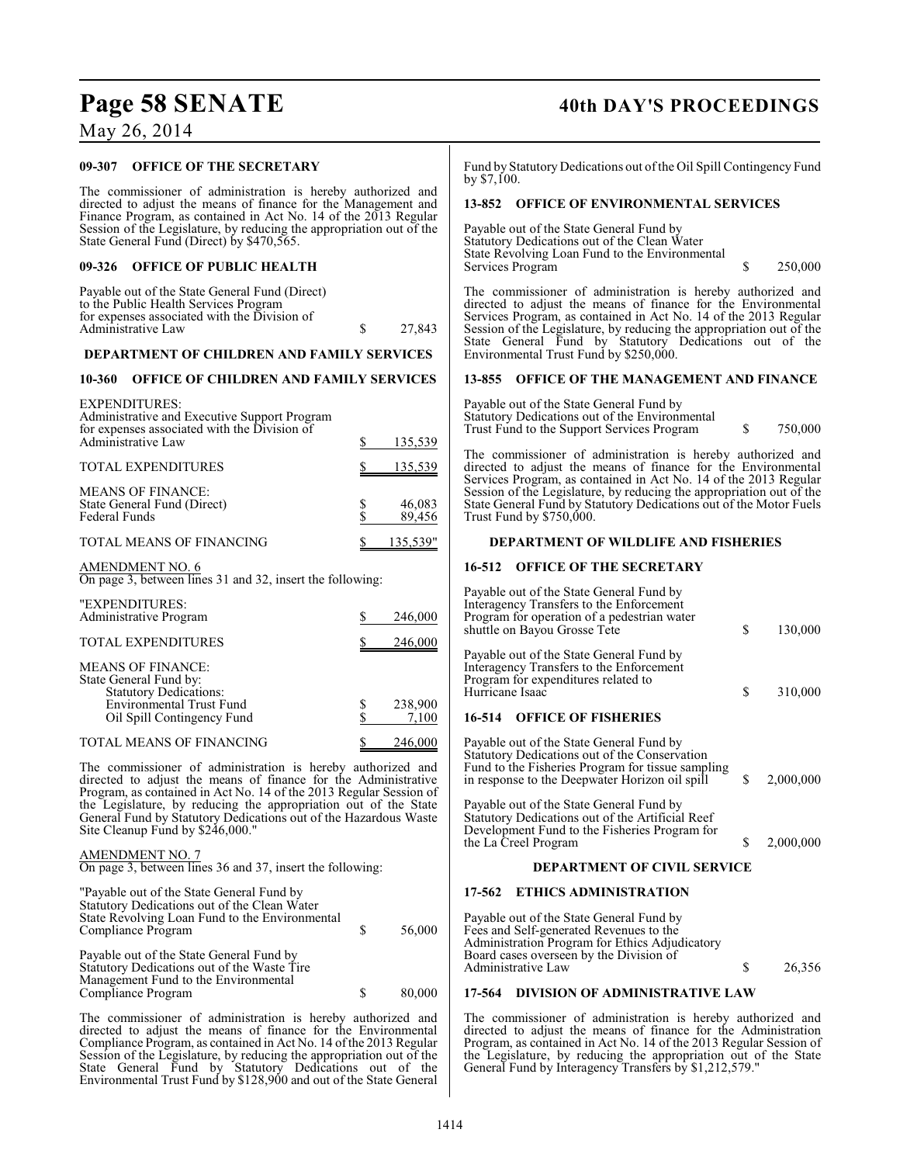## May 26, 2014

## **09-307 OFFICE OF THE SECRETARY**

The commissioner of administration is hereby authorized and directed to adjust the means of finance for the Management and Finance Program, as contained in Act No. 14 of the 2013 Regular Session of the Legislature, by reducing the appropriation out of the State General Fund (Direct) by \$470,565.

## **09-326 OFFICE OF PUBLIC HEALTH**

| Payable out of the State General Fund (Direct) |        |
|------------------------------------------------|--------|
| to the Public Health Services Program          |        |
| for expenses associated with the Division of   |        |
| Administrative Law                             | 27.843 |
|                                                |        |

## **DEPARTMENT OF CHILDREN AND FAMILY SERVICES**

## **10-360 OFFICE OF CHILDREN AND FAMILY SERVICES**

| <b>EXPENDITURES:</b><br>Administrative and Executive Support Program<br>for expenses associated with the Division of |                  |
|----------------------------------------------------------------------------------------------------------------------|------------------|
| Administrative Law                                                                                                   | 135,539          |
| <b>TOTAL EXPENDITURES</b>                                                                                            | 135,539          |
| <b>MEANS OF FINANCE:</b><br>State General Fund (Direct)<br><b>Federal Funds</b>                                      | 46,083<br>89,456 |
| TOTAL MEANS OF FINANCING                                                                                             | 135,539"         |

## AMENDMENT NO. 6

On page 3, between lines 31 and 32, insert the following:

| "EXPENDITURES:<br>Administrative Program                                                                                                             | 246,000          |
|------------------------------------------------------------------------------------------------------------------------------------------------------|------------------|
| <b>TOTAL EXPENDITURES</b>                                                                                                                            | 246,000          |
| <b>MEANS OF FINANCE:</b><br>State General Fund by:<br><b>Statutory Dedications:</b><br><b>Environmental Trust Fund</b><br>Oil Spill Contingency Fund | 238,900<br>7,100 |
| TOTAL MEANS OF FINANCING                                                                                                                             | 246,000          |

The commissioner of administration is hereby authorized and directed to adjust the means of finance for the Administrative Program, as contained in Act No. 14 of the 2013 Regular Session of the Legislature, by reducing the appropriation out of the State General Fund by Statutory Dedications out of the Hazardous Waste Site Cleanup Fund by \$246,000.

## AMENDMENT NO. 7

On page 3, between lines 36 and 37, insert the following:

| "Payable out of the State General Fund by<br>Statutory Dedications out of the Clean Water<br>State Revolving Loan Fund to the Environmental<br>Compliance Program | S | 56,000 |
|-------------------------------------------------------------------------------------------------------------------------------------------------------------------|---|--------|
| Payable out of the State General Fund by<br>Statutory Dedications out of the Waste Tire<br>Management Fund to the Environmental<br>Compliance Program             |   | 80,000 |

The commissioner of administration is hereby authorized and directed to adjust the means of finance for the Environmental Compliance Program, as contained in Act No. 14 of the 2013 Regular Session of the Legislature, by reducing the appropriation out of the State General Fund by Statutory Dedications out of the Environmental Trust Fund by \$128,900 and out of the State General

## **Page 58 SENATE 40th DAY'S PROCEEDINGS**

Fund by Statutory Dedications out of the Oil Spill Contingency Fund by \$7,100.

## **13-852 OFFICE OF ENVIRONMENTAL SERVICES**

Payable out of the State General Fund by Statutory Dedications out of the Clean Water State Revolving Loan Fund to the Environmental Services Program  $\qquad \qquad$  \$ 250,000

The commissioner of administration is hereby authorized and directed to adjust the means of finance for the Environmental Services Program, as contained in Act No. 14 of the 2013 Regular Session of the Legislature, by reducing the appropriation out of the State General Fund by Statutory Dedications out of the Environmental Trust Fund by \$250,000.

## **13-855 OFFICE OF THE MANAGEMENT AND FINANCE**

Payable out of the State General Fund by Statutory Dedications out of the Environmental Trust Fund to the Support Services Program \$ 750,000

The commissioner of administration is hereby authorized and directed to adjust the means of finance for the Environmental Services Program, as contained in Act No. 14 of the 2013 Regular Session of the Legislature, by reducing the appropriation out of the State General Fund by Statutory Dedications out of the Motor Fuels Trust Fund by \$750,000.

## **DEPARTMENT OF WILDLIFE AND FISHERIES**

## **16-512 OFFICE OF THE SECRETARY**

| Payable out of the State General Fund by<br>Interagency Transfers to the Enforcement<br>Program for operation of a pedestrian water<br>shuttle on Bayou Grosse Tete                              | S  | 130,000   |
|--------------------------------------------------------------------------------------------------------------------------------------------------------------------------------------------------|----|-----------|
| Payable out of the State General Fund by<br>Interagency Transfers to the Enforcement<br>Program for expenditures related to<br>Hurricane Isaac<br><b>OFFICE OF FISHERIES</b><br>16-514           | S  | 310,000   |
|                                                                                                                                                                                                  |    |           |
| Payable out of the State General Fund by<br>Statutory Dedications out of the Conservation<br>Fund to the Fisheries Program for tissue sampling<br>in response to the Deepwater Horizon oil spill | \$ | 2,000,000 |
| Payable out of the State General Fund by<br>Statutory Dedications out of the Artificial Reef<br>Development Fund to the Fisheries Program for<br>the La Creel Program                            | S  | 2,000,000 |

## **DEPARTMENT OF CIVIL SERVICE**

## **17-562 ETHICS ADMINISTRATION**

Payable out of the State General Fund by Fees and Self-generated Revenues to the Administration Program for Ethics Adjudicatory Board cases overseen by the Division of Administrative Law \$ 26,356

## **17-564 DIVISION OF ADMINISTRATIVE LAW**

The commissioner of administration is hereby authorized and directed to adjust the means of finance for the Administration Program, as contained in Act No. 14 of the 2013 Regular Session of the Legislature, by reducing the appropriation out of the State General Fund by Interagency Transfers by \$1,212,579."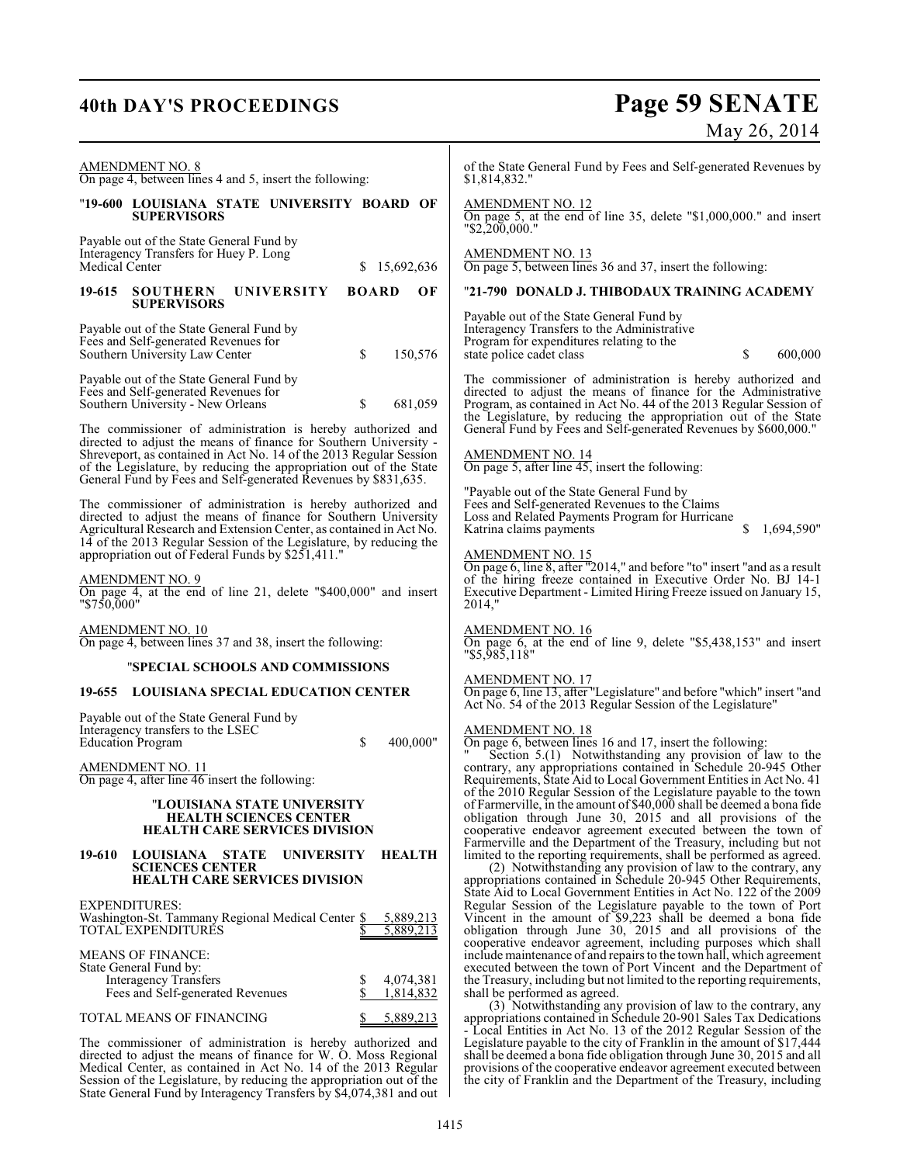## **40th DAY'S PROCEEDINGS Page 59 SENATE** May 26, 2014

| AMENDMENT NO. 8<br>On page 4, between lines 4 and 5, insert the following:                                                                                                                                                                                                                                                                                                                                             | of the State General Fund by Fees and Self-generated Revenues by<br>\$1,814,832."                                                                                                                                                                                                                                                                                                                                   |
|------------------------------------------------------------------------------------------------------------------------------------------------------------------------------------------------------------------------------------------------------------------------------------------------------------------------------------------------------------------------------------------------------------------------|---------------------------------------------------------------------------------------------------------------------------------------------------------------------------------------------------------------------------------------------------------------------------------------------------------------------------------------------------------------------------------------------------------------------|
| "19-600 LOUISIANA STATE UNIVERSITY BOARD OF<br><b>SUPERVISORS</b>                                                                                                                                                                                                                                                                                                                                                      | <b>AMENDMENT NO. 12</b><br>On page 5, at the end of line 35, delete " $$1,000,000$ ." and insert<br>$"$ \$2,200,000."                                                                                                                                                                                                                                                                                               |
| Payable out of the State General Fund by<br>Interagency Transfers for Huey P. Long<br>Medical Center<br>\$15,692,636                                                                                                                                                                                                                                                                                                   | <b>AMENDMENT NO. 13</b><br>On page 5, between lines 36 and 37, insert the following:                                                                                                                                                                                                                                                                                                                                |
| 19-615<br><b>SOUTHERN</b><br><b>BOARD</b><br>OF<br>UNIVERSITY<br><b>SUPERVISORS</b>                                                                                                                                                                                                                                                                                                                                    | "21-790 DONALD J. THIBODAUX TRAINING ACADEMY                                                                                                                                                                                                                                                                                                                                                                        |
| Payable out of the State General Fund by<br>Fees and Self-generated Revenues for<br>\$<br>Southern University Law Center<br>150,576                                                                                                                                                                                                                                                                                    | Payable out of the State General Fund by<br>Interagency Transfers to the Administrative<br>Program for expenditures relating to the<br>\$<br>state police cadet class<br>600,000                                                                                                                                                                                                                                    |
| Payable out of the State General Fund by<br>Fees and Self-generated Revenues for<br>\$<br>681,059<br>Southern University - New Orleans<br>The commissioner of administration is hereby authorized and<br>directed to adjust the means of finance for Southern University -<br>Shreveport, as contained in Act No. 14 of the 2013 Regular Session<br>of the Legislature, by reducing the appropriation out of the State | The commissioner of administration is hereby authorized and<br>directed to adjust the means of finance for the Administrative<br>Program, as contained in Act No. 44 of the 2013 Regular Session of<br>the Legislature, by reducing the appropriation out of the State<br>General Fund by Fees and Self-generated Revenues by \$600,000."<br>AMENDMENT NO. 14<br>On page 5, after line $45$ , insert the following: |
| General Fund by Fees and Self-generated Revenues by \$831,635.<br>The commissioner of administration is hereby authorized and<br>directed to adjust the means of finance for Southern University<br>Agricultural Research and Extension Center, as contained in Act No.<br>14 of the 2013 Regular Session of the Legislature, by reducing the<br>appropriation out of Federal Funds by \$251,411."                     | "Payable out of the State General Fund by<br>Fees and Self-generated Revenues to the Claims<br>Loss and Related Payments Program for Hurricane<br>1,694,590"<br>Katrina claims payments<br>\$<br>AMENDMENT NO. 15                                                                                                                                                                                                   |
| AMENDMENT NO. 9<br>On page 4, at the end of line 21, delete "\$400,000" and insert<br>"\$750,000"                                                                                                                                                                                                                                                                                                                      | On page 6, line 8, after "2014," and before "to" insert "and as a result<br>of the hiring freeze contained in Executive Order No. BJ 14-1<br>Executive Department - Limited Hiring Freeze issued on January 15,<br>2014,"                                                                                                                                                                                           |
| <b>AMENDMENT NO. 10</b><br>On page 4, between lines 37 and 38, insert the following:                                                                                                                                                                                                                                                                                                                                   | <b>AMENDMENT NO. 16</b><br>On page 6, at the end of line 9, delete "\$5,438,153" and insert<br>$"$ \$5,985,118"                                                                                                                                                                                                                                                                                                     |
| "SPECIAL SCHOOLS AND COMMISSIONS                                                                                                                                                                                                                                                                                                                                                                                       | <b>AMENDMENT NO. 17</b>                                                                                                                                                                                                                                                                                                                                                                                             |
| <b>LOUISIANA SPECIAL EDUCATION CENTER</b><br>19-655                                                                                                                                                                                                                                                                                                                                                                    | On page 6, line 13, after "Legislature" and before "which" insert "and<br>Act No. 54 of the 2013 Regular Session of the Legislature"                                                                                                                                                                                                                                                                                |
| Payable out of the State General Fund by<br>Interagency transfers to the LSEC<br><b>Education Program</b><br>\$<br>400,000"                                                                                                                                                                                                                                                                                            | AMENDMENT NO. 18<br>On page 6, between lines 16 and 17, insert the following:                                                                                                                                                                                                                                                                                                                                       |
| <b>AMENDMENT NO. 11</b><br>On page 4, after line 46 insert the following:<br>"LOUISIANA STATE UNIVERSITY                                                                                                                                                                                                                                                                                                               | "Section 5.(1) Notwithstanding any provision of law to the contrary, any appropriations contained in Schedule 20-945 Other<br>Requirements, State Aid to Local Government Entities in Act No. 41<br>of the 2010 Regular Session of the Legislature payable to the town<br>of Farmerville, in the amount of \$40,000 shall be deemed a bona fide                                                                     |
| <b>HEALTH SCIENCES CENTER</b><br><b>HEALTH CARE SERVICES DIVISION</b>                                                                                                                                                                                                                                                                                                                                                  | obligation through June 30, 2015 and all provisions of the<br>cooperative endeavor agreement executed between the town of                                                                                                                                                                                                                                                                                           |
| LOUISIANA STATE<br><b>UNIVERSITY</b><br><b>HEALTH</b><br>19-610<br><b>SCIENCES CENTER</b><br><b>HEALTH CARE SERVICES DIVISION</b>                                                                                                                                                                                                                                                                                      | Farmerville and the Department of the Treasury, including but not<br>limited to the reporting requirements, shall be performed as agreed.<br>(2) Notwithstanding any provision of law to the contrary, any<br>appropriations contained in Schedule 20-945 Other Requirements,                                                                                                                                       |
| EXPENDITURES:<br>Washington-St. Tammany Regional Medical Center \$<br>5,889,213<br>TOTAL EXPENDITURES<br>5,889,213                                                                                                                                                                                                                                                                                                     | State Aid to Local Government Entities in Act No. 122 of the 2009<br>Regular Session of the Legislature payable to the town of Port<br>Vincent in the amount of \$9,223 shall be deemed a bona fide<br>obligation through June 30, 2015 and all provisions of the<br>cooperative endeavor agreement, including purposes which shall                                                                                 |
| <b>MEANS OF FINANCE:</b><br>State General Fund by:<br><b>Interagency Transfers</b><br>4,074,381<br>\$<br>\$<br>Fees and Self-generated Revenues<br>1,814,832                                                                                                                                                                                                                                                           | include maintenance of and repairs to the town hall, which agreement<br>executed between the town of Port Vincent and the Department of<br>the Treasury, including but not limited to the reporting requirements,<br>shall be performed as agreed.                                                                                                                                                                  |
| TOTAL MEANS OF FINANCING<br>5,889,213<br>S                                                                                                                                                                                                                                                                                                                                                                             | (3) Notwithstanding any provision of law to the contrary, any<br>appropriations contained in Schedule 20-901 Sales Tax Dedications                                                                                                                                                                                                                                                                                  |
| The commissioner of administration is hereby authorized and<br>directed to adjust the means of finance for W. O. Moss Regional                                                                                                                                                                                                                                                                                         | - Local Entities in Act No. 13 of the 2012 Regular Session of the<br>Legislature payable to the city of Franklin in the amount of \$17,444<br>shall be deemed a bona fide obligation through June 30, 2015 and all                                                                                                                                                                                                  |

directed to adjust the means of finance for W. O. Moss Regional Medical Center, as contained in Act No. 14 of the 2013 Regular Session of the Legislature, by reducing the appropriation out of the State General Fund by Interagency Transfers by \$4,074,381 and out

provisions of the cooperative endeavor agreement executed between the city of Franklin and the Department of the Treasury, including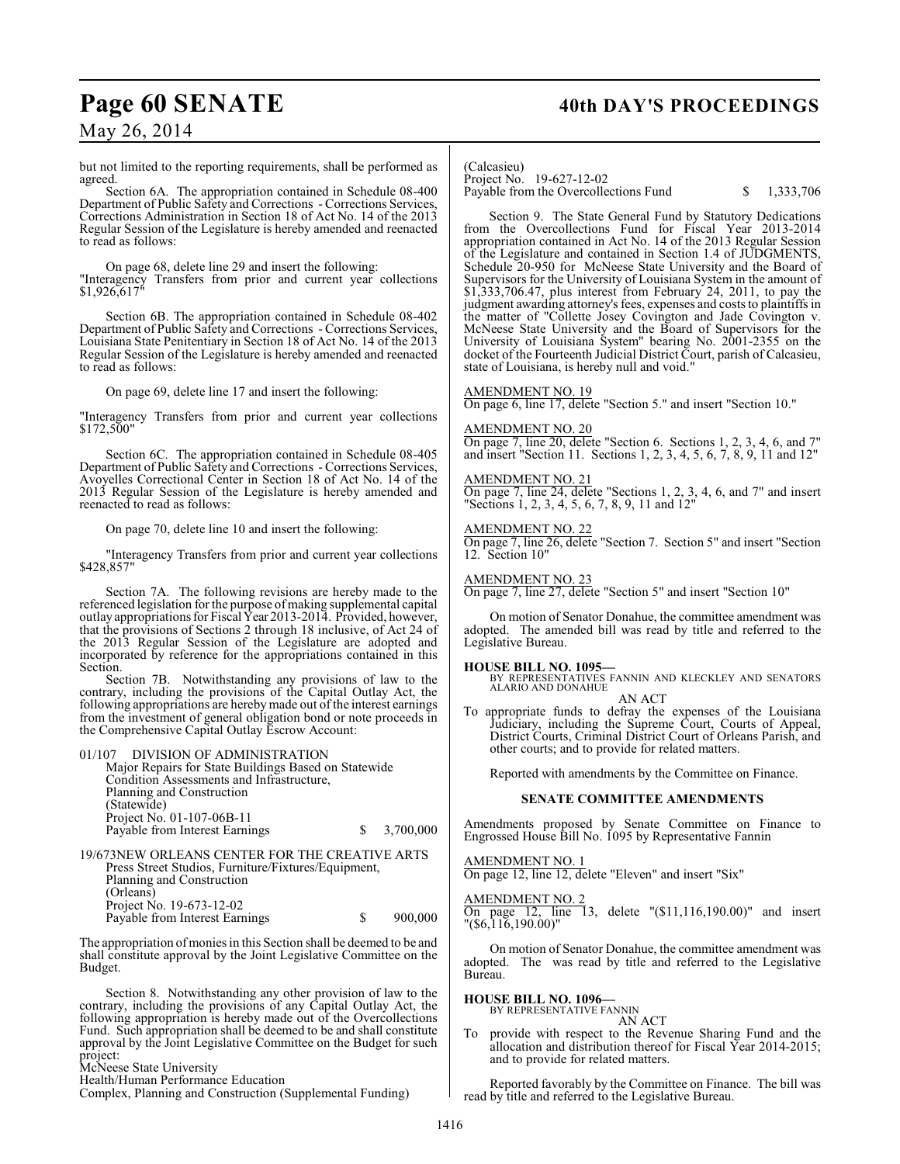## Page 60 SENATE 40th DAY'S PROCEEDINGS

May 26, 2014

but not limited to the reporting requirements, shall be performed as agreed.

Section 6A. The appropriation contained in Schedule 08-400 Department of Public Safety and Corrections - Corrections Services, Corrections Administration in Section 18 of Act No. 14 of the 2013 Regular Session of the Legislature is hereby amended and reenacted to read as follows:

On page 68, delete line 29 and insert the following: "Interagency Transfers from prior and current year collections \$1,926,617"

Section 6B. The appropriation contained in Schedule 08-402 Department of Public Safety and Corrections - Corrections Services, Louisiana State Penitentiary in Section 18 of Act No. 14 of the 2013 Regular Session of the Legislature is hereby amended and reenacted to read as follows:

On page 69, delete line 17 and insert the following:

"Interagency Transfers from prior and current year collections \$172,500"

Section 6C. The appropriation contained in Schedule 08-405 Department of Public Safety and Corrections - Corrections Services, Avoyelles Correctional Center in Section 18 of Act No. 14 of the 2013 Regular Session of the Legislature is hereby amended and reenacted to read as follows:

On page 70, delete line 10 and insert the following:

"Interagency Transfers from prior and current year collections \$428,857"

Section 7A. The following revisions are hereby made to the referenced legislation for the purpose of making supplemental capital outlay appropriations for Fiscal Year 2013-2014. Provided, however, that the provisions of Sections 2 through 18 inclusive, of Act 24 of the 2013 Regular Session of the Legislature are adopted and incorporated by reference for the appropriations contained in this Section.

Section 7B. Notwithstanding any provisions of law to the contrary, including the provisions of the Capital Outlay Act, the following appropriations are hereby made out of the interest earnings from the investment of general obligation bond or note proceeds in the Comprehensive Capital Outlay Escrow Account:

01/107 DIVISION OF ADMINISTRATION Major Repairs for State Buildings Based on Statewide Condition Assessments and Infrastructure, Planning and Construction (Statewide) Project No. 01-107-06B-11 Payable from Interest Earnings  $\qquad$  \$ 3,700,000 19/673NEW ORLEANS CENTER FOR THE CREATIVE ARTS Press Street Studios, Furniture/Fixtures/Equipment,

Planning and Construction (Orleans) Project No. 19-673-12-02 Payable from Interest Earnings  $\qquad$  \$ 900,000

The appropriation of monies in this Section shall be deemed to be and shall constitute approval by the Joint Legislative Committee on the Budget.

Section 8. Notwithstanding any other provision of law to the contrary, including the provisions of any Capital Outlay Act, the following appropriation is hereby made out of the Overcollections Fund. Such appropriation shall be deemed to be and shall constitute approval by the Joint Legislative Committee on the Budget for such project:

McNeese State University Health/Human Performance Education

Complex, Planning and Construction (Supplemental Funding)

(Calcasieu) Project No. 19-627-12-02

Payable from the Overcollections Fund  $$ 1,333,706$ 

Section 9. The State General Fund by Statutory Dedications from the Overcollections Fund for Fiscal Year 2013-2014 appropriation contained in Act No. 14 of the 2013 Regular Session of the Legislature and contained in Section 1.4 of JUDGMENTS, Schedule 20-950 for McNeese State University and the Board of Supervisors for the University of Louisiana System in the amount of \$1,333,706.47, plus interest from February 24, 2011, to pay the judgment awarding attorney's fees, expenses and costs to plaintiffs in the matter of "Collette Josey Covington and Jade Covington v. McNeese State University and the Board of Supervisors for the University of Louisiana System" bearing No. 2001-2355 on the docket of the Fourteenth Judicial District Court, parish of Calcasieu, state of Louisiana, is hereby null and void."

AMENDMENT NO. 19

On page 6, line 17, delete "Section 5." and insert "Section 10."

AMENDMENT NO. 20 On page 7, line 20, delete "Section 6. Sections 1, 2, 3, 4, 6, and 7" and insert "Section 11. Sections 1, 2, 3, 4, 5, 6, 7, 8, 9, 11 and 12"

AMENDMENT NO. 21 On page 7, line 24, delete "Sections 1, 2, 3, 4, 6, and 7" and insert "Sections 1, 2, 3, 4, 5, 6, 7, 8, 9, 11 and 12"

AMENDMENT NO. 22 On page 7, line 26, delete "Section 7. Section 5" and insert "Section 12. Section 10"

AMENDMENT NO. 23

On page 7, line 27, delete "Section 5" and insert "Section 10"

On motion of Senator Donahue, the committee amendment was adopted. The amended bill was read by title and referred to the Legislative Bureau.

### **HOUSE BILL NO. 1095—**

BY REPRESENTATIVES FANNIN AND KLECKLEY AND SENATORS ALARIO AND DONAHUE

AN ACT To appropriate funds to defray the expenses of the Louisiana Judiciary, including the Supreme Court, Courts of Appeal, District Courts, Criminal District Court of Orleans Parish, and

Reported with amendments by the Committee on Finance.

other courts; and to provide for related matters.

## **SENATE COMMITTEE AMENDMENTS**

Amendments proposed by Senate Committee on Finance to Engrossed House Bill No. 1095 by Representative Fannin

AMENDMENT NO. 1 On page 12, line 12, delete "Eleven" and insert "Six"

AMENDMENT NO. 2 On page 12, line 13, delete "(\$11,116,190.00)" and insert "(\$6,116,190.00)"

On motion of Senator Donahue, the committee amendment was adopted. The was read by title and referred to the Legislative Bureau.

**HOUSE BILL NO. 1096—** BY REPRESENTATIVE FANNIN

AN ACT

provide with respect to the Revenue Sharing Fund and the allocation and distribution thereof for Fiscal Year 2014-2015; and to provide for related matters.

Reported favorably by the Committee on Finance. The bill was read by title and referred to the Legislative Bureau.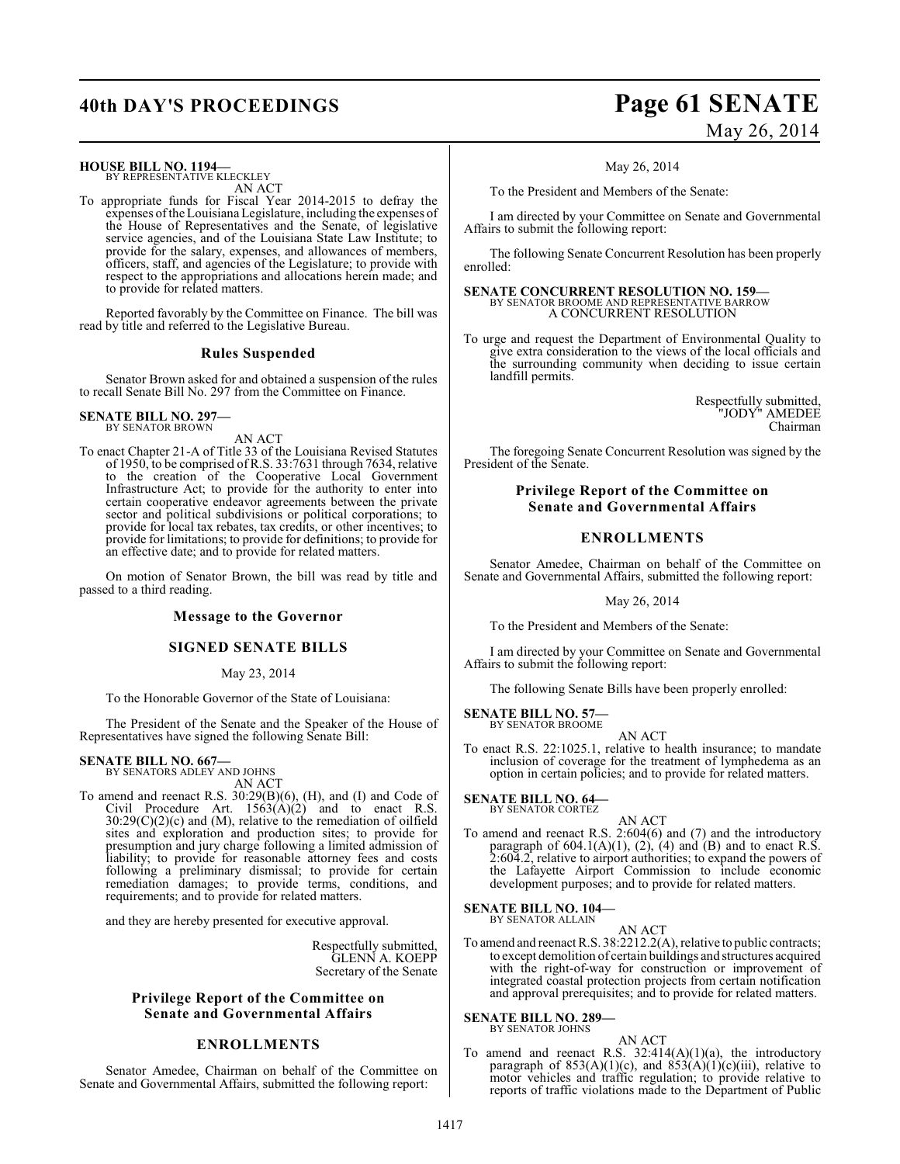## **HOUSE BILL NO. 1194—**

BY REPRESENTATIVE KLECKLEY AN ACT

To appropriate funds for Fiscal Year 2014-2015 to defray the expenses of the Louisiana Legislature, including the expenses of the House of Representatives and the Senate, of legislative service agencies, and of the Louisiana State Law Institute; to provide for the salary, expenses, and allowances of members, officers, staff, and agencies of the Legislature; to provide with respect to the appropriations and allocations herein made; and to provide for related matters.

Reported favorably by the Committee on Finance. The bill was read by title and referred to the Legislative Bureau.

## **Rules Suspended**

Senator Brown asked for and obtained a suspension of the rules to recall Senate Bill No. 297 from the Committee on Finance.

## **SENATE BILL NO. 297—** BY SENATOR BROWN

AN ACT

To enact Chapter 21-A of Title 33 of the Louisiana Revised Statutes of 1950, to be comprised of R.S. 33:7631 through 7634, relative to the creation of the Cooperative Local Government Infrastructure Act; to provide for the authority to enter into certain cooperative endeavor agreements between the private sector and political subdivisions or political corporations; to provide for local tax rebates, tax credits, or other incentives; to provide for limitations; to provide for definitions; to provide for an effective date; and to provide for related matters.

On motion of Senator Brown, the bill was read by title and passed to a third reading.

## **Message to the Governor**

## **SIGNED SENATE BILLS**

### May 23, 2014

To the Honorable Governor of the State of Louisiana:

The President of the Senate and the Speaker of the House of Representatives have signed the following Senate Bill:

## **SENATE BILL NO. 667—**<br>BY SENATORS ADLEY AND JOHNS

AN ACT

To amend and reenact R.S. 30:29(B)(6), (H), and (I) and Code of Civil Procedure Art.  $1563(A)(2)$  and to enact R.S.  $30:29(C)(2)(c)$  and (M), relative to the remediation of oilfield sites and exploration and production sites; to provide for presumption and jury charge following a limited admission of liability; to provide for reasonable attorney fees and costs following a preliminary dismissal; to provide for certain remediation damages; to provide terms, conditions, and requirements; and to provide for related matters.

and they are hereby presented for executive approval.

Respectfully submitted, GLENN A. KOEPP Secretary of the Senate

## **Privilege Report of the Committee on Senate and Governmental Affairs**

## **ENROLLMENTS**

Senator Amedee, Chairman on behalf of the Committee on Senate and Governmental Affairs, submitted the following report:

## **40th DAY'S PROCEEDINGS Page 61 SENATE** May 26, 2014

May 26, 2014

To the President and Members of the Senate:

I am directed by your Committee on Senate and Governmental Affairs to submit the following report:

The following Senate Concurrent Resolution has been properly enrolled:

**SENATE CONCURRENT RESOLUTION NO. 159—** BY SENATOR BROOME AND REPRESENTATIVE BARROW A CONCURRENT RESOLUTION

To urge and request the Department of Environmental Quality to give extra consideration to the views of the local officials and the surrounding community when deciding to issue certain landfill permits.

> Respectfully submitted, "JODY" AMEDEE Chairman

The foregoing Senate Concurrent Resolution was signed by the President of the Senate.

## **Privilege Report of the Committee on Senate and Governmental Affairs**

## **ENROLLMENTS**

Senator Amedee, Chairman on behalf of the Committee on Senate and Governmental Affairs, submitted the following report:

May 26, 2014

To the President and Members of the Senate:

I am directed by your Committee on Senate and Governmental Affairs to submit the following report:

The following Senate Bills have been properly enrolled:

**SENATE BILL NO. 57—** BY SENATOR BROOME

AN ACT

To enact R.S. 22:1025.1, relative to health insurance; to mandate inclusion of coverage for the treatment of lymphedema as an option in certain policies; and to provide for related matters.

**SENATE BILL NO. 64—**

BY SENATOR CORTEZ

AN ACT To amend and reenact R.S. 2:604(6) and (7) and the introductory paragraph of  $604.1(A)(1)$ ,  $(2)$ ,  $(4)$  and  $(B)$  and to enact R.S. 2:604.2, relative to airport authorities; to expand the powers of the Lafayette Airport Commission to include economic development purposes; and to provide for related matters.

## **SENATE BILL NO. 104—** BY SENATOR ALLAIN

AN ACT

To amend and reenact R.S. 38:2212.2(A), relative to public contracts; to except demolition of certain buildings and structures acquired with the right-of-way for construction or improvement of integrated coastal protection projects from certain notification and approval prerequisites; and to provide for related matters.

## **SENATE BILL NO. 289—**

BY SENATOR JOHNS AN ACT

To amend and reenact R.S.  $32:414(A)(1)(a)$ , the introductory paragraph of  $853(A)(1)(c)$ , and  $853(A)(1)(c)(iii)$ , relative to motor vehicles and traffic regulation; to provide relative to reports of traffic violations made to the Department of Public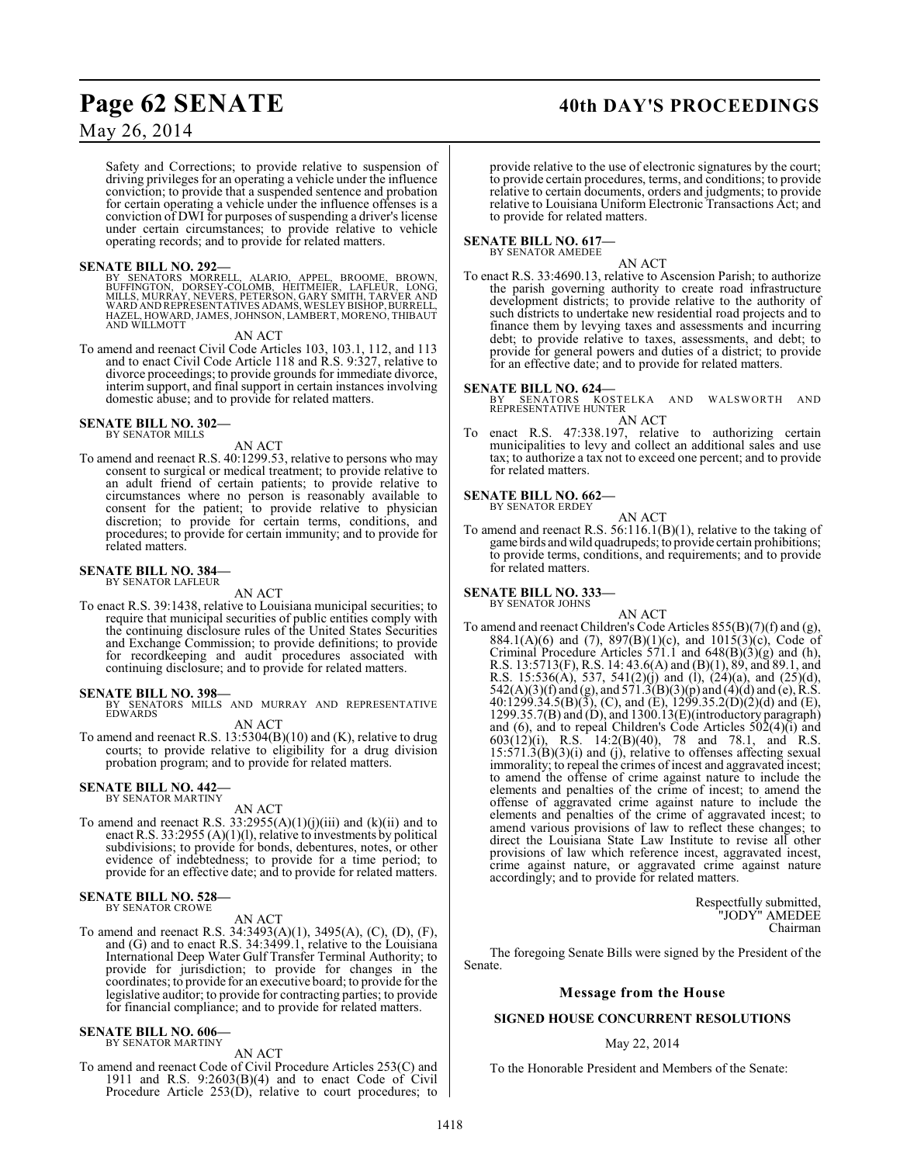## May 26, 2014

Safety and Corrections; to provide relative to suspension of driving privileges for an operating a vehicle under the influence conviction; to provide that a suspended sentence and probation for certain operating a vehicle under the influence offenses is a conviction of DWI for purposes of suspending a driver's license under certain circumstances; to provide relative to vehicle operating records; and to provide for related matters.

## **SENATE BILL NO. 292—**

BY SENATORS MORRELL, ALARIO, APPEL, BROOME, BROWN,<br>BUFFINGTON, DORSEY-COLOMB, HEITMEIER, LAFLEUR, LONG,<br>MILLS,MURRAY,NEVERS,PETERSON,GARY SMITH,TARVER AND<br>WARD ANDREPRESENTATIVES ADAMS,WESLEY BISHOP,BURRELL,<br>HAZEL,HOWARD,J AND WILLMOTT

AN ACT

To amend and reenact Civil Code Articles 103, 103.1, 112, and 113 and to enact Civil Code Article 118 and R.S. 9:327, relative to divorce proceedings; to provide grounds for immediate divorce, interim support, and final support in certain instances involving domestic abuse; and to provide for related matters.

## **SENATE BILL NO. 302—**

BY SENATOR MILLS

### AN ACT

To amend and reenact R.S. 40:1299.53, relative to persons who may consent to surgical or medical treatment; to provide relative to an adult friend of certain patients; to provide relative to circumstances where no person is reasonably available to consent for the patient; to provide relative to physician discretion; to provide for certain terms, conditions, and procedures; to provide for certain immunity; and to provide for related matters.

#### **SENATE BILL NO. 384—** BY SENATOR LAFLEUR

AN ACT

To enact R.S. 39:1438, relative to Louisiana municipal securities; to require that municipal securities of public entities comply with the continuing disclosure rules of the United States Securities and Exchange Commission; to provide definitions; to provide for recordkeeping and audit procedures associated with continuing disclosure; and to provide for related matters.

**SENATE BILL NO. 398—**<br>BY SENATORS MILLS AND MURRAY AND REPRESENTATIVE<br>EDWARDS

AN ACT

To amend and reenact R.S. 13:5304(B)(10) and (K), relative to drug courts; to provide relative to eligibility for a drug division probation program; and to provide for related matters.

#### **SENATE BILL NO. 442—** BY SENATOR MARTINY

AN ACT

To amend and reenact R.S.  $33:2955(A)(1)(j)(iii)$  and  $(k)(ii)$  and to enact R.S. 33:2955 (A)(1)(l), relative to investments by political subdivisions; to provide for bonds, debentures, notes, or other evidence of indebtedness; to provide for a time period; to provide for an effective date; and to provide for related matters.

#### **SENATE BILL NO. 528—** BY SENATOR CROWE

AN ACT

To amend and reenact R.S. 34:3493(A)(1), 3495(A), (C), (D), (F), and  $(G)$  and to enact R.S. 34:3499.1, relative to the Louisiana International Deep Water Gulf Transfer Terminal Authority; to provide for jurisdiction; to provide for changes in the coordinates; to provide for an executive board; to provide for the legislative auditor; to provide for contracting parties; to provide for financial compliance; and to provide for related matters.

#### **SENATE BILL NO. 606—** BY SENATOR MARTINY

AN ACT

To amend and reenact Code of Civil Procedure Articles 253(C) and 1911 and R.S. 9:2603(B)(4) and to enact Code of Civil Procedure Article 253(D), relative to court procedures; to

## Page 62 SENATE 40th DAY'S PROCEEDINGS

provide relative to the use of electronic signatures by the court; to provide certain procedures, terms, and conditions; to provide relative to certain documents, orders and judgments; to provide relative to Louisiana Uniform Electronic Transactions Act; and to provide for related matters.

## **SENATE BILL NO. 617—** BY SENATOR AMEDEE

AN ACT

To enact R.S. 33:4690.13, relative to Ascension Parish; to authorize the parish governing authority to create road infrastructure development districts; to provide relative to the authority of such districts to undertake new residential road projects and to finance them by levying taxes and assessments and incurring debt; to provide relative to taxes, assessments, and debt; to provide for general powers and duties of a district; to provide for an effective date; and to provide for related matters.

**SENATE BILL NO. 624—**<br>BY SENATORS KOSTELKA AND WALSWORTH AND<br>REPRESENTATIVE HUNTER AN ACT

To enact R.S. 47:338.197, relative to authorizing certain municipalities to levy and collect an additional sales and use tax; to authorize a tax not to exceed one percent; and to provide for related matters.

## **SENATE BILL NO. 662—**

BY SENATOR ERDEY

AN ACT To amend and reenact R.S. 56:116.1(B)(1), relative to the taking of game birds and wild quadrupeds; to provide certain prohibitions; to provide terms, conditions, and requirements; and to provide for related matters.

#### **SENATE BILL NO. 333—** BY SENATOR JOHNS

AN ACT To amend and reenact Children's Code Articles 855(B)(7)(f) and (g), 884.1(A)(6) and (7), 897(B)(1)(c), and  $101\overline{5(3)}(c)$ , Code of Criminal Procedure Articles  $571.1$  and  $648(B)(3)(g)$  and (h), R.S. 13:5713(F), R.S. 14: 43.6(A) and (B)(1), 89, and 89.1, and R.S. 15:536(A), 537, 541(2)(j) and (l), (24)(a), and (25)(d),  $542(A)(3)(f)$  and (g), and  $571.3(B)(3)(p)$  and (4)(d) and (e), R.S. 40:1299.34.5(B)(3), (C), and (E), 1299.35.2(D)(2)(d) and (E), 1299.35.7(B) and (D), and 1300.13(E)(introductory paragraph) and (6), and to repeal Children's Code Articles 502(4)(i) and 603(12)(i), R.S. 14:2(B)(40), 78 and 78.1, and R.S. 15:571.3(B)(3)(i) and (j), relative to offenses affecting sexual immorality; to repeal the crimes of incest and aggravated incest; to amend the offense of crime against nature to include the elements and penalties of the crime of incest; to amend the offense of aggravated crime against nature to include the elements and penalties of the crime of aggravated incest; to amend various provisions of law to reflect these changes; to direct the Louisiana State Law Institute to revise all other provisions of law which reference incest, aggravated incest, crime against nature, or aggravated crime against nature accordingly; and to provide for related matters.

> Respectfully submitted, "JODY" AMEDEE Chairman

The foregoing Senate Bills were signed by the President of the Senate.

## **Message from the House**

## **SIGNED HOUSE CONCURRENT RESOLUTIONS**

## May 22, 2014

To the Honorable President and Members of the Senate: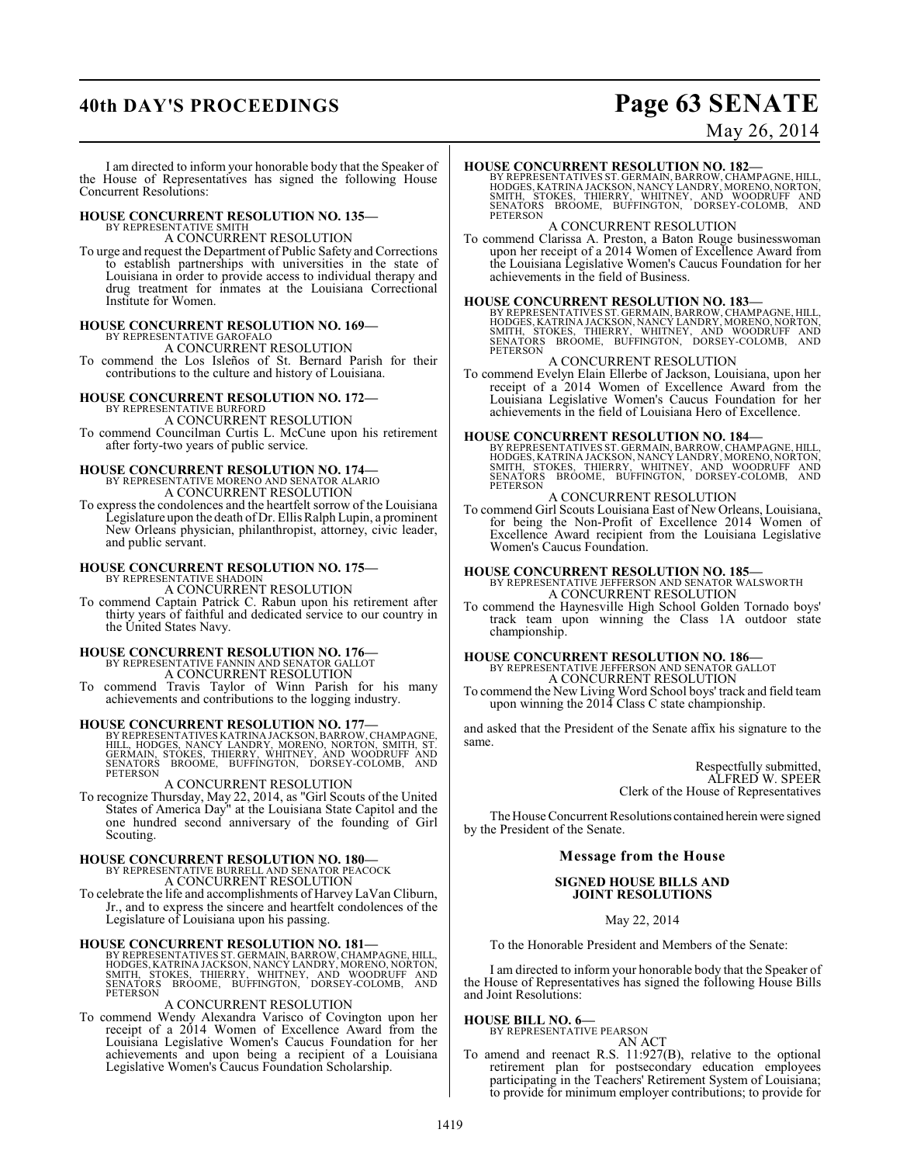## **40th DAY'S PROCEEDINGS Page 63 SENATE**

May 26, 2014

I am directed to inform your honorable body that the Speaker of the House of Representatives has signed the following House Concurrent Resolutions:

## **HOUSE CONCURRENT RESOLUTION NO. 135—**

BY REPRESENTATIVE SMITH A CONCURRENT RESOLUTION

To urge and request the Department of Public Safety and Corrections to establish partnerships with universities in the state of Louisiana in order to provide access to individual therapy and drug treatment for inmates at the Louisiana Correctional Institute for Women.

## **HOUSE CONCURRENT RESOLUTION NO. 169—** BY REPRESENTATIVE GAROFALO

A CONCURRENT RESOLUTION

To commend the Los Isleños of St. Bernard Parish for their contributions to the culture and history of Louisiana.

## **HOUSE CONCURRENT RESOLUTION NO. 172—** BY REPRESENTATIVE BURFORD A CONCURRENT RESOLUTION

To commend Councilman Curtis L. McCune upon his retirement after forty-two years of public service.

# **HOUSE CONCURRENT RESOLUTION NO. 174—**<br>BY REPRESENTATIVE MORENO AND SENATOR ALARIO<br>A CONCURRENT RESOLUTION

To express the condolences and the heartfelt sorrow of the Louisiana Legislature upon the death of Dr. Ellis Ralph Lupin, a prominent New Orleans physician, philanthropist, attorney, civic leader, and public servant.

## **HOUSE CONCURRENT RESOLUTION NO. 175—** BY REPRESENTATIVE SHADOIN

A CONCURRENT RESOLUTION

To commend Captain Patrick C. Rabun upon his retirement after thirty years of faithful and dedicated service to our country in the United States Navy.

## **HOUSE CONCURRENT RESOLUTION NO. 176—** BY REPRESENTATIVE FANNIN AND SENATOR GALLOT

A CONCURRENT RESOLUTION

To commend Travis Taylor of Winn Parish for his many achievements and contributions to the logging industry.

**HOUSE CONCURRENT RESOLUTION NO. 177—**<br>BY REPRESENTATIVES KATRINA JACKSON, BARROW, CHAMPAGNE, HILL, HODGES, NANCY LANDREY, MORENO, NORTON, SMITH, ST.<br>GERMAIN, STOKES, THIERRY, WHITNEY, AND WOODRUFF AND<br>SENATORS BROOME, BUF PETERSON

## A CONCURRENT RESOLUTION

To recognize Thursday, May 22, 2014, as "Girl Scouts of the United States of America Day" at the Louisiana State Capitol and the one hundred second anniversary of the founding of Girl Scouting.

# **HOUSE CONCURRENT RESOLUTION NO. 180—** BY REPRESENTATIVE BURRELL AND SENATOR PEACOCK A CONCURRENT RESOLUTION

To celebrate the life and accomplishments of Harvey LaVan Cliburn, Jr., and to express the sincere and heartfelt condolences of the Legislature of Louisiana upon his passing.

**HOUSE CONCURRENT RESOLUTION NO. 181** BY REPRESENTATIVES ST. GERMAIN, BARROW, CHAMPAGNE, HILL, HODGES, KATRINA JACKSON, NANCY LANDRY, MORENO, NORTON, SMITH, STOKES, THIERRY, WHITNEY, AND WOODRUFF AND SENATORS BROOME, BUFFI

## A CONCURRENT RESOLUTION

To commend Wendy Alexandra Varisco of Covington upon her receipt of a 2014 Women of Excellence Award from the Louisiana Legislative Women's Caucus Foundation for her achievements and upon being a recipient of a Louisiana Legislative Women's Caucus Foundation Scholarship.

## **HOUSE CONCURRENT RESOLUTION NO. 182—**

BY REPRESENTATIVES ST. GERMAIN, BARROW, CHAMPAGNE, HILL,<br>HODGES, KATRINA JACKSON, NANCY LANDRY, MORENO, NORTON,<br>SMITH, STOKES, THIERRY, WHITNEY, AND WOODRUFF AND<br>SENATORS BROOME, BUFFINGTON, DORSEY-**PETERSON** 

## A CONCURRENT RESOLUTION

To commend Clarissa A. Preston, a Baton Rouge businesswoman upon her receipt of a 2014 Women of Excellence Award from the Louisiana Legislative Women's Caucus Foundation for her achievements in the field of Business.

### **HOUSE CONCURRENT RESOLUTION NO. 183—**

BY REPRESENTATIVES ST. GERMAIN, BARROW, CHAMPAGNE, HILL,<br>HODGES, KATRINA JACKSON, NANCY LANDRY, MORENO, NORTON,<br>SMITH, STOKES, THIERRY, WHITNEY, AND WOODRUFF AND<br>SENATORS BROOME, BUFFINGTON, DORSEY-COLO

## A CONCURRENT RESOLUTION

To commend Evelyn Elain Ellerbe of Jackson, Louisiana, upon her receipt of a 2014 Women of Excellence Award from the Louisiana Legislative Women's Caucus Foundation for her achievements in the field of Louisiana Hero of Excellence.

## **HOUSE CONCURRENT RESOLUTION NO. 184—**

BY REPRESENTATIVES ST. GERMAIN, BARROW, CHAMPAGNE, HILL,<br>HODGES, KATRINA JACKSON, NANCY LANDRY, MORENO, NORTON,<br>SMITH, STOKES, THIERRY, WHITNEY, AND WOODRUFF AND<br>SENATORS BROOME, BUFFINGTON, DORSEY-PETERSON

## A CONCURRENT RESOLUTION

To commend Girl Scouts Louisiana East of New Orleans, Louisiana, for being the Non-Profit of Excellence 2014 Women of Excellence Award recipient from the Louisiana Legislative Women's Caucus Foundation.

**HOUSE CONCURRENT RESOLUTION NO. 185—** BY REPRESENTATIVE JEFFERSON AND SENATOR WALSWORTH A CONCURRENT RESOLUTION

To commend the Haynesville High School Golden Tornado boys' track team upon winning the Class 1A outdoor state championship.

## **HOUSE CONCURRENT RESOLUTION NO. 186—** BY REPRESENTATIVE JEFFERSON AND SENATOR GALLOT A CONCURRENT RESOLUTION

To commend the New Living Word School boys' track and field team upon winning the 2014 Class C state championship.

and asked that the President of the Senate affix his signature to the same.

> Respectfully submitted, ALFRED W. SPEER Clerk of the House of Representatives

The House Concurrent Resolutions contained herein were signed by the President of the Senate.

## **Message from the House**

**SIGNED HOUSE BILLS AND JOINT RESOLUTIONS**

May 22, 2014

To the Honorable President and Members of the Senate:

I am directed to inform your honorable body that the Speaker of the House of Representatives has signed the following House Bills and Joint Resolutions:

## **HOUSE BILL NO. 6—**

BY REPRESENTATIVE PEARSON AN ACT

To amend and reenact R.S. 11:927(B), relative to the optional retirement plan for postsecondary education employees participating in the Teachers' Retirement System of Louisiana; to provide for minimum employer contributions; to provide for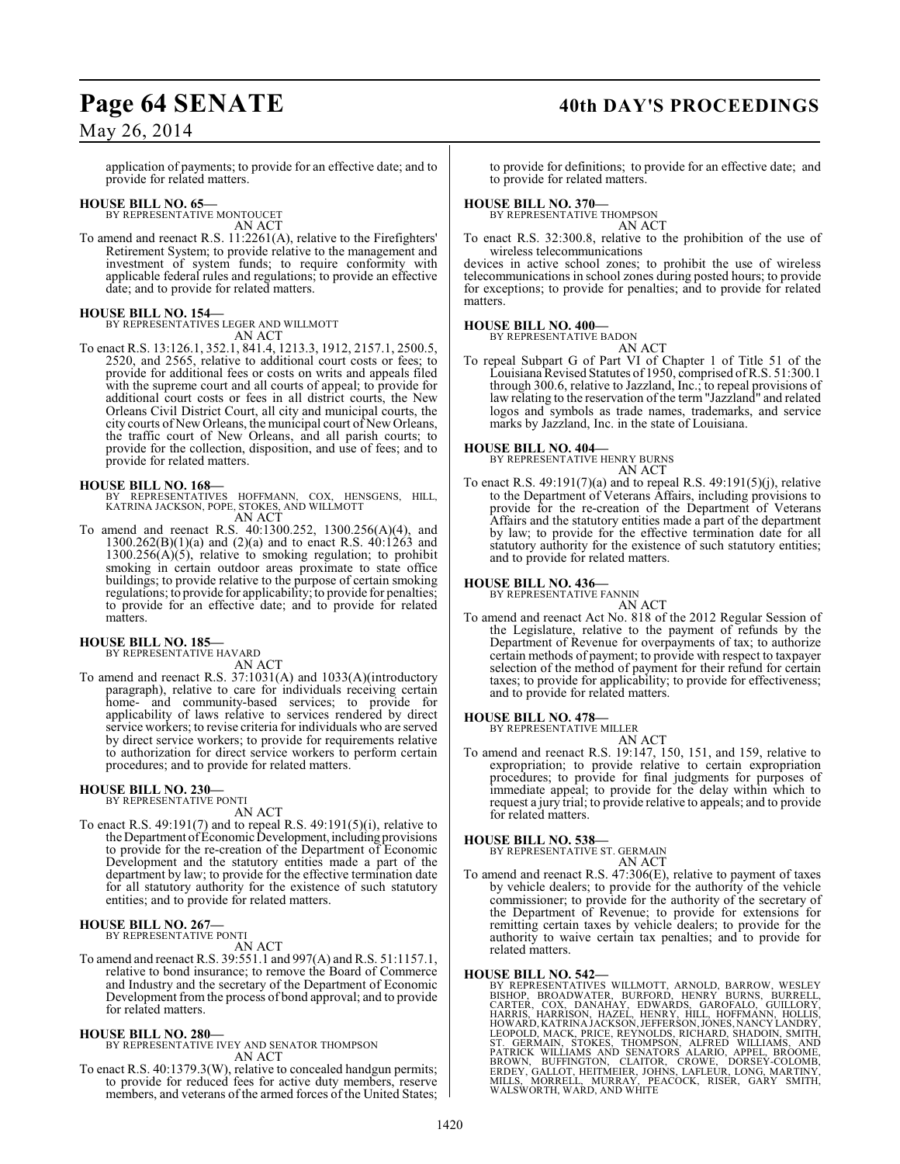## Page 64 SENATE 40th DAY'S PROCEEDINGS

## May 26, 2014

application of payments; to provide for an effective date; and to provide for related matters.

## **HOUSE BILL NO. 65—** BY REPRESENTATIVE MONTOUCET

AN ACT

To amend and reenact R.S. 11:2261(A), relative to the Firefighters' Retirement System; to provide relative to the management and investment of system funds; to require conformity with applicable federal rules and regulations; to provide an effective date; and to provide for related matters.

## **HOUSE BILL NO. 154—**

BY REPRESENTATIVES LEGER AND WILLMOTT AN ACT

To enact R.S. 13:126.1, 352.1, 841.4, 1213.3, 1912, 2157.1, 2500.5, 2520, and 2565, relative to additional court costs or fees; to provide for additional fees or costs on writs and appeals filed with the supreme court and all courts of appeal; to provide for additional court costs or fees in all district courts, the New Orleans Civil District Court, all city and municipal courts, the city courts of New Orleans, the municipal court of New Orleans, the traffic court of New Orleans, and all parish courts; to provide for the collection, disposition, and use of fees; and to provide for related matters.

**HOUSE BILL NO. 168—** BY REPRESENTATIVES HOFFMANN, COX, HENSGENS, HILL, KATRINA JACKSON, POPE, STOKES, AND WILLMOTT AN ACT

To amend and reenact R.S. 40:1300.252, 1300.256(A)(4), and 1300.262(B)(1)(a) and (2)(a) and to enact R.S. 40:1263 and  $1300.256(A)(5)$ , relative to smoking regulation; to prohibit smoking in certain outdoor areas proximate to state office buildings; to provide relative to the purpose of certain smoking regulations; to provide for applicability; to provide for penalties; to provide for an effective date; and to provide for related matters.

## **HOUSE BILL NO. 185—** BY REPRESENTATIVE HAVARD

AN ACT

To amend and reenact R.S. 37:1031(A) and 1033(A)(introductory paragraph), relative to care for individuals receiving certain home- and community-based services; to provide for applicability of laws relative to services rendered by direct service workers; to revise criteria for individuals who are served by direct service workers; to provide for requirements relative to authorization for direct service workers to perform certain procedures; and to provide for related matters.

#### **HOUSE BILL NO. 230—** BY REPRESENTATIVE PONTI

AN ACT

To enact R.S. 49:191(7) and to repeal R.S. 49:191(5)(i), relative to the Department of Economic Development, including provisions to provide for the re-creation of the Department of Economic Development and the statutory entities made a part of the department by law; to provide for the effective termination date for all statutory authority for the existence of such statutory entities; and to provide for related matters.

## **HOUSE BILL NO. 267—** BY REPRESENTATIVE PONTI

## AN ACT

To amend and reenact R.S. 39:551.1 and 997(A) and R.S. 51:1157.1, relative to bond insurance; to remove the Board of Commerce and Industry and the secretary of the Department of Economic Development from the process of bond approval; and to provide for related matters.

## **HOUSE BILL NO. 280—**

BY REPRESENTATIVE IVEY AND SENATOR THOMPSON AN ACT

To enact R.S. 40:1379.3(W), relative to concealed handgun permits; to provide for reduced fees for active duty members, reserve members, and veterans of the armed forces of the United States;

to provide for definitions; to provide for an effective date; and to provide for related matters.

## **HOUSE BILL NO. 370—**

BY REPRESENTATIVE THOMPSON AN ACT

To enact R.S. 32:300.8, relative to the prohibition of the use of wireless telecommunications

devices in active school zones; to prohibit the use of wireless telecommunications in school zones during posted hours; to provide for exceptions; to provide for penalties; and to provide for related matters.

## **HOUSE BILL NO. 400—**

BY REPRESENTATIVE BADON

- AN ACT
- To repeal Subpart G of Part VI of Chapter 1 of Title 51 of the Louisiana Revised Statutes of 1950, comprised of R.S. 51:300.1 through 300.6, relative to Jazzland, Inc.; to repeal provisions of law relating to the reservation of the term "Jazzland" and related logos and symbols as trade names, trademarks, and service marks by Jazzland, Inc. in the state of Louisiana.

**HOUSE BILL NO. 404—** BY REPRESENTATIVE HENRY BURNS AN ACT

To enact R.S. 49:191(7)(a) and to repeal R.S. 49:191(5)(j), relative to the Department of Veterans Affairs, including provisions to provide for the re-creation of the Department of Veterans Affairs and the statutory entities made a part of the department by law; to provide for the effective termination date for all statutory authority for the existence of such statutory entities; and to provide for related matters.

## **HOUSE BILL NO. 436—** BY REPRESENTATIVE FANNIN

AN ACT To amend and reenact Act No. 818 of the 2012 Regular Session of the Legislature, relative to the payment of refunds by the Department of Revenue for overpayments of tax; to authorize certain methods of payment; to provide with respect to taxpayer selection of the method of payment for their refund for certain taxes; to provide for applicability; to provide for effectiveness; and to provide for related matters.

#### **HOUSE BILL NO. 478—** BY REPRESENTATIVE MILLER

AN ACT

To amend and reenact R.S. 19:147, 150, 151, and 159, relative to expropriation; to provide relative to certain expropriation procedures; to provide for final judgments for purposes of immediate appeal; to provide for the delay within which to request a jury trial; to provide relative to appeals; and to provide for related matters.

## **HOUSE BILL NO. 538—** BY REPRESENTATIVE ST. GERMAIN

AN ACT

To amend and reenact R.S.  $47:306(E)$ , relative to payment of taxes by vehicle dealers; to provide for the authority of the vehicle commissioner; to provide for the authority of the secretary of the Department of Revenue; to provide for extensions for remitting certain taxes by vehicle dealers; to provide for the authority to waive certain tax penalties; and to provide for related matters.

HOUSE BILL NO. 542—<br>
BY REPRESENTATIVES WILLMOTT, ARNOLD, BARROW, WESLEY<br>
BISHOP, BROADWATER, BURFORD, HENRY BURNS, BURRELL,<br>
CARTER, COX, DANAHAY, EDWARDS, GAROFALO, GUILLORY,<br>
HARRIS, HARRISON, HAZEL, HENRY, HILL, HOFFMA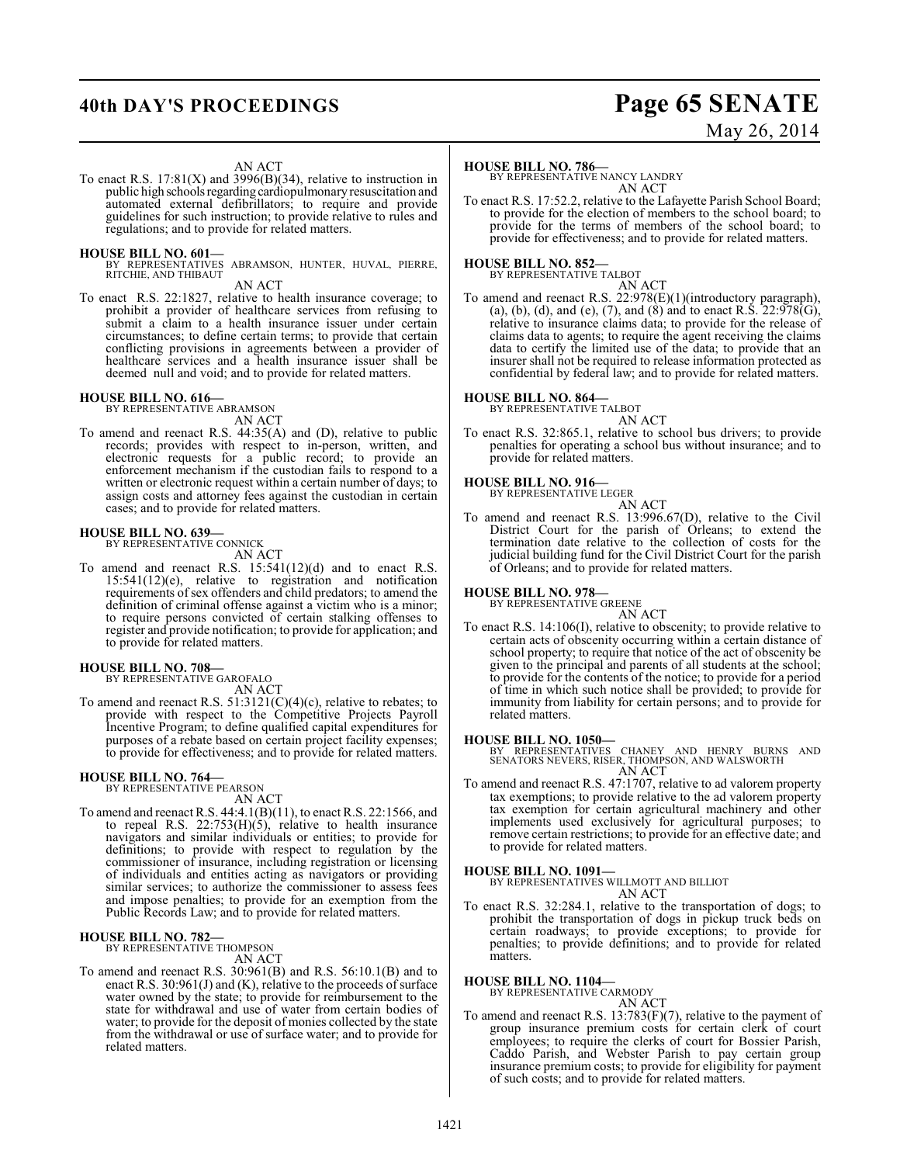## **40th DAY'S PROCEEDINGS Page 65 SENATE**

# May 26, 2014

### AN ACT

To enact R.S.  $17:81(X)$  and  $3996(B)(34)$ , relative to instruction in public high schools regarding cardiopulmonary resuscitation and automated external defibrillators; to require and provide guidelines for such instruction; to provide relative to rules and regulations; and to provide for related matters.

## **HOUSE BILL NO. 601—**

BY REPRESENTATIVES ABRAMSON, HUNTER, HUVAL, PIERRE, RITCHIE, AND THIBAUT

AN ACT

To enact R.S. 22:1827, relative to health insurance coverage; to prohibit a provider of healthcare services from refusing to submit a claim to a health insurance issuer under certain circumstances; to define certain terms; to provide that certain conflicting provisions in agreements between a provider of healthcare services and a health insurance issuer shall be deemed null and void; and to provide for related matters.

## **HOUSE BILL NO. 616—** BY REPRESENTATIVE ABRAMSON

AN ACT

To amend and reenact R.S. 44:35(A) and (D), relative to public records; provides with respect to in-person, written, and electronic requests for a public record; to provide an enforcement mechanism if the custodian fails to respond to a written or electronic request within a certain number of days; to assign costs and attorney fees against the custodian in certain cases; and to provide for related matters.

## **HOUSE BILL NO. 639—**

BY REPRESENTATIVE CONNICK

AN ACT

To amend and reenact R.S. 15:541(12)(d) and to enact R.S. 15:541(12)(e), relative to registration and notification requirements of sex offenders and child predators; to amend the definition of criminal offense against a victim who is a minor; to require persons convicted of certain stalking offenses to register and provide notification; to provide for application; and to provide for related matters.

## **HOUSE BILL NO. 708—**

BY REPRESENTATIVE GAROFALO AN ACT

To amend and reenact R.S.  $51:3121(C)(4)(c)$ , relative to rebates; to provide with respect to the Competitive Projects Payroll Incentive Program; to define qualified capital expenditures for purposes of a rebate based on certain project facility expenses; to provide for effectiveness; and to provide for related matters.

## **HOUSE BILL NO. 764—**

BY REPRESENTATIVE PEARSON AN ACT

To amend and reenact R.S. 44:4.1(B)(11), to enact R.S. 22:1566, and to repeal R.S. 22:753(H)(5), relative to health insurance navigators and similar individuals or entities; to provide for definitions; to provide with respect to regulation by the commissioner of insurance, including registration or licensing of individuals and entities acting as navigators or providing similar services; to authorize the commissioner to assess fees and impose penalties; to provide for an exemption from the Public Records Law; and to provide for related matters.

## **HOUSE BILL NO. 782—** BY REPRESENTATIVE THOMPSON

AN ACT

To amend and reenact R.S. 30:961(B) and R.S. 56:10.1(B) and to enact R.S. 30:961(J) and (K), relative to the proceeds of surface water owned by the state; to provide for reimbursement to the state for withdrawal and use of water from certain bodies of water; to provide for the deposit of monies collected by the state from the withdrawal or use of surface water; and to provide for related matters.

### **HOUSE BILL NO. 786—**

BY REPRESENTATIVE NANCY LANDRY AN ACT

To enact R.S. 17:52.2, relative to the Lafayette Parish School Board; to provide for the election of members to the school board; to provide for the terms of members of the school board; to provide for effectiveness; and to provide for related matters.

#### **HOUSE BILL NO. 852—** BY REPRESENTATIVE TALBOT

AN ACT

To amend and reenact R.S. 22:978(E)(1)(introductory paragraph), (a), (b), (d), and (e), (7), and (8) and to enact R.S.  $22:978(G)$ , relative to insurance claims data; to provide for the release of claims data to agents; to require the agent receiving the claims data to certify the limited use of the data; to provide that an insurer shall not be required to release information protected as confidential by federal law; and to provide for related matters.

## **HOUSE BILL NO. 864—** BY REPRESENTATIVE TALBOT

AN ACT To enact R.S. 32:865.1, relative to school bus drivers; to provide penalties for operating a school bus without insurance; and to provide for related matters.

## **HOUSE BILL NO. 916—** BY REPRESENTATIVE LEGER

AN ACT

To amend and reenact R.S. 13:996.67(D), relative to the Civil District Court for the parish of Orleans; to extend the termination date relative to the collection of costs for the judicial building fund for the Civil District Court for the parish of Orleans; and to provide for related matters.

### **HOUSE BILL NO. 978—**

BY REPRESENTATIVE GREENE

AN ACT To enact R.S. 14:106(I), relative to obscenity; to provide relative to certain acts of obscenity occurring within a certain distance of school property; to require that notice of the act of obscenity be given to the principal and parents of all students at the school; to provide for the contents of the notice; to provide for a period of time in which such notice shall be provided; to provide for immunity from liability for certain persons; and to provide for related matters.

### **HOUSE BILL NO. 1050—**

BY REPRESENTATIVES CHANEY AND HENRY BURNS AND SENATORS NEVERS, RISER, THOMPSON, AND WALSWORTH AN ACT

To amend and reenact R.S. 47:1707, relative to ad valorem property tax exemptions; to provide relative to the ad valorem property tax exemption for certain agricultural machinery and other implements used exclusively for agricultural purposes; to remove certain restrictions; to provide for an effective date; and to provide for related matters.

## **HOUSE BILL NO. 1091—**

BY REPRESENTATIVES WILLMOTT AND BILLIOT AN ACT

To enact R.S. 32:284.1, relative to the transportation of dogs; to prohibit the transportation of dogs in pickup truck beds on certain roadways; to provide exceptions; to provide for penalties; to provide definitions; and to provide for related matters.

### **HOUSE BILL NO. 1104—**

BY REPRESENTATIVE CARMODY AN ACT

To amend and reenact R.S. 13:783(F)(7), relative to the payment of group insurance premium costs for certain clerk of court employees; to require the clerks of court for Bossier Parish, Caddo Parish, and Webster Parish to pay certain group insurance premium costs; to provide for eligibility for payment of such costs; and to provide for related matters.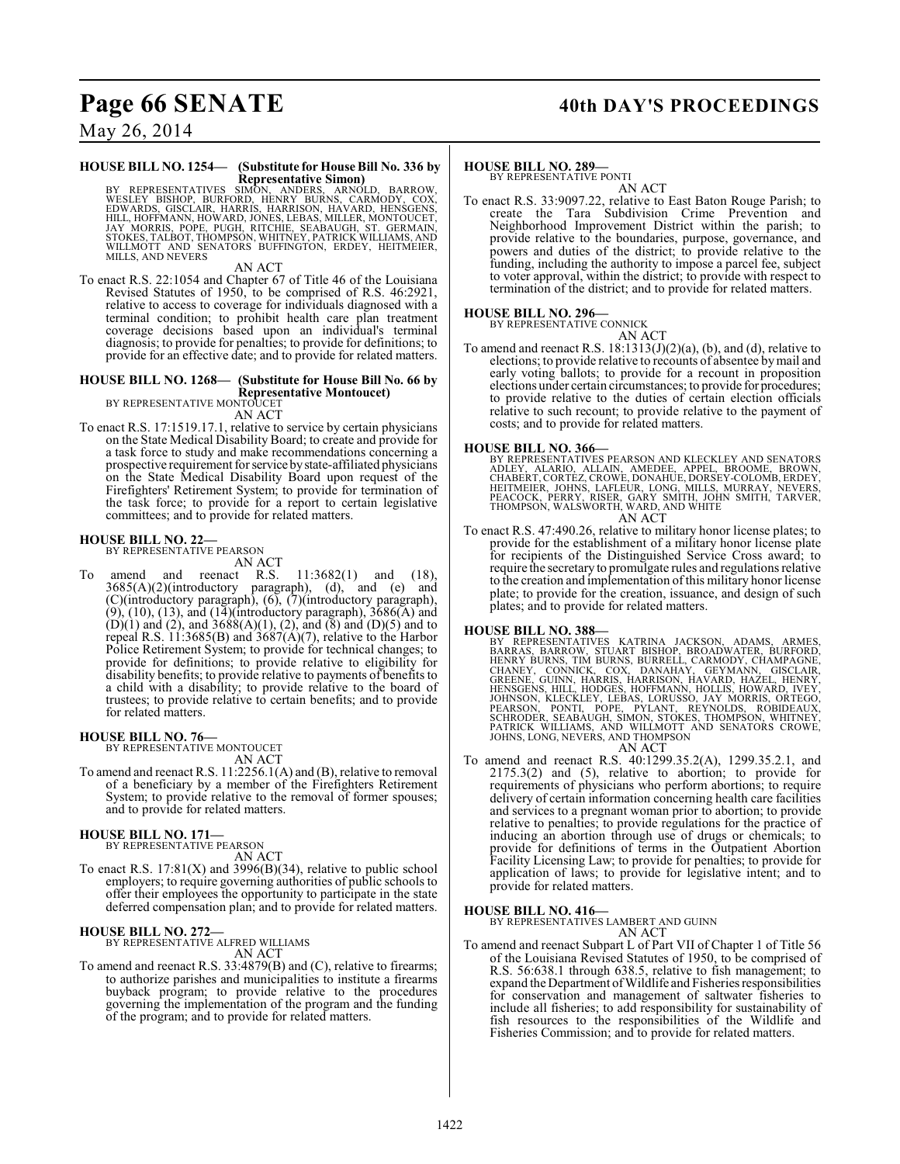## Page 66 SENATE 40th DAY'S PROCEEDINGS

May 26, 2014

### **HOUSE BILL NO. 1254— (Substitute for House Bill No. 336 by Representative Simon)**

BY REPRESENTATIVES SIMŌN, ANDERS, ARNOLD, BARROW, VESICOW, EUNICON, EUNICON, COX, EDWARDS, GISCLAIR, HARRIS, HARRISON, HAVARD, HENSGENS, EDWARDS, GISCLAIR, HARRIS, HARRISON, HAVARD, HENSGENS, JAY MORUCET, MONTOUCET, MONTOU

AN ACT

To enact R.S. 22:1054 and Chapter 67 of Title 46 of the Louisiana Revised Statutes of 1950, to be comprised of R.S. 46:2921, relative to access to coverage for individuals diagnosed with a terminal condition; to prohibit health care plan treatment coverage decisions based upon an individual's terminal diagnosis; to provide for penalties; to provide for definitions; to provide for an effective date; and to provide for related matters.

## **HOUSE BILL NO. 1268— (Substitute for House Bill No. 66 by Representative Montoucet)** BY REPRESENTATIVE MONTOUCET

AN ACT

To enact R.S. 17:1519.17.1, relative to service by certain physicians on the State Medical Disability Board; to create and provide for a task force to study and make recommendations concerning a prospective requirement for service by state-affiliated physicians on the State Medical Disability Board upon request of the Firefighters' Retirement System; to provide for termination of the task force; to provide for a report to certain legislative committees; and to provide for related matters.

## **HOUSE BILL NO. 22—** BY REPRESENTATIVE PEARSON

AN ACT<br>and reenact R.S. To amend and reenact R.S. 11:3682(1) and (18),  $3685(A)(2)$ (introductory paragraph), (d), and (e) and (C)(introductory paragraph), (6), (7)(introductory paragraph),  $(9)$ ,  $(10)$ ,  $(13)$ , and  $(14)$ (introductory paragraph),  $3686(A)$  and  $(D)(1)$  and  $(2)$ , and  $3688(A)(1)$ ,  $(2)$ , and  $(8)$  and  $(D)(5)$  and to repeal R.S. 11:3685(B) and 3687(A)(7), relative to the Harbor Police Retirement System; to provide for technical changes; to provide for definitions; to provide relative to eligibility for disability benefits; to provide relative to payments of benefits to a child with a disability; to provide relative to the board of trustees; to provide relative to certain benefits; and to provide for related matters.

**HOUSE BILL NO. 76—**

BY REPRESENTATIVE MONTOUCET AN ACT

To amend and reenact R.S. 11:2256.1(A) and (B), relative to removal of a beneficiary by a member of the Firefighters Retirement System; to provide relative to the removal of former spouses; and to provide for related matters.

## **HOUSE BILL NO. 171—**

BY REPRESENTATIVE PEARSON AN ACT

To enact R.S.  $17:81(X)$  and  $3996(B)(34)$ , relative to public school employers; to require governing authorities of public schools to offer their employees the opportunity to participate in the state deferred compensation plan; and to provide for related matters.

## **HOUSE BILL NO. 272—**

BY REPRESENTATIVE ALFRED WILLIAMS AN ACT

To amend and reenact R.S. 33:4879(B) and (C), relative to firearms; to authorize parishes and municipalities to institute a firearms buyback program; to provide relative to the procedures governing the implementation of the program and the funding of the program; and to provide for related matters.

## **HOUSE BILL NO. 289—**

BY REPRESENTATIVE PONTI AN ACT

To enact R.S. 33:9097.22, relative to East Baton Rouge Parish; to create the Tara Subdivision Crime Prevention and Neighborhood Improvement District within the parish; to provide relative to the boundaries, purpose, governance, and powers and duties of the district; to provide relative to the funding, including the authority to impose a parcel fee, subject to voter approval, within the district; to provide with respect to termination of the district; and to provide for related matters.

## **HOUSE BILL NO. 296—**

BY REPRESENTATIVE CONNICK AN ACT

To amend and reenact R.S.  $18:1313(J)(2)(a)$ , (b), and (d), relative to elections; to provide relative to recounts of absentee by mail and early voting ballots; to provide for a recount in proposition elections under certain circumstances; to provide for procedures; to provide relative to the duties of certain election officials relative to such recount; to provide relative to the payment of costs; and to provide for related matters.

**HOUSE BILL NO. 366—**<br>BY REPRESENTATIVES PEARSON AND KLECKLEY AND SENATORS<br>ADLEY, ALARIO, ALLAIN, AMEDEE, APPEL, BROOME, BROWN,<br>CHABERT, CORTEZ, CROWE, DONAHUE, DORSEY-COLOMB, ERDEY,<br>HEITMEIER, JOHNS, LAFLEUR, LONG, MILLS, AN ACT

To enact R.S. 47:490.26, relative to military honor license plates; to provide for the establishment of a military honor license plate for recipients of the Distinguished Service Cross award; to require the secretary to promulgate rules and regulations relative to the creation and implementation of this military honor license plate; to provide for the creation, issuance, and design of such plates; and to provide for related matters.

## **HOUSE BILL NO. 388—**

BY REPRESENTATIVES KATRINA JACKSON, ADAMS, ARMES,<br>BARRAS, BARROW, STUART BISHOP, BROADWATER, BURFORD,<br>HENRY BURNS, TIM BURNS, BURRELL, CARMODY, CHAMPAGNE,<br>GREENE, CONNICK, COX, DANAHAY, GEYMANN, GISCLAIR,<br>GREENE, GUINN, HA

## AN ACT

To amend and reenact R.S. 40:1299.35.2(A), 1299.35.2.1, and 2175.3(2) and (5), relative to abortion; to provide for requirements of physicians who perform abortions; to require delivery of certain information concerning health care facilities and services to a pregnant woman prior to abortion; to provide relative to penalties; to provide regulations for the practice of inducing an abortion through use of drugs or chemicals; to provide for definitions of terms in the Outpatient Abortion Facility Licensing Law; to provide for penalties; to provide for application of laws; to provide for legislative intent; and to provide for related matters.

## **HOUSE BILL NO. 416—** BY REPRESENTATIVES LAMBERT AND GUINN

AN ACT

To amend and reenact Subpart L of Part VII of Chapter 1 of Title 56 of the Louisiana Revised Statutes of 1950, to be comprised of R.S. 56:638.1 through 638.5, relative to fish management; to expand the Department of Wildlife and Fisheries responsibilities for conservation and management of saltwater fisheries to include all fisheries; to add responsibility for sustainability of fish resources to the responsibilities of the Wildlife and Fisheries Commission; and to provide for related matters.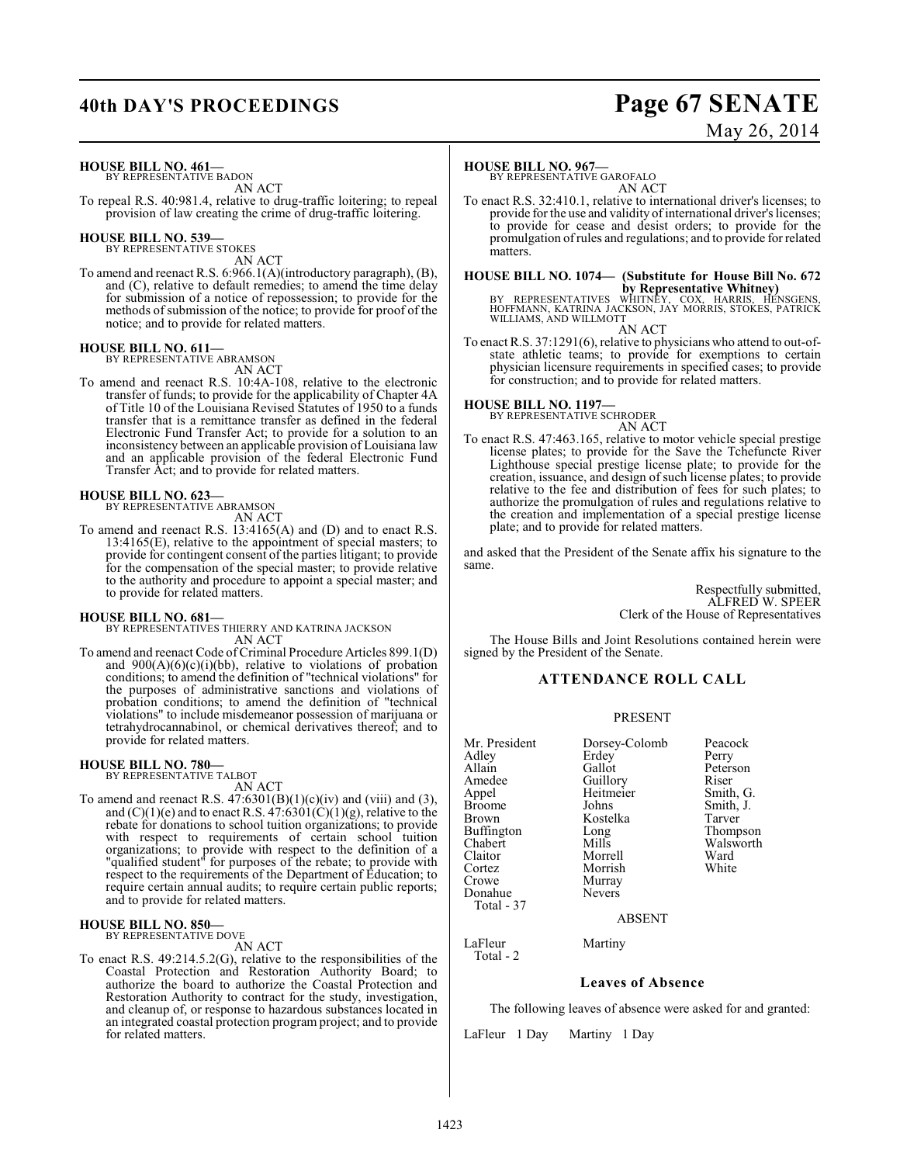## **40th DAY'S PROCEEDINGS Page 67 SENATE**

# May 26, 2014

**HOUSE BILL NO. 461—** BY REPRESENTATIVE BADON

AN ACT To repeal R.S. 40:981.4, relative to drug-traffic loitering; to repeal provision of law creating the crime of drug-traffic loitering.

## **HOUSE BILL NO. 539—** BY REPRESENTATIVE STOKES

AN ACT

To amend and reenact R.S. 6:966.1(A)(introductory paragraph), (B), and (C), relative to default remedies; to amend the time delay for submission of a notice of repossession; to provide for the methods of submission of the notice; to provide for proof of the notice; and to provide for related matters.

## **HOUSE BILL NO. 611—** BY REPRESENTATIVE ABRAMSON

AN ACT To amend and reenact R.S. 10:4A-108, relative to the electronic transfer of funds; to provide for the applicability of Chapter 4A of Title 10 of the Louisiana Revised Statutes of 1950 to a funds transfer that is a remittance transfer as defined in the federal Electronic Fund Transfer Act; to provide for a solution to an inconsistency between an applicable provision of Louisiana law and an applicable provision of the federal Electronic Fund Transfer Act; and to provide for related matters.

## **HOUSE BILL NO. 623—**

BY REPRESENTATIVE ABRAMSON AN ACT

To amend and reenact R.S. 13:4165(A) and (D) and to enact R.S. 13:4165(E), relative to the appointment of special masters; to provide for contingent consent of the parties litigant; to provide for the compensation of the special master; to provide relative to the authority and procedure to appoint a special master; and to provide for related matters.

## **HOUSE BILL NO. 681—**

BY REPRESENTATIVES THIERRY AND KATRINA JACKSON AN ACT

To amend and reenact Code of Criminal Procedure Articles 899.1(D) and  $900(A)(6)(c)(i)(bb)$ , relative to violations of probation conditions; to amend the definition of "technical violations" for the purposes of administrative sanctions and violations of probation conditions; to amend the definition of "technical violations" to include misdemeanor possession of marijuana or tetrahydrocannabinol, or chemical derivatives thereof; and to provide for related matters.

#### **HOUSE BILL NO. 780—** BY REPRESENTATIVE TALBOT

AN ACT

To amend and reenact R.S.  $47:6301(B)(1)(c)(iv)$  and (viii) and (3), and  $(C)(1)(e)$  and to enact R.S.  $47:6301(\hat{C})(1)(g)$ , relative to the rebate for donations to school tuition organizations; to provide with respect to requirements of certain school tuition organizations; to provide with respect to the definition of a "qualified student" for purposes of the rebate; to provide with respect to the requirements of the Department of Education; to require certain annual audits; to require certain public reports; and to provide for related matters.

## **HOUSE BILL NO. 850—** BY REPRESENTATIVE DOVE

AN ACT

To enact R.S. 49:214.5.2(G), relative to the responsibilities of the Coastal Protection and Restoration Authority Board; to authorize the board to authorize the Coastal Protection and Restoration Authority to contract for the study, investigation, and cleanup of, or response to hazardous substances located in an integrated coastal protection program project; and to provide for related matters.

## **HOUSE BILL NO. 967—**

BY REPRESENTATIVE GAROFALO AN ACT

To enact R.S. 32:410.1, relative to international driver's licenses; to provide for the use and validity of international driver's licenses; to provide for cease and desist orders; to provide for the promulgation of rules and regulations; and to provide for related matters.

**HOUSE BILL NO. 1074— (Substitute for House Bill No. 672**

**by Representative Whitney)**<br>BY REPRESENTATIVES WHITNEY, COX, HARRIS, HENSGENS,<br>HOFFMANN, KATRINA JACKSON, JAY MORRIS, STOKES, PATRICK<br>WILLIAMS, AND WILLMOTT AN ACT

To enact R.S. 37:1291(6), relative to physicians who attend to out-ofstate athletic teams; to provide for exemptions to certain physician licensure requirements in specified cases; to provide for construction; and to provide for related matters.

## **HOUSE BILL NO. 1197—** BY REPRESENTATIVE SCHRODER

AN ACT

To enact R.S. 47:463.165, relative to motor vehicle special prestige license plates; to provide for the Save the Tchefuncte River Lighthouse special prestige license plate; to provide for the creation, issuance, and design of such license plates; to provide relative to the fee and distribution of fees for such plates; to authorize the promulgation of rules and regulations relative to the creation and implementation of a special prestige license plate; and to provide for related matters.

and asked that the President of the Senate affix his signature to the same.

> Respectfully submitted, ALFRED W. SPEER Clerk of the House of Representatives

The House Bills and Joint Resolutions contained herein were signed by the President of the Senate.

## **ATTENDANCE ROLL CALL**

## PRESENT

| Mr. President<br>Adlev<br>Allain<br>Amedee<br>Appel<br>Broome<br>Brown<br>Buffington<br>Chabert<br>Claitor<br>Cortez<br>Crowe | Dorsey-Colomb<br>Erdey<br>Gallot<br>Guillory<br>Heitmeier<br>Johns<br>Kostelka<br>Long<br>Mills<br>Morrell<br>Morrish<br>Murray<br><b>Nevers</b> | Peacock<br>Perry<br>Peterson<br>Riser<br>Smith, G.<br>Smith, J.<br>Tarver<br>Thompson<br>Walsworth<br>Ward<br>White |
|-------------------------------------------------------------------------------------------------------------------------------|--------------------------------------------------------------------------------------------------------------------------------------------------|---------------------------------------------------------------------------------------------------------------------|
| Donahue                                                                                                                       |                                                                                                                                                  |                                                                                                                     |
| Total - 37                                                                                                                    |                                                                                                                                                  |                                                                                                                     |
|                                                                                                                               | <b>ABSENT</b>                                                                                                                                    |                                                                                                                     |
|                                                                                                                               |                                                                                                                                                  |                                                                                                                     |

LaFleur Martiny Total - 2

**Leaves of Absence**

The following leaves of absence were asked for and granted:

LaFleur 1 Day Martiny 1 Day